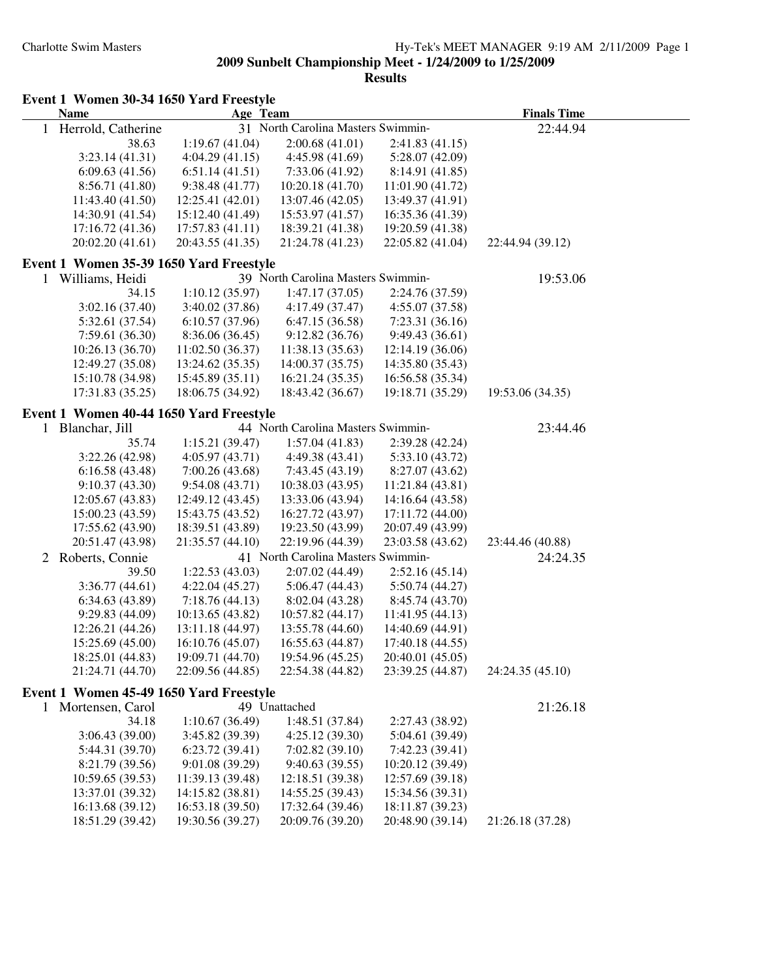|              | Event 1 Women 30-34 1650 Yard Freestyle<br><b>Name</b> | Age Team         |                                    |                  | <b>Finals Time</b> |
|--------------|--------------------------------------------------------|------------------|------------------------------------|------------------|--------------------|
| 1            | Herrold, Catherine                                     |                  | 31 North Carolina Masters Swimmin- |                  | 22:44.94           |
|              | 38.63                                                  | 1:19.67(41.04)   | 2:00.68(41.01)                     | 2:41.83(41.15)   |                    |
|              | 3:23.14(41.31)                                         | 4:04.29(41.15)   | 4:45.98 (41.69)                    | 5:28.07(42.09)   |                    |
|              | 6:09.63(41.56)                                         | 6:51.14(41.51)   | 7:33.06 (41.92)                    | 8:14.91 (41.85)  |                    |
|              | 8:56.71 (41.80)                                        | 9:38.48(41.77)   | 10:20.18 (41.70)                   | 11:01.90 (41.72) |                    |
|              | 11:43.40 (41.50)                                       | 12:25.41 (42.01) | 13:07.46 (42.05)                   | 13:49.37 (41.91) |                    |
|              | 14:30.91 (41.54)                                       | 15:12.40 (41.49) | 15:53.97 (41.57)                   | 16:35.36 (41.39) |                    |
|              | 17:16.72 (41.36)                                       | 17:57.83 (41.11) | 18:39.21 (41.38)                   | 19:20.59 (41.38) |                    |
|              | 20:02.20 (41.61)                                       | 20:43.55 (41.35) | 21:24.78 (41.23)                   | 22:05.82 (41.04) | 22:44.94 (39.12)   |
|              | Event 1 Women 35-39 1650 Yard Freestyle                |                  |                                    |                  |                    |
|              | 1 Williams, Heidi                                      |                  | 39 North Carolina Masters Swimmin- |                  | 19:53.06           |
|              | 34.15                                                  | 1:10.12(35.97)   | 1:47.17(37.05)                     | 2:24.76 (37.59)  |                    |
|              | 3:02.16(37.40)                                         | 3:40.02(37.86)   | 4:17.49 (37.47)                    | 4:55.07 (37.58)  |                    |
|              | 5:32.61 (37.54)                                        | 6:10.57(37.96)   | 6:47.15(36.58)                     | 7:23.31(36.16)   |                    |
|              | 7:59.61(36.30)                                         | 8:36.06 (36.45)  | 9:12.82(36.76)                     | 9:49.43(36.61)   |                    |
|              | 10:26.13 (36.70)                                       | 11:02.50(36.37)  | 11:38.13 (35.63)                   | 12:14.19 (36.06) |                    |
|              | 12:49.27 (35.08)                                       | 13:24.62 (35.35) | 14:00.37 (35.75)                   | 14:35.80 (35.43) |                    |
|              | 15:10.78 (34.98)                                       | 15:45.89 (35.11) | 16:21.24 (35.35)                   | 16:56.58 (35.34) |                    |
|              | 17:31.83 (35.25)                                       | 18:06.75 (34.92) | 18:43.42 (36.67)                   | 19:18.71 (35.29) | 19:53.06 (34.35)   |
|              | Event 1 Women 40-44 1650 Yard Freestyle                |                  |                                    |                  |                    |
|              | 1 Blanchar, Jill                                       |                  | 44 North Carolina Masters Swimmin- |                  | 23:44.46           |
|              | 35.74                                                  | 1:15.21(39.47)   | 1:57.04(41.83)                     | 2:39.28 (42.24)  |                    |
|              | 3:22.26(42.98)                                         | 4:05.97(43.71)   | 4:49.38 (43.41)                    | 5:33.10 (43.72)  |                    |
|              | 6:16.58(43.48)                                         | 7:00.26 (43.68)  | 7:43.45 (43.19)                    | 8:27.07 (43.62)  |                    |
|              | 9:10.37(43.30)                                         | 9:54.08(43.71)   | 10:38.03 (43.95)                   | 11:21.84 (43.81) |                    |
|              | 12:05.67 (43.83)                                       | 12:49.12(43.45)  | 13:33.06 (43.94)                   | 14:16.64 (43.58) |                    |
|              | 15:00.23 (43.59)                                       | 15:43.75 (43.52) | 16:27.72 (43.97)                   | 17:11.72 (44.00) |                    |
|              | 17:55.62 (43.90)                                       | 18:39.51 (43.89) | 19:23.50 (43.99)                   | 20:07.49 (43.99) |                    |
|              | 20:51.47 (43.98)                                       | 21:35.57 (44.10) | 22:19.96 (44.39)                   | 23:03.58 (43.62) | 23:44.46 (40.88)   |
|              | 2 Roberts, Connie                                      |                  | 41 North Carolina Masters Swimmin- |                  | 24:24.35           |
|              | 39.50                                                  | 1:22.53(43.03)   | 2:07.02 (44.49)                    | 2:52.16(45.14)   |                    |
|              | 3:36.77(44.61)                                         | 4:22.04(45.27)   | 5:06.47(44.43)                     | 5:50.74 (44.27)  |                    |
|              | 6:34.63(43.89)                                         | 7:18.76(44.13)   | 8:02.04 (43.28)                    | 8:45.74 (43.70)  |                    |
|              | 9:29.83(44.09)                                         | 10:13.65 (43.82) | 10:57.82 (44.17)                   | 11:41.95 (44.13) |                    |
|              | 12:26.21 (44.26)                                       | 13:11.18 (44.97) | 13:55.78 (44.60)                   | 14:40.69 (44.91) |                    |
|              | 15:25.69 (45.00)                                       | 16:10.76 (45.07) | 16:55.63 (44.87)                   | 17:40.18 (44.55) |                    |
|              | 18:25.01 (44.83)                                       | 19:09.71 (44.70) | 19:54.96 (45.25)                   | 20:40.01 (45.05) |                    |
|              | 21:24.71 (44.70)                                       | 22:09.56 (44.85) | 22:54.38 (44.82)                   | 23:39.25 (44.87) | 24:24.35 (45.10)   |
|              | Event 1 Women 45-49 1650 Yard Freestyle                |                  |                                    |                  |                    |
| $\mathbf{1}$ | Mortensen, Carol                                       |                  | 49 Unattached                      |                  | 21:26.18           |
|              | 34.18                                                  | 1:10.67(36.49)   | 1:48.51 (37.84)                    | 2:27.43 (38.92)  |                    |
|              | 3:06.43(39.00)                                         | 3:45.82 (39.39)  | 4:25.12(39.30)                     | 5:04.61 (39.49)  |                    |
|              | 5:44.31 (39.70)                                        | 6:23.72(39.41)   | 7:02.82(39.10)                     | 7:42.23 (39.41)  |                    |
|              | 8:21.79 (39.56)                                        | 9:01.08 (39.29)  | 9:40.63(39.55)                     | 10:20.12 (39.49) |                    |
|              | 10:59.65(39.53)                                        | 11:39.13 (39.48) | 12:18.51 (39.38)                   | 12:57.69 (39.18) |                    |
|              | 13:37.01 (39.32)                                       | 14:15.82 (38.81) | 14:55.25 (39.43)                   | 15:34.56 (39.31) |                    |
|              | 16:13.68 (39.12)                                       | 16:53.18 (39.50) | 17:32.64 (39.46)                   | 18:11.87 (39.23) |                    |
|              | 18:51.29 (39.42)                                       | 19:30.56 (39.27) | 20:09.76 (39.20)                   | 20:48.90 (39.14) | 21:26.18 (37.28)   |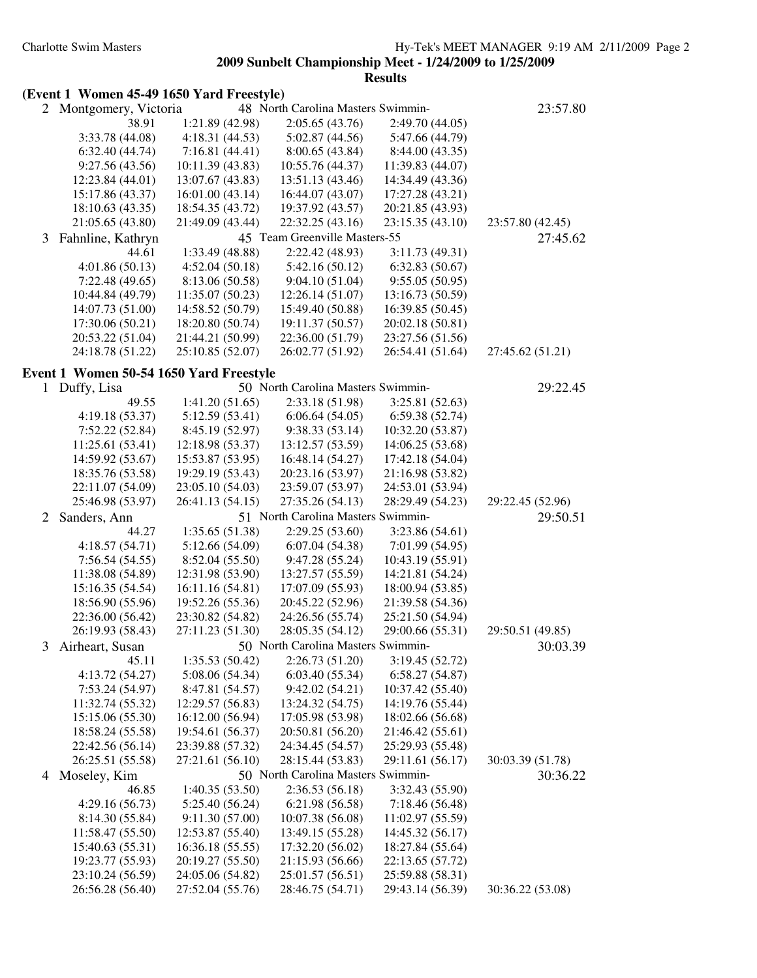|  |  |  |  |  | (Event 1 Women 45-49 1650 Yard Freestyle) |
|--|--|--|--|--|-------------------------------------------|
|--|--|--|--|--|-------------------------------------------|

| 2 | Montgomery, Victoria                    |                  | 48 North Carolina Masters Swimmin- |                  | 23:57.80         |
|---|-----------------------------------------|------------------|------------------------------------|------------------|------------------|
|   | 38.91                                   | 1:21.89(42.98)   | 2:05.65(43.76)                     | 2:49.70 (44.05)  |                  |
|   | 3:33.78 (44.08)                         | 4:18.31(44.53)   | 5:02.87(44.56)                     | 5:47.66 (44.79)  |                  |
|   | 6:32.40(44.74)                          | 7:16.81(44.41)   | 8:00.65(43.84)                     | 8:44.00 (43.35)  |                  |
|   | 9:27.56(43.56)                          | 10:11.39(43.83)  | 10:55.76 (44.37)                   | 11:39.83 (44.07) |                  |
|   | 12:23.84 (44.01)                        | 13:07.67 (43.83) | 13:51.13 (43.46)                   | 14:34.49 (43.36) |                  |
|   | 15:17.86 (43.37)                        | 16:01.00 (43.14) | 16:44.07 (43.07)                   | 17:27.28 (43.21) |                  |
|   | 18:10.63 (43.35)                        | 18:54.35 (43.72) | 19:37.92 (43.57)                   | 20:21.85 (43.93) |                  |
|   | 21:05.65 (43.80)                        | 21:49.09 (43.44) | 22:32.25 (43.16)                   | 23:15.35 (43.10) | 23:57.80 (42.45) |
| 3 | Fahnline, Kathryn                       |                  | 45 Team Greenville Masters-55      |                  | 27:45.62         |
|   | 44.61                                   | 1:33.49 (48.88)  | 2:22.42 (48.93)                    | 3:11.73(49.31)   |                  |
|   | 4:01.86(50.13)                          | 4:52.04(50.18)   | 5:42.16(50.12)                     | 6:32.83(50.67)   |                  |
|   | 7:22.48(49.65)                          | 8:13.06 (50.58)  | 9:04.10(51.04)                     | 9:55.05(50.95)   |                  |
|   | 10:44.84 (49.79)                        | 11:35.07(50.23)  | 12:26.14(51.07)                    | 13:16.73 (50.59) |                  |
|   | 14:07.73 (51.00)                        | 14:58.52 (50.79) | 15:49.40 (50.88)                   | 16:39.85 (50.45) |                  |
|   | 17:30.06 (50.21)                        | 18:20.80 (50.74) | 19:11.37 (50.57)                   | 20:02.18 (50.81) |                  |
|   | 20:53.22 (51.04)                        | 21:44.21 (50.99) | 22:36.00 (51.79)                   | 23:27.56 (51.56) |                  |
|   | 24:18.78 (51.22)                        | 25:10.85 (52.07) | 26:02.77 (51.92)                   | 26:54.41 (51.64) | 27:45.62 (51.21) |
|   |                                         |                  |                                    |                  |                  |
|   | Event 1 Women 50-54 1650 Yard Freestyle |                  |                                    |                  |                  |
|   | 1 Duffy, Lisa                           |                  | 50 North Carolina Masters Swimmin- |                  | 29:22.45         |
|   | 49.55                                   | 1:41.20(51.65)   | 2:33.18 (51.98)                    | 3:25.81 (52.63)  |                  |
|   | 4:19.18(53.37)                          | 5:12.59(53.41)   | 6:06.64(54.05)                     | 6:59.38(52.74)   |                  |
|   | 7:52.22(52.84)                          | 8:45.19 (52.97)  | 9:38.33(53.14)                     | 10:32.20 (53.87) |                  |
|   | 11:25.61 (53.41)                        | 12:18.98 (53.37) | 13:12.57 (53.59)                   | 14:06.25 (53.68) |                  |
|   | 14:59.92 (53.67)                        | 15:53.87 (53.95) | 16:48.14 (54.27)                   | 17:42.18 (54.04) |                  |
|   | 18:35.76 (53.58)                        | 19:29.19 (53.43) | 20:23.16 (53.97)                   | 21:16.98 (53.82) |                  |
|   | 22:11.07 (54.09)                        | 23:05.10 (54.03) | 23:59.07 (53.97)                   | 24:53.01 (53.94) |                  |
|   | 25:46.98 (53.97)                        | 26:41.13 (54.15) | 27:35.26 (54.13)                   | 28:29.49 (54.23) | 29:22.45 (52.96) |
| 2 | Sanders, Ann                            |                  | 51 North Carolina Masters Swimmin- |                  | 29:50.51         |
|   | 44.27                                   | 1:35.65(51.38)   | 2:29.25(53.60)                     | 3:23.86(54.61)   |                  |
|   | 4:18.57(54.71)                          | 5:12.66 (54.09)  | 6:07.04(54.38)                     | 7:01.99 (54.95)  |                  |
|   | 7:56.54(54.55)                          | 8:52.04 (55.50)  | 9:47.28 (55.24)                    | 10:43.19 (55.91) |                  |
|   | 11:38.08 (54.89)                        | 12:31.98 (53.90) | 13:27.57 (55.59)                   | 14:21.81 (54.24) |                  |
|   | 15:16.35 (54.54)                        | 16:11.16 (54.81) | 17:07.09 (55.93)                   | 18:00.94 (53.85) |                  |
|   | 18:56.90 (55.96)                        | 19:52.26 (55.36) | 20:45.22 (52.96)                   | 21:39.58 (54.36) |                  |
|   | 22:36.00 (56.42)                        | 23:30.82 (54.82) | 24:26.56 (55.74)                   | 25:21.50 (54.94) |                  |
|   | 26:19.93 (58.43)                        | 27:11.23 (51.30) | 28:05.35 (54.12)                   | 29:00.66 (55.31) | 29:50.51 (49.85) |
| 3 | Airheart, Susan                         |                  | 50 North Carolina Masters Swimmin- |                  | 30:03.39         |
|   | 45.11                                   | 1:35.53(50.42)   | 2:26.73(51.20)                     | 3:19.45 (52.72)  |                  |
|   | 4:13.72 (54.27)                         | 5:08.06 (54.34)  | 6:03.40(55.34)                     | 6:58.27(54.87)   |                  |
|   | 7:53.24 (54.97)                         | 8:47.81 (54.57)  | 9:42.02(54.21)                     | 10:37.42 (55.40) |                  |
|   | 11:32.74 (55.32)                        | 12:29.57 (56.83) | 13:24.32 (54.75)                   | 14:19.76 (55.44) |                  |
|   | 15:15.06 (55.30)                        | 16:12.00 (56.94) | 17:05.98 (53.98)                   | 18:02.66 (56.68) |                  |
|   | 18:58.24 (55.58)                        | 19:54.61 (56.37) | 20:50.81 (56.20)                   | 21:46.42 (55.61) |                  |
|   | 22:42.56 (56.14)                        | 23:39.88 (57.32) | 24:34.45 (54.57)                   | 25:29.93 (55.48) |                  |
|   | 26:25.51 (55.58)                        | 27:21.61 (56.10) | 28:15.44 (53.83)                   | 29:11.61 (56.17) | 30:03.39 (51.78) |
| 4 | Moseley, Kim                            |                  | 50 North Carolina Masters Swimmin- |                  | 30:36.22         |
|   | 46.85                                   | 1:40.35(53.50)   | 2:36.53(56.18)                     | 3:32.43 (55.90)  |                  |
|   | 4:29.16(56.73)                          | 5:25.40 (56.24)  | 6:21.98(56.58)                     | 7:18.46(56.48)   |                  |
|   | 8:14.30 (55.84)                         | 9:11.30(57.00)   | 10:07.38 (56.08)                   | 11:02.97 (55.59) |                  |
|   | 11:58.47 (55.50)                        | 12:53.87 (55.40) | 13:49.15 (55.28)                   | 14:45.32 (56.17) |                  |
|   | 15:40.63 (55.31)                        | 16:36.18(55.55)  | 17:32.20 (56.02)                   | 18:27.84 (55.64) |                  |
|   | 19:23.77 (55.93)                        | 20:19.27 (55.50) |                                    |                  |                  |
|   |                                         |                  | 21:15.93 (56.66)                   | 22:13.65 (57.72) |                  |
|   | 23:10.24 (56.59)                        | 24:05.06 (54.82) | 25:01.57 (56.51)                   | 25:59.88 (58.31) |                  |
|   | 26:56.28 (56.40)                        | 27:52.04 (55.76) | 28:46.75 (54.71)                   | 29:43.14 (56.39) | 30:36.22 (53.08) |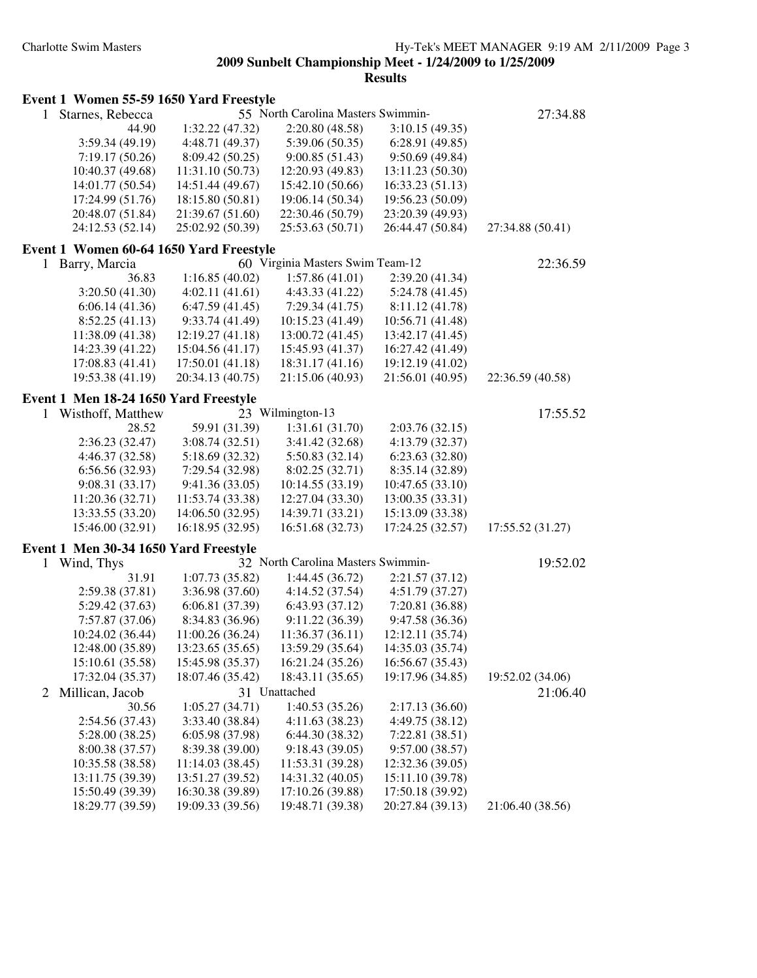**Results**

| Starnes, Rebecca | 55 North Carolina Masters Swimmin- | 27:34.88         |                  |                  |
|------------------|------------------------------------|------------------|------------------|------------------|
| 44.90            | 1:32.22(47.32)                     | 2:20.80(48.58)   | 3:10.15(49.35)   |                  |
| 3:59.34(49.19)   | 4:48.71 (49.37)                    | 5:39.06(50.35)   | 6:28.91(49.85)   |                  |
| 7:19.17(50.26)   | 8:09.42(50.25)                     | 9:00.85(51.43)   | 9:50.69(49.84)   |                  |
| 10:40.37(49.68)  | 11:31.10(50.73)                    | 12:20.93 (49.83) | 13:11.23(50.30)  |                  |
| 14:01.77 (50.54) | 14:51.44 (49.67)                   | 15:42.10 (50.66) | 16:33.23(51.13)  |                  |
| 17:24.99 (51.76) | 18:15.80 (50.81)                   | 19:06.14 (50.34) | 19:56.23 (50.09) |                  |
| 20:48.07 (51.84) | 21:39.67 (51.60)                   | 22:30.46 (50.79) | 23:20.39 (49.93) |                  |
| 24:12.53 (52.14) | 25:02.92 (50.39)                   | 25:53.63 (50.71) | 26:44.47 (50.84) | 27:34.88 (50.41) |

**Event 1 Women 55-59 1650 Yard Freestyle**

| Event 1 Women 60-64 1650 Yard Freestyle |                  |                                  |                  |                  |
|-----------------------------------------|------------------|----------------------------------|------------------|------------------|
| Barry, Marcia                           |                  | 60 Virginia Masters Swim Team-12 |                  | 22:36.59         |
| 36.83                                   | 1:16.85(40.02)   | 1:57.86(41.01)                   | 2:39.20(41.34)   |                  |
| 3:20.50(41.30)                          | 4:02.11(41.61)   | 4:43.33(41.22)                   | 5:24.78(41.45)   |                  |
| 6:06.14(41.36)                          | 6:47.59(41.45)   | 7:29.34(41.75)                   | 8:11.12(41.78)   |                  |
| 8:52.25(41.13)                          | 9:33.74(41.49)   | 10:15.23(41.49)                  | 10:56.71 (41.48) |                  |
| 11:38.09 (41.38)                        | 12:19.27(41.18)  | 13:00.72 (41.45)                 | 13:42.17 (41.45) |                  |
| 14:23.39 (41.22)                        | 15:04.56(41.17)  | 15:45.93 (41.37)                 | 16:27.42 (41.49) |                  |
| 17:08.83 (41.41)                        | 17:50.01(41.18)  | 18:31.17(41.16)                  | 19:12.19 (41.02) |                  |
| 19:53.38 (41.19)                        | 20:34.13 (40.75) | 21:15.06 (40.93)                 | 21:56.01 (40.95) | 22:36.59 (40.58) |

#### **Event 1 Men 18-24 1650 Yard Freestyle**

| 1 Wisthoff, Matthew |                  | 23 Wilmington-13 |                  | 17:55.52         |
|---------------------|------------------|------------------|------------------|------------------|
| 28.52               | 59.91 (31.39)    | 1:31.61(31.70)   | 2:03.76(32.15)   |                  |
| 2:36.23(32.47)      | 3:08.74(32.51)   | 3:41.42(32.68)   | 4:13.79(32.37)   |                  |
| 4:46.37(32.58)      | 5:18.69(32.32)   | 5:50.83(32.14)   | 6:23.63(32.80)   |                  |
| 6:56.56(32.93)      | 7:29.54 (32.98)  | 8:02.25(32.71)   | 8:35.14 (32.89)  |                  |
| 9:08.31(33.17)      | 9:41.36(33.05)   | 10:14.55(33.19)  | 10:47.65(33.10)  |                  |
| 11:20.36(32.71)     | 11:53.74 (33.38) | 12:27.04 (33.30) | 13:00.35(33.31)  |                  |
| 13:33.55 (33.20)    | 14:06.50 (32.95) | 14:39.71 (33.21) | 15:13.09 (33.38) |                  |
| 15:46.00 (32.91)    | 16:18.95 (32.95) | 16:51.68 (32.73) | 17:24.25 (32.57) | 17:55.52 (31.27) |

#### **Event 1 Men 30-34 1650 Yard Freestyle**

| 1 | Wind, Thys        | 32 North Carolina Masters Swimmin- |                  |                  | 19:52.02         |
|---|-------------------|------------------------------------|------------------|------------------|------------------|
|   | 31.91             | 1:07.73(35.82)                     | 1:44.45(36.72)   | 2:21.57(37.12)   |                  |
|   | 2:59.38(37.81)    | 3:36.98(37.60)                     | 4:14.52(37.54)   | 4:51.79 (37.27)  |                  |
|   | 5:29.42 (37.63)   | 6:06.81(37.39)                     | 6:43.93(37.12)   | 7:20.81 (36.88)  |                  |
|   | 7:57.87 (37.06)   | 8:34.83 (36.96)                    | 9:11.22(36.39)   | 9:47.58(36.36)   |                  |
|   | 10:24.02 (36.44)  | 11:00.26(36.24)                    | 11:36.37(36.11)  | 12:12.11 (35.74) |                  |
|   | 12:48.00 (35.89)  | 13:23.65(35.65)                    | 13:59.29 (35.64) | 14:35.03 (35.74) |                  |
|   | 15:10.61 (35.58)  | 15:45.98 (35.37)                   | 16:21.24 (35.26) | 16:56.67 (35.43) |                  |
|   | 17:32.04 (35.37)  | 18:07.46 (35.42)                   | 18:43.11 (35.65) | 19:17.96 (34.85) | 19:52.02 (34.06) |
|   | 2 Millican, Jacob |                                    | 31 Unattached    |                  | 21:06.40         |
|   | 30.56             | 1:05.27(34.71)                     | 1:40.53(35.26)   | 2:17.13(36.60)   |                  |
|   | 2:54.56(37.43)    | 3:33.40(38.84)                     | 4:11.63(38.23)   | 4:49.75(38.12)   |                  |
|   | 5:28.00(38.25)    | 6:05.98(37.98)                     | 6:44.30(38.32)   | 7:22.81(38.51)   |                  |
|   | 8:00.38 (37.57)   | 8:39.38 (39.00)                    | 9:18.43(39.05)   | 9:57.00(38.57)   |                  |
|   | 10:35.58 (38.58)  | 11:14.03(38.45)                    | 11:53.31 (39.28) | 12:32.36 (39.05) |                  |
|   | 13:11.75 (39.39)  | 13:51.27 (39.52)                   | 14:31.32 (40.05) | 15:11.10 (39.78) |                  |
|   | 15:50.49 (39.39)  | 16:30.38 (39.89)                   | 17:10.26 (39.88) | 17:50.18 (39.92) |                  |
|   | 18:29.77 (39.59)  | 19:09.33 (39.56)                   | 19:48.71 (39.38) | 20:27.84 (39.13) | 21:06.40 (38.56) |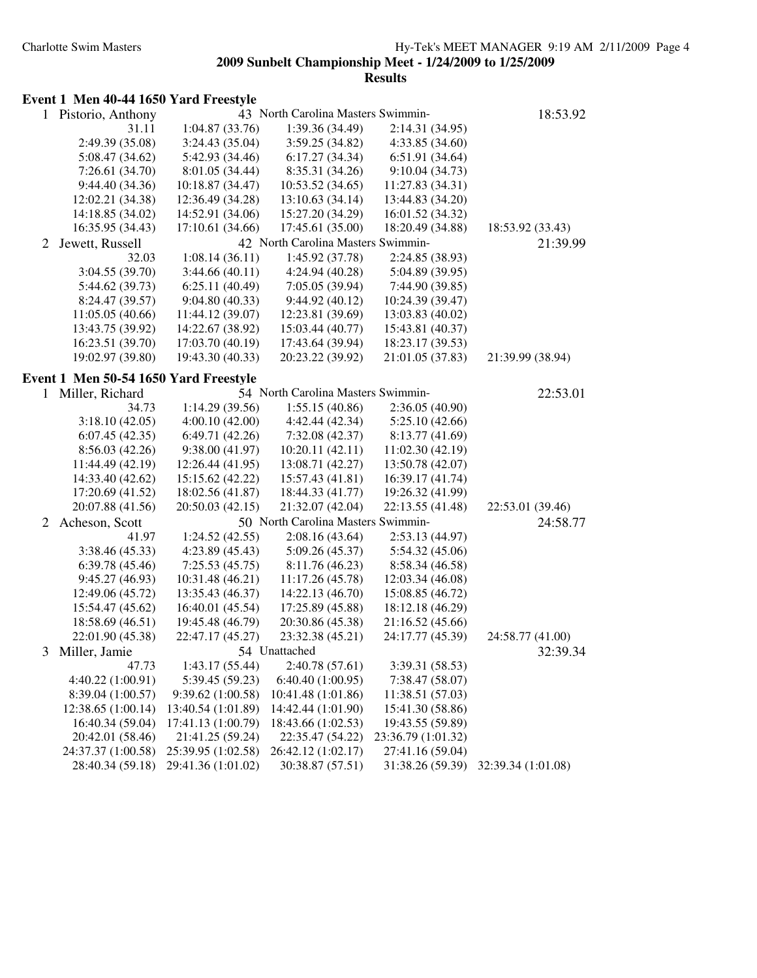**Results**

#### **Event 1 Men 40-44 1650 Yard Freestyle**

| $\mathbf{1}$ | Pistorio, Anthony                     |                    | 43 North Carolina Masters Swimmin- |                    | 18:53.92           |
|--------------|---------------------------------------|--------------------|------------------------------------|--------------------|--------------------|
|              | 31.11                                 | 1:04.87(33.76)     | 1:39.36 (34.49)                    | 2:14.31 (34.95)    |                    |
|              | 2:49.39 (35.08)                       | 3:24.43 (35.04)    | 3:59.25(34.82)                     | 4:33.85 (34.60)    |                    |
|              | 5:08.47(34.62)                        | 5:42.93 (34.46)    | 6:17.27(34.34)                     | 6:51.91(34.64)     |                    |
|              | 7:26.61 (34.70)                       | 8:01.05 (34.44)    | 8:35.31 (34.26)                    | 9:10.04 (34.73)    |                    |
|              | 9:44.40(34.36)                        | 10:18.87 (34.47)   | 10:53.52(34.65)                    | 11:27.83 (34.31)   |                    |
|              | 12:02.21 (34.38)                      | 12:36.49 (34.28)   | 13:10.63 (34.14)                   | 13:44.83 (34.20)   |                    |
|              | 14:18.85 (34.02)                      | 14:52.91 (34.06)   | 15:27.20 (34.29)                   | 16:01.52 (34.32)   |                    |
|              | 16:35.95 (34.43)                      | 17:10.61 (34.66)   | 17:45.61 (35.00)                   | 18:20.49 (34.88)   | 18:53.92 (33.43)   |
| 2            | Jewett, Russell                       |                    | 42 North Carolina Masters Swimmin- |                    | 21:39.99           |
|              | 32.03                                 | 1:08.14(36.11)     | 1:45.92 (37.78)                    | 2:24.85 (38.93)    |                    |
|              | 3:04.55(39.70)                        | 3:44.66(40.11)     | 4:24.94 (40.28)                    | 5:04.89 (39.95)    |                    |
|              | 5:44.62(39.73)                        | 6:25.11(40.49)     | 7:05.05(39.94)                     | 7:44.90 (39.85)    |                    |
|              | 8:24.47 (39.57)                       | 9:04.80(40.33)     | 9:44.92(40.12)                     | 10:24.39 (39.47)   |                    |
|              | 11:05.05(40.66)                       | 11:44.12 (39.07)   | 12:23.81 (39.69)                   | 13:03.83 (40.02)   |                    |
|              | 13:43.75 (39.92)                      | 14:22.67 (38.92)   | 15:03.44 (40.77)                   | 15:43.81 (40.37)   |                    |
|              | 16:23.51 (39.70)                      | 17:03.70 (40.19)   | 17:43.64 (39.94)                   | 18:23.17 (39.53)   |                    |
|              | 19:02.97 (39.80)                      | 19:43.30 (40.33)   | 20:23.22 (39.92)                   | 21:01.05 (37.83)   | 21:39.99 (38.94)   |
|              | Event 1 Men 50-54 1650 Yard Freestyle |                    |                                    |                    |                    |
|              | 1 Miller, Richard                     |                    | 54 North Carolina Masters Swimmin- |                    | 22:53.01           |
|              | 34.73                                 | 1:14.29(39.56)     | 1:55.15(40.86)                     | 2:36.05(40.90)     |                    |
|              | 3:18.10(42.05)                        | 4:00.10(42.00)     | 4:42.44(42.34)                     | 5:25.10(42.66)     |                    |
|              | 6:07.45(42.35)                        | 6:49.71(42.26)     | 7:32.08(42.37)                     | 8:13.77 (41.69)    |                    |
|              | 8:56.03(42.26)                        | 9:38.00(41.97)     | 10:20.11(42.11)                    | 11:02.30 (42.19)   |                    |
|              | 11:44.49 (42.19)                      | 12:26.44 (41.95)   | 13:08.71 (42.27)                   | 13:50.78 (42.07)   |                    |
|              | 14:33.40 (42.62)                      | 15:15.62 (42.22)   | 15:57.43 (41.81)                   | 16:39.17 (41.74)   |                    |
|              | 17:20.69 (41.52)                      | 18:02.56 (41.87)   | 18:44.33 (41.77)                   | 19:26.32 (41.99)   |                    |
|              | 20:07.88 (41.56)                      | 20:50.03 (42.15)   | 21:32.07 (42.04)                   | 22:13.55 (41.48)   | 22:53.01 (39.46)   |
| 2            | Acheson, Scott                        |                    | 50 North Carolina Masters Swimmin- |                    | 24:58.77           |
|              | 41.97                                 | 1:24.52(42.55)     | 2:08.16(43.64)                     | 2:53.13(44.97)     |                    |
|              | 3:38.46 (45.33)                       | 4:23.89(45.43)     | 5:09.26(45.37)                     | 5:54.32 (45.06)    |                    |
|              | 6:39.78(45.46)                        | 7:25.53(45.75)     | 8:11.76 (46.23)                    | 8:58.34 (46.58)    |                    |
|              | 9:45.27 (46.93)                       | 10:31.48 (46.21)   | 11:17.26(45.78)                    | 12:03.34 (46.08)   |                    |
|              | 12:49.06 (45.72)                      | 13:35.43 (46.37)   | 14:22.13 (46.70)                   | 15:08.85 (46.72)   |                    |
|              | 15:54.47 (45.62)                      | 16:40.01 (45.54)   | 17:25.89 (45.88)                   | 18:12.18 (46.29)   |                    |
|              | 18:58.69 (46.51)                      | 19:45.48 (46.79)   | 20:30.86 (45.38)                   | 21:16.52 (45.66)   |                    |
|              | 22:01.90 (45.38)                      | 22:47.17 (45.27)   | 23:32.38 (45.21)                   | 24:17.77 (45.39)   | 24:58.77 (41.00)   |
| 3            | Miller, Jamie                         |                    | 54 Unattached                      |                    | 32:39.34           |
|              | 47.73                                 | 1:43.17(55.44)     | 2:40.78(57.61)                     | 3:39.31 (58.53)    |                    |
|              | 4:40.22 (1:00.91)                     | 5:39.45 (59.23)    | 6:40.40(1:00.95)                   | 7:38.47 (58.07)    |                    |
|              | 8:39.04 (1:00.57)                     | 9:39.62 (1:00.58)  | 10:41.48 (1:01.86)                 | 11:38.51 (57.03)   |                    |
|              | 12:38.65 (1:00.14)                    | 13:40.54 (1:01.89) | 14:42.44 (1:01.90)                 | 15:41.30 (58.86)   |                    |
|              | 16:40.34 (59.04)                      | 17:41.13 (1:00.79) | 18:43.66 (1:02.53)                 | 19:43.55 (59.89)   |                    |
|              | 20:42.01 (58.46)                      | 21:41.25 (59.24)   | 22:35.47 (54.22)                   | 23:36.79 (1:01.32) |                    |
|              | 24:37.37 (1:00.58)                    | 25:39.95 (1:02.58) | 26:42.12 (1:02.17)                 | 27:41.16 (59.04)   |                    |
|              | 28:40.34 (59.18)                      | 29:41.36 (1:01.02) | 30:38.87 (57.51)                   | 31:38.26 (59.39)   | 32:39.34 (1:01.08) |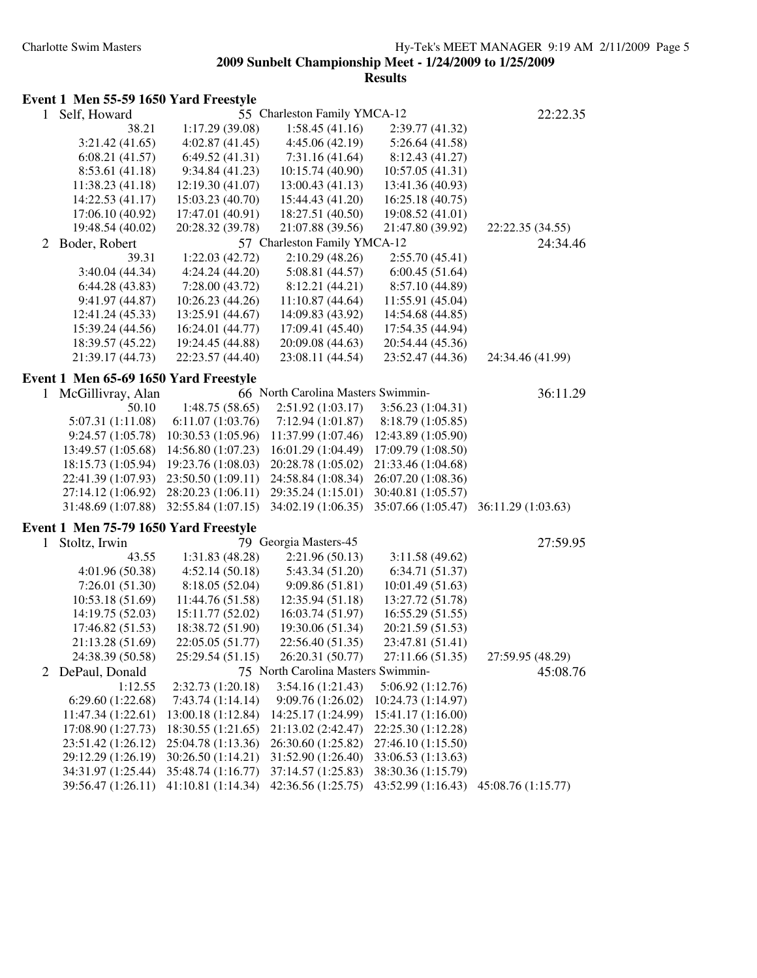**Results**

#### **Event 1 Men 55-59 1650 Yard Freestyle**

| $\mathbf{1}$ | Self, Howard                          |                    | 55 Charleston Family YMCA-12       |                    | 22:22.35           |
|--------------|---------------------------------------|--------------------|------------------------------------|--------------------|--------------------|
|              | 38.21                                 | 1:17.29 (39.08)    | 1:58.45(41.16)                     | 2:39.77 (41.32)    |                    |
|              | 3:21.42(41.65)                        | 4:02.87(41.45)     | 4:45.06(42.19)                     | 5:26.64(41.58)     |                    |
|              | 6:08.21(41.57)                        | 6:49.52(41.31)     | 7:31.16(41.64)                     | 8:12.43 (41.27)    |                    |
|              | 8:53.61 (41.18)                       | 9:34.84(41.23)     | 10:15.74 (40.90)                   | 10:57.05(41.31)    |                    |
|              | 11:38.23 (41.18)                      | 12:19.30 (41.07)   | 13:00.43 (41.13)                   | 13:41.36 (40.93)   |                    |
|              | 14:22.53 (41.17)                      | 15:03.23 (40.70)   | 15:44.43 (41.20)                   | 16:25.18 (40.75)   |                    |
|              | 17:06.10 (40.92)                      | 17:47.01 (40.91)   | 18:27.51 (40.50)                   | 19:08.52 (41.01)   |                    |
|              | 19:48.54 (40.02)                      | 20:28.32 (39.78)   | 21:07.88 (39.56)                   | 21:47.80 (39.92)   | 22:22.35 (34.55)   |
| 2            | Boder, Robert                         |                    | 57 Charleston Family YMCA-12       |                    | 24:34.46           |
|              | 39.31                                 | 1:22.03(42.72)     | 2:10.29(48.26)                     | 2:55.70(45.41)     |                    |
|              | 3:40.04 (44.34)                       | 4:24.24 (44.20)    | 5:08.81 (44.57)                    | 6:00.45(51.64)     |                    |
|              | 6:44.28(43.83)                        | 7:28.00(43.72)     | 8:12.21 (44.21)                    | 8:57.10 (44.89)    |                    |
|              | 9:41.97 (44.87)                       | 10:26.23 (44.26)   | 11:10.87 (44.64)                   | 11:55.91 (45.04)   |                    |
|              | 12:41.24 (45.33)                      | 13:25.91 (44.67)   | 14:09.83 (43.92)                   | 14:54.68 (44.85)   |                    |
|              | 15:39.24 (44.56)                      | 16:24.01 (44.77)   | 17:09.41 (45.40)                   | 17:54.35 (44.94)   |                    |
|              | 18:39.57 (45.22)                      | 19:24.45 (44.88)   | 20:09.08 (44.63)                   | 20:54.44 (45.36)   |                    |
|              |                                       |                    |                                    |                    |                    |
|              | 21:39.17 (44.73)                      | 22:23.57 (44.40)   | 23:08.11 (44.54)                   | 23:52.47 (44.36)   | 24:34.46 (41.99)   |
|              | Event 1 Men 65-69 1650 Yard Freestyle |                    |                                    |                    |                    |
| 1            | McGillivray, Alan                     |                    | 66 North Carolina Masters Swimmin- |                    | 36:11.29           |
|              | 50.10                                 | 1:48.75(58.65)     | 2:51.92(1:03.17)                   | 3:56.23(1:04.31)   |                    |
|              | 5:07.31 (1:11.08)                     | 6:11.07(1:03.76)   | 7:12.94(1:01.87)                   | 8:18.79 (1:05.85)  |                    |
|              | 9:24.57(1:05.78)                      | 10:30.53 (1:05.96) | 11:37.99 (1:07.46)                 | 12:43.89 (1:05.90) |                    |
|              | 13:49.57 (1:05.68)                    | 14:56.80 (1:07.23) | 16:01.29 (1:04.49)                 | 17:09.79 (1:08.50) |                    |
|              | 18:15.73 (1:05.94)                    | 19:23.76 (1:08.03) | 20:28.78 (1:05.02)                 | 21:33.46 (1:04.68) |                    |
|              | 22:41.39 (1:07.93)                    | 23:50.50 (1:09.11) | 24:58.84 (1:08.34)                 | 26:07.20 (1:08.36) |                    |
|              | 27:14.12 (1:06.92)                    | 28:20.23 (1:06.11) | 29:35.24 (1:15.01)                 | 30:40.81 (1:05.57) |                    |
|              | 31:48.69 (1:07.88)                    | 32:55.84 (1:07.15) | 34:02.19 (1:06.35)                 | 35:07.66 (1:05.47) | 36:11.29 (1:03.63) |
|              | Event 1 Men 75-79 1650 Yard Freestyle |                    |                                    |                    |                    |
|              |                                       |                    | 79 Georgia Masters-45              |                    | 27:59.95           |
| $\mathbf{1}$ | Stoltz, Irwin                         |                    |                                    |                    |                    |
|              | 43.55                                 | 1:31.83 (48.28)    | 2:21.96(50.13)                     | 3:11.58(49.62)     |                    |
|              | 4:01.96 (50.38)                       | 4:52.14(50.18)     | 5:43.34 (51.20)                    | 6:34.71(51.37)     |                    |
|              | 7:26.01(51.30)                        | 8:18.05(52.04)     | 9:09.86(51.81)                     | 10:01.49(51.63)    |                    |
|              | 10:53.18 (51.69)                      | 11:44.76 (51.58)   | 12:35.94 (51.18)                   | 13:27.72 (51.78)   |                    |
|              | 14:19.75 (52.03)                      | 15:11.77 (52.02)   | 16:03.74 (51.97)                   | 16:55.29 (51.55)   |                    |
|              | 17:46.82 (51.53)                      | 18:38.72 (51.90)   | 19:30.06 (51.34)                   | 20:21.59 (51.53)   |                    |
|              | 21:13.28 (51.69)                      | 22:05.05 (51.77)   | 22:56.40 (51.35)                   | 23:47.81 (51.41)   |                    |
|              | 24:38.39 (50.58)                      | 25:29.54 (51.15)   | 26:20.31 (50.77)                   | 27:11.66 (51.35)   | 27:59.95 (48.29)   |
| 2            | DePaul, Donald                        |                    | 75 North Carolina Masters Swimmin- |                    | 45:08.76           |
|              | 1:12.55                               | 2:32.73 (1:20.18)  | 3:54.16 (1:21.43)                  | 5:06.92(1:12.76)   |                    |
|              | 6:29.60(1:22.68)                      | 7:43.74(1:14.14)   | 9:09.76(1:26.02)                   | 10:24.73 (1:14.97) |                    |
|              | 11:47.34 (1:22.61)                    | 13:00.18 (1:12.84) | 14:25.17 (1:24.99)                 | 15:41.17 (1:16.00) |                    |
|              | 17:08.90 (1:27.73)                    | 18:30.55 (1:21.65) | 21:13.02 (2:42.47)                 | 22:25.30 (1:12.28) |                    |
|              | 23:51.42 (1:26.12)                    | 25:04.78 (1:13.36) | 26:30.60 (1:25.82)                 | 27:46.10 (1:15.50) |                    |
|              | 29:12.29 (1:26.19)                    | 30:26.50 (1:14.21) | 31:52.90 (1:26.40)                 | 33:06.53 (1:13.63) |                    |
|              | 34:31.97 (1:25.44)                    | 35:48.74 (1:16.77) | 37:14.57 (1:25.83)                 | 38:30.36 (1:15.79) |                    |
|              | 39:56.47 (1:26.11)                    | 41:10.81 (1:14.34) | 42:36.56 (1:25.75)                 | 43:52.99 (1:16.43) | 45:08.76 (1:15.77) |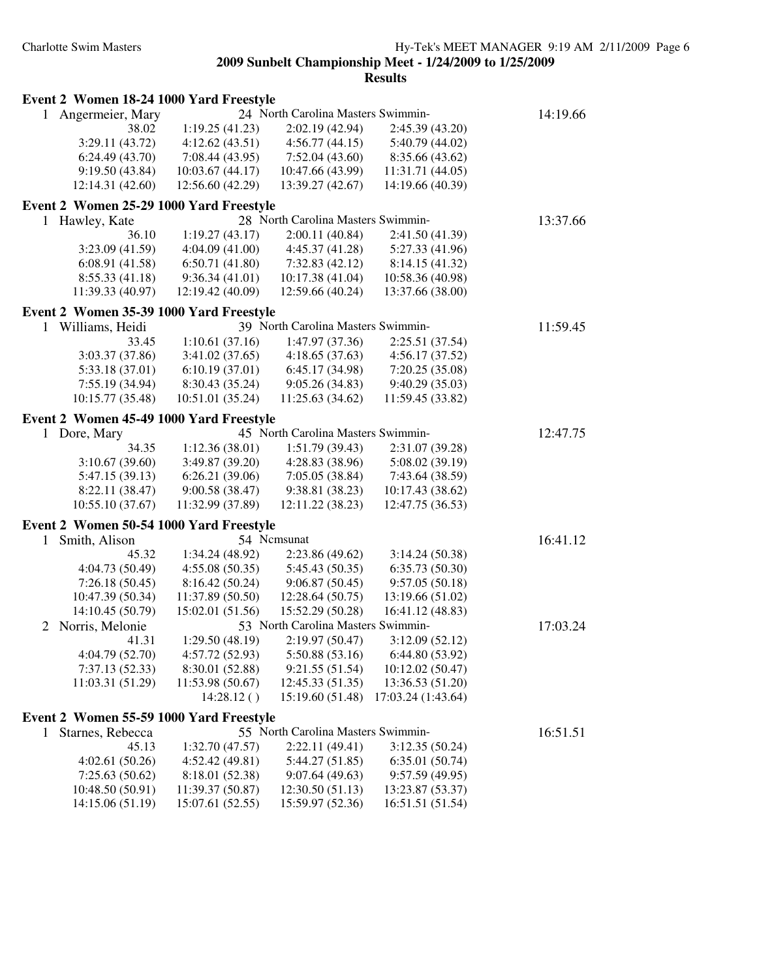| Event 2 Women 18-24 1000 Yard Freestyle |                  |                                    |                    |          |
|-----------------------------------------|------------------|------------------------------------|--------------------|----------|
| 1 Angermeier, Mary                      |                  | 24 North Carolina Masters Swimmin- |                    | 14:19.66 |
| 38.02                                   | 1:19.25(41.23)   | 2:02.19 (42.94)                    | 2:45.39(43.20)     |          |
| 3:29.11(43.72)                          | 4:12.62(43.51)   | 4:56.77(44.15)                     | 5:40.79 (44.02)    |          |
| 6:24.49(43.70)                          | 7:08.44(43.95)   | 7:52.04(43.60)                     | 8:35.66 (43.62)    |          |
| 9:19.50 (43.84)                         | 10:03.67(44.17)  | 10:47.66 (43.99)                   | 11:31.71 (44.05)   |          |
| 12:14.31 (42.60)                        | 12:56.60 (42.29) | 13:39.27 (42.67)                   | 14:19.66 (40.39)   |          |
| Event 2 Women 25-29 1000 Yard Freestyle |                  |                                    |                    |          |
| $\mathbf{1}$                            |                  | 28 North Carolina Masters Swimmin- |                    | 13:37.66 |
| Hawley, Kate<br>36.10                   | 1:19.27(43.17)   | 2:00.11(40.84)                     | 2:41.50 (41.39)    |          |
| 3:23.09 (41.59)                         | 4:04.09(41.00)   | 4:45.37(41.28)                     | 5:27.33 (41.96)    |          |
|                                         | 6:50.71(41.80)   |                                    |                    |          |
| 6:08.91(41.58)                          |                  | 7:32.83(42.12)                     | 8:14.15(41.32)     |          |
| 8:55.33(41.18)                          | 9:36.34(41.01)   | 10:17.38 (41.04)                   | 10:58.36 (40.98)   |          |
| 11:39.33 (40.97)                        | 12:19.42 (40.09) | 12:59.66 (40.24)                   | 13:37.66 (38.00)   |          |
| Event 2 Women 35-39 1000 Yard Freestyle |                  |                                    |                    |          |
| 1 Williams, Heidi                       |                  | 39 North Carolina Masters Swimmin- |                    | 11:59.45 |
| 33.45                                   | 1:10.61(37.16)   | 1:47.97 (37.36)                    | 2:25.51 (37.54)    |          |
| 3:03.37 (37.86)                         | 3:41.02(37.65)   | 4:18.65(37.63)                     | 4:56.17(37.52)     |          |
| 5:33.18 (37.01)                         | 6:10.19(37.01)   | 6:45.17 (34.98)                    | 7:20.25(35.08)     |          |
| 7:55.19 (34.94)                         | 8:30.43 (35.24)  | 9:05.26(34.83)                     | 9:40.29 (35.03)    |          |
| 10:15.77 (35.48)                        | 10:51.01 (35.24) | 11:25.63 (34.62)                   | 11:59.45 (33.82)   |          |
| Event 2 Women 45-49 1000 Yard Freestyle |                  |                                    |                    |          |
| 1 Dore, Mary                            |                  | 45 North Carolina Masters Swimmin- |                    | 12:47.75 |
| 34.35                                   | 1:12.36 (38.01)  | 1:51.79(39.43)                     | 2:31.07 (39.28)    |          |
| 3:10.67(39.60)                          | 3:49.87 (39.20)  | 4:28.83 (38.96)                    | 5:08.02 (39.19)    |          |
| 5:47.15 (39.13)                         | 6:26.21(39.06)   | 7:05.05(38.84)                     | 7:43.64 (38.59)    |          |
| 8:22.11 (38.47)                         | 9:00.58 (38.47)  | 9:38.81 (38.23)                    | 10:17.43 (38.62)   |          |
| 10:55.10 (37.67)                        | 11:32.99 (37.89) | 12:11.22 (38.23)                   | 12:47.75 (36.53)   |          |
|                                         |                  |                                    |                    |          |
| Event 2 Women 50-54 1000 Yard Freestyle |                  |                                    |                    |          |
| Smith, Alison<br>1                      |                  | 54 Ncmsunat                        |                    | 16:41.12 |
| 45.32                                   | 1:34.24 (48.92)  | 2:23.86 (49.62)                    | 3:14.24(50.38)     |          |
| 4:04.73 (50.49)                         | 4:55.08(50.35)   | 5:45.43 (50.35)                    | 6:35.73(50.30)     |          |
| 7:26.18(50.45)                          | 8:16.42(50.24)   | 9:06.87(50.45)                     | 9:57.05(50.18)     |          |
| 10:47.39 (50.34)                        | 11:37.89 (50.50) | 12:28.64 (50.75)                   | 13:19.66 (51.02)   |          |
| 14:10.45 (50.79)                        | 15:02.01 (51.56) | 15:52.29 (50.28)                   | 16:41.12 (48.83)   |          |
| Norris, Melonie<br>2                    |                  | 53 North Carolina Masters Swimmin- |                    | 17:03.24 |
| 41.31                                   | 1:29.50(48.19)   | 2:19.97 (50.47)                    | 3:12.09(52.12)     |          |
| 4:04.79 (52.70)                         | 4:57.72 (52.93)  | 5:50.88 (53.16)                    | 6:44.80 (53.92)    |          |
| 7:37.13(52.33)                          | 8:30.01 (52.88)  | 9:21.55(51.54)                     | 10:12.02 (50.47)   |          |
| 11:03.31 (51.29)                        | 11:53.98 (50.67) | 12:45.33 (51.35)                   | 13:36.53 (51.20)   |          |
|                                         | 14:28.12()       | 15:19.60 (51.48)                   | 17:03.24 (1:43.64) |          |
| Event 2 Women 55-59 1000 Yard Freestyle |                  |                                    |                    |          |
| Starnes, Rebecca<br>$\mathbf{1}$        |                  | 55 North Carolina Masters Swimmin- |                    | 16:51.51 |
| 45.13                                   | 1:32.70 (47.57)  | 2:22.11 (49.41)                    | 3:12.35(50.24)     |          |
| 4:02.61(50.26)                          | 4:52.42 (49.81)  | 5:44.27(51.85)                     | 6:35.01(50.74)     |          |
| 7:25.63(50.62)                          | 8:18.01 (52.38)  | 9:07.64(49.63)                     | 9:57.59(49.95)     |          |
| 10:48.50 (50.91)                        | 11:39.37 (50.87) | 12:30.50 (51.13)                   | 13:23.87 (53.37)   |          |
| 14:15.06 (51.19)                        | 15:07.61 (52.55) | 15:59.97 (52.36)                   | 16:51.51 (51.54)   |          |
|                                         |                  |                                    |                    |          |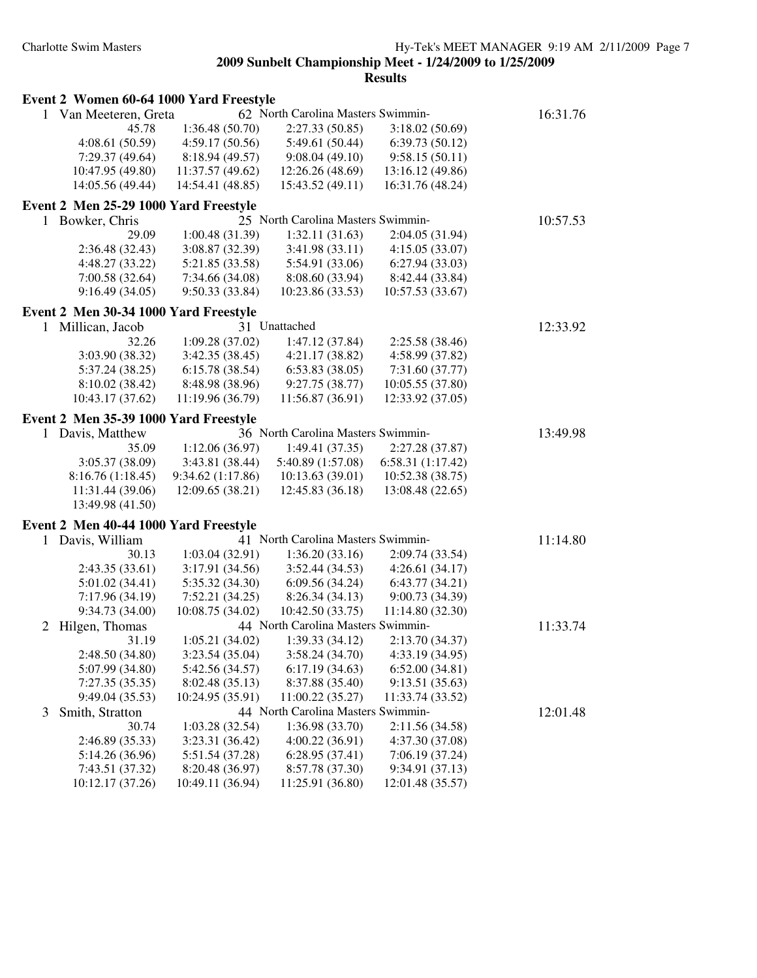| Event 2 Women 60-64 1000 Yard Freestyle                                      | 16:31.76 |
|------------------------------------------------------------------------------|----------|
| 1 Van Meeteren, Greta<br>62 North Carolina Masters Swimmin-                  |          |
| 2:27.33(50.85)<br>3:18.02(50.69)<br>45.78<br>1:36.48(50.70)                  |          |
| 4:08.61(50.59)<br>4:59.17(50.56)<br>5:49.61 (50.44)<br>6:39.73(50.12)        |          |
| 7:29.37 (49.64)<br>8:18.94 (49.57)<br>9:08.04(49.10)<br>9:58.15(50.11)       |          |
| 10:47.95 (49.80)<br>11:37.57 (49.62)<br>12:26.26 (48.69)<br>13:16.12 (49.86) |          |
| 14:05.56 (49.44)<br>14:54.41 (48.85)<br>15:43.52 (49.11)<br>16:31.76 (48.24) |          |
| Event 2 Men 25-29 1000 Yard Freestyle                                        |          |
| 1 Bowker, Chris<br>25 North Carolina Masters Swimmin-                        | 10:57.53 |
| 1:00.48(31.39)<br>1:32.11(31.63)<br>29.09<br>2:04.05 (31.94)                 |          |
| 2:36.48(32.43)<br>3:08.87 (32.39)<br>3:41.98 (33.11)<br>4:15.05(33.07)       |          |
| 4:48.27 (33.22)<br>5:54.91 (33.06)<br>6:27.94(33.03)<br>5:21.85 (33.58)      |          |
| 7:00.58(32.64)<br>7:34.66 (34.08)<br>8:08.60 (33.94)<br>8:42.44 (33.84)      |          |
| 9:16.49(34.05)<br>9:50.33 (33.84)<br>10:23.86 (33.53)<br>10:57.53 (33.67)    |          |
| Event 2 Men 30-34 1000 Yard Freestyle                                        |          |
| 31 Unattached<br>Millican, Jacob<br>1                                        | 12:33.92 |
| 32.26<br>1:09.28(37.02)<br>1:47.12 (37.84)<br>2:25.58 (38.46)                |          |
| 3:03.90 (38.32)<br>3:42.35(38.45)<br>4:21.17(38.82)<br>4:58.99 (37.82)       |          |
| 5:37.24 (38.25)<br>6:15.78(38.54)<br>6:53.83(38.05)<br>7:31.60 (37.77)       |          |
| 8:10.02 (38.42)<br>8:48.98 (38.96)<br>9:27.75 (38.77)<br>10:05.55 (37.80)    |          |
| 10:43.17 (37.62)<br>11:19.96 (36.79)<br>11:56.87 (36.91)<br>12:33.92 (37.05) |          |
| Event 2 Men 35-39 1000 Yard Freestyle                                        |          |
| 36 North Carolina Masters Swimmin-<br>1 Davis, Matthew                       | 13:49.98 |
| 1:12.06(36.97)<br>1:49.41 (37.35)<br>2:27.28 (37.87)<br>35.09                |          |
| 3:05.37 (38.09)<br>3:43.81 (38.44)<br>5:40.89 (1:57.08)<br>6:58.31 (1:17.42) |          |
| 8:16.76(1:18.45)<br>9:34.62(1:17.86)<br>10:13.63(39.01)<br>10:52.38 (38.75)  |          |
| 11:31.44 (39.06)<br>12:09.65 (38.21)<br>12:45.83 (36.18)<br>13:08.48 (22.65) |          |
| 13:49.98 (41.50)                                                             |          |
| Event 2 Men 40-44 1000 Yard Freestyle                                        |          |
| 41 North Carolina Masters Swimmin-<br>Davis, William<br>1                    | 11:14.80 |
| 30.13<br>1:03.04(32.91)<br>1:36.20(33.16)<br>2:09.74 (33.54)                 |          |
| 2:43.35 (33.61)<br>3:17.91 (34.56)<br>3:52.44 (34.53)<br>4:26.61(34.17)      |          |
| 5:01.02(34.41)<br>5:35.32 (34.30)<br>6:09.56 (34.24)<br>6:43.77(34.21)       |          |
| 7:17.96 (34.19)<br>7:52.21 (34.25)<br>8:26.34 (34.13)<br>9:00.73 (34.39)     |          |
| 9:34.73 (34.00)<br>10:08.75 (34.02)<br>10:42.50 (33.75)<br>11:14.80 (32.30)  |          |
| 44 North Carolina Masters Swimmin-<br>Hilgen, Thomas<br>2                    | 11:33.74 |
| 1:05.21(34.02)<br>1:39.33(34.12)<br>2:13.70 (34.37)<br>31.19                 |          |
| 3:23.54 (35.04)<br>3:58.24 (34.70)<br>4:33.19 (34.95)<br>2:48.50(34.80)      |          |
| 5:07.99 (34.80)<br>5:42.56 (34.57)<br>6:17.19(34.63)<br>6:52.00(34.81)       |          |
| 7:27.35(35.35)<br>8:02.48 (35.13)<br>8:37.88 (35.40)<br>9:13.51(35.63)       |          |
| 9:49.04 (35.53)<br>10:24.95(35.91)<br>11:00.22(35.27)<br>11:33.74 (33.52)    |          |
| 44 North Carolina Masters Swimmin-<br>Smith, Stratton<br>3                   | 12:01.48 |
| 1:36.98 (33.70)<br>2:11.56 (34.58)<br>30.74<br>1:03.28(32.54)                |          |
| 4:00.22 (36.91)<br>4:37.30 (37.08)<br>2:46.89 (35.33)<br>3:23.31 (36.42)     |          |
| 5:14.26 (36.96)<br>5:51.54 (37.28)<br>6:28.95(37.41)<br>7:06.19 (37.24)      |          |
| 7:43.51 (37.32)<br>8:20.48 (36.97)<br>8:57.78 (37.30)<br>9:34.91 (37.13)     |          |
| 10:12.17 (37.26)<br>10:49.11 (36.94)<br>11:25.91 (36.80)<br>12:01.48 (35.57) |          |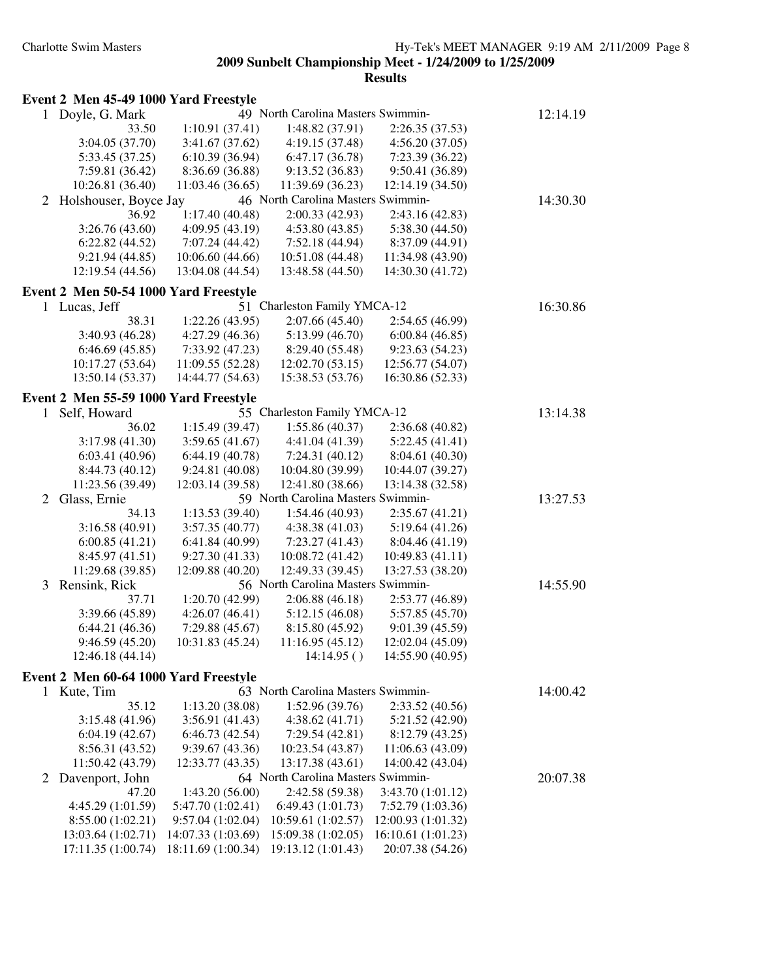|              | Event 2 Men 45-49 1000 Yard Freestyle |                    |                                    |                    |          |
|--------------|---------------------------------------|--------------------|------------------------------------|--------------------|----------|
|              | 1 Doyle, G. Mark                      |                    | 49 North Carolina Masters Swimmin- |                    | 12:14.19 |
|              | 33.50                                 | 1:10.91(37.41)     | 1:48.82(37.91)                     | 2:26.35 (37.53)    |          |
|              | 3:04.05 (37.70)                       | 3:41.67(37.62)     | 4:19.15(37.48)                     | 4:56.20(37.05)     |          |
|              | 5:33.45 (37.25)                       | 6:10.39(36.94)     | 6:47.17(36.78)                     | 7:23.39(36.22)     |          |
|              | 7:59.81 (36.42)                       | 8:36.69 (36.88)    | 9:13.52(36.83)                     | 9:50.41 (36.89)    |          |
|              | 10:26.81 (36.40)                      | 11:03.46(36.65)    | 11:39.69 (36.23)                   | 12:14.19 (34.50)   |          |
| 2            | Holshouser, Boyce Jay                 |                    | 46 North Carolina Masters Swimmin- |                    | 14:30.30 |
|              | 36.92                                 | 1:17.40(40.48)     | 2:00.33(42.93)                     | 2:43.16(42.83)     |          |
|              | 3:26.76(43.60)                        | 4:09.95(43.19)     | 4:53.80(43.85)                     | 5:38.30(44.50)     |          |
|              | 6:22.82(44.52)                        | 7:07.24 (44.42)    | 7:52.18 (44.94)                    | 8:37.09 (44.91)    |          |
|              | 9:21.94(44.85)                        | 10:06.60(44.66)    | 10:51.08 (44.48)                   | 11:34.98 (43.90)   |          |
|              | 12:19.54 (44.56)                      | 13:04.08 (44.54)   | 13:48.58 (44.50)                   | 14:30.30 (41.72)   |          |
|              | Event 2 Men 50-54 1000 Yard Freestyle |                    |                                    |                    |          |
|              | 1 Lucas, Jeff                         |                    | 51 Charleston Family YMCA-12       |                    | 16:30.86 |
|              | 38.31                                 | 1:22.26(43.95)     | 2:07.66(45.40)                     | 2:54.65 (46.99)    |          |
|              | 3:40.93 (46.28)                       | 4:27.29(46.36)     | 5:13.99(46.70)                     | 6:00.84(46.85)     |          |
|              | 6:46.69(45.85)                        | 7:33.92(47.23)     | 8:29.40 (55.48)                    | 9:23.63(54.23)     |          |
|              | 10:17.27(53.64)                       | 11:09.55 (52.28)   | 12:02.70(53.15)                    | 12:56.77 (54.07)   |          |
|              | 13:50.14 (53.37)                      | 14:44.77 (54.63)   | 15:38.53 (53.76)                   | 16:30.86 (52.33)   |          |
|              |                                       |                    |                                    |                    |          |
|              | Event 2 Men 55-59 1000 Yard Freestyle |                    |                                    |                    |          |
| 1            | Self, Howard                          |                    | 55 Charleston Family YMCA-12       |                    | 13:14.38 |
|              | 36.02                                 | 1:15.49(39.47)     | 1:55.86(40.37)                     | 2:36.68 (40.82)    |          |
|              | 3:17.98(41.30)                        | 3:59.65(41.67)     | 4:41.04 (41.39)                    | 5:22.45(41.41)     |          |
|              | 6:03.41(40.96)                        | 6:44.19(40.78)     | 7:24.31(40.12)                     | 8:04.61 (40.30)    |          |
|              | 8:44.73 (40.12)                       | 9:24.81 (40.08)    | 10:04.80 (39.99)                   | 10:44.07 (39.27)   |          |
|              | 11:23.56 (39.49)                      | 12:03.14 (39.58)   | 12:41.80 (38.66)                   | 13:14.38 (32.58)   |          |
| 2            | Glass, Ernie                          |                    | 59 North Carolina Masters Swimmin- |                    | 13:27.53 |
|              | 34.13                                 | 1:13.53(39.40)     | 1:54.46(40.93)                     | 2:35.67(41.21)     |          |
|              | 3:16.58(40.91)                        | 3:57.35(40.77)     | 4:38.38(41.03)                     | 5:19.64(41.26)     |          |
|              | 6:00.85(41.21)                        | 6:41.84(40.99)     | 7:23.27(41.43)                     | 8:04.46 (41.19)    |          |
|              | 8:45.97 (41.51)                       | 9:27.30(41.33)     | 10:08.72 (41.42)                   | 10:49.83(41.11)    |          |
|              | 11:29.68 (39.85)                      | 12:09.88 (40.20)   | 12:49.33 (39.45)                   | 13:27.53 (38.20)   |          |
| 3            | Rensink, Rick                         |                    | 56 North Carolina Masters Swimmin- |                    | 14:55.90 |
|              | 37.71                                 | 1:20.70(42.99)     | 2:06.88(46.18)                     | 2:53.77 (46.89)    |          |
|              | 3:39.66 (45.89)                       | 4:26.07(46.41)     | 5:12.15(46.08)                     | 5:57.85 (45.70)    |          |
|              | 6:44.21(46.36)                        | 7:29.88(45.67)     | 8:15.80(45.92)                     | 9:01.39 (45.59)    |          |
|              | 9:46.59 (45.20)                       | 10:31.83 (45.24)   | 11:16.95 (45.12)                   | 12:02.04 (45.09)   |          |
|              | 12:46.18 (44.14)                      |                    | 14:14.95()                         | 14:55.90 (40.95)   |          |
|              | Event 2 Men 60-64 1000 Yard Freestyle |                    |                                    |                    |          |
|              | 1 Kute, Tim                           |                    | 63 North Carolina Masters Swimmin- |                    | 14:00.42 |
|              | 35.12                                 | 1:13.20(38.08)     | 1:52.96 (39.76)                    | 2:33.52(40.56)     |          |
|              | 3:15.48(41.96)                        | 3:56.91(41.43)     | 4:38.62(41.71)                     | 5:21.52 (42.90)    |          |
|              | 6:04.19(42.67)                        | 6:46.73(42.54)     | 7:29.54(42.81)                     | 8:12.79 (43.25)    |          |
|              | 8:56.31 (43.52)                       | 9:39.67 (43.36)    | 10:23.54 (43.87)                   | 11:06.63 (43.09)   |          |
|              | 11:50.42 (43.79)                      | 12:33.77 (43.35)   | 13:17.38 (43.61)                   | 14:00.42 (43.04)   |          |
| $\mathbf{2}$ | Davenport, John                       |                    | 64 North Carolina Masters Swimmin- |                    | 20:07.38 |
|              | 47.20                                 | 1:43.20(56.00)     | 2:42.58 (59.38)                    | 3:43.70 (1:01.12)  |          |
|              | 4:45.29 (1:01.59)                     | 5:47.70 (1:02.41)  | 6:49.43 (1:01.73)                  | 7:52.79 (1:03.36)  |          |
|              | 8:55.00(1:02.21)                      | 9:57.04(1:02.04)   | 10:59.61 (1:02.57)                 | 12:00.93 (1:01.32) |          |
|              | 13:03.64 (1:02.71)                    | 14:07.33 (1:03.69) | 15:09.38 (1:02.05)                 | 16:10.61 (1:01.23) |          |
|              | 17:11.35 (1:00.74)                    | 18:11.69 (1:00.34) | 19:13.12 (1:01.43)                 | 20:07.38 (54.26)   |          |
|              |                                       |                    |                                    |                    |          |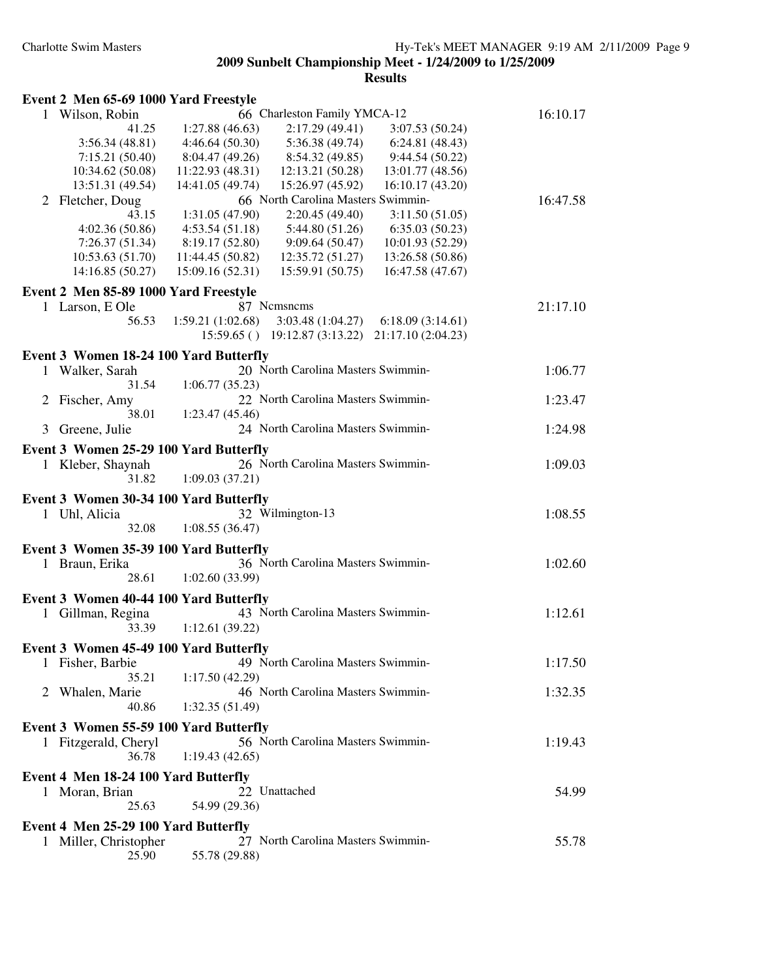|              | Event 2 Men 65-69 1000 Yard Freestyle  |                                                                                                                     |          |
|--------------|----------------------------------------|---------------------------------------------------------------------------------------------------------------------|----------|
|              | 1 Wilson, Robin                        | 66 Charleston Family YMCA-12                                                                                        | 16:10.17 |
|              | 41.25                                  | 1:27.88(46.63)<br>2:17.29(49.41)<br>3:07.53(50.24)                                                                  |          |
|              | 3:56.34(48.81)                         | 4:46.64(50.30)<br>5:36.38(49.74)<br>6:24.81(48.43)                                                                  |          |
|              | 7:15.21(50.40)                         | 8:04.47 (49.26)<br>8:54.32 (49.85)<br>9:44.54(50.22)                                                                |          |
|              | 10:34.62 (50.08)                       | 11:22.93 (48.31)<br>12:13.21 (50.28)<br>13:01.77 (48.56)                                                            |          |
|              | 13:51.31 (49.54)                       | 14:41.05 (49.74)<br>15:26.97 (45.92)<br>16:10.17 (43.20)                                                            |          |
|              | 2 Fletcher, Doug                       | 66 North Carolina Masters Swimmin-                                                                                  | 16:47.58 |
|              | 43.15                                  | 2:20.45(49.40)<br>3:11.50(51.05)<br>1:31.05(47.90)                                                                  |          |
|              | 4:02.36(50.86)                         | 4:53.54(51.18)<br>5:44.80(51.26)<br>6:35.03(50.23)                                                                  |          |
|              | 7:26.37(51.34)                         | 8:19.17 (52.80)<br>9:09.64(50.47)<br>10:01.93 (52.29)                                                               |          |
|              | 10:53.63(51.70)<br>14:16.85 (50.27)    | 11:44.45 (50.82)<br>12:35.72(51.27)<br>13:26.58 (50.86)<br>15:09.16 (52.31)<br>15:59.91 (50.75)<br>16:47.58 (47.67) |          |
|              |                                        |                                                                                                                     |          |
|              | Event 2 Men 85-89 1000 Yard Freestyle  |                                                                                                                     |          |
|              | 1 Larson, E Ole                        | 87 Nemsnems                                                                                                         | 21:17.10 |
|              | 56.53                                  | 1:59.21(1:02.68)<br>3:03.48(1:04.27)<br>6:18.09(3:14.61)                                                            |          |
|              |                                        | 15:59.65 () 19:12.87 (3:13.22) 21:17.10 (2:04.23)                                                                   |          |
|              | Event 3 Women 18-24 100 Yard Butterfly |                                                                                                                     |          |
|              | 1 Walker, Sarah                        | 20 North Carolina Masters Swimmin-                                                                                  | 1:06.77  |
|              | 31.54                                  | 1:06.77(35.23)                                                                                                      |          |
|              | 2 Fischer, Amy                         | 22 North Carolina Masters Swimmin-                                                                                  | 1:23.47  |
|              | 38.01                                  | 1:23.47(45.46)                                                                                                      |          |
| 3            | Greene, Julie                          | 24 North Carolina Masters Swimmin-                                                                                  | 1:24.98  |
|              | Event 3 Women 25-29 100 Yard Butterfly |                                                                                                                     |          |
| 1            | Kleber, Shaynah                        | 26 North Carolina Masters Swimmin-                                                                                  | 1:09.03  |
|              | 31.82                                  | 1:09.03(37.21)                                                                                                      |          |
|              | Event 3 Women 30-34 100 Yard Butterfly |                                                                                                                     |          |
|              | 1 Uhl, Alicia                          | 32 Wilmington-13                                                                                                    | 1:08.55  |
|              | 32.08                                  | 1:08.55(36.47)                                                                                                      |          |
|              |                                        |                                                                                                                     |          |
|              | Event 3 Women 35-39 100 Yard Butterfly | 36 North Carolina Masters Swimmin-                                                                                  |          |
|              | 1 Braun, Erika<br>28.61                | 1:02.60(33.99)                                                                                                      | 1:02.60  |
|              |                                        |                                                                                                                     |          |
|              | Event 3 Women 40-44 100 Yard Butterfly |                                                                                                                     |          |
|              | 1 Gillman, Regina                      | 43 North Carolina Masters Swimmin-                                                                                  | 1:12.61  |
|              | 33.39                                  | 1:12.61(39.22)                                                                                                      |          |
|              | Event 3 Women 45-49 100 Yard Butterfly |                                                                                                                     |          |
|              | 1 Fisher, Barbie                       | 49 North Carolina Masters Swimmin-                                                                                  | 1:17.50  |
|              | 35.21                                  | 1:17.50(42.29)                                                                                                      |          |
|              | 2 Whalen, Marie                        | 46 North Carolina Masters Swimmin-                                                                                  | 1:32.35  |
|              | 40.86                                  | 1:32.35 (51.49)                                                                                                     |          |
|              | Event 3 Women 55-59 100 Yard Butterfly |                                                                                                                     |          |
|              | 1 Fitzgerald, Cheryl                   | 56 North Carolina Masters Swimmin-                                                                                  | 1:19.43  |
|              | 36.78                                  | 1:19.43(42.65)                                                                                                      |          |
|              | Event 4 Men 18-24 100 Yard Butterfly   |                                                                                                                     |          |
|              |                                        | 22 Unattached                                                                                                       | 54.99    |
|              | 1 Moran, Brian<br>25.63                | 54.99 (29.36)                                                                                                       |          |
|              |                                        |                                                                                                                     |          |
|              | Event 4 Men 25-29 100 Yard Butterfly   |                                                                                                                     |          |
| $\mathbf{1}$ | Miller, Christopher                    | 27 North Carolina Masters Swimmin-                                                                                  | 55.78    |
|              | 25.90                                  | 55.78 (29.88)                                                                                                       |          |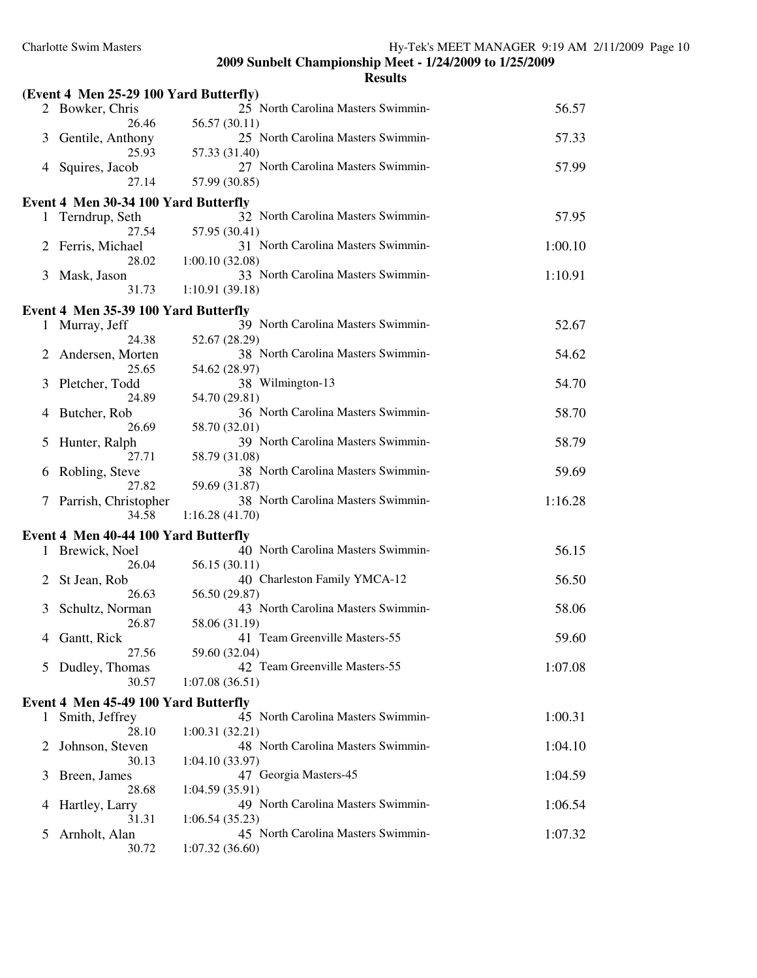| 25 North Carolina Masters Swimmin-<br>56.57<br>2 Bowker, Chris<br>56.57 (30.11)<br>26.46<br>25 North Carolina Masters Swimmin-<br>57.33<br>Gentile, Anthony<br>3<br>25.93<br>57.33 (31.40)<br>27 North Carolina Masters Swimmin-<br>57.99<br>Squires, Jacob<br>4<br>27.14<br>57.99 (30.85)<br>Event 4 Men 30-34 100 Yard Butterfly<br>57.95<br>32 North Carolina Masters Swimmin-<br>1 Terndrup, Seth<br>57.95 (30.41)<br>27.54<br>31 North Carolina Masters Swimmin-<br>Ferris, Michael<br>1:00.10<br>2<br>28.02<br>1:00.10(32.08)<br>33 North Carolina Masters Swimmin-<br>Mask, Jason<br>1:10.91<br>3<br>31.73<br>1:10.91(39.18)<br>Event 4 Men 35-39 100 Yard Butterfly<br>39 North Carolina Masters Swimmin-<br>52.67<br>Murray, Jeff<br>$\mathbf{1}$<br>24.38<br>52.67 (28.29)<br>38 North Carolina Masters Swimmin-<br>Andersen, Morten<br>54.62<br>2<br>25.65<br>54.62 (28.97)<br>38 Wilmington-13<br>Pletcher, Todd<br>54.70<br>3<br>24.89<br>54.70 (29.81)<br>36 North Carolina Masters Swimmin-<br>58.70<br>Butcher, Rob<br>4<br>26.69<br>58.70 (32.01)<br>39 North Carolina Masters Swimmin-<br>58.79<br>Hunter, Ralph<br>5<br>27.71<br>58.79 (31.08)<br>38 North Carolina Masters Swimmin-<br>59.69<br>Robling, Steve<br>6<br>27.82<br>59.69 (31.87)<br>38 North Carolina Masters Swimmin-<br>1:16.28<br>Parrish, Christopher<br>7<br>34.58<br>1:16.28(41.70)<br>Event 4 Men 40-44 100 Yard Butterfly<br>56.15<br>40 North Carolina Masters Swimmin-<br>1 Brewick, Noel<br>26.04<br>56.15 (30.11)<br>40 Charleston Family YMCA-12<br>56.50<br>St Jean, Rob<br>2<br>26.63<br>56.50 (29.87)<br>43 North Carolina Masters Swimmin-<br>58.06<br>Schultz, Norman<br>3<br>58.06 (31.19)<br>26.87<br>41 Team Greenville Masters-55<br>59.60<br>4 Gantt, Rick<br>27.56<br>59.60 (32.04)<br>42 Team Greenville Masters-55<br>5 Dudley, Thomas<br>1:07.08<br>30.57<br>1:07.08(36.51)<br>Event 4 Men 45-49 100 Yard Butterfly<br>45 North Carolina Masters Swimmin-<br>1:00.31<br>Smith, Jeffrey<br>1<br>28.10<br>1:00.31(32.21)<br>48 North Carolina Masters Swimmin-<br>Johnson, Steven<br>1:04.10<br>2<br>30.13<br>1:04.10(33.97)<br>47 Georgia Masters-45<br>1:04.59<br>Breen, James<br>3<br>28.68<br>1:04.59(35.91)<br>49 North Carolina Masters Swimmin-<br>1:06.54<br>Hartley, Larry<br>4<br>31.31<br>1:06.54(35.23)<br>45 North Carolina Masters Swimmin-<br>1:07.32<br>Arnholt, Alan<br>5 | (Event 4 Men 25-29 100 Yard Butterfly) |                |  |
|------------------------------------------------------------------------------------------------------------------------------------------------------------------------------------------------------------------------------------------------------------------------------------------------------------------------------------------------------------------------------------------------------------------------------------------------------------------------------------------------------------------------------------------------------------------------------------------------------------------------------------------------------------------------------------------------------------------------------------------------------------------------------------------------------------------------------------------------------------------------------------------------------------------------------------------------------------------------------------------------------------------------------------------------------------------------------------------------------------------------------------------------------------------------------------------------------------------------------------------------------------------------------------------------------------------------------------------------------------------------------------------------------------------------------------------------------------------------------------------------------------------------------------------------------------------------------------------------------------------------------------------------------------------------------------------------------------------------------------------------------------------------------------------------------------------------------------------------------------------------------------------------------------------------------------------------------------------------------------------------------------------------------------------------------------------------------------------------------------------------------------------------------------------------------------------------------------------------------------------------------------------------------------------------------------------------------------------------------------------------------------------------------|----------------------------------------|----------------|--|
|                                                                                                                                                                                                                                                                                                                                                                                                                                                                                                                                                                                                                                                                                                                                                                                                                                                                                                                                                                                                                                                                                                                                                                                                                                                                                                                                                                                                                                                                                                                                                                                                                                                                                                                                                                                                                                                                                                                                                                                                                                                                                                                                                                                                                                                                                                                                                                                                      |                                        |                |  |
|                                                                                                                                                                                                                                                                                                                                                                                                                                                                                                                                                                                                                                                                                                                                                                                                                                                                                                                                                                                                                                                                                                                                                                                                                                                                                                                                                                                                                                                                                                                                                                                                                                                                                                                                                                                                                                                                                                                                                                                                                                                                                                                                                                                                                                                                                                                                                                                                      |                                        |                |  |
|                                                                                                                                                                                                                                                                                                                                                                                                                                                                                                                                                                                                                                                                                                                                                                                                                                                                                                                                                                                                                                                                                                                                                                                                                                                                                                                                                                                                                                                                                                                                                                                                                                                                                                                                                                                                                                                                                                                                                                                                                                                                                                                                                                                                                                                                                                                                                                                                      |                                        |                |  |
|                                                                                                                                                                                                                                                                                                                                                                                                                                                                                                                                                                                                                                                                                                                                                                                                                                                                                                                                                                                                                                                                                                                                                                                                                                                                                                                                                                                                                                                                                                                                                                                                                                                                                                                                                                                                                                                                                                                                                                                                                                                                                                                                                                                                                                                                                                                                                                                                      |                                        |                |  |
|                                                                                                                                                                                                                                                                                                                                                                                                                                                                                                                                                                                                                                                                                                                                                                                                                                                                                                                                                                                                                                                                                                                                                                                                                                                                                                                                                                                                                                                                                                                                                                                                                                                                                                                                                                                                                                                                                                                                                                                                                                                                                                                                                                                                                                                                                                                                                                                                      |                                        |                |  |
|                                                                                                                                                                                                                                                                                                                                                                                                                                                                                                                                                                                                                                                                                                                                                                                                                                                                                                                                                                                                                                                                                                                                                                                                                                                                                                                                                                                                                                                                                                                                                                                                                                                                                                                                                                                                                                                                                                                                                                                                                                                                                                                                                                                                                                                                                                                                                                                                      |                                        |                |  |
|                                                                                                                                                                                                                                                                                                                                                                                                                                                                                                                                                                                                                                                                                                                                                                                                                                                                                                                                                                                                                                                                                                                                                                                                                                                                                                                                                                                                                                                                                                                                                                                                                                                                                                                                                                                                                                                                                                                                                                                                                                                                                                                                                                                                                                                                                                                                                                                                      |                                        |                |  |
|                                                                                                                                                                                                                                                                                                                                                                                                                                                                                                                                                                                                                                                                                                                                                                                                                                                                                                                                                                                                                                                                                                                                                                                                                                                                                                                                                                                                                                                                                                                                                                                                                                                                                                                                                                                                                                                                                                                                                                                                                                                                                                                                                                                                                                                                                                                                                                                                      |                                        |                |  |
|                                                                                                                                                                                                                                                                                                                                                                                                                                                                                                                                                                                                                                                                                                                                                                                                                                                                                                                                                                                                                                                                                                                                                                                                                                                                                                                                                                                                                                                                                                                                                                                                                                                                                                                                                                                                                                                                                                                                                                                                                                                                                                                                                                                                                                                                                                                                                                                                      |                                        |                |  |
|                                                                                                                                                                                                                                                                                                                                                                                                                                                                                                                                                                                                                                                                                                                                                                                                                                                                                                                                                                                                                                                                                                                                                                                                                                                                                                                                                                                                                                                                                                                                                                                                                                                                                                                                                                                                                                                                                                                                                                                                                                                                                                                                                                                                                                                                                                                                                                                                      |                                        |                |  |
|                                                                                                                                                                                                                                                                                                                                                                                                                                                                                                                                                                                                                                                                                                                                                                                                                                                                                                                                                                                                                                                                                                                                                                                                                                                                                                                                                                                                                                                                                                                                                                                                                                                                                                                                                                                                                                                                                                                                                                                                                                                                                                                                                                                                                                                                                                                                                                                                      |                                        |                |  |
|                                                                                                                                                                                                                                                                                                                                                                                                                                                                                                                                                                                                                                                                                                                                                                                                                                                                                                                                                                                                                                                                                                                                                                                                                                                                                                                                                                                                                                                                                                                                                                                                                                                                                                                                                                                                                                                                                                                                                                                                                                                                                                                                                                                                                                                                                                                                                                                                      |                                        |                |  |
|                                                                                                                                                                                                                                                                                                                                                                                                                                                                                                                                                                                                                                                                                                                                                                                                                                                                                                                                                                                                                                                                                                                                                                                                                                                                                                                                                                                                                                                                                                                                                                                                                                                                                                                                                                                                                                                                                                                                                                                                                                                                                                                                                                                                                                                                                                                                                                                                      |                                        |                |  |
|                                                                                                                                                                                                                                                                                                                                                                                                                                                                                                                                                                                                                                                                                                                                                                                                                                                                                                                                                                                                                                                                                                                                                                                                                                                                                                                                                                                                                                                                                                                                                                                                                                                                                                                                                                                                                                                                                                                                                                                                                                                                                                                                                                                                                                                                                                                                                                                                      |                                        |                |  |
|                                                                                                                                                                                                                                                                                                                                                                                                                                                                                                                                                                                                                                                                                                                                                                                                                                                                                                                                                                                                                                                                                                                                                                                                                                                                                                                                                                                                                                                                                                                                                                                                                                                                                                                                                                                                                                                                                                                                                                                                                                                                                                                                                                                                                                                                                                                                                                                                      |                                        |                |  |
|                                                                                                                                                                                                                                                                                                                                                                                                                                                                                                                                                                                                                                                                                                                                                                                                                                                                                                                                                                                                                                                                                                                                                                                                                                                                                                                                                                                                                                                                                                                                                                                                                                                                                                                                                                                                                                                                                                                                                                                                                                                                                                                                                                                                                                                                                                                                                                                                      |                                        |                |  |
|                                                                                                                                                                                                                                                                                                                                                                                                                                                                                                                                                                                                                                                                                                                                                                                                                                                                                                                                                                                                                                                                                                                                                                                                                                                                                                                                                                                                                                                                                                                                                                                                                                                                                                                                                                                                                                                                                                                                                                                                                                                                                                                                                                                                                                                                                                                                                                                                      |                                        |                |  |
|                                                                                                                                                                                                                                                                                                                                                                                                                                                                                                                                                                                                                                                                                                                                                                                                                                                                                                                                                                                                                                                                                                                                                                                                                                                                                                                                                                                                                                                                                                                                                                                                                                                                                                                                                                                                                                                                                                                                                                                                                                                                                                                                                                                                                                                                                                                                                                                                      |                                        |                |  |
|                                                                                                                                                                                                                                                                                                                                                                                                                                                                                                                                                                                                                                                                                                                                                                                                                                                                                                                                                                                                                                                                                                                                                                                                                                                                                                                                                                                                                                                                                                                                                                                                                                                                                                                                                                                                                                                                                                                                                                                                                                                                                                                                                                                                                                                                                                                                                                                                      |                                        |                |  |
|                                                                                                                                                                                                                                                                                                                                                                                                                                                                                                                                                                                                                                                                                                                                                                                                                                                                                                                                                                                                                                                                                                                                                                                                                                                                                                                                                                                                                                                                                                                                                                                                                                                                                                                                                                                                                                                                                                                                                                                                                                                                                                                                                                                                                                                                                                                                                                                                      |                                        |                |  |
|                                                                                                                                                                                                                                                                                                                                                                                                                                                                                                                                                                                                                                                                                                                                                                                                                                                                                                                                                                                                                                                                                                                                                                                                                                                                                                                                                                                                                                                                                                                                                                                                                                                                                                                                                                                                                                                                                                                                                                                                                                                                                                                                                                                                                                                                                                                                                                                                      |                                        |                |  |
|                                                                                                                                                                                                                                                                                                                                                                                                                                                                                                                                                                                                                                                                                                                                                                                                                                                                                                                                                                                                                                                                                                                                                                                                                                                                                                                                                                                                                                                                                                                                                                                                                                                                                                                                                                                                                                                                                                                                                                                                                                                                                                                                                                                                                                                                                                                                                                                                      |                                        |                |  |
|                                                                                                                                                                                                                                                                                                                                                                                                                                                                                                                                                                                                                                                                                                                                                                                                                                                                                                                                                                                                                                                                                                                                                                                                                                                                                                                                                                                                                                                                                                                                                                                                                                                                                                                                                                                                                                                                                                                                                                                                                                                                                                                                                                                                                                                                                                                                                                                                      |                                        |                |  |
|                                                                                                                                                                                                                                                                                                                                                                                                                                                                                                                                                                                                                                                                                                                                                                                                                                                                                                                                                                                                                                                                                                                                                                                                                                                                                                                                                                                                                                                                                                                                                                                                                                                                                                                                                                                                                                                                                                                                                                                                                                                                                                                                                                                                                                                                                                                                                                                                      |                                        |                |  |
|                                                                                                                                                                                                                                                                                                                                                                                                                                                                                                                                                                                                                                                                                                                                                                                                                                                                                                                                                                                                                                                                                                                                                                                                                                                                                                                                                                                                                                                                                                                                                                                                                                                                                                                                                                                                                                                                                                                                                                                                                                                                                                                                                                                                                                                                                                                                                                                                      |                                        |                |  |
|                                                                                                                                                                                                                                                                                                                                                                                                                                                                                                                                                                                                                                                                                                                                                                                                                                                                                                                                                                                                                                                                                                                                                                                                                                                                                                                                                                                                                                                                                                                                                                                                                                                                                                                                                                                                                                                                                                                                                                                                                                                                                                                                                                                                                                                                                                                                                                                                      |                                        |                |  |
|                                                                                                                                                                                                                                                                                                                                                                                                                                                                                                                                                                                                                                                                                                                                                                                                                                                                                                                                                                                                                                                                                                                                                                                                                                                                                                                                                                                                                                                                                                                                                                                                                                                                                                                                                                                                                                                                                                                                                                                                                                                                                                                                                                                                                                                                                                                                                                                                      |                                        |                |  |
|                                                                                                                                                                                                                                                                                                                                                                                                                                                                                                                                                                                                                                                                                                                                                                                                                                                                                                                                                                                                                                                                                                                                                                                                                                                                                                                                                                                                                                                                                                                                                                                                                                                                                                                                                                                                                                                                                                                                                                                                                                                                                                                                                                                                                                                                                                                                                                                                      |                                        |                |  |
|                                                                                                                                                                                                                                                                                                                                                                                                                                                                                                                                                                                                                                                                                                                                                                                                                                                                                                                                                                                                                                                                                                                                                                                                                                                                                                                                                                                                                                                                                                                                                                                                                                                                                                                                                                                                                                                                                                                                                                                                                                                                                                                                                                                                                                                                                                                                                                                                      |                                        |                |  |
|                                                                                                                                                                                                                                                                                                                                                                                                                                                                                                                                                                                                                                                                                                                                                                                                                                                                                                                                                                                                                                                                                                                                                                                                                                                                                                                                                                                                                                                                                                                                                                                                                                                                                                                                                                                                                                                                                                                                                                                                                                                                                                                                                                                                                                                                                                                                                                                                      |                                        |                |  |
|                                                                                                                                                                                                                                                                                                                                                                                                                                                                                                                                                                                                                                                                                                                                                                                                                                                                                                                                                                                                                                                                                                                                                                                                                                                                                                                                                                                                                                                                                                                                                                                                                                                                                                                                                                                                                                                                                                                                                                                                                                                                                                                                                                                                                                                                                                                                                                                                      |                                        |                |  |
|                                                                                                                                                                                                                                                                                                                                                                                                                                                                                                                                                                                                                                                                                                                                                                                                                                                                                                                                                                                                                                                                                                                                                                                                                                                                                                                                                                                                                                                                                                                                                                                                                                                                                                                                                                                                                                                                                                                                                                                                                                                                                                                                                                                                                                                                                                                                                                                                      |                                        |                |  |
|                                                                                                                                                                                                                                                                                                                                                                                                                                                                                                                                                                                                                                                                                                                                                                                                                                                                                                                                                                                                                                                                                                                                                                                                                                                                                                                                                                                                                                                                                                                                                                                                                                                                                                                                                                                                                                                                                                                                                                                                                                                                                                                                                                                                                                                                                                                                                                                                      |                                        |                |  |
|                                                                                                                                                                                                                                                                                                                                                                                                                                                                                                                                                                                                                                                                                                                                                                                                                                                                                                                                                                                                                                                                                                                                                                                                                                                                                                                                                                                                                                                                                                                                                                                                                                                                                                                                                                                                                                                                                                                                                                                                                                                                                                                                                                                                                                                                                                                                                                                                      |                                        |                |  |
|                                                                                                                                                                                                                                                                                                                                                                                                                                                                                                                                                                                                                                                                                                                                                                                                                                                                                                                                                                                                                                                                                                                                                                                                                                                                                                                                                                                                                                                                                                                                                                                                                                                                                                                                                                                                                                                                                                                                                                                                                                                                                                                                                                                                                                                                                                                                                                                                      |                                        |                |  |
|                                                                                                                                                                                                                                                                                                                                                                                                                                                                                                                                                                                                                                                                                                                                                                                                                                                                                                                                                                                                                                                                                                                                                                                                                                                                                                                                                                                                                                                                                                                                                                                                                                                                                                                                                                                                                                                                                                                                                                                                                                                                                                                                                                                                                                                                                                                                                                                                      |                                        |                |  |
|                                                                                                                                                                                                                                                                                                                                                                                                                                                                                                                                                                                                                                                                                                                                                                                                                                                                                                                                                                                                                                                                                                                                                                                                                                                                                                                                                                                                                                                                                                                                                                                                                                                                                                                                                                                                                                                                                                                                                                                                                                                                                                                                                                                                                                                                                                                                                                                                      |                                        |                |  |
|                                                                                                                                                                                                                                                                                                                                                                                                                                                                                                                                                                                                                                                                                                                                                                                                                                                                                                                                                                                                                                                                                                                                                                                                                                                                                                                                                                                                                                                                                                                                                                                                                                                                                                                                                                                                                                                                                                                                                                                                                                                                                                                                                                                                                                                                                                                                                                                                      |                                        |                |  |
|                                                                                                                                                                                                                                                                                                                                                                                                                                                                                                                                                                                                                                                                                                                                                                                                                                                                                                                                                                                                                                                                                                                                                                                                                                                                                                                                                                                                                                                                                                                                                                                                                                                                                                                                                                                                                                                                                                                                                                                                                                                                                                                                                                                                                                                                                                                                                                                                      |                                        |                |  |
|                                                                                                                                                                                                                                                                                                                                                                                                                                                                                                                                                                                                                                                                                                                                                                                                                                                                                                                                                                                                                                                                                                                                                                                                                                                                                                                                                                                                                                                                                                                                                                                                                                                                                                                                                                                                                                                                                                                                                                                                                                                                                                                                                                                                                                                                                                                                                                                                      |                                        |                |  |
|                                                                                                                                                                                                                                                                                                                                                                                                                                                                                                                                                                                                                                                                                                                                                                                                                                                                                                                                                                                                                                                                                                                                                                                                                                                                                                                                                                                                                                                                                                                                                                                                                                                                                                                                                                                                                                                                                                                                                                                                                                                                                                                                                                                                                                                                                                                                                                                                      | 30.72                                  | 1:07.32(36.60) |  |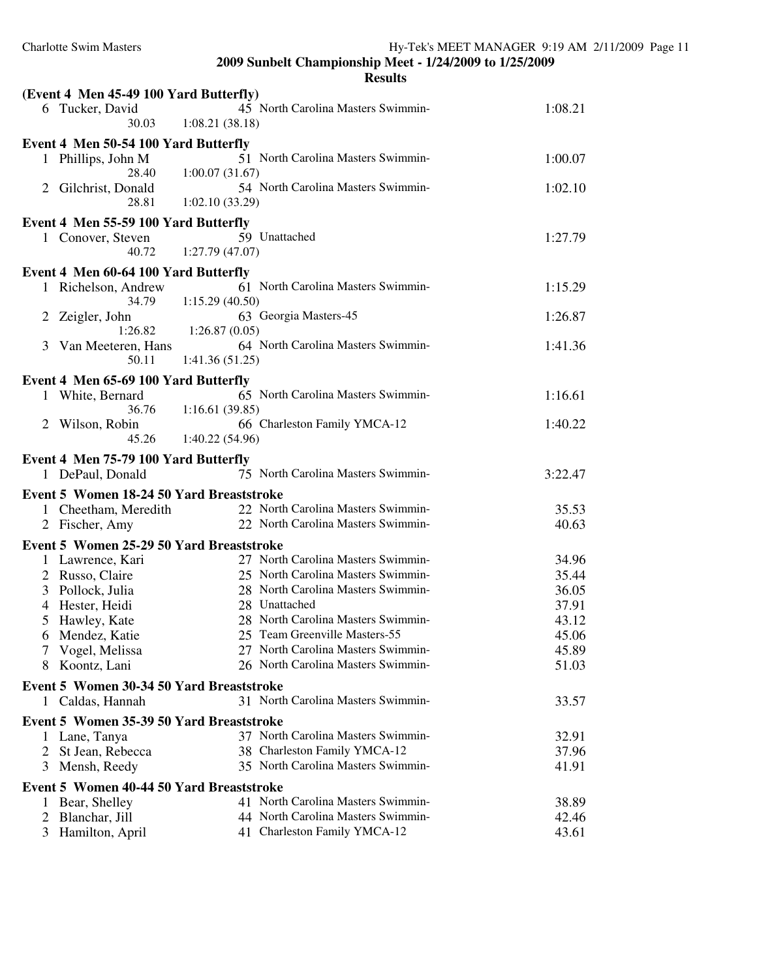|                                          | <b>Results</b>                                 |         |
|------------------------------------------|------------------------------------------------|---------|
| (Event 4 Men 45-49 100 Yard Butterfly)   |                                                |         |
| 6 Tucker, David                          | 45 North Carolina Masters Swimmin-             | 1:08.21 |
| 30.03                                    | 1:08.21(38.18)                                 |         |
| Event 4 Men 50-54 100 Yard Butterfly     |                                                |         |
| 1 Phillips, John M                       | 51 North Carolina Masters Swimmin-             | 1:00.07 |
| 28.40                                    | 1:00.07(31.67)                                 |         |
| Gilchrist, Donald<br>2                   | 54 North Carolina Masters Swimmin-             | 1:02.10 |
| 28.81                                    | 1:02.10(33.29)                                 |         |
| Event 4 Men 55-59 100 Yard Butterfly     |                                                |         |
| 1 Conover, Steven                        | 59 Unattached                                  | 1:27.79 |
| 40.72                                    | 1:27.79(47.07)                                 |         |
|                                          |                                                |         |
| Event 4 Men 60-64 100 Yard Butterfly     |                                                |         |
| 1 Richelson, Andrew                      | 61 North Carolina Masters Swimmin-             | 1:15.29 |
| 34.79                                    | 1:15.29(40.50)                                 |         |
| 2<br>Zeigler, John<br>1:26.82            | 63 Georgia Masters-45<br>1:26.87(0.05)         | 1:26.87 |
| Van Meeteren, Hans<br>3                  | 64 North Carolina Masters Swimmin-             | 1:41.36 |
| 50.11                                    | 1:41.36(51.25)                                 |         |
|                                          |                                                |         |
| Event 4 Men 65-69 100 Yard Butterfly     |                                                |         |
| 1 White, Bernard                         | 65 North Carolina Masters Swimmin-             | 1:16.61 |
| 36.76                                    | 1:16.61(39.85)                                 |         |
| Wilson, Robin<br>2<br>45.26              | 66 Charleston Family YMCA-12<br>1:40.22(54.96) | 1:40.22 |
|                                          |                                                |         |
| Event 4 Men 75-79 100 Yard Butterfly     |                                                |         |
| 1 DePaul, Donald                         | 75 North Carolina Masters Swimmin-             | 3:22.47 |
| Event 5 Women 18-24 50 Yard Breaststroke |                                                |         |
| 1 Cheetham, Meredith                     | 22 North Carolina Masters Swimmin-             | 35.53   |
| 2 Fischer, Amy                           | 22 North Carolina Masters Swimmin-             | 40.63   |
| Event 5 Women 25-29 50 Yard Breaststroke |                                                |         |
| 1 Lawrence, Kari                         | 27 North Carolina Masters Swimmin-             | 34.96   |
| 2 Russo, Claire                          | 25 North Carolina Masters Swimmin-             | 35.44   |
| Pollock, Julia<br>3                      | 28 North Carolina Masters Swimmin-             | 36.05   |
| Hester, Heidi<br>4                       | 28 Unattached                                  | 37.91   |
| 5 Hawley, Kate                           | 28 North Carolina Masters Swimmin-             | 43.12   |
| 6 Mendez, Katie                          | 25 Team Greenville Masters-55                  | 45.06   |
| Vogel, Melissa<br>7                      | 27 North Carolina Masters Swimmin-             | 45.89   |
| Koontz, Lani<br>8                        | 26 North Carolina Masters Swimmin-             | 51.03   |
| Event 5 Women 30-34 50 Yard Breaststroke |                                                |         |
|                                          | 31 North Carolina Masters Swimmin-             | 33.57   |
| Caldas, Hannah<br>1                      |                                                |         |
| Event 5 Women 35-39 50 Yard Breaststroke |                                                |         |
| 1 Lane, Tanya                            | 37 North Carolina Masters Swimmin-             | 32.91   |
| St Jean, Rebecca<br>2                    | 38 Charleston Family YMCA-12                   | 37.96   |
| 3<br>Mensh, Reedy                        | 35 North Carolina Masters Swimmin-             | 41.91   |
| Event 5 Women 40-44 50 Yard Breaststroke |                                                |         |
| Bear, Shelley                            | 41 North Carolina Masters Swimmin-             | 38.89   |
| Blanchar, Jill<br>2                      | 44 North Carolina Masters Swimmin-             | 42.46   |
| Hamilton, April<br>3                     | 41 Charleston Family YMCA-12                   | 43.61   |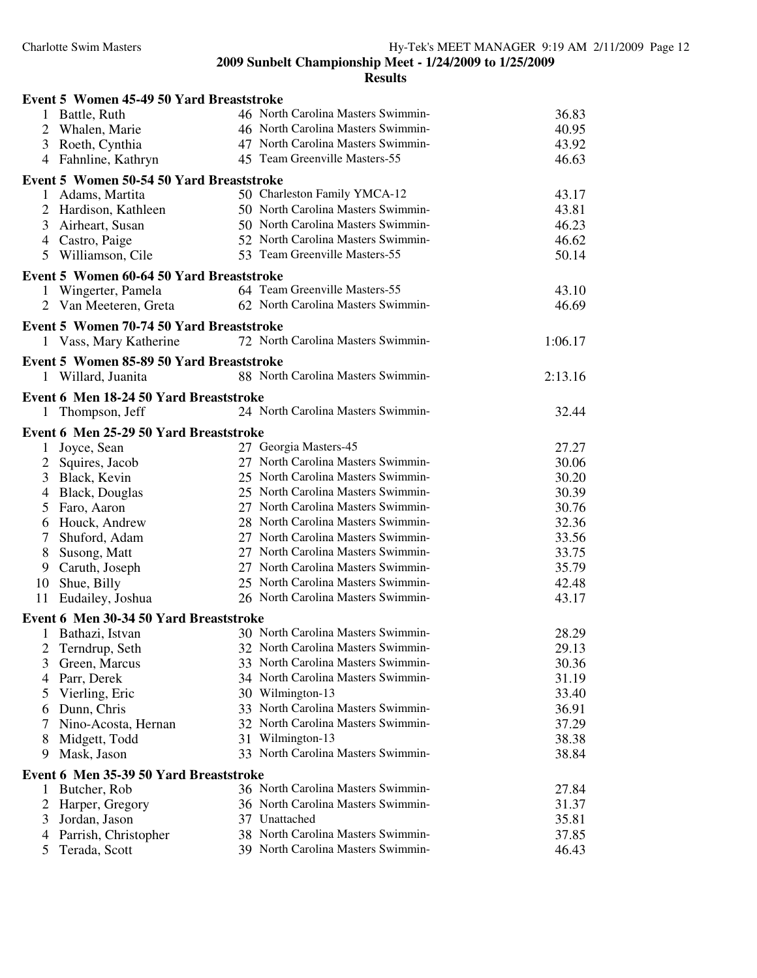|                | Event 5 Women 45-49 50 Yard Breaststroke |  |                                    |         |  |  |
|----------------|------------------------------------------|--|------------------------------------|---------|--|--|
|                | 1 Battle, Ruth                           |  | 46 North Carolina Masters Swimmin- | 36.83   |  |  |
| $\overline{2}$ | Whalen, Marie                            |  | 46 North Carolina Masters Swimmin- | 40.95   |  |  |
| 3              | Roeth, Cynthia                           |  | 47 North Carolina Masters Swimmin- | 43.92   |  |  |
|                | 4 Fahnline, Kathryn                      |  | 45 Team Greenville Masters-55      | 46.63   |  |  |
|                | Event 5 Women 50-54 50 Yard Breaststroke |  |                                    |         |  |  |
|                | 1 Adams, Martita                         |  | 50 Charleston Family YMCA-12       | 43.17   |  |  |
|                | 2 Hardison, Kathleen                     |  | 50 North Carolina Masters Swimmin- | 43.81   |  |  |
| 3              | Airheart, Susan                          |  | 50 North Carolina Masters Swimmin- | 46.23   |  |  |
|                | 4 Castro, Paige                          |  | 52 North Carolina Masters Swimmin- | 46.62   |  |  |
|                | 5 Williamson, Cile                       |  | 53 Team Greenville Masters-55      | 50.14   |  |  |
|                | Event 5 Women 60-64 50 Yard Breaststroke |  |                                    |         |  |  |
| $\mathbf{1}$   | Wingerter, Pamela                        |  | 64 Team Greenville Masters-55      | 43.10   |  |  |
|                | 2 Van Meeteren, Greta                    |  | 62 North Carolina Masters Swimmin- | 46.69   |  |  |
|                | Event 5 Women 70-74 50 Yard Breaststroke |  |                                    |         |  |  |
|                | 1 Vass, Mary Katherine                   |  | 72 North Carolina Masters Swimmin- | 1:06.17 |  |  |
|                | Event 5 Women 85-89 50 Yard Breaststroke |  |                                    |         |  |  |
|                | 1 Willard, Juanita                       |  | 88 North Carolina Masters Swimmin- | 2:13.16 |  |  |
|                |                                          |  |                                    |         |  |  |
|                | Event 6 Men 18-24 50 Yard Breaststroke   |  |                                    |         |  |  |
| $\mathbf{1}$   | Thompson, Jeff                           |  | 24 North Carolina Masters Swimmin- | 32.44   |  |  |
|                | Event 6 Men 25-29 50 Yard Breaststroke   |  |                                    |         |  |  |
| 1              | Joyce, Sean                              |  | 27 Georgia Masters-45              | 27.27   |  |  |
| $\overline{c}$ | Squires, Jacob                           |  | 27 North Carolina Masters Swimmin- | 30.06   |  |  |
| 3              | Black, Kevin                             |  | 25 North Carolina Masters Swimmin- | 30.20   |  |  |
| 4              | <b>Black, Douglas</b>                    |  | 25 North Carolina Masters Swimmin- | 30.39   |  |  |
| 5              | Faro, Aaron                              |  | 27 North Carolina Masters Swimmin- | 30.76   |  |  |
|                | 6 Houck, Andrew                          |  | 28 North Carolina Masters Swimmin- | 32.36   |  |  |
| 7              | Shuford, Adam                            |  | 27 North Carolina Masters Swimmin- | 33.56   |  |  |
| 8              | Susong, Matt                             |  | 27 North Carolina Masters Swimmin- | 33.75   |  |  |
|                | 9 Caruth, Joseph                         |  | 27 North Carolina Masters Swimmin- | 35.79   |  |  |
| 10             | Shue, Billy                              |  | 25 North Carolina Masters Swimmin- | 42.48   |  |  |
| 11             | Eudailey, Joshua                         |  | 26 North Carolina Masters Swimmin- | 43.17   |  |  |
|                | Event 6 Men 30-34 50 Yard Breaststroke   |  |                                    |         |  |  |
| 1              | Bathazi, Istvan                          |  | 30 North Carolina Masters Swimmin- | 28.29   |  |  |
| 2              | Terndrup, Seth                           |  | 32 North Carolina Masters Swimmin- | 29.13   |  |  |
| 3              | Green, Marcus                            |  | 33 North Carolina Masters Swimmin- | 30.36   |  |  |
| 4              | Parr, Derek                              |  | 34 North Carolina Masters Swimmin- | 31.19   |  |  |
| 5              | Vierling, Eric                           |  | 30 Wilmington-13                   | 33.40   |  |  |
| 6              | Dunn, Chris                              |  | 33 North Carolina Masters Swimmin- | 36.91   |  |  |
| 7              | Nino-Acosta, Hernan                      |  | 32 North Carolina Masters Swimmin- | 37.29   |  |  |
| 8              | Midgett, Todd                            |  | 31 Wilmington-13                   | 38.38   |  |  |
| 9              | Mask, Jason                              |  | 33 North Carolina Masters Swimmin- | 38.84   |  |  |
|                | Event 6 Men 35-39 50 Yard Breaststroke   |  |                                    |         |  |  |
| 1              | Butcher, Rob                             |  | 36 North Carolina Masters Swimmin- | 27.84   |  |  |
| 2              | Harper, Gregory                          |  | 36 North Carolina Masters Swimmin- | 31.37   |  |  |
| 3              | Jordan, Jason                            |  | 37 Unattached                      | 35.81   |  |  |
| $\overline{4}$ | Parrish, Christopher                     |  | 38 North Carolina Masters Swimmin- | 37.85   |  |  |
| 5              | Terada, Scott                            |  | 39 North Carolina Masters Swimmin- | 46.43   |  |  |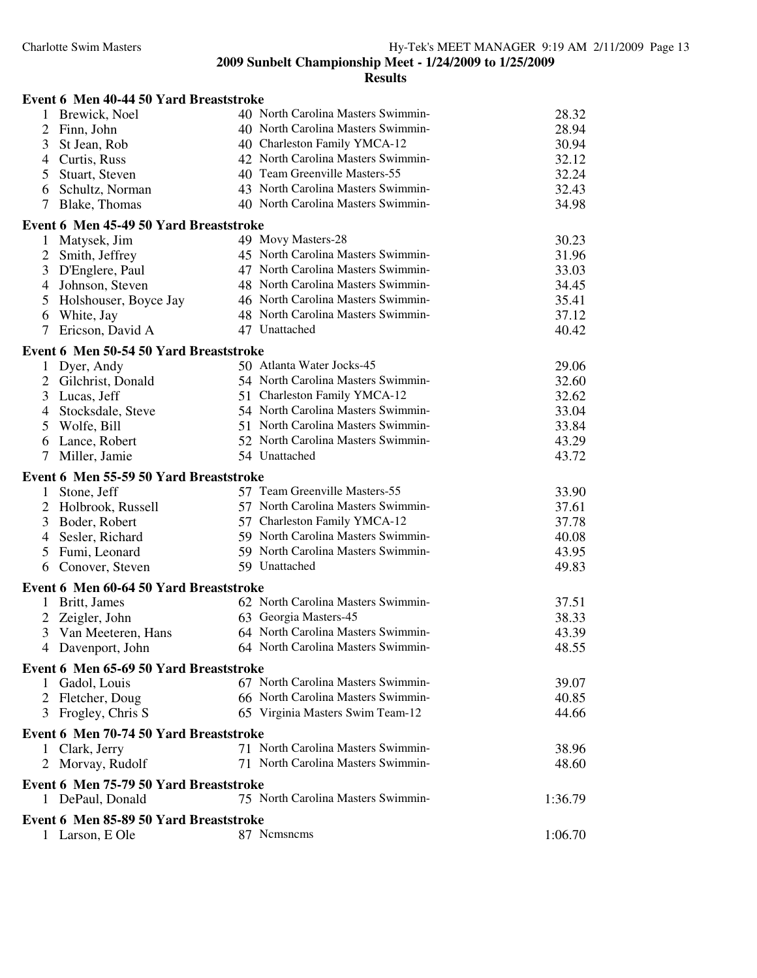| Event 6 Men 40-44 50 Yard Breaststroke                    |                                    |         |
|-----------------------------------------------------------|------------------------------------|---------|
| 1 Brewick, Noel                                           | 40 North Carolina Masters Swimmin- | 28.32   |
| $\overline{2}$<br>Finn, John                              | 40 North Carolina Masters Swimmin- | 28.94   |
| 3<br>St Jean, Rob                                         | 40 Charleston Family YMCA-12       | 30.94   |
| Curtis, Russ<br>4                                         | 42 North Carolina Masters Swimmin- | 32.12   |
| 5<br>Stuart, Steven                                       | 40 Team Greenville Masters-55      | 32.24   |
| Schultz, Norman<br>6                                      | 43 North Carolina Masters Swimmin- | 32.43   |
| Blake, Thomas<br>7                                        | 40 North Carolina Masters Swimmin- | 34.98   |
| Event 6 Men 45-49 50 Yard Breaststroke                    |                                    |         |
| Matysek, Jim<br>$\mathbf{1}$                              | 49 Movy Masters-28                 | 30.23   |
| $\overline{2}$<br>Smith, Jeffrey                          | 45 North Carolina Masters Swimmin- | 31.96   |
| 3<br>D'Englere, Paul                                      | 47 North Carolina Masters Swimmin- | 33.03   |
| Johnson, Steven<br>4                                      | 48 North Carolina Masters Swimmin- | 34.45   |
| 5<br>Holshouser, Boyce Jay                                | 46 North Carolina Masters Swimmin- | 35.41   |
| White, Jay<br>6                                           | 48 North Carolina Masters Swimmin- | 37.12   |
| 7<br>Ericson, David A                                     | 47 Unattached                      | 40.42   |
| Event 6 Men 50-54 50 Yard Breaststroke                    |                                    |         |
| 1 Dyer, Andy                                              | 50 Atlanta Water Jocks-45          | 29.06   |
| 2 Gilchrist, Donald                                       | 54 North Carolina Masters Swimmin- | 32.60   |
| 3<br>Lucas, Jeff                                          | 51 Charleston Family YMCA-12       | 32.62   |
| Stocksdale, Steve<br>4                                    | 54 North Carolina Masters Swimmin- | 33.04   |
| 5<br>Wolfe, Bill                                          | 51 North Carolina Masters Swimmin- | 33.84   |
| Lance, Robert<br>6                                        | 52 North Carolina Masters Swimmin- | 43.29   |
| Miller, Jamie<br>7                                        | 54 Unattached                      | 43.72   |
| Event 6 Men 55-59 50 Yard Breaststroke                    |                                    |         |
| Stone, Jeff<br>1                                          | 57 Team Greenville Masters-55      | 33.90   |
| Holbrook, Russell<br>2                                    | 57 North Carolina Masters Swimmin- | 37.61   |
| 3<br>Boder, Robert                                        | 57 Charleston Family YMCA-12       | 37.78   |
| Sesler, Richard<br>4                                      | 59 North Carolina Masters Swimmin- | 40.08   |
| Fumi, Leonard<br>5                                        | 59 North Carolina Masters Swimmin- | 43.95   |
| Conover, Steven<br>6                                      | 59 Unattached                      | 49.83   |
| Event 6 Men 60-64 50 Yard Breaststroke                    |                                    |         |
| Britt, James<br>1                                         | 62 North Carolina Masters Swimmin- | 37.51   |
| $\mathbf{2}$<br>Zeigler, John                             | 63 Georgia Masters-45              | 38.33   |
| 3<br>Van Meeteren, Hans                                   | 64 North Carolina Masters Swimmin- | 43.39   |
| 4 Davenport, John                                         | 64 North Carolina Masters Swimmin- | 48.55   |
| Event 6 Men 65-69 50 Yard Breaststroke                    |                                    |         |
| Gadol, Louis<br>1                                         | 67 North Carolina Masters Swimmin- | 39.07   |
| 2 Fletcher, Doug                                          | 66 North Carolina Masters Swimmin- | 40.85   |
| 3 Frogley, Chris S                                        | 65 Virginia Masters Swim Team-12   | 44.66   |
| Event 6 Men 70-74 50 Yard Breaststroke                    |                                    |         |
| Clark, Jerry<br>$\mathbf{I}$                              | 71 North Carolina Masters Swimmin- | 38.96   |
| Morvay, Rudolf<br>2                                       | 71 North Carolina Masters Swimmin- | 48.60   |
| Event 6 Men 75-79 50 Yard Breaststroke                    |                                    |         |
| DePaul, Donald                                            | 75 North Carolina Masters Swimmin- | 1:36.79 |
|                                                           |                                    |         |
| Event 6 Men 85-89 50 Yard Breaststroke<br>1 Larson, E Ole | 87 Nemsnems                        | 1:06.70 |
|                                                           |                                    |         |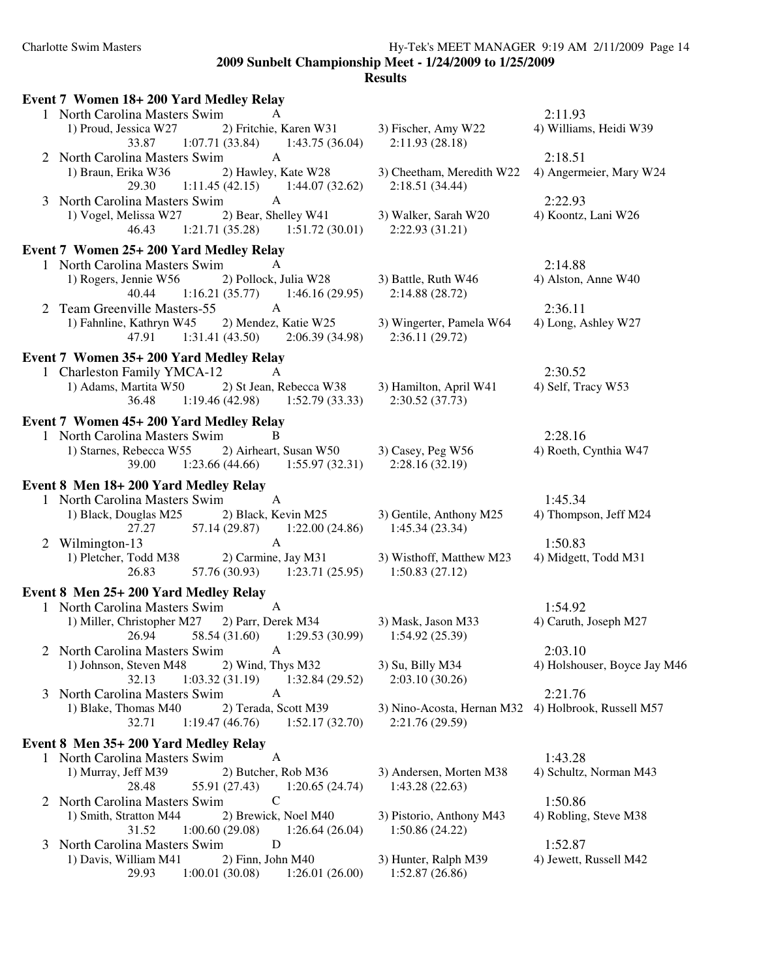# Charlotte Swim Masters Hy-Tek's MEET MANAGER 9:19 AM 2/11/2009 Page 14

**2009 Sunbelt Championship Meet - 1/24/2009 to 1/25/2009**

| Event 7 Women 18+200 Yard Medley Relay                                                         |                                               |                              |
|------------------------------------------------------------------------------------------------|-----------------------------------------------|------------------------------|
| 1 North Carolina Masters Swim<br>A                                                             |                                               | 2:11.93                      |
| 1) Proud, Jessica W27<br>2) Fritchie, Karen W31<br>33.87<br>$1:07.71(33.84)$ $1:43.75(36.04)$  | 3) Fischer, Amy W22<br>2:11.93(28.18)         | 4) Williams, Heidi W39       |
| North Carolina Masters Swim<br>$\mathbf{A}$<br>2                                               |                                               | 2:18.51                      |
| 1) Braun, Erika W36<br>2) Hawley, Kate W28<br>29.30<br>$1:11.45(42.15)$ $1:44.07(32.62)$       | 3) Cheetham, Meredith W22<br>2:18.51(34.44)   | 4) Angermeier, Mary W24      |
| North Carolina Masters Swim<br>$\mathbf{A}$<br>3                                               |                                               | 2:22.93                      |
| 2) Bear, Shelley W41<br>1) Vogel, Melissa W27<br>1:21.71(35.28)<br>1:51.72(30.01)<br>46.43     | 3) Walker, Sarah W20<br>2:22.93(31.21)        | 4) Koontz, Lani W26          |
| Event 7 Women 25+ 200 Yard Medley Relay                                                        |                                               |                              |
| 1 North Carolina Masters Swim<br>A                                                             |                                               | 2:14.88                      |
| 1) Rogers, Jennie W56<br>2) Pollock, Julia W28<br>40.44<br>1:16.21(35.77)<br>1:46.16(29.95)    | 3) Battle, Ruth W46<br>2:14.88(28.72)         | 4) Alston, Anne W40          |
| Team Greenville Masters-55<br>$\mathbf{A}$<br>2                                                |                                               | 2:36.11                      |
| 1) Fahnline, Kathryn W45<br>2) Mendez, Katie W25<br>1:31.41(43.50)<br>2:06.39(34.98)<br>47.91  | 3) Wingerter, Pamela W64<br>2:36.11(29.72)    | 4) Long, Ashley W27          |
| Event 7 Women 35+ 200 Yard Medley Relay                                                        |                                               |                              |
| 1 Charleston Family YMCA-12<br>A                                                               |                                               | 2:30.52                      |
| 2) St Jean, Rebecca W38<br>1) Adams, Martita W50<br>$1:19.46(42.98)$ $1:52.79(33.33)$<br>36.48 | 3) Hamilton, April W41<br>2:30.52(37.73)      | 4) Self, Tracy W53           |
| Event 7 Women 45+ 200 Yard Medley Relay                                                        |                                               |                              |
| 1 North Carolina Masters Swim<br>B                                                             |                                               | 2:28.16                      |
| 2) Airheart, Susan W50<br>1) Starnes, Rebecca W55<br>1:23.66(44.66)<br>1:55.97(32.31)<br>39.00 | 3) Casey, Peg W56<br>2:28.16(32.19)           | 4) Roeth, Cynthia W47        |
| Event 8 Men 18+200 Yard Medley Relay                                                           |                                               |                              |
| 1 North Carolina Masters Swim<br>A                                                             |                                               | 1:45.34                      |
| 2) Black, Kevin M25<br>1) Black, Douglas M25<br>1:22.00(24.86)<br>27.27<br>57.14 (29.87)       | 3) Gentile, Anthony M25<br>1:45.34(23.34)     | 4) Thompson, Jeff M24        |
| $\mathbf{A}$<br>Wilmington-13                                                                  |                                               | 1:50.83                      |
| 1) Pletcher, Todd M38<br>2) Carmine, Jay M31<br>26.83<br>$57.76(30.93)$ 1:23.71 (25.95)        | 3) Wisthoff, Matthew M23<br>1:50.83(27.12)    | 4) Midgett, Todd M31         |
| Event 8 Men 25+ 200 Yard Medley Relay                                                          |                                               |                              |
| 1 North Carolina Masters Swim<br>$\mathbf{A}$                                                  |                                               | 1:54.92                      |
| 1) Miller, Christopher M27<br>2) Parr, Derek M34<br>58.54 (31.60)<br>26.94<br>1:29.53(30.99)   | 3) Mask, Jason M33<br>1:54.92(25.39)          | 4) Caruth, Joseph M27        |
| North Carolina Masters Swim<br>A                                                               |                                               | 2:03.10                      |
| 1) Johnson, Steven M48<br>2) Wind, Thys M32<br>1:03.32(31.19)<br>1:32.84 (29.52)<br>32.13      | 3) Su, Billy M34<br>2:03.10(30.26)            | 4) Holshouser, Boyce Jay M46 |
| North Carolina Masters Swim<br>A<br>3                                                          |                                               | 2:21.76                      |
| 1) Blake, Thomas M40<br>2) Terada, Scott M39<br>32.71<br>1:19.47(46.76)<br>1:52.17(32.70)      | 3) Nino-Acosta, Hernan M32<br>2:21.76 (29.59) | 4) Holbrook, Russell M57     |
| Event 8 Men 35+200 Yard Medley Relay                                                           |                                               |                              |
| $\mathbf{A}$<br>1 North Carolina Masters Swim                                                  |                                               | 1:43.28                      |
| 2) Butcher, Rob M36<br>1) Murray, Jeff M39<br>28.48<br>55.91 (27.43)<br>1:20.65(24.74)         | 3) Andersen, Morten M38<br>1:43.28(22.63)     | 4) Schultz, Norman M43       |
| $\mathsf{C}$<br>North Carolina Masters Swim<br>2                                               |                                               | 1:50.86                      |
| 1) Smith, Stratton M44<br>2) Brewick, Noel M40<br>1:00.60(29.08)<br>31.52<br>1:26.64(26.04)    | 3) Pistorio, Anthony M43<br>1:50.86(24.22)    | 4) Robling, Steve M38        |
| D<br>North Carolina Masters Swim<br>3                                                          |                                               | 1:52.87                      |
| 1) Davis, William M41<br>2) Finn, John M40<br>29.93<br>1:00.01(30.08)<br>1:26.01(26.00)        | 3) Hunter, Ralph M39<br>1:52.87(26.86)        | 4) Jewett, Russell M42       |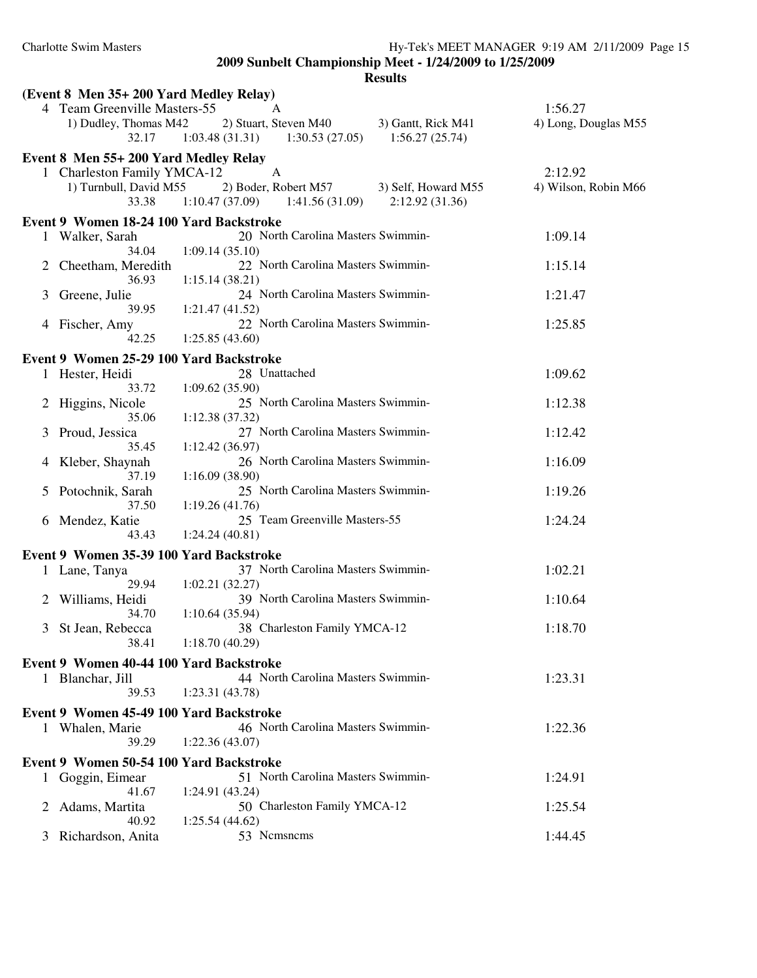|   | (Event 8 Men 35+ 200 Yard Medley Relay) |                                                      |                      |
|---|-----------------------------------------|------------------------------------------------------|----------------------|
|   | 4 Team Greenville Masters-55            | A                                                    | 1:56.27              |
|   | 1) Dudley, Thomas M42                   | 2) Stuart, Steven M40<br>3) Gantt, Rick M41          | 4) Long, Douglas M55 |
|   | 32.17                                   | 1:03.48(31.31)<br>$1:30.53(27.05)$ $1:56.27(25.74)$  |                      |
|   | Event 8 Men 55+ 200 Yard Medley Relay   |                                                      |                      |
|   | 1 Charleston Family YMCA-12             | A                                                    | 2:12.92              |
|   | 1) Turnbull, David M55                  | 2) Boder, Robert M57<br>3) Self, Howard M55          | 4) Wilson, Robin M66 |
|   | 33.38                                   | $1:10.47(37.09)$ $1:41.56(31.09)$<br>2:12.92(31.36)  |                      |
|   | Event 9 Women 18-24 100 Yard Backstroke |                                                      |                      |
|   | 1 Walker, Sarah                         | 20 North Carolina Masters Swimmin-                   | 1:09.14              |
|   | 34.04                                   | 1:09.14(35.10)                                       |                      |
|   | 2 Cheetham, Meredith                    | 22 North Carolina Masters Swimmin-                   | 1:15.14              |
|   | 36.93                                   | 1:15.14(38.21)                                       |                      |
| 3 | Greene, Julie                           | 24 North Carolina Masters Swimmin-                   | 1:21.47              |
|   | 39.95                                   | 1:21.47(41.52)<br>22 North Carolina Masters Swimmin- | 1:25.85              |
|   | 4 Fischer, Amy<br>42.25                 | 1:25.85(43.60)                                       |                      |
|   |                                         |                                                      |                      |
|   | Event 9 Women 25-29 100 Yard Backstroke |                                                      |                      |
|   | 1 Hester, Heidi                         | 28 Unattached                                        | 1:09.62              |
|   | 33.72                                   | 1:09.62(35.90)<br>25 North Carolina Masters Swimmin- |                      |
| 2 | Higgins, Nicole<br>35.06                | 1:12.38(37.32)                                       | 1:12.38              |
| 3 | Proud, Jessica                          | 27 North Carolina Masters Swimmin-                   | 1:12.42              |
|   | 35.45                                   | 1:12.42(36.97)                                       |                      |
| 4 | Kleber, Shaynah                         | 26 North Carolina Masters Swimmin-                   | 1:16.09              |
|   | 37.19                                   | 1:16.09(38.90)                                       |                      |
| 5 | Potochnik, Sarah                        | 25 North Carolina Masters Swimmin-                   | 1:19.26              |
|   | 37.50                                   | 1:19.26(41.76)                                       |                      |
| 6 | Mendez, Katie                           | 25 Team Greenville Masters-55                        | 1:24.24              |
|   | 43.43                                   | 1:24.24(40.81)                                       |                      |
|   | Event 9 Women 35-39 100 Yard Backstroke |                                                      |                      |
|   | 1 Lane, Tanya                           | 37 North Carolina Masters Swimmin-                   | 1:02.21              |
|   | 29.94                                   | 1:02.21(32.27)                                       |                      |
|   | 2 Williams, Heidi                       | 39 North Carolina Masters Swimmin-                   | 1:10.64              |
|   | 34.70                                   | 1:10.64(35.94)                                       |                      |
|   | 3 St Jean, Rebecca                      | 38 Charleston Family YMCA-12                         | 1:18.70              |
|   | 38.41                                   | 1:18.70(40.29)                                       |                      |
|   | Event 9 Women 40-44 100 Yard Backstroke |                                                      |                      |
|   | 1 Blanchar, Jill                        | 44 North Carolina Masters Swimmin-                   | 1:23.31              |
|   | 39.53                                   | 1:23.31(43.78)                                       |                      |
|   | Event 9 Women 45-49 100 Yard Backstroke |                                                      |                      |
|   | 1 Whalen, Marie                         | 46 North Carolina Masters Swimmin-                   | 1:22.36              |
|   | 39.29                                   | 1:22.36(43.07)                                       |                      |
|   | Event 9 Women 50-54 100 Yard Backstroke |                                                      |                      |
|   | 1 Goggin, Eimear                        | 51 North Carolina Masters Swimmin-                   | 1:24.91              |
|   | 41.67                                   | 1:24.91 (43.24)                                      |                      |
| 2 | Adams, Martita                          | 50 Charleston Family YMCA-12                         | 1:25.54              |
|   | 40.92                                   | 1:25.54(44.62)                                       |                      |
| 3 | Richardson, Anita                       | 53 Nemsnems                                          | 1:44.45              |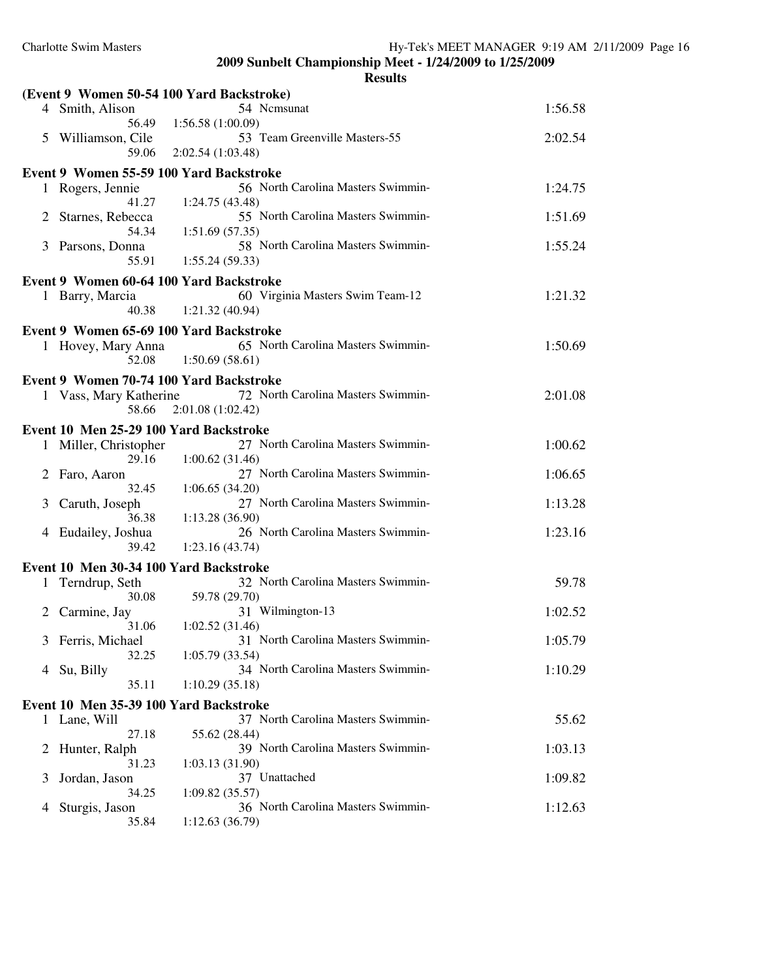|   |                                         | (Event 9 Women 50-54 100 Yard Backstroke)            |         |  |  |
|---|-----------------------------------------|------------------------------------------------------|---------|--|--|
|   | 4 Smith, Alison                         | 54 Nemsunat                                          | 1:56.58 |  |  |
|   | 56.49                                   | 1:56.58(1:00.09)<br>53 Team Greenville Masters-55    |         |  |  |
| 5 | Williamson, Cile<br>59.06               | 2:02.54(1:03.48)                                     | 2:02.54 |  |  |
|   | Event 9 Women 55-59 100 Yard Backstroke |                                                      |         |  |  |
|   | 1 Rogers, Jennie                        | 56 North Carolina Masters Swimmin-                   | 1:24.75 |  |  |
|   | 41.27                                   | 1:24.75(43.48)                                       |         |  |  |
| 2 | Starnes, Rebecca                        | 55 North Carolina Masters Swimmin-                   | 1:51.69 |  |  |
|   | 54.34                                   | 1:51.69(57.35)                                       |         |  |  |
|   | 3 Parsons, Donna<br>55.91               | 58 North Carolina Masters Swimmin-<br>1:55.24(59.33) | 1:55.24 |  |  |
|   |                                         |                                                      |         |  |  |
|   | Event 9 Women 60-64 100 Yard Backstroke | 60 Virginia Masters Swim Team-12                     |         |  |  |
|   | 1 Barry, Marcia<br>40.38                | 1:21.32(40.94)                                       | 1:21.32 |  |  |
|   | Event 9 Women 65-69 100 Yard Backstroke |                                                      |         |  |  |
|   | 1 Hovey, Mary Anna                      | 65 North Carolina Masters Swimmin-                   | 1:50.69 |  |  |
|   | 52.08                                   | 1:50.69(58.61)                                       |         |  |  |
|   | Event 9 Women 70-74 100 Yard Backstroke |                                                      |         |  |  |
|   | 1 Vass, Mary Katherine                  | 72 North Carolina Masters Swimmin-                   | 2:01.08 |  |  |
|   | 58.66                                   | 2:01.08(1:02.42)                                     |         |  |  |
|   | Event 10 Men 25-29 100 Yard Backstroke  |                                                      |         |  |  |
| 1 | Miller, Christopher                     | 27 North Carolina Masters Swimmin-                   | 1:00.62 |  |  |
|   | 29.16                                   | 1:00.62(31.46)<br>27 North Carolina Masters Swimmin- | 1:06.65 |  |  |
|   | 2 Faro, Aaron<br>32.45                  | 1:06.65(34.20)                                       |         |  |  |
| 3 | Caruth, Joseph                          | 27 North Carolina Masters Swimmin-                   | 1:13.28 |  |  |
|   | 36.38                                   | 1:13.28(36.90)                                       |         |  |  |
| 4 | Eudailey, Joshua                        | 26 North Carolina Masters Swimmin-                   | 1:23.16 |  |  |
|   | 39.42                                   | 1:23.16(43.74)                                       |         |  |  |
|   | Event 10 Men 30-34 100 Yard Backstroke  | 32 North Carolina Masters Swimmin-                   | 59.78   |  |  |
|   | 1 Terndrup, Seth<br>30.08               | 59.78 (29.70)                                        |         |  |  |
|   | 2 Carmine, Jay                          | 31 Wilmington-13                                     | 1:02.52 |  |  |
|   | 31.06                                   | 1:02.52 (31.46)                                      |         |  |  |
|   | 3 Ferris, Michael                       | 31 North Carolina Masters Swimmin-                   | 1:05.79 |  |  |
| 4 | 32.25<br>Su, Billy                      | 1:05.79(33.54)<br>34 North Carolina Masters Swimmin- | 1:10.29 |  |  |
|   | 35.11                                   | 1:10.29(35.18)                                       |         |  |  |
|   | Event 10 Men 35-39 100 Yard Backstroke  |                                                      |         |  |  |
|   | 1 Lane, Will                            | 37 North Carolina Masters Swimmin-                   | 55.62   |  |  |
|   | 27.18                                   | 55.62 (28.44)                                        |         |  |  |
| 2 | Hunter, Ralph                           | 39 North Carolina Masters Swimmin-                   | 1:03.13 |  |  |
|   | 31.23                                   | 1:03.13(31.90)<br>37 Unattached                      |         |  |  |
| 3 | Jordan, Jason<br>34.25                  | 1:09.82(35.57)                                       | 1:09.82 |  |  |
| 4 | Sturgis, Jason                          | 36 North Carolina Masters Swimmin-                   | 1:12.63 |  |  |
|   | 35.84                                   | 1:12.63(36.79)                                       |         |  |  |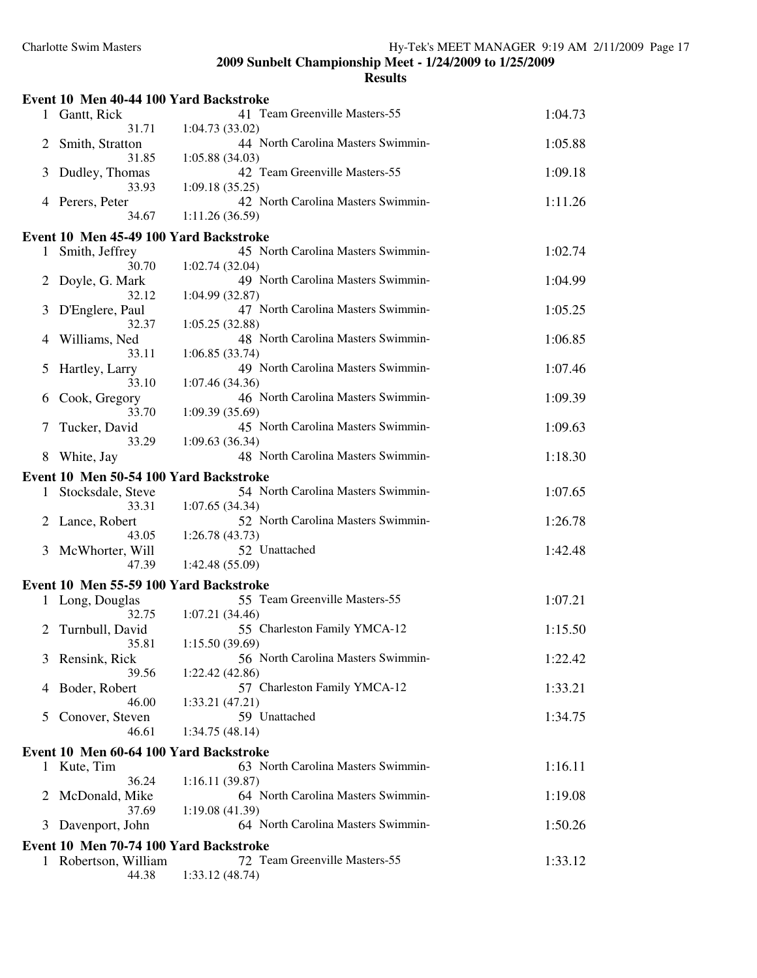|   | Event 10 Men 40-44 100 Yard Backstroke |                                                      |         |
|---|----------------------------------------|------------------------------------------------------|---------|
|   | 1 Gantt, Rick                          | 41 Team Greenville Masters-55                        | 1:04.73 |
|   | 31.71                                  | 1:04.73(33.02)                                       |         |
| 2 | Smith, Stratton                        | 44 North Carolina Masters Swimmin-                   | 1:05.88 |
|   | 31.85                                  | 1:05.88(34.03)                                       |         |
| 3 | Dudley, Thomas                         | 42 Team Greenville Masters-55                        | 1:09.18 |
|   | 33.93                                  | 1:09.18(35.25)                                       |         |
| 4 | Perers, Peter<br>34.67                 | 42 North Carolina Masters Swimmin-<br>1:11.26(36.59) | 1:11.26 |
|   |                                        |                                                      |         |
|   | Event 10 Men 45-49 100 Yard Backstroke |                                                      |         |
| 1 | Smith, Jeffrey                         | 45 North Carolina Masters Swimmin-                   | 1:02.74 |
|   | 30.70                                  | 1:02.74(32.04)<br>49 North Carolina Masters Swimmin- |         |
| 2 | Doyle, G. Mark<br>32.12                | 1:04.99 (32.87)                                      | 1:04.99 |
| 3 | D'Englere, Paul                        | 47 North Carolina Masters Swimmin-                   | 1:05.25 |
|   | 32.37                                  | 1:05.25(32.88)                                       |         |
| 4 | Williams, Ned                          | 48 North Carolina Masters Swimmin-                   | 1:06.85 |
|   | 33.11                                  | 1:06.85(33.74)                                       |         |
| 5 | Hartley, Larry                         | 49 North Carolina Masters Swimmin-                   | 1:07.46 |
|   | 33.10                                  | 1:07.46 (34.36)                                      |         |
| 6 | Cook, Gregory                          | 46 North Carolina Masters Swimmin-                   | 1:09.39 |
|   | 33.70                                  | 1:09.39 (35.69)                                      |         |
| 7 | Tucker, David                          | 45 North Carolina Masters Swimmin-                   | 1:09.63 |
|   | 33.29                                  | 1:09.63(36.34)                                       |         |
| 8 | White, Jay                             | 48 North Carolina Masters Swimmin-                   | 1:18.30 |
|   | Event 10 Men 50-54 100 Yard Backstroke |                                                      |         |
| 1 | Stocksdale, Steve                      | 54 North Carolina Masters Swimmin-                   | 1:07.65 |
|   | 33.31                                  | 1:07.65(34.34)                                       |         |
| 2 | Lance, Robert<br>43.05                 | 52 North Carolina Masters Swimmin-<br>1:26.78(43.73) | 1:26.78 |
| 3 | McWhorter, Will                        | 52 Unattached                                        | 1:42.48 |
|   | 47.39                                  | 1:42.48(55.09)                                       |         |
|   |                                        |                                                      |         |
|   | Event 10 Men 55-59 100 Yard Backstroke | 55 Team Greenville Masters-55                        | 1:07.21 |
|   | 1 Long, Douglas<br>32.75               | 1:07.21(34.46)                                       |         |
| 2 | Turnbull, David                        | 55 Charleston Family YMCA-12                         | 1:15.50 |
|   | 35.81                                  | 1:15.50(39.69)                                       |         |
|   | 3 Rensink, Rick                        | 56 North Carolina Masters Swimmin-                   | 1:22.42 |
|   | 39.56                                  | 1:22.42(42.86)                                       |         |
| 4 | Boder, Robert                          | 57 Charleston Family YMCA-12                         | 1:33.21 |
|   | 46.00                                  | 1:33.21(47.21)                                       |         |
| 5 | Conover, Steven                        | 59 Unattached                                        | 1:34.75 |
|   | 46.61                                  | 1:34.75(48.14)                                       |         |
|   | Event 10 Men 60-64 100 Yard Backstroke |                                                      |         |
|   | 1 Kute, Tim                            | 63 North Carolina Masters Swimmin-                   | 1:16.11 |
|   | 36.24                                  | 1:16.11(39.87)                                       |         |
| 2 | McDonald, Mike                         | 64 North Carolina Masters Swimmin-                   | 1:19.08 |
|   | 37.69                                  | 1:19.08(41.39)<br>64 North Carolina Masters Swimmin- |         |
| 3 | Davenport, John                        |                                                      | 1:50.26 |
|   | Event 10 Men 70-74 100 Yard Backstroke |                                                      |         |
|   | 1 Robertson, William                   | 72 Team Greenville Masters-55                        | 1:33.12 |
|   | 44.38                                  | 1:33.12(48.74)                                       |         |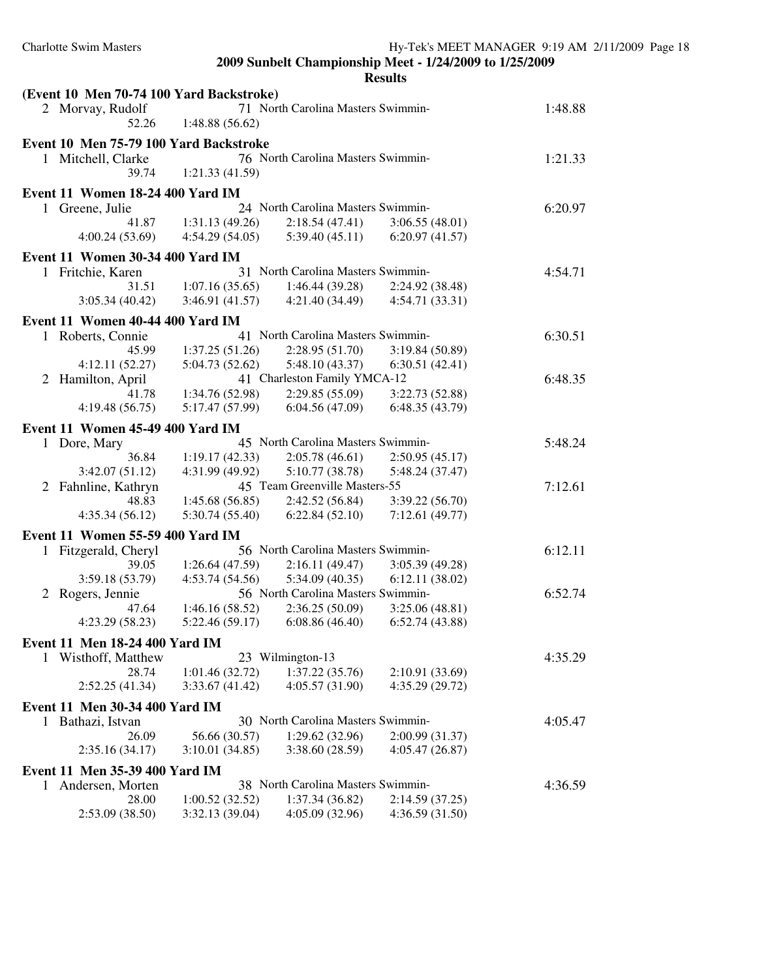|              | (Event 10 Men 70-74 100 Yard Backstroke) |                 |                                    |                 |         |
|--------------|------------------------------------------|-----------------|------------------------------------|-----------------|---------|
|              | 2 Morvay, Rudolf<br>52.26                | 1:48.88(56.62)  | 71 North Carolina Masters Swimmin- |                 | 1:48.88 |
|              | Event 10 Men 75-79 100 Yard Backstroke   |                 |                                    |                 |         |
|              | 1 Mitchell, Clarke                       |                 | 76 North Carolina Masters Swimmin- |                 | 1:21.33 |
|              | 39.74                                    | 1:21.33(41.59)  |                                    |                 |         |
|              | Event 11 Women 18-24 400 Yard IM         |                 |                                    |                 |         |
|              | 1 Greene, Julie                          |                 | 24 North Carolina Masters Swimmin- |                 | 6:20.97 |
|              | 41.87                                    | 1:31.13(49.26)  | 2:18.54(47.41)                     | 3:06.55(48.01)  |         |
|              | 4:00.24(53.69)                           | 4:54.29(54.05)  | 5:39.40(45.11)                     | 6:20.97(41.57)  |         |
|              | <b>Event 11 Women 30-34 400 Yard IM</b>  |                 |                                    |                 |         |
|              | 1 Fritchie, Karen                        |                 | 31 North Carolina Masters Swimmin- |                 | 4:54.71 |
|              | 31.51                                    | 1:07.16(35.65)  | 1:46.44(39.28)                     | 2:24.92 (38.48) |         |
|              | 3:05.34(40.42)                           | 3:46.91(41.57)  | 4:21.40(34.49)                     | 4:54.71(33.31)  |         |
|              | Event 11 Women 40-44 400 Yard IM         |                 |                                    |                 |         |
|              | 1 Roberts, Connie                        |                 | 41 North Carolina Masters Swimmin- |                 | 6:30.51 |
|              | 45.99                                    | 1:37.25(51.26)  | 2:28.95(51.70)                     | 3:19.84(50.89)  |         |
|              | 4:12.11(52.27)                           | 5:04.73(52.62)  | 5:48.10(43.37)                     | 6:30.51(42.41)  |         |
|              | 2 Hamilton, April                        |                 | 41 Charleston Family YMCA-12       |                 | 6:48.35 |
|              | 41.78                                    | 1:34.76 (52.98) | 2:29.85(55.09)                     | 3:22.73 (52.88) |         |
|              | 4:19.48(56.75)                           | 5:17.47 (57.99) | 6:04.56(47.09)                     | 6:48.35(43.79)  |         |
|              | Event 11 Women 45-49 400 Yard IM         |                 |                                    |                 |         |
| $\mathbf{1}$ | Dore, Mary                               |                 | 45 North Carolina Masters Swimmin- |                 | 5:48.24 |
|              | 36.84                                    | 1:19.17(42.33)  | 2:05.78(46.61)                     | 2:50.95(45.17)  |         |
|              | 3:42.07(51.12)                           | 4:31.99 (49.92) | 5:10.77(38.78)                     | 5:48.24 (37.47) |         |
| 2            | Fahnline, Kathryn                        |                 | 45 Team Greenville Masters-55      |                 | 7:12.61 |
|              | 48.83                                    | 1:45.68(56.85)  | 2:42.52(56.84)                     | 3:39.22(56.70)  |         |
|              | 4:35.34(56.12)                           | 5:30.74(55.40)  | 6:22.84(52.10)                     | 7:12.61(49.77)  |         |
|              | Event 11 Women 55-59 400 Yard IM         |                 |                                    |                 |         |
|              | 1 Fitzgerald, Cheryl                     |                 | 56 North Carolina Masters Swimmin- |                 | 6:12.11 |
|              | 39.05                                    | 1:26.64(47.59)  | 2:16.11(49.47)                     | 3:05.39(49.28)  |         |
|              | 3:59.18 (53.79)                          | 4:53.74(54.56)  | 5:34.09(40.35)                     | 6:12.11(38.02)  |         |
|              | 2 Rogers, Jennie                         |                 | 56 North Carolina Masters Swimmin- |                 | 6:52.74 |
|              | 47.64                                    | 1:46.16(58.52)  | 2:36.25(50.09)                     | 3:25.06(48.81)  |         |
|              | 4:23.29 (58.23)                          | 5:22.46(59.17)  | 6:08.86(46.40)                     | 6:52.74(43.88)  |         |
|              | Event 11 Men 18-24 400 Yard IM           |                 |                                    |                 |         |
|              | 1 Wisthoff, Matthew                      |                 | 23 Wilmington-13                   |                 | 4:35.29 |
|              | 28.74                                    | 1:01.46(32.72)  | 1:37.22(35.76)                     | 2:10.91 (33.69) |         |
|              | 2:52.25(41.34)                           | 3:33.67(41.42)  | 4:05.57(31.90)                     | 4:35.29(29.72)  |         |
|              | Event 11 Men 30-34 400 Yard IM           |                 |                                    |                 |         |
|              | 1 Bathazi, Istvan                        |                 | 30 North Carolina Masters Swimmin- |                 | 4:05.47 |
|              | 26.09                                    | 56.66 (30.57)   | 1:29.62(32.96)                     | 2:00.99 (31.37) |         |
|              | 2:35.16(34.17)                           | 3:10.01(34.85)  | 3:38.60(28.59)                     | 4:05.47(26.87)  |         |
|              | Event 11 Men 35-39 400 Yard IM           |                 |                                    |                 |         |
| 1            | Andersen, Morten                         |                 | 38 North Carolina Masters Swimmin- |                 | 4:36.59 |
|              | 28.00                                    | 1:00.52(32.52)  | 1:37.34 (36.82)                    | 2:14.59(37.25)  |         |
|              | 2:53.09 (38.50)                          | 3:32.13 (39.04) | 4:05.09 (32.96)                    | 4:36.59(31.50)  |         |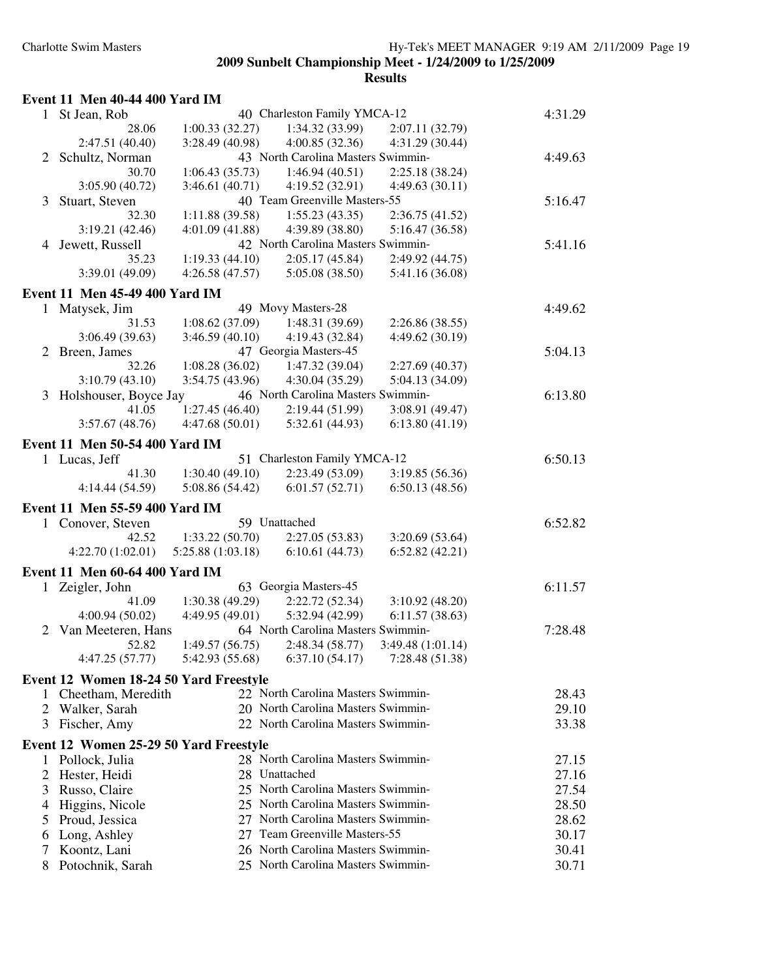| Event 11 Men 40-44 400 Yard IM |  |  |  |  |  |
|--------------------------------|--|--|--|--|--|
|--------------------------------|--|--|--|--|--|

| $\mathbf{1}$ | St Jean, Rob                           | 40 Charleston Family YMCA-12                          | 4:31.29 |
|--------------|----------------------------------------|-------------------------------------------------------|---------|
|              | 28.06                                  | 1:34.32 (33.99)<br>1:00.33(32.27)<br>2:07.11 (32.79)  |         |
|              | 2:47.51 (40.40)                        | 3:28.49 (40.98)<br>4:00.85(32.36)<br>4:31.29 (30.44)  |         |
| 2            | Schultz, Norman                        | 43 North Carolina Masters Swimmin-                    | 4:49.63 |
|              | 30.70                                  | 1:06.43(35.73)<br>1:46.94(40.51)<br>2:25.18 (38.24)   |         |
|              | 3:05.90 (40.72)                        | 3:46.61(40.71)<br>4:19.52 (32.91)<br>4:49.63(30.11)   |         |
| 3            | Stuart, Steven                         | 40 Team Greenville Masters-55                         | 5:16.47 |
|              | 32.30                                  | 1:11.88(39.58)<br>1:55.23(43.35)<br>2:36.75(41.52)    |         |
|              | 3:19.21(42.46)                         | 4:01.09(41.88)<br>4:39.89 (38.80)<br>5:16.47 (36.58)  |         |
| 4            | Jewett, Russell                        | 42 North Carolina Masters Swimmin-                    | 5:41.16 |
|              | 35.23                                  | 1:19.33(44.10)<br>2:05.17(45.84)<br>2:49.92 (44.75)   |         |
|              | 3:39.01 (49.09)                        | 4:26.58(47.57)<br>5:05.08 (38.50)<br>5:41.16 (36.08)  |         |
|              | <b>Event 11 Men 45-49 400 Yard IM</b>  |                                                       |         |
| $\mathbf{1}$ | Matysek, Jim                           | 49 Movy Masters-28                                    | 4:49.62 |
|              | 31.53                                  | 1:08.62(37.09)<br>1:48.31 (39.69)<br>2:26.86 (38.55)  |         |
|              | 3:06.49(39.63)                         | 3:46.59(40.10)<br>4:19.43 (32.84)<br>4:49.62 (30.19)  |         |
| 2            | Breen, James                           | 47 Georgia Masters-45                                 | 5:04.13 |
|              | 32.26                                  | 1:47.32 (39.04)<br>1:08.28(36.02)<br>2:27.69 (40.37)  |         |
|              | 3:10.79(43.10)                         | 4:30.04 (35.29)<br>3:54.75 (43.96)<br>5:04.13 (34.09) |         |
| 3            | Holshouser, Boyce Jay                  | 46 North Carolina Masters Swimmin-                    | 6:13.80 |
|              | 41.05                                  | 1:27.45(46.40)<br>2:19.44 (51.99)<br>3:08.91 (49.47)  |         |
|              | 3:57.67(48.76)                         | 4:47.68(50.01)<br>5:32.61 (44.93)<br>6:13.80(41.19)   |         |
|              |                                        |                                                       |         |
|              | <b>Event 11 Men 50-54 400 Yard IM</b>  |                                                       |         |
|              | 1 Lucas, Jeff                          | 51 Charleston Family YMCA-12                          | 6:50.13 |
|              | 41.30                                  | 1:30.40(49.10)<br>2:23.49 (53.09)<br>3:19.85 (56.36)  |         |
|              | 4:14.44 (54.59)                        | 5:08.86 (54.42)<br>6:01.57(52.71)<br>6:50.13(48.56)   |         |
|              | Event 11 Men 55-59 400 Yard IM         |                                                       |         |
| $\mathbf{I}$ | Conover, Steven                        | 59 Unattached                                         | 6:52.82 |
|              | 42.52                                  | 1:33.22(50.70)<br>2:27.05(53.83)<br>3:20.69(53.64)    |         |
|              | 4:22.70 (1:02.01)                      | 6:10.61(44.73)<br>5:25.88(1:03.18)<br>6:52.82(42.21)  |         |
|              |                                        |                                                       |         |
|              | <b>Event 11 Men 60-64 400 Yard IM</b>  |                                                       |         |
| 1            | Zeigler, John                          | 63 Georgia Masters-45                                 | 6:11.57 |
|              | 41.09                                  | 1:30.38(49.29)<br>2:22.72 (52.34)<br>3:10.92(48.20)   |         |
|              | 4:00.94(50.02)                         | 4:49.95(49.01)<br>5:32.94 (42.99)<br>6:11.57(38.63)   |         |
| 2            | Van Meeteren, Hans                     | 64 North Carolina Masters Swimmin-                    | 7:28.48 |
|              | 52.82                                  | 1:49.57(56.75)<br>2:48.34(58.77)<br>3:49.48 (1:01.14) |         |
|              | 4:47.25 (57.77)                        | $5:42.93(55.68)$ $6:37.10(54.17)$<br>7:28.48 (51.38)  |         |
|              | Event 12 Women 18-24 50 Yard Freestyle |                                                       |         |
| L            | Cheetham, Meredith                     | 22 North Carolina Masters Swimmin-                    | 28.43   |
|              | 2 Walker, Sarah                        | 20 North Carolina Masters Swimmin-                    | 29.10   |
| 3            | Fischer, Amy                           | 22 North Carolina Masters Swimmin-                    | 33.38   |
|              |                                        |                                                       |         |
|              | Event 12 Women 25-29 50 Yard Freestyle |                                                       |         |
| 1            | Pollock, Julia                         | 28 North Carolina Masters Swimmin-                    | 27.15   |
| 2            | Hester, Heidi                          | 28 Unattached                                         | 27.16   |
| 3            | Russo, Claire                          | 25 North Carolina Masters Swimmin-                    | 27.54   |
| 4            | Higgins, Nicole                        | 25 North Carolina Masters Swimmin-                    | 28.50   |
| 5            | Proud, Jessica                         | 27 North Carolina Masters Swimmin-                    | 28.62   |
| 6            | Long, Ashley                           | 27 Team Greenville Masters-55                         | 30.17   |
| 7            | Koontz, Lani                           | 26 North Carolina Masters Swimmin-                    | 30.41   |
| 8            | Potochnik, Sarah                       | 25 North Carolina Masters Swimmin-                    | 30.71   |
|              |                                        |                                                       |         |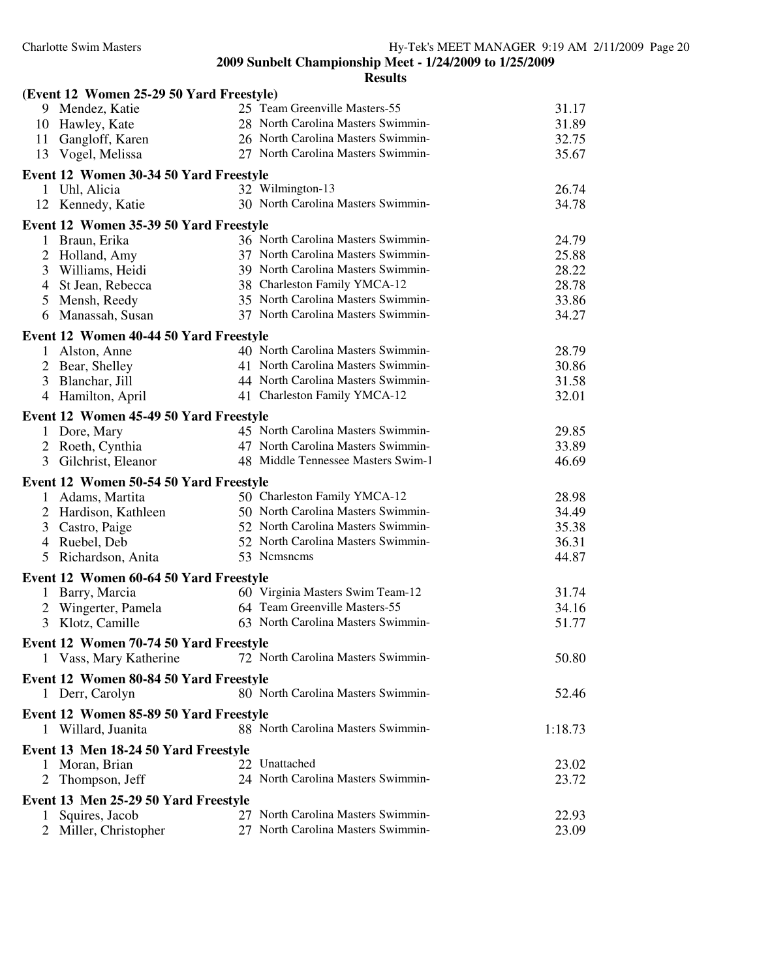| (Event 12 Women 25-29 50 Yard Freestyle)                  |                                    |         |
|-----------------------------------------------------------|------------------------------------|---------|
| 9 Mendez, Katie                                           | 25 Team Greenville Masters-55      | 31.17   |
| 10 Hawley, Kate                                           | 28 North Carolina Masters Swimmin- | 31.89   |
| 11 Gangloff, Karen                                        | 26 North Carolina Masters Swimmin- | 32.75   |
| 13 Vogel, Melissa                                         | 27 North Carolina Masters Swimmin- | 35.67   |
| Event 12 Women 30-34 50 Yard Freestyle                    |                                    |         |
| 1 Uhl, Alicia                                             | 32 Wilmington-13                   | 26.74   |
| 12 Kennedy, Katie                                         | 30 North Carolina Masters Swimmin- | 34.78   |
| Event 12 Women 35-39 50 Yard Freestyle                    |                                    |         |
| 1 Braun, Erika                                            | 36 North Carolina Masters Swimmin- | 24.79   |
| 2 Holland, Amy                                            | 37 North Carolina Masters Swimmin- | 25.88   |
| 3 Williams, Heidi                                         | 39 North Carolina Masters Swimmin- | 28.22   |
| 4 St Jean, Rebecca                                        | 38 Charleston Family YMCA-12       | 28.78   |
| 5 Mensh, Reedy                                            | 35 North Carolina Masters Swimmin- | 33.86   |
| 6 Manassah, Susan                                         | 37 North Carolina Masters Swimmin- | 34.27   |
| Event 12 Women 40-44 50 Yard Freestyle                    |                                    |         |
| 1 Alston, Anne                                            | 40 North Carolina Masters Swimmin- | 28.79   |
| 2 Bear, Shelley                                           | 41 North Carolina Masters Swimmin- | 30.86   |
| 3 Blanchar, Jill                                          | 44 North Carolina Masters Swimmin- | 31.58   |
| 4 Hamilton, April                                         | 41 Charleston Family YMCA-12       | 32.01   |
| Event 12 Women 45-49 50 Yard Freestyle                    |                                    |         |
| 1 Dore, Mary                                              | 45 North Carolina Masters Swimmin- | 29.85   |
| 2 Roeth, Cynthia                                          | 47 North Carolina Masters Swimmin- | 33.89   |
| Gilchrist, Eleanor<br>3                                   | 48 Middle Tennessee Masters Swim-1 | 46.69   |
| Event 12 Women 50-54 50 Yard Freestyle                    |                                    |         |
| Adams, Martita<br>$\mathbf{1}$                            | 50 Charleston Family YMCA-12       | 28.98   |
| 2 Hardison, Kathleen                                      | 50 North Carolina Masters Swimmin- | 34.49   |
| 3 Castro, Paige                                           | 52 North Carolina Masters Swimmin- | 35.38   |
| 4 Ruebel, Deb                                             | 52 North Carolina Masters Swimmin- | 36.31   |
| Richardson, Anita<br>5                                    | 53 Nemsnems                        | 44.87   |
|                                                           |                                    |         |
| Event 12 Women 60-64 50 Yard Freestyle<br>1 Barry, Marcia | 60 Virginia Masters Swim Team-12   | 31.74   |
| 2 Wingerter, Pamela                                       | 64 Team Greenville Masters-55      | 34.16   |
| Klotz, Camille<br>3                                       | 63 North Carolina Masters Swimmin- | 51.77   |
|                                                           |                                    |         |
| Event 12 Women 70-74 50 Yard Freestyle                    |                                    |         |
| Vass, Mary Katherine                                      | 72 North Carolina Masters Swimmin- | 50.80   |
| Event 12 Women 80-84 50 Yard Freestyle                    |                                    |         |
| 1 Derr, Carolyn                                           | 80 North Carolina Masters Swimmin- | 52.46   |
| Event 12 Women 85-89 50 Yard Freestyle                    |                                    |         |
| 1 Willard, Juanita                                        | 88 North Carolina Masters Swimmin- | 1:18.73 |
| Event 13 Men 18-24 50 Yard Freestyle                      |                                    |         |
| Moran, Brian<br>1                                         | 22 Unattached                      | 23.02   |
| Thompson, Jeff<br>2                                       | 24 North Carolina Masters Swimmin- | 23.72   |
| Event 13 Men 25-29 50 Yard Freestyle                      |                                    |         |
| Squires, Jacob                                            | 27 North Carolina Masters Swimmin- | 22.93   |
| Miller, Christopher<br>2                                  | 27 North Carolina Masters Swimmin- | 23.09   |
|                                                           |                                    |         |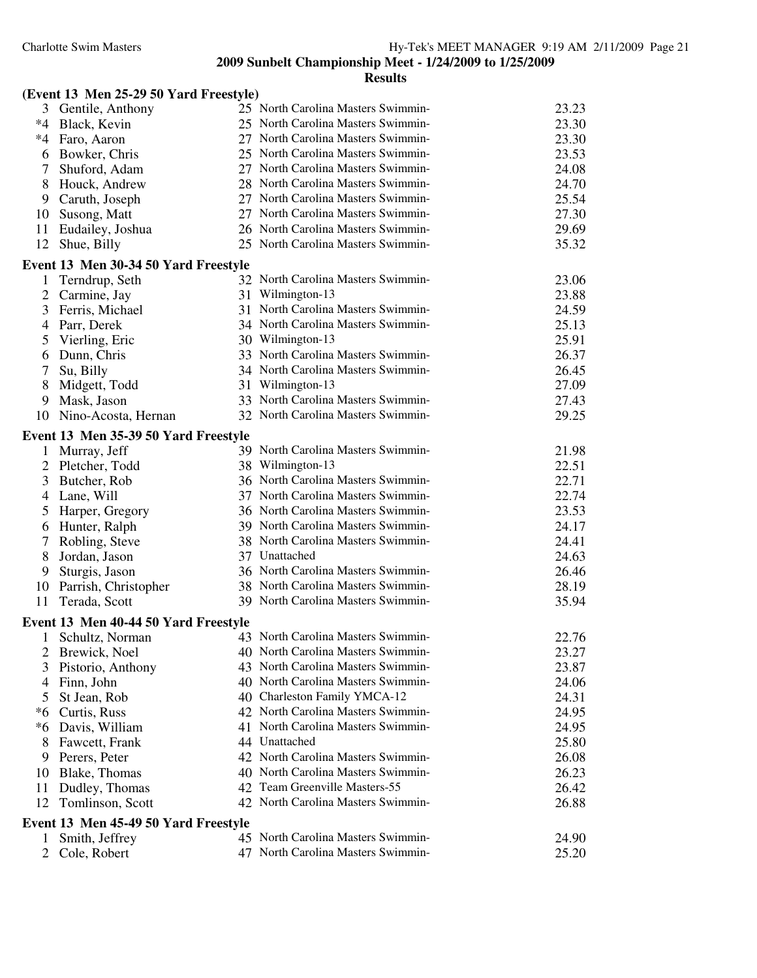| (Event 13 Men 25-29 50 Yard Freestyle) |  |  |  |  |  |  |
|----------------------------------------|--|--|--|--|--|--|
|----------------------------------------|--|--|--|--|--|--|

| 3        | Gentile, Anthony                     | 25 North Carolina Masters Swimmin-                                       | 23.23 |
|----------|--------------------------------------|--------------------------------------------------------------------------|-------|
| $*4$     | Black, Kevin                         | 25 North Carolina Masters Swimmin-                                       | 23.30 |
| $*4$     | Faro, Aaron                          | 27 North Carolina Masters Swimmin-                                       | 23.30 |
| 6        | Bowker, Chris                        | 25 North Carolina Masters Swimmin-                                       | 23.53 |
| 7        | Shuford, Adam                        | 27 North Carolina Masters Swimmin-                                       | 24.08 |
| 8        | Houck, Andrew                        | 28 North Carolina Masters Swimmin-                                       | 24.70 |
| 9        | Caruth, Joseph                       | 27 North Carolina Masters Swimmin-                                       | 25.54 |
| 10       | Susong, Matt                         | 27 North Carolina Masters Swimmin-                                       | 27.30 |
| 11       | Eudailey, Joshua                     | 26 North Carolina Masters Swimmin-                                       | 29.69 |
| 12       | Shue, Billy                          | 25 North Carolina Masters Swimmin-                                       | 35.32 |
|          | Event 13 Men 30-34 50 Yard Freestyle |                                                                          |       |
| $\bf{l}$ | Terndrup, Seth                       | 32 North Carolina Masters Swimmin-                                       | 23.06 |
| 2        | Carmine, Jay                         | 31 Wilmington-13                                                         | 23.88 |
| 3        | Ferris, Michael                      | 31 North Carolina Masters Swimmin-                                       | 24.59 |
| 4        | Parr, Derek                          | 34 North Carolina Masters Swimmin-                                       | 25.13 |
| 5        | Vierling, Eric                       | 30 Wilmington-13                                                         | 25.91 |
| 6        | Dunn, Chris                          | 33 North Carolina Masters Swimmin-                                       | 26.37 |
| 7        | Su, Billy                            | 34 North Carolina Masters Swimmin-                                       | 26.45 |
| 8        | Midgett, Todd                        | 31 Wilmington-13                                                         | 27.09 |
| 9        | Mask, Jason                          | 33 North Carolina Masters Swimmin-                                       | 27.43 |
| 10       | Nino-Acosta, Hernan                  | 32 North Carolina Masters Swimmin-                                       | 29.25 |
|          | Event 13 Men 35-39 50 Yard Freestyle |                                                                          |       |
|          | 1 Murray, Jeff                       | 39 North Carolina Masters Swimmin-                                       | 21.98 |
| 2        | Pletcher, Todd                       | 38 Wilmington-13                                                         | 22.51 |
| 3        | Butcher, Rob                         | 36 North Carolina Masters Swimmin-                                       | 22.71 |
| 4        | Lane, Will                           | 37 North Carolina Masters Swimmin-                                       | 22.74 |
| 5        | Harper, Gregory                      | 36 North Carolina Masters Swimmin-                                       | 23.53 |
| 6        | Hunter, Ralph                        | 39 North Carolina Masters Swimmin-                                       | 24.17 |
| 7        | Robling, Steve                       | 38 North Carolina Masters Swimmin-                                       | 24.41 |
| 8        | Jordan, Jason                        | 37 Unattached                                                            | 24.63 |
| 9        | Sturgis, Jason                       | 36 North Carolina Masters Swimmin-                                       | 26.46 |
| 10       | Parrish, Christopher                 | 38 North Carolina Masters Swimmin-                                       | 28.19 |
| 11       | Terada, Scott                        | 39 North Carolina Masters Swimmin-                                       | 35.94 |
|          | Event 13 Men 40-44 50 Yard Freestyle |                                                                          |       |
| 1        | Schultz, Norman                      | 43 North Carolina Masters Swimmin-                                       | 22.76 |
|          | 2 Brewick, Noel                      | 40 North Carolina Masters Swimmin-                                       | 23.27 |
| 3        | Pistorio, Anthony                    | 43 North Carolina Masters Swimmin-                                       | 23.87 |
| 4        | Finn, John                           | 40 North Carolina Masters Swimmin-                                       | 24.06 |
| 5        | St Jean, Rob                         | 40 Charleston Family YMCA-12                                             | 24.31 |
|          | *6 Curtis, Russ                      | 42 North Carolina Masters Swimmin-                                       | 24.95 |
| *6       | Davis, William                       | 41 North Carolina Masters Swimmin-                                       | 24.95 |
| 8        | Fawcett, Frank                       | 44 Unattached                                                            | 25.80 |
| 9        | Perers, Peter                        | 42 North Carolina Masters Swimmin-<br>40 North Carolina Masters Swimmin- | 26.08 |
| 10       | Blake, Thomas                        |                                                                          | 26.23 |
| 11       | Dudley, Thomas                       | 42 Team Greenville Masters-55                                            | 26.42 |
| 12       | Tomlinson, Scott                     | 42 North Carolina Masters Swimmin-                                       | 26.88 |
|          | Event 13 Men 45-49 50 Yard Freestyle |                                                                          |       |
| 1        | Smith, Jeffrey                       | 45 North Carolina Masters Swimmin-                                       | 24.90 |
| 2        | Cole, Robert                         | 47 North Carolina Masters Swimmin-                                       | 25.20 |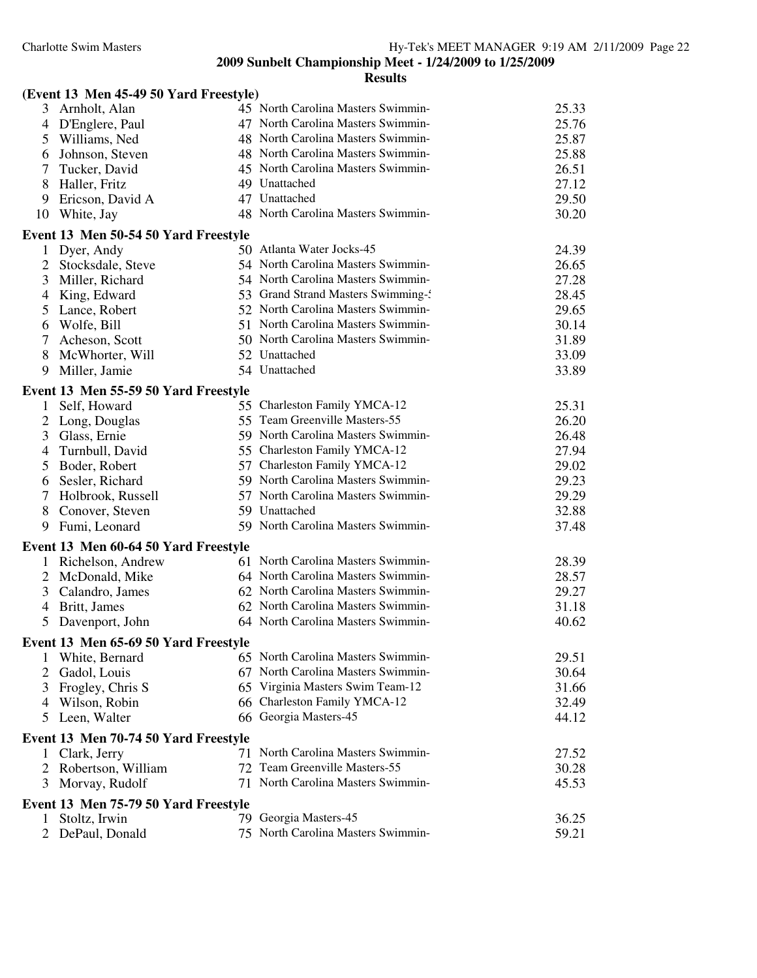|                                     | (Event 13 Men 45-49 50 Yard Freestyle) |                                    |       |
|-------------------------------------|----------------------------------------|------------------------------------|-------|
| 3 Arnholt, Alan                     |                                        | 45 North Carolina Masters Swimmin- | 25.33 |
| D'Englere, Paul<br>4                |                                        | 47 North Carolina Masters Swimmin- | 25.76 |
| 5<br>Williams, Ned                  |                                        | 48 North Carolina Masters Swimmin- | 25.87 |
| 6<br>Johnson, Steven                |                                        | 48 North Carolina Masters Swimmin- | 25.88 |
| 7<br>Tucker, David                  |                                        | 45 North Carolina Masters Swimmin- | 26.51 |
| 8<br>Haller, Fritz                  |                                        | 49 Unattached                      | 27.12 |
| Ericson, David A<br>9               |                                        | 47 Unattached                      | 29.50 |
| White, Jay<br>10                    |                                        | 48 North Carolina Masters Swimmin- | 30.20 |
|                                     | Event 13 Men 50-54 50 Yard Freestyle   |                                    |       |
| 1<br>Dyer, Andy                     |                                        | 50 Atlanta Water Jocks-45          | 24.39 |
| $\overline{2}$<br>Stocksdale, Steve |                                        | 54 North Carolina Masters Swimmin- | 26.65 |
| 3<br>Miller, Richard                |                                        | 54 North Carolina Masters Swimmin- | 27.28 |
| King, Edward<br>$\overline{4}$      |                                        | 53 Grand Strand Masters Swimming-  | 28.45 |
| 5<br>Lance, Robert                  |                                        | 52 North Carolina Masters Swimmin- | 29.65 |
| Wolfe, Bill<br>6                    |                                        | 51 North Carolina Masters Swimmin- | 30.14 |
| $\tau$<br>Acheson, Scott            |                                        | 50 North Carolina Masters Swimmin- | 31.89 |
| 8<br>McWhorter, Will                |                                        | 52 Unattached                      | 33.09 |
| 9<br>Miller, Jamie                  |                                        | 54 Unattached                      | 33.89 |
|                                     | Event 13 Men 55-59 50 Yard Freestyle   |                                    |       |
| 1 Self, Howard                      |                                        | 55 Charleston Family YMCA-12       | 25.31 |
| 2<br>Long, Douglas                  |                                        | 55 Team Greenville Masters-55      | 26.20 |
| 3<br>Glass, Ernie                   |                                        | 59 North Carolina Masters Swimmin- | 26.48 |
| Turnbull, David<br>4                |                                        | 55 Charleston Family YMCA-12       | 27.94 |
| 5<br>Boder, Robert                  |                                        | 57 Charleston Family YMCA-12       | 29.02 |
| Sesler, Richard<br>6                |                                        | 59 North Carolina Masters Swimmin- | 29.23 |
| 7<br>Holbrook, Russell              |                                        | 57 North Carolina Masters Swimmin- | 29.29 |
| 8<br>Conover, Steven                |                                        | 59 Unattached                      | 32.88 |
| 9<br>Fumi, Leonard                  |                                        | 59 North Carolina Masters Swimmin- | 37.48 |
|                                     | Event 13 Men 60-64 50 Yard Freestyle   |                                    |       |
| 1                                   | Richelson, Andrew                      | 61 North Carolina Masters Swimmin- | 28.39 |
| 2<br>McDonald, Mike                 |                                        | 64 North Carolina Masters Swimmin- | 28.57 |
| Calandro, James<br>3                |                                        | 62 North Carolina Masters Swimmin- | 29.27 |
| 4<br>Britt, James                   |                                        | 62 North Carolina Masters Swimmin- | 31.18 |
| Davenport, John<br>5                |                                        | 64 North Carolina Masters Swimmin- | 40.62 |
|                                     | Event 13 Men 65-69 50 Yard Freestyle   |                                    |       |
| White, Bernard<br>1                 |                                        | 65 North Carolina Masters Swimmin- | 29.51 |
| 2<br>Gadol, Louis                   |                                        | 67 North Carolina Masters Swimmin- | 30.64 |
| 3<br>Frogley, Chris S               |                                        | 65 Virginia Masters Swim Team-12   | 31.66 |
| Wilson, Robin<br>4                  |                                        | 66 Charleston Family YMCA-12       | 32.49 |
| Leen, Walter<br>5                   |                                        | 66 Georgia Masters-45              | 44.12 |
|                                     |                                        |                                    |       |
| Clark, Jerry<br>$\mathbf{1}$        | Event 13 Men 70-74 50 Yard Freestyle   | 71 North Carolina Masters Swimmin- | 27.52 |
| 2                                   | Robertson, William                     | 72 Team Greenville Masters-55      | 30.28 |
| Morvay, Rudolf<br>3                 |                                        | 71 North Carolina Masters Swimmin- | 45.53 |
|                                     |                                        |                                    |       |
|                                     | Event 13 Men 75-79 50 Yard Freestyle   |                                    |       |
| Stoltz, Irwin<br>T.                 |                                        | 79 Georgia Masters-45              | 36.25 |
| DePaul, Donald<br>2                 |                                        | 75 North Carolina Masters Swimmin- | 59.21 |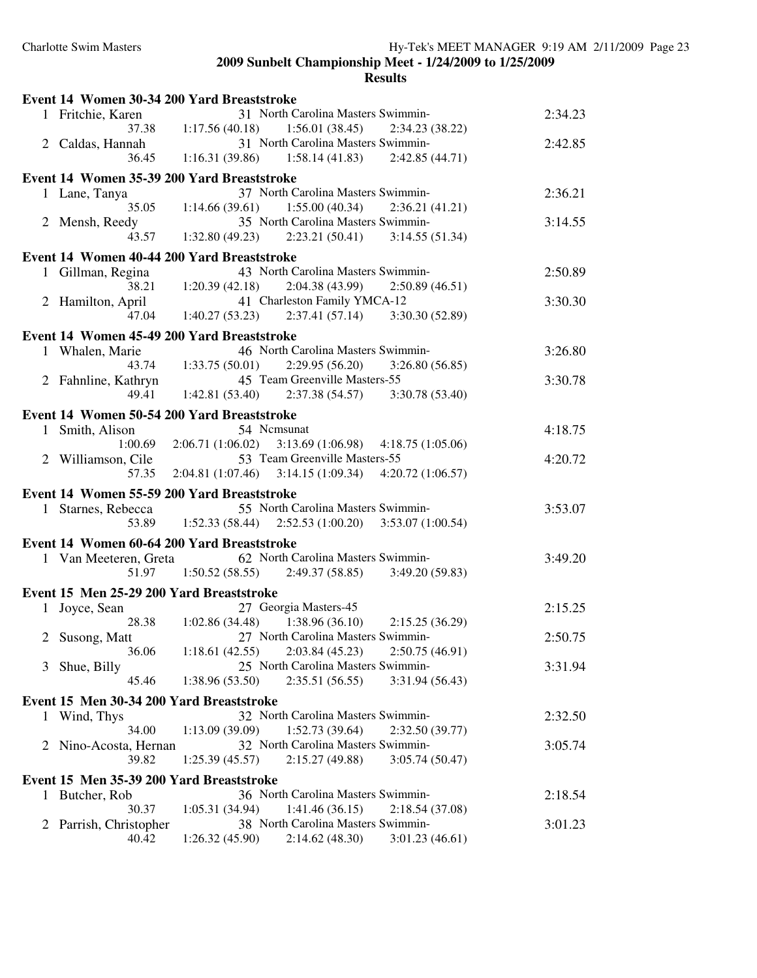|              |                                          | Event 14 Women 30-34 200 Yard Breaststroke                |         |
|--------------|------------------------------------------|-----------------------------------------------------------|---------|
|              | 1 Fritchie, Karen                        | 31 North Carolina Masters Swimmin-                        | 2:34.23 |
|              | 37.38                                    | $1:17.56(40.18)$ $1:56.01(38.45)$<br>2:34.23 (38.22)      |         |
|              | 2 Caldas, Hannah                         | 31 North Carolina Masters Swimmin-                        | 2:42.85 |
|              | 36.45                                    | $1:16.31(39.86)$ $1:58.14(41.83)$ $2:42.85(44.71)$        |         |
|              |                                          | Event 14 Women 35-39 200 Yard Breaststroke                |         |
|              |                                          | 37 North Carolina Masters Swimmin-                        | 2:36.21 |
|              | 1 Lane, Tanya<br>35.05                   | $1:14.66(39.61)$ $1:55.00(40.34)$                         |         |
|              |                                          | 2:36.21(41.21)<br>35 North Carolina Masters Swimmin-      |         |
|              | 2 Mensh, Reedy                           |                                                           | 3:14.55 |
|              | 43.57                                    | $1:32.80(49.23)$ $2:23.21(50.41)$ $3:14.55(51.34)$        |         |
|              |                                          | Event 14 Women 40-44 200 Yard Breaststroke                |         |
|              | 1 Gillman, Regina                        | 43 North Carolina Masters Swimmin-                        | 2:50.89 |
|              | 38.21                                    | 1:20.39(42.18)<br>2:04.38 (43.99)<br>2:50.89(46.51)       |         |
| 2            | Hamilton, April                          | 41 Charleston Family YMCA-12                              | 3:30.30 |
|              | 47.04                                    | $1:40.27(53.23)$ $2:37.41(57.14)$ $3:30.30(52.89)$        |         |
|              |                                          | Event 14 Women 45-49 200 Yard Breaststroke                |         |
|              | 1 Whalen, Marie                          | 46 North Carolina Masters Swimmin-                        | 3:26.80 |
|              | 43.74                                    | 1:33.75(50.01)<br>2:29.95(56.20)<br>3:26.80(56.85)        |         |
|              | 2 Fahnline, Kathryn                      | 45 Team Greenville Masters-55                             | 3:30.78 |
|              | 49.41                                    | $1:42.81(53.40)$ $2:37.38(54.57)$ $3:30.78(53.40)$        |         |
|              |                                          |                                                           |         |
|              |                                          | Event 14 Women 50-54 200 Yard Breaststroke                |         |
|              | 1 Smith, Alison                          | 54 Nemsunat                                               | 4:18.75 |
|              | 1:00.69                                  | 2:06.71(1:06.02)<br>3:13.69(1:06.98)<br>4:18.75(1:05.06)  |         |
|              | 2 Williamson, Cile                       | 53 Team Greenville Masters-55                             | 4:20.72 |
|              | 57.35                                    | $2:04.81(1:07.46)$ $3:14.15(1:09.34)$<br>4:20.72(1:06.57) |         |
|              |                                          | Event 14 Women 55-59 200 Yard Breaststroke                |         |
|              | 1 Starnes, Rebecca                       | 55 North Carolina Masters Swimmin-                        | 3:53.07 |
|              | 53.89                                    | $1:52.33(58.44)$ $2:52.53(1:00.20)$<br>3:53.07(1:00.54)   |         |
|              |                                          | Event 14 Women 60-64 200 Yard Breaststroke                |         |
|              |                                          | 62 North Carolina Masters Swimmin-                        |         |
|              | 1 Van Meeteren, Greta<br>51.97           | $1:50.52(58.55)$ $2:49.37(58.85)$<br>3:49.20(59.83)       | 3:49.20 |
|              |                                          |                                                           |         |
|              | Event 15 Men 25-29 200 Yard Breaststroke |                                                           |         |
|              | 1 Joyce, Sean                            | 27 Georgia Masters-45                                     | 2:15.25 |
|              | 28.38                                    | 1:38.96(36.10)<br>1:02.86(34.48)<br>2:15.25(36.29)        |         |
|              | 2 Susong, Matt                           | 27 North Carolina Masters Swimmin-                        | 2:50.75 |
|              | 36.06                                    | 1:18.61(42.55)<br>2:03.84(45.23)<br>2:50.75(46.91)        |         |
| 3            | Shue, Billy                              | 25 North Carolina Masters Swimmin-                        | 3:31.94 |
|              | 45.46                                    | 1:38.96 (53.50)<br>2:35.51(56.55)<br>3:31.94 (56.43)      |         |
|              | Event 15 Men 30-34 200 Yard Breaststroke |                                                           |         |
|              | 1 Wind, Thys                             | 32 North Carolina Masters Swimmin-                        | 2:32.50 |
|              | 34.00                                    | 1:52.73(39.64)<br>2:32.50(39.77)<br>1:13.09(39.09)        |         |
| 2            | Nino-Acosta, Hernan                      | 32 North Carolina Masters Swimmin-                        | 3:05.74 |
|              | 39.82                                    | 2:15.27 (49.88)<br>3:05.74(50.47)<br>1:25.39(45.57)       |         |
|              |                                          |                                                           |         |
|              | Event 15 Men 35-39 200 Yard Breaststroke |                                                           |         |
| 1            | Butcher, Rob                             | 36 North Carolina Masters Swimmin-                        | 2:18.54 |
|              | 30.37                                    | 1:05.31(34.94)<br>1:41.46(36.15)<br>2:18.54(37.08)        |         |
| $\mathbf{2}$ | Parrish, Christopher                     | 38 North Carolina Masters Swimmin-                        | 3:01.23 |
|              | 40.42                                    | 2:14.62(48.30)<br>1:26.32(45.90)<br>3:01.23(46.61)        |         |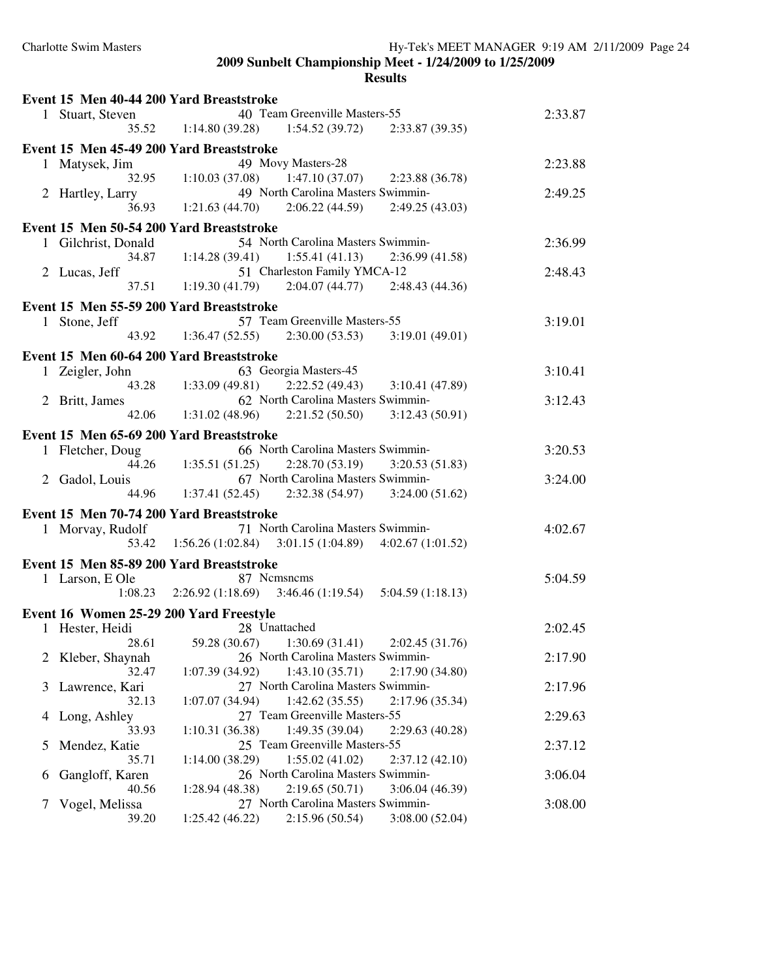|               |                     | Event 15 Men 40-44 200 Yard Breaststroke                   |                  |
|---------------|---------------------|------------------------------------------------------------|------------------|
|               | 1 Stuart, Steven    | 40 Team Greenville Masters-55                              | 2:33.87          |
|               |                     | $35.52 \t1:14.80(39.28) \t1:54.52(39.72)$                  | 2:33.87 (39.35)  |
|               |                     | Event 15 Men 45-49 200 Yard Breaststroke                   |                  |
|               | 1 Matysek, Jim      | 49 Movy Masters-28                                         | 2:23.88          |
|               | 32.95               | 1:10.03(37.08)<br>1:47.10(37.07)                           | 2:23.88 (36.78)  |
|               | 2 Hartley, Larry    | 49 North Carolina Masters Swimmin-                         | 2:49.25          |
|               | 36.93               | $1:21.63(44.70)$ $2:06.22(44.59)$                          | 2:49.25(43.03)   |
|               |                     | Event 15 Men 50-54 200 Yard Breaststroke                   |                  |
|               | 1 Gilchrist, Donald | 54 North Carolina Masters Swimmin-                         | 2:36.99          |
|               |                     | 34.87 1:14.28 (39.41) 1:55.41 (41.13) 2:36.99 (41.58)      |                  |
|               | 2 Lucas, Jeff       | 51 Charleston Family YMCA-12                               | 2:48.43          |
|               | 37.51               | 1:19.30 (41.79) $2:04.07(44.77)$ $2:48.43(44.36)$          |                  |
|               |                     |                                                            |                  |
|               |                     | Event 15 Men 55-59 200 Yard Breaststroke                   |                  |
|               | 1 Stone, Jeff       | 57 Team Greenville Masters-55                              | 3:19.01          |
|               | 43.92               | $1:36.47(52.55)$ $2:30.00(53.53)$ $3:19.01(49.01)$         |                  |
|               |                     | Event 15 Men 60-64 200 Yard Breaststroke                   |                  |
|               | 1 Zeigler, John     | 63 Georgia Masters-45                                      | 3:10.41          |
|               | 43.28               | $1:33.09(49.81)$ $2:22.52(49.43)$                          | 3:10.41 (47.89)  |
|               | 2 Britt, James      | 62 North Carolina Masters Swimmin-                         | 3:12.43          |
|               | 42.06               | $1:31.02(48.96)$ $2:21.52(50.50)$ $3:12.43(50.91)$         |                  |
|               |                     |                                                            |                  |
|               |                     | Event 15 Men 65-69 200 Yard Breaststroke                   |                  |
|               | 1 Fletcher, Doug    | 66 North Carolina Masters Swimmin-                         | 3:20.53          |
|               |                     | 44.26 1:35.51 (51.25)<br>$2:28.70(53.19)$ $3:20.53(51.83)$ |                  |
|               | 2 Gadol, Louis      | 67 North Carolina Masters Swimmin-                         | 3:24.00          |
|               | 44.96               | $1:37.41(52.45)$ $2:32.38(54.97)$ $3:24.00(51.62)$         |                  |
|               |                     | Event 15 Men 70-74 200 Yard Breaststroke                   |                  |
|               | 1 Morvay, Rudolf    | 71 North Carolina Masters Swimmin-                         | 4:02.67          |
|               | 53.42               | $1:56.26(1:02.84)$ $3:01.15(1:04.89)$                      | 4:02.67(1:01.52) |
|               |                     | Event 15 Men 85-89 200 Yard Breaststroke                   |                  |
|               | 1 Larson, E Ole     | 87 Nemsnems                                                | 5:04.59          |
|               |                     | $1:08.23$ $2:26.92$ $(1:18.69)$ $3:46.46$ $(1:19.54)$      | 5:04.59(1:18.13) |
|               |                     |                                                            |                  |
|               |                     | Event 16 Women 25-29 200 Yard Freestyle                    |                  |
|               | 1 Hester, Heidi     | 28 Unattached                                              | 2:02.45          |
|               |                     | 28.61 59.28 (30.67) 1:30.69 (31.41) 2:02.45 (31.76)        |                  |
| $\mathbb{Z}$  | Kleber, Shaynah     | 26 North Carolina Masters Swimmin-                         | 2:17.90          |
|               | 32.47               | 1:43.10(35.71)<br>1:07.39(34.92)                           | 2:17.90(34.80)   |
| 3             | Lawrence, Kari      | 27 North Carolina Masters Swimmin-                         | 2:17.96          |
|               | 32.13               | 1:42.62(35.55)<br>1:07.07(34.94)                           | 2:17.96 (35.34)  |
| 4             | Long, Ashley        | 27 Team Greenville Masters-55                              | 2:29.63          |
|               | 33.93               | 1:49.35 (39.04)<br>1:10.31(36.38)                          | 2:29.63(40.28)   |
| C.            | Mendez, Katie       | 25 Team Greenville Masters-55                              | 2:37.12          |
|               | 35.71               | 1:55.02(41.02)<br>1:14.00(38.29)                           | 2:37.12(42.10)   |
| b             | Gangloff, Karen     | 26 North Carolina Masters Swimmin-                         | 3:06.04          |
|               | 40.56               | 2:19.65(50.71)<br>1:28.94 (48.38)                          | 3:06.04 (46.39)  |
| $\frac{1}{2}$ | Vogel, Melissa      | 27 North Carolina Masters Swimmin-                         | 3:08.00          |
|               | 39.20               | 2:15.96(50.54)<br>1:25.42(46.22)                           | 3:08.00(52.04)   |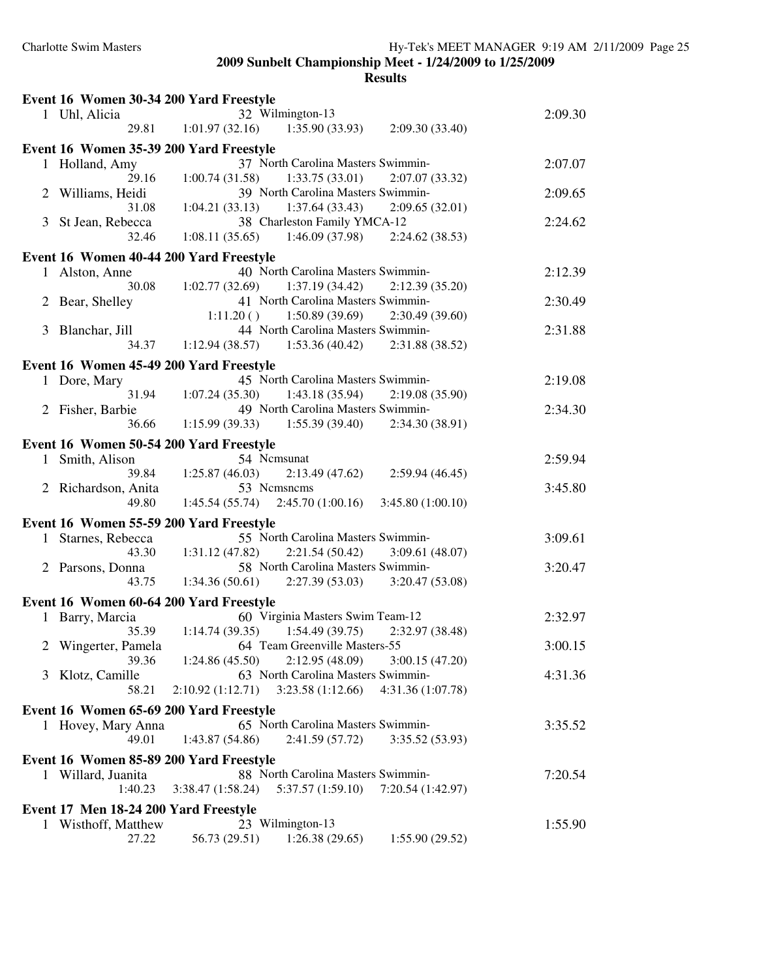|              | Event 16 Women 30-34 200 Yard Freestyle |                                                           |         |
|--------------|-----------------------------------------|-----------------------------------------------------------|---------|
|              | 1 Uhl, Alicia                           | 32 Wilmington-13                                          | 2:09.30 |
|              | 29.81                                   | 1:01.97(32.16)<br>1:35.90(33.93)<br>2:09.30(33.40)        |         |
|              | Event 16 Women 35-39 200 Yard Freestyle |                                                           |         |
|              | 1 Holland, Amy                          | 37 North Carolina Masters Swimmin-                        | 2:07.07 |
|              | 29.16                                   | 1:33.75(33.01)<br>1:00.74(31.58)<br>2:07.07(33.32)        |         |
| 2            | Williams, Heidi                         | 39 North Carolina Masters Swimmin-                        | 2:09.65 |
|              | 31.08                                   | 1:37.64(33.43)<br>1:04.21(33.13)<br>2:09.65(32.01)        |         |
| 3            | St Jean, Rebecca                        | 38 Charleston Family YMCA-12                              | 2:24.62 |
|              | 32.46                                   | 1:46.09 (37.98)<br>1:08.11(35.65)<br>2:24.62(38.53)       |         |
|              | Event 16 Women 40-44 200 Yard Freestyle |                                                           |         |
| $\mathbf{1}$ | Alston, Anne                            | 40 North Carolina Masters Swimmin-                        | 2:12.39 |
|              | 30.08                                   | $1:02.77(32.69)$ $1:37.19(34.42)$<br>2:12.39(35.20)       |         |
| 2            | Bear, Shelley                           | 41 North Carolina Masters Swimmin-                        | 2:30.49 |
|              |                                         | $1:11.20()$ $1:50.89(39.69)$<br>2:30.49(39.60)            |         |
| 3            | Blanchar, Jill                          | 44 North Carolina Masters Swimmin-                        | 2:31.88 |
|              | 34.37                                   | $1:12.94(38.57)$ $1:53.36(40.42)$<br>2:31.88 (38.52)      |         |
|              |                                         |                                                           |         |
|              | Event 16 Women 45-49 200 Yard Freestyle |                                                           |         |
|              | 1 Dore, Mary                            | 45 North Carolina Masters Swimmin-                        | 2:19.08 |
|              | 31.94                                   | 1:43.18(35.94)<br>1:07.24(35.30)<br>2:19.08(35.90)        |         |
|              | 2 Fisher, Barbie                        | 49 North Carolina Masters Swimmin-                        | 2:34.30 |
|              | 36.66                                   | 1:15.99(39.33)<br>1:55.39(39.40)<br>2:34.30 (38.91)       |         |
|              | Event 16 Women 50-54 200 Yard Freestyle |                                                           |         |
| 1            | Smith, Alison                           | 54 Nemsunat                                               | 2:59.94 |
|              | 39.84                                   | 1:25.87(46.03)<br>2:13.49(47.62)<br>2:59.94(46.45)        |         |
|              | 2 Richardson, Anita                     | 53 Nemsnems                                               | 3:45.80 |
|              | 49.80                                   | $1:45.54(55.74)$ $2:45.70(1:00.16)$<br>3:45.80(1:00.10)   |         |
|              | Event 16 Women 55-59 200 Yard Freestyle |                                                           |         |
| 1            | Starnes, Rebecca                        | 55 North Carolina Masters Swimmin-                        | 3:09.61 |
|              | 43.30                                   | $1:31.12(47.82)$ $2:21.54(50.42)$<br>3:09.61(48.07)       |         |
|              | 2 Parsons, Donna                        | 58 North Carolina Masters Swimmin-                        | 3:20.47 |
|              | 43.75                                   | $1:34.36(50.61)$ $2:27.39(53.03)$ $3:20.47(53.08)$        |         |
|              |                                         |                                                           |         |
|              | Event 16 Women 60-64 200 Yard Freestyle |                                                           |         |
|              | 1 Barry, Marcia                         | 60 Virginia Masters Swim Team-12                          | 2:32.97 |
|              | 35.39                                   | $1:14.74(39.35)$ $1:54.49(39.75)$<br>2:32.97 (38.48)      |         |
|              | 2 Wingerter, Pamela                     | 64 Team Greenville Masters-55                             | 3:00.15 |
|              | 39.36                                   | $1:24.86(45.50)$ $2:12.95(48.09)$<br>3:00.15(47.20)       |         |
| 3            | Klotz, Camille                          | 63 North Carolina Masters Swimmin-                        | 4:31.36 |
|              | 58.21                                   | 3:23.58(1:12.66)<br>4:31.36 (1:07.78)<br>2:10.92(1:12.71) |         |
|              | Event 16 Women 65-69 200 Yard Freestyle |                                                           |         |
|              | 1 Hovey, Mary Anna                      | 65 North Carolina Masters Swimmin-                        | 3:35.52 |
|              | 49.01                                   | 1:43.87(54.86)<br>2:41.59(57.72)<br>3:35.52 (53.93)       |         |
|              | Event 16 Women 85-89 200 Yard Freestyle |                                                           |         |
|              | 1 Willard, Juanita                      | 88 North Carolina Masters Swimmin-                        | 7:20.54 |
|              | 1:40.23                                 | 3:38.47(1:58.24)<br>5:37.57(1:59.10)<br>7:20.54 (1:42.97) |         |
|              |                                         |                                                           |         |
|              | Event 17 Men 18-24 200 Yard Freestyle   |                                                           |         |
|              | 1 Wisthoff, Matthew                     | 23 Wilmington-13                                          | 1:55.90 |
|              | 27.22                                   | 1:26.38(29.65)<br>56.73 (29.51)<br>1:55.90(29.52)         |         |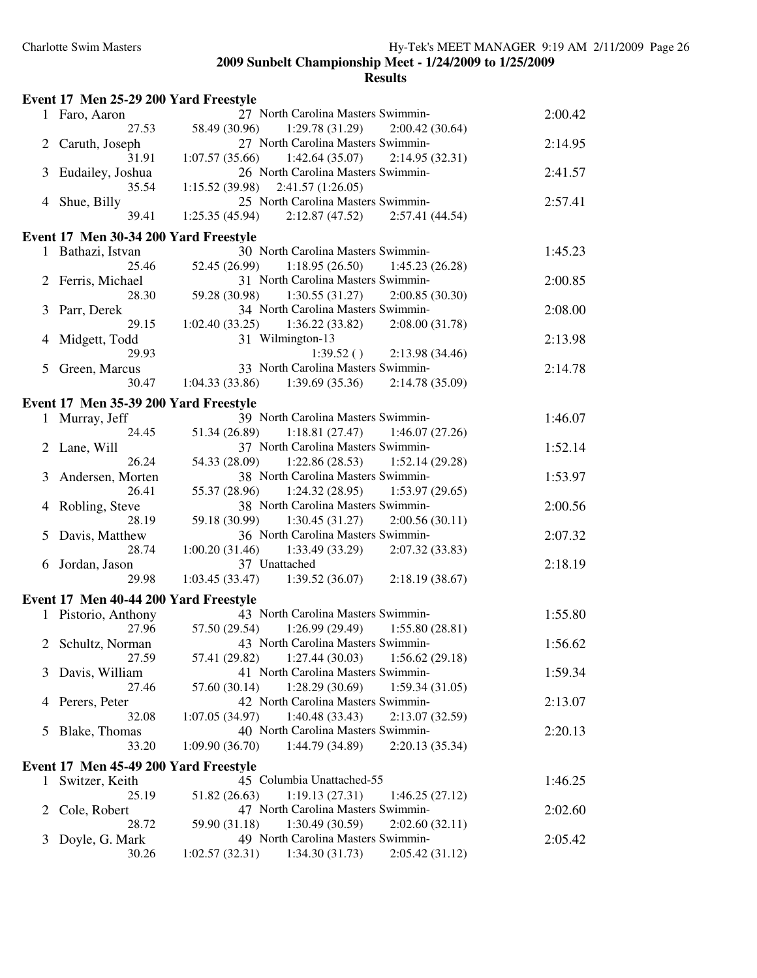#### **Event 17 Men 25-29 200 Yard Freestyle** 1 Faro, Aaron 27 North Carolina Masters Swimmin-13 2:00.42 1:29.78 (31.29) 2 Caruth, Joseph 27 North Carolina Masters Swimmin- 2:14.95 31.91 1:07.57 (35.66) 1:42.64 (35.07) 2:14.95 (32.31) 3 Eudailey, Joshua 26 North Carolina Masters Swimmin-<br>2:41.57 35.54 1:15.52 (39.98) 2:41.57 (1:26.05) 8 Shue, Billy 25 North Carolina Masters Swimmin-<br>39.41 1:25.35 (45.94) 2:12.87 (47.52) 2:57.41 (44.54)  $1:25.35(45.94)$   $2:12.87(47.52)$ **Event 17 Men 30-34 200 Yard Freestyle** 1 Bathazi, Istvan 30 North Carolina Masters Swimmin-<br>1:45.23 25.46 52.45 (26.99) 1:18.95 (26.50) 1:45.23 (26.28) 2 Ferris, Michael 31 North Carolina Masters Swimmin-<br>2:00.85 28.30 59.28 (30.98) 1:30.55 (31.27) 2:00.85 (30.30) 3 Parr, Derek 34 North Carolina Masters Swimmin-<br>2:08.00<br>2:08.00 2:08.00 2:08.00<br>2:08.00 29.15 1:02.40 (33.25) 1:36.22 (33.82) 2:08.00 (31.78) 4 Midgett, Todd 31 Wilmington-13 2:13.98 29.93 1:39.52 ( ) 2:13.98 (34.46) 5 Green, Marcus 33 North Carolina Masters Swimmin-<br>2:14.78 30.47 1:04.33 (33.86) 1:39.69 (35.36) 2:14.78 (35.09) **Event 17 Men 35-39 200 Yard Freestyle** 1 Murray, Jeff 39 North Carolina Masters Swimmin-<br>1:46.07 24.45 51.34 (26.89) 1:18.81 (27.47) 1:46.07 (27.26) 2 Lane, Will 37 North Carolina Masters Swimmin-<br>1:52.14 26.24 54.33 (28.09) 1:22.86 (28.53) 1:52.14 (29.28) 3 Andersen, Morten 38 North Carolina Masters Swimmin- 1:53.97 26.41 55.37 (28.96) 1:24.32 (28.95) 1:53.97 (29.65) 4 Robling, Steve 38 North Carolina Masters Swimmin-<br>2:00.56 28.19 59.18 (30.99) 1:30.45 (31.27) 2:00.56 (30.11) 5 Davis, Matthew 36 North Carolina Masters Swimmin-<br>2:07.32 28.74 1:00.20 (31.46) 1:33.49 (33.29) 2:07.32 (33.83) 6 Jordan, Jason 37 Unattached 2:18.19 29.98 1:03.45 (33.47) 1:39.52 (36.07) 2:18.19 (38.67) **Event 17 Men 40-44 200 Yard Freestyle** 1 Pistorio, Anthony 43 North Carolina Masters Swimmin-13 1:55.80 27.96 57.50 (29.54) 1:26.99 (29.49) 1:55.80 (28.81) 2 Schultz, Norman 43 North Carolina Masters Swimmin-<br>1:56.62 27.59 57.41 (29.82) 1:27.44 (30.03) 1:56.62 (29.18) 3 Davis, William 41 North Carolina Masters Swimmin- 1:59.34 27.46 57.60 (30.14) 1:28.29 (30.69) 1:59.34 (31.05) 4 Perers, Peter 42 North Carolina Masters Swimmin- 2:13.07 32.08 1:07.05 (34.97) 1:40.48 (33.43) 2:13.07 (32.59) 5 Blake, Thomas 40 North Carolina Masters Swimmin-<br>2:20.13 33.20 1:09.90 (36.70) 1:44.79 (34.89) 2:20.13 (35.34) **Event 17 Men 45-49 200 Yard Freestyle** 1 Switzer, Keith 45 Columbia Unattached-55 1:46.25 25.19 51.82 (26.63) 1:19.13 (27.31) 1:46.25 (27.12) 2 Cole, Robert 47 North Carolina Masters Swimmin- 2:02.60 28.72 59.90 (31.18) 1:30.49 (30.59) 2:02.60 (32.11) 3 Doyle, G. Mark 49 North Carolina Masters Swimmin-<br>2:05.42 30.26 1:02.57 (32.31) 1:34.30 (31.73) 2:05.42 (31.12)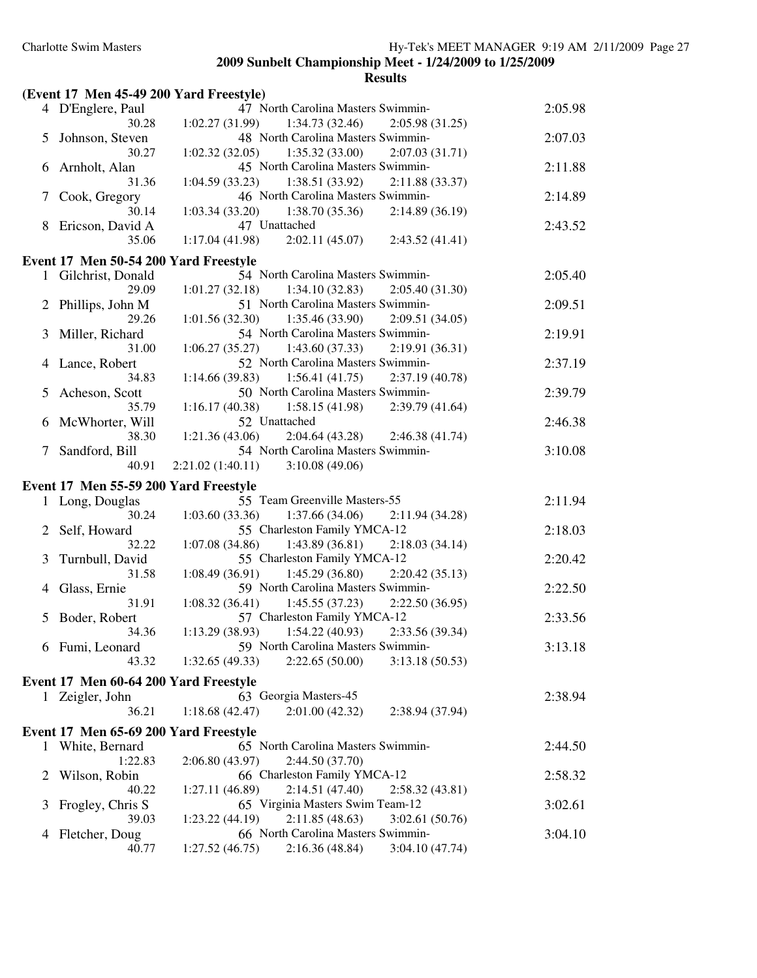|   | (Event 17 Men 45-49 200 Yard Freestyle) |                                                                                           |         |
|---|-----------------------------------------|-------------------------------------------------------------------------------------------|---------|
|   | 4 D'Englere, Paul                       | 47 North Carolina Masters Swimmin-                                                        | 2:05.98 |
|   | 30.28                                   | 1:02.27(31.99)<br>1:34.73(32.46)<br>2:05.98(31.25)                                        |         |
| 5 | Johnson, Steven                         | 48 North Carolina Masters Swimmin-                                                        | 2:07.03 |
|   | 30.27                                   | 1:35.32(33.00)<br>1:02.32(32.05)<br>2:07.03(31.71)                                        |         |
| 6 | Arnholt, Alan                           | 45 North Carolina Masters Swimmin-                                                        | 2:11.88 |
|   | 31.36                                   | 1:04.59(33.23)<br>1:38.51(33.92)<br>2:11.88(33.37)                                        |         |
| 7 | Cook, Gregory                           | 46 North Carolina Masters Swimmin-                                                        | 2:14.89 |
|   | 30.14                                   | 1:03.34(33.20)<br>1:38.70(35.36)<br>2:14.89(36.19)                                        |         |
| 8 | Ericson, David A                        | 47 Unattached                                                                             | 2:43.52 |
|   | 35.06                                   | 1:17.04(41.98)<br>2:02.11(45.07)<br>2:43.52(41.41)                                        |         |
|   | Event 17 Men 50-54 200 Yard Freestyle   |                                                                                           |         |
|   | 1 Gilchrist, Donald                     | 54 North Carolina Masters Swimmin-                                                        | 2:05.40 |
|   | 29.09                                   | 1:01.27(32.18)<br>1:34.10(32.83)<br>2:05.40(31.30)                                        |         |
|   | 2 Phillips, John M                      | 51 North Carolina Masters Swimmin-                                                        | 2:09.51 |
|   | 29.26                                   | 1:35.46(33.90)<br>1:01.56(32.30)<br>2:09.51(34.05)                                        |         |
| 3 | Miller, Richard                         | 54 North Carolina Masters Swimmin-                                                        | 2:19.91 |
|   | 31.00                                   | $1:06.27(35.27)$ $1:43.60(37.33)$<br>2:19.91(36.31)                                       |         |
| 4 | Lance, Robert                           | 52 North Carolina Masters Swimmin-                                                        | 2:37.19 |
|   | 34.83                                   | 1:14.66(39.83)<br>1:56.41(41.75)<br>2:37.19(40.78)                                        |         |
| 5 | Acheson, Scott                          | 50 North Carolina Masters Swimmin-                                                        | 2:39.79 |
|   | 35.79                                   | 1:58.15(41.98)<br>1:16.17(40.38)<br>2:39.79(41.64)                                        |         |
| 6 | McWhorter, Will                         | 52 Unattached                                                                             | 2:46.38 |
|   | 38.30                                   | 2:04.64(43.28)<br>1:21.36(43.06)<br>2:46.38(41.74)                                        |         |
| 7 | Sandford, Bill                          | 54 North Carolina Masters Swimmin-                                                        | 3:10.08 |
|   | 40.91                                   | $2:21.02(1:40.11)$ $3:10.08(49.06)$                                                       |         |
|   |                                         |                                                                                           |         |
|   |                                         |                                                                                           |         |
|   | Event 17 Men 55-59 200 Yard Freestyle   |                                                                                           |         |
|   | 1 Long, Douglas                         | 55 Team Greenville Masters-55                                                             | 2:11.94 |
|   | 30.24                                   | 1:03.60(33.36)<br>1:37.66 (34.06)<br>2:11.94 (34.28)                                      |         |
| 2 | Self, Howard                            | 55 Charleston Family YMCA-12                                                              | 2:18.03 |
|   | 32.22                                   | $1:07.08(34.86)$ $1:43.89(36.81)$<br>2:18.03(34.14)                                       |         |
| 3 | Turnbull, David                         | 55 Charleston Family YMCA-12                                                              | 2:20.42 |
|   | 31.58                                   | $1:08.49(36.91)$ $1:45.29(36.80)$<br>2:20.42(35.13)                                       |         |
| 4 | Glass, Ernie                            | 59 North Carolina Masters Swimmin-                                                        | 2:22.50 |
|   | 31.91                                   | $1:08.32(36.41)$ $1:45.55(37.23)$<br>2:22.50(36.95)                                       |         |
| 5 | Boder, Robert                           | 57 Charleston Family YMCA-12                                                              | 2:33.56 |
|   | 34.36                                   | 1:13.29(38.93)<br>1:54.22(40.93)<br>2:33.56 (39.34)                                       |         |
|   | 6 Fumi, Leonard                         | 59 North Carolina Masters Swimmin-                                                        | 3:13.18 |
|   | 43.32                                   | 1:32.65(49.33)<br>2:22.65(50.00)<br>3:13.18(50.53)                                        |         |
|   | Event 17 Men 60-64 200 Yard Freestyle   |                                                                                           |         |
|   | 1 Zeigler, John                         | 63 Georgia Masters-45                                                                     | 2:38.94 |
|   | 36.21                                   | 2:01.00(42.32)<br>1:18.68(42.47)<br>2:38.94 (37.94)                                       |         |
|   | Event 17 Men 65-69 200 Yard Freestyle   |                                                                                           |         |
| 1 | White, Bernard                          | 65 North Carolina Masters Swimmin-                                                        | 2:44.50 |
|   | 1:22.83                                 | 2:06.80 (43.97)<br>2:44.50 (37.70)                                                        |         |
| 2 | Wilson, Robin                           | 66 Charleston Family YMCA-12                                                              | 2:58.32 |
|   | 40.22                                   | 1:27.11 (46.89)<br>2:14.51(47.40)<br>2:58.32(43.81)                                       |         |
| 3 | Frogley, Chris S                        | 65 Virginia Masters Swim Team-12                                                          | 3:02.61 |
|   | 39.03                                   | 2:11.85(48.63)<br>1:23.22(44.19)<br>3:02.61(50.76)                                        |         |
| 4 | Fletcher, Doug<br>40.77                 | 66 North Carolina Masters Swimmin-<br>1:27.52(46.75)<br>2:16.36(48.84)<br>3:04.10 (47.74) | 3:04.10 |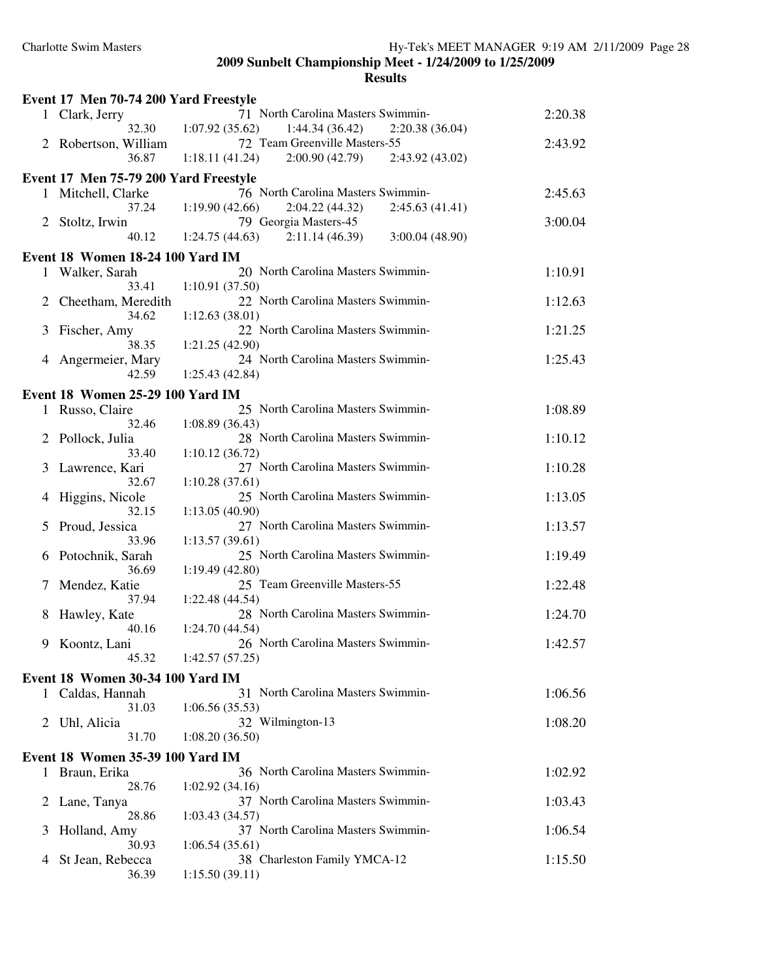|   | Event 17 Men 70-74 200 Yard Freestyle   |                                                                             |         |
|---|-----------------------------------------|-----------------------------------------------------------------------------|---------|
|   | 1 Clark, Jerry                          | 71 North Carolina Masters Swimmin-                                          | 2:20.38 |
|   | 32.30                                   | 1:07.92(35.62)<br>1:44.34(36.42)<br>2:20.38(36.04)                          |         |
| 2 | Robertson, William                      | 72 Team Greenville Masters-55                                               | 2:43.92 |
|   | 36.87                                   | $1:18.11(41.24)$ $2:00.90(42.79)$<br>2:43.92 (43.02)                        |         |
|   | Event 17 Men 75-79 200 Yard Freestyle   |                                                                             |         |
|   | 1 Mitchell, Clarke                      | 76 North Carolina Masters Swimmin-                                          | 2:45.63 |
| 2 | 37.24<br>Stoltz, Irwin                  | 2:04.22(44.32)<br>1:19.90(42.66)<br>2:45.63(41.41)<br>79 Georgia Masters-45 | 3:00.04 |
|   | 40.12                                   | $1:24.75(44.63)$ $2:11.14(46.39)$<br>3:00.04(48.90)                         |         |
|   | Event 18 Women 18-24 100 Yard IM        |                                                                             |         |
| 1 | Walker, Sarah                           | 20 North Carolina Masters Swimmin-                                          | 1:10.91 |
|   | 33.41                                   | 1:10.91(37.50)                                                              |         |
| 2 | Cheetham, Meredith                      | 22 North Carolina Masters Swimmin-                                          | 1:12.63 |
|   | 34.62                                   | 1:12.63(38.01)                                                              |         |
| 3 | Fischer, Amy<br>38.35                   | 22 North Carolina Masters Swimmin-                                          | 1:21.25 |
| 4 | Angermeier, Mary                        | 1:21.25(42.90)<br>24 North Carolina Masters Swimmin-                        | 1:25.43 |
|   | 42.59                                   | 1:25.43(42.84)                                                              |         |
|   | <b>Event 18 Women 25-29 100 Yard IM</b> |                                                                             |         |
|   | 1 Russo, Claire                         | 25 North Carolina Masters Swimmin-                                          | 1:08.89 |
|   | 32.46                                   | 1:08.89(36.43)                                                              |         |
| 2 | Pollock, Julia                          | 28 North Carolina Masters Swimmin-                                          | 1:10.12 |
|   | 33.40                                   | 1:10.12(36.72)                                                              |         |
| 3 | Lawrence, Kari<br>32.67                 | 27 North Carolina Masters Swimmin-<br>1:10.28(37.61)                        | 1:10.28 |
| 4 | Higgins, Nicole                         | 25 North Carolina Masters Swimmin-                                          | 1:13.05 |
|   | 32.15                                   | 1:13.05(40.90)                                                              |         |
| 5 | Proud, Jessica                          | 27 North Carolina Masters Swimmin-                                          | 1:13.57 |
|   | 33.96                                   | 1:13.57(39.61)                                                              |         |
| 6 | Potochnik, Sarah                        | 25 North Carolina Masters Swimmin-                                          | 1:19.49 |
|   | 36.69<br>Mendez, Katie                  | 1:19.49(42.80)<br>25 Team Greenville Masters-55                             | 1:22.48 |
|   | 37.94                                   | 1:22.48 (44.54)                                                             |         |
| 8 | Hawley, Kate                            | 28 North Carolina Masters Swimmin-                                          | 1:24.70 |
|   | 40.16                                   | 1:24.70 (44.54)                                                             |         |
| 9 | Koontz, Lani                            | 26 North Carolina Masters Swimmin-                                          | 1:42.57 |
|   | 45.32                                   | 1:42.57(57.25)                                                              |         |
|   | <b>Event 18 Women 30-34 100 Yard IM</b> |                                                                             |         |
|   | 1 Caldas, Hannah                        | 31 North Carolina Masters Swimmin-                                          | 1:06.56 |
| 2 | 31.03<br>Uhl, Alicia                    | 1:06.56(35.53)<br>32 Wilmington-13                                          | 1:08.20 |
|   | 31.70                                   | 1:08.20(36.50)                                                              |         |
|   | <b>Event 18 Women 35-39 100 Yard IM</b> |                                                                             |         |
| 1 | Braun, Erika                            | 36 North Carolina Masters Swimmin-                                          | 1:02.92 |
|   | 28.76                                   | 1:02.92(34.16)                                                              |         |
| 2 | Lane, Tanya                             | 37 North Carolina Masters Swimmin-                                          | 1:03.43 |
|   | 28.86                                   | 1:03.43(34.57)                                                              |         |
| 3 | Holland, Amy<br>30.93                   | 37 North Carolina Masters Swimmin-<br>1:06.54(35.61)                        | 1:06.54 |
| 4 | St Jean, Rebecca                        | 38 Charleston Family YMCA-12                                                | 1:15.50 |
|   | 36.39                                   | 1:15.50(39.11)                                                              |         |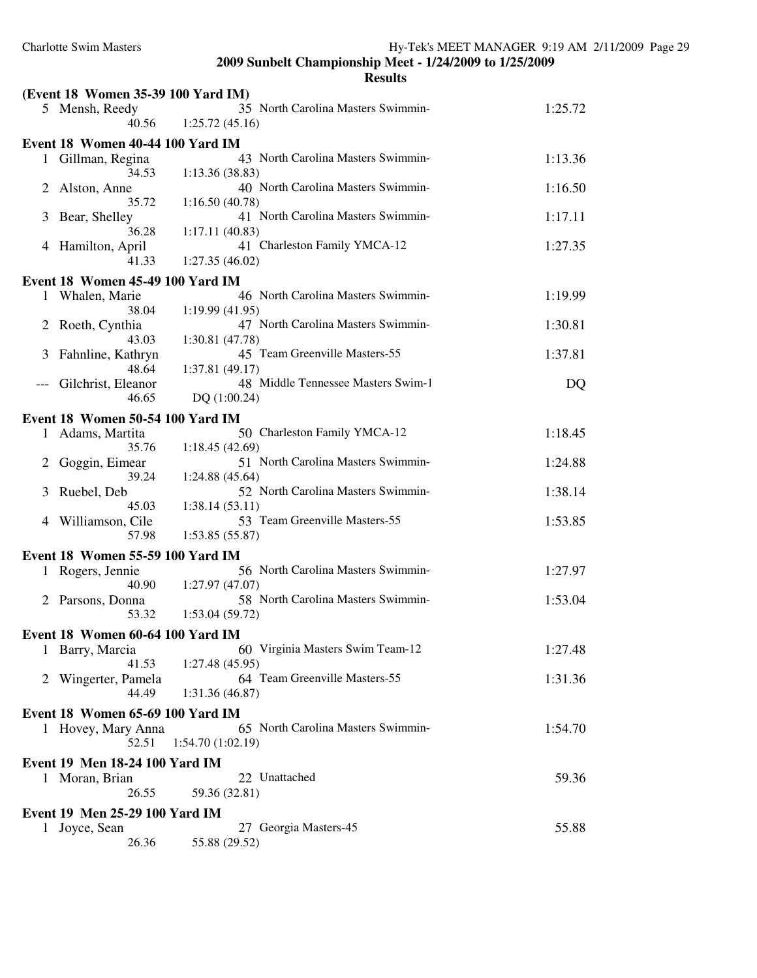|              | (Event 18 Women 35-39 100 Yard IM)      |                                                        |         |
|--------------|-----------------------------------------|--------------------------------------------------------|---------|
|              | 5 Mensh, Reedy<br>40.56                 | 35 North Carolina Masters Swimmin-<br>1:25.72(45.16)   | 1:25.72 |
|              | Event 18 Women 40-44 100 Yard IM        |                                                        |         |
| $\mathbf{1}$ | Gillman, Regina<br>34.53                | 43 North Carolina Masters Swimmin-<br>1:13.36(38.83)   | 1:13.36 |
| 2            | Alston, Anne<br>35.72                   | 40 North Carolina Masters Swimmin-<br>1:16.50(40.78)   | 1:16.50 |
| 3            | Bear, Shelley<br>36.28                  | 41 North Carolina Masters Swimmin-<br>1:17.11(40.83)   | 1:17.11 |
| 4            | Hamilton, April<br>41.33                | 41 Charleston Family YMCA-12<br>1:27.35(46.02)         | 1:27.35 |
|              |                                         |                                                        |         |
|              | Event 18 Women 45-49 100 Yard IM        | 46 North Carolina Masters Swimmin-                     |         |
|              | 1 Whalen, Marie<br>38.04                | 1:19.99(41.95)<br>47 North Carolina Masters Swimmin-   | 1:19.99 |
| 2            | Roeth, Cynthia<br>43.03                 | 1:30.81(47.78)                                         | 1:30.81 |
| 3            | Fahnline, Kathryn<br>48.64              | 45 Team Greenville Masters-55<br>1:37.81(49.17)        | 1:37.81 |
|              | Gilchrist, Eleanor<br>46.65             | 48 Middle Tennessee Masters Swim-1<br>DQ(1:00.24)      | DQ      |
|              | Event 18 Women 50-54 100 Yard IM        |                                                        |         |
| 1            | Adams, Martita<br>35.76                 | 50 Charleston Family YMCA-12<br>1:18.45(42.69)         | 1:18.45 |
| 2            | Goggin, Eimear<br>39.24                 | 51 North Carolina Masters Swimmin-<br>1:24.88(45.64)   | 1:24.88 |
| 3            | Ruebel, Deb<br>45.03                    | 52 North Carolina Masters Swimmin-<br>1:38.14(53.11)   | 1:38.14 |
| 4            | Williamson, Cile<br>57.98               | 53 Team Greenville Masters-55<br>1:53.85(55.87)        | 1:53.85 |
|              | <b>Event 18 Women 55-59 100 Yard IM</b> |                                                        |         |
| 1            | Rogers, Jennie<br>40.90                 | 56 North Carolina Masters Swimmin-<br>1:27.97(47.07)   | 1:27.97 |
| 2            | Parsons, Donna<br>53.32                 | 58 North Carolina Masters Swimmin-<br>1:53.04(59.72)   | 1:53.04 |
|              |                                         |                                                        |         |
|              | Event 18 Women 60-64 100 Yard IM        | 60 Virginia Masters Swim Team-12                       |         |
|              | 1 Barry, Marcia<br>41.53                | 1:27.48 (45.95)                                        | 1:27.48 |
| 2            | Wingerter, Pamela<br>44.49              | 64 Team Greenville Masters-55<br>1:31.36 (46.87)       | 1:31.36 |
|              | Event 18 Women 65-69 100 Yard IM        |                                                        |         |
|              | 1 Hovey, Mary Anna<br>52.51             | 65 North Carolina Masters Swimmin-<br>1:54.70(1:02.19) | 1:54.70 |
|              | Event 19 Men 18-24 100 Yard IM          |                                                        |         |
|              | 1 Moran, Brian<br>26.55                 | 22 Unattached<br>59.36 (32.81)                         | 59.36   |
|              |                                         |                                                        |         |
|              | Event 19 Men 25-29 100 Yard IM          |                                                        |         |
| $\mathbf{I}$ | Joyce, Sean<br>26.36                    | 27 Georgia Masters-45<br>55.88 (29.52)                 | 55.88   |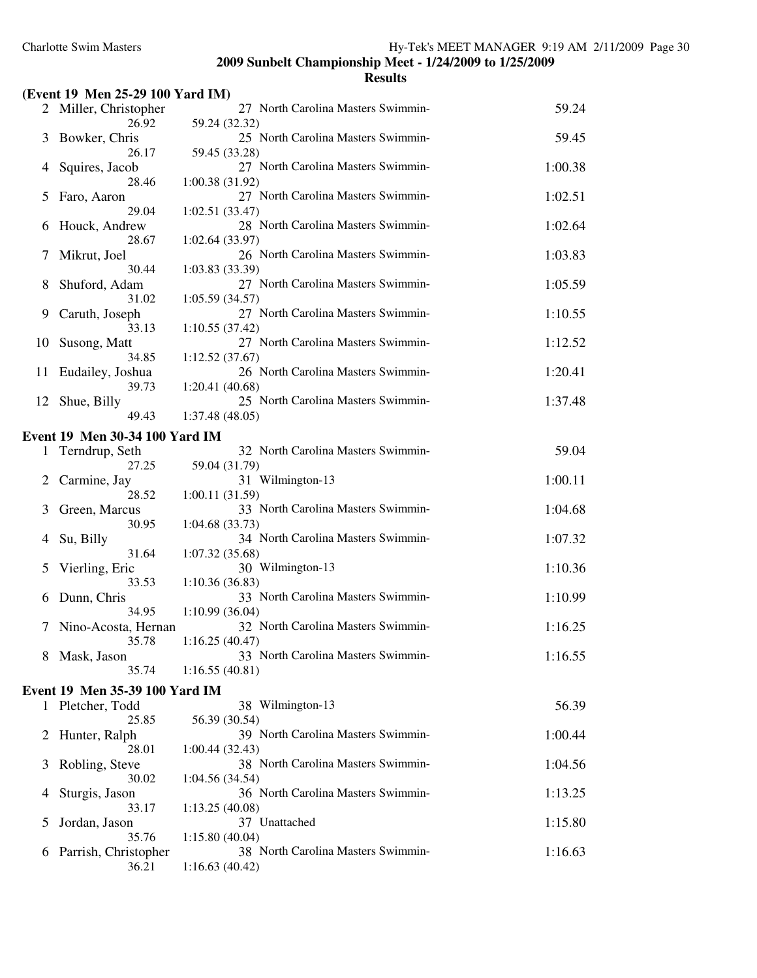|          | (Event 19 Men 25-29 100 Yard IM)      |                                                      |         |
|----------|---------------------------------------|------------------------------------------------------|---------|
|          | 2 Miller, Christopher                 | 27 North Carolina Masters Swimmin-                   | 59.24   |
|          | 26.92                                 | 59.24 (32.32)                                        |         |
| 3        | Bowker, Chris<br>26.17                | 25 North Carolina Masters Swimmin-<br>59.45 (33.28)  | 59.45   |
| 4        | Squires, Jacob                        | 27 North Carolina Masters Swimmin-                   | 1:00.38 |
|          | 28.46                                 | 1:00.38(31.92)                                       |         |
| 5        | Faro, Aaron                           | 27 North Carolina Masters Swimmin-                   | 1:02.51 |
|          | 29.04                                 | 1:02.51(33.47)                                       |         |
| 6        | Houck, Andrew<br>28.67                | 28 North Carolina Masters Swimmin-<br>1:02.64(33.97) | 1:02.64 |
| 7        | Mikrut, Joel                          | 26 North Carolina Masters Swimmin-                   | 1:03.83 |
|          | 30.44                                 | 1:03.83(33.39)                                       |         |
| 8        | Shuford, Adam                         | 27 North Carolina Masters Swimmin-                   | 1:05.59 |
|          | 31.02                                 | 1:05.59(34.57)                                       |         |
| 9        | Caruth, Joseph<br>33.13               | 27 North Carolina Masters Swimmin-<br>1:10.55(37.42) | 1:10.55 |
| 10       | Susong, Matt                          | 27 North Carolina Masters Swimmin-                   | 1:12.52 |
|          | 34.85                                 | 1:12.52(37.67)                                       |         |
| 11       | Eudailey, Joshua                      | 26 North Carolina Masters Swimmin-                   | 1:20.41 |
| 12       | 39.73<br>Shue, Billy                  | 1:20.41(40.68)<br>25 North Carolina Masters Swimmin- | 1:37.48 |
|          | 49.43                                 | 1:37.48 (48.05)                                      |         |
|          | Event 19 Men 30-34 100 Yard IM        |                                                      |         |
| 1        | Terndrup, Seth                        | 32 North Carolina Masters Swimmin-                   | 59.04   |
|          | 27.25                                 | 59.04 (31.79)                                        |         |
| 2        | Carmine, Jay                          | 31 Wilmington-13                                     | 1:00.11 |
| 3        | 28.52<br>Green, Marcus                | 1:00.11(31.59)<br>33 North Carolina Masters Swimmin- | 1:04.68 |
|          | 30.95                                 | 1:04.68(33.73)                                       |         |
| 4        | Su, Billy                             | 34 North Carolina Masters Swimmin-                   | 1:07.32 |
|          | 31.64                                 | 1:07.32(35.68)                                       |         |
| 5        | Vierling, Eric<br>33.53               | 30 Wilmington-13<br>1:10.36(36.83)                   | 1:10.36 |
| 6        | Dunn, Chris                           | 33 North Carolina Masters Swimmin-                   | 1:10.99 |
|          | 34.95                                 | 1:10.99(36.04)                                       |         |
| 7        | Nino-Acosta, Hernan                   | 32 North Carolina Masters Swimmin-                   | 1:16.25 |
|          | 35.78                                 | 1:16.25(40.47)<br>33 North Carolina Masters Swimmin- |         |
| 8        | Mask, Jason<br>35.74                  | 1:16.55(40.81)                                       | 1:16.55 |
|          | <b>Event 19 Men 35-39 100 Yard IM</b> |                                                      |         |
| 1        | Pletcher, Todd                        | 38 Wilmington-13                                     | 56.39   |
|          | 25.85                                 | 56.39 (30.54)                                        |         |
| 2        | Hunter, Ralph                         | 39 North Carolina Masters Swimmin-                   | 1:00.44 |
| 3        | 28.01                                 | 1:00.44(32.43)<br>38 North Carolina Masters Swimmin- |         |
|          | Robling, Steve<br>30.02               | 1:04.56(34.54)                                       | 1:04.56 |
| 4        | Sturgis, Jason                        | 36 North Carolina Masters Swimmin-                   | 1:13.25 |
|          | 33.17                                 | 1:13.25(40.08)                                       |         |
| 5        | Jordan, Jason<br>35.76                | 37 Unattached<br>1:15.80(40.04)                      | 1:15.80 |
| $\sigma$ | Parrish, Christopher                  | 38 North Carolina Masters Swimmin-                   | 1:16.63 |
|          | 36.21                                 | 1:16.63(40.42)                                       |         |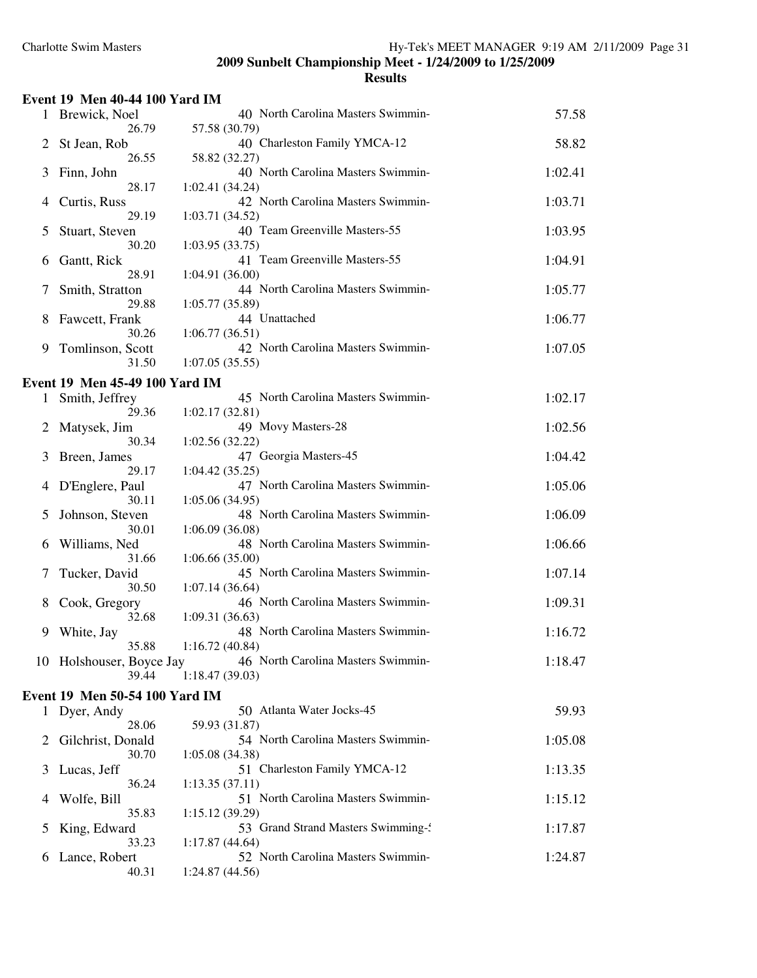|  |  | <b>Event 19 Men 40-44 100 Yard IM</b> |
|--|--|---------------------------------------|
|  |  |                                       |

|              | Brewick, Noel                         | 40 North Carolina Masters Swimmin-                   | 57.58   |
|--------------|---------------------------------------|------------------------------------------------------|---------|
| 2            | 26.79<br>St Jean, Rob                 | 57.58 (30.79)<br>40 Charleston Family YMCA-12        | 58.82   |
|              | 26.55                                 | 58.82 (32.27)                                        |         |
| 3            | Finn, John                            | 40 North Carolina Masters Swimmin-                   | 1:02.41 |
|              | 28.17                                 | 1:02.41(34.24)                                       |         |
| 4            | Curtis, Russ<br>29.19                 | 42 North Carolina Masters Swimmin-<br>1:03.71(34.52) | 1:03.71 |
| 5            | Stuart, Steven                        | 40 Team Greenville Masters-55                        | 1:03.95 |
|              | 30.20                                 | 1:03.95(33.75)                                       |         |
| 6            | Gantt, Rick<br>28.91                  | 41 Team Greenville Masters-55<br>1:04.91(36.00)      | 1:04.91 |
| 7            | Smith, Stratton                       | 44 North Carolina Masters Swimmin-                   | 1:05.77 |
|              | 29.88                                 | 1:05.77(35.89)                                       |         |
| 8            | Fawcett, Frank<br>30.26               | 44 Unattached<br>1:06.77(36.51)                      | 1:06.77 |
| 9            | Tomlinson, Scott                      | 42 North Carolina Masters Swimmin-                   | 1:07.05 |
|              | 31.50                                 | 1:07.05(35.55)                                       |         |
|              | Event 19 Men 45-49 100 Yard IM        |                                                      |         |
| 1            | Smith, Jeffrey                        | 45 North Carolina Masters Swimmin-                   | 1:02.17 |
|              | 29.36<br>Matysek, Jim                 | 1:02.17(32.81)<br>49 Movy Masters-28                 | 1:02.56 |
|              | 30.34                                 | 1:02.56(32.22)                                       |         |
| 3            | Breen, James                          | 47 Georgia Masters-45                                | 1:04.42 |
|              | 29.17<br>D'Englere, Paul              | 1:04.42(35.25)<br>47 North Carolina Masters Swimmin- | 1:05.06 |
| 4            | 30.11                                 | 1:05.06(34.95)                                       |         |
| 5            | Johnson, Steven                       | 48 North Carolina Masters Swimmin-                   | 1:06.09 |
|              | 30.01                                 | 1:06.09(36.08)<br>48 North Carolina Masters Swimmin- | 1:06.66 |
| 6            | Williams, Ned<br>31.66                | 1:06.66(35.00)                                       |         |
| 7            | Tucker, David                         | 45 North Carolina Masters Swimmin-                   | 1:07.14 |
|              | 30.50                                 | 1:07.14(36.64)                                       |         |
| 8            | Cook, Gregory<br>32.68                | 46 North Carolina Masters Swimmin-<br>1:09.31(36.63) | 1:09.31 |
| 9            | White, Jay                            | 48 North Carolina Masters Swimmin-                   | 1:16.72 |
|              | 35.88                                 | 1:16.72(40.84)                                       |         |
|              | 10 Holshouser, Boyce Jay<br>39.44     | 46 North Carolina Masters Swimmin-<br>1:18.47(39.03) | 1:18.47 |
|              | <b>Event 19 Men 50-54 100 Yard IM</b> |                                                      |         |
| $\mathbf{I}$ | Dyer, Andy                            | 50 Atlanta Water Jocks-45                            | 59.93   |
|              | 28.06                                 | 59.93 (31.87)                                        |         |
| 2            | Gilchrist, Donald                     | 54 North Carolina Masters Swimmin-                   | 1:05.08 |
| 3            | 30.70<br>Lucas, Jeff                  | 1:05.08(34.38)<br>51 Charleston Family YMCA-12       | 1:13.35 |
|              | 36.24                                 | 1:13.35(37.11)                                       |         |
| 4            | Wolfe, Bill                           | 51 North Carolina Masters Swimmin-                   | 1:15.12 |
| 5            | 35.83<br>King, Edward                 | 1:15.12(39.29)<br>53 Grand Strand Masters Swimming-  | 1:17.87 |
|              | 33.23                                 | 1:17.87(44.64)                                       |         |
| 6            | Lance, Robert                         | 52 North Carolina Masters Swimmin-                   | 1:24.87 |
|              | 40.31                                 | 1:24.87 (44.56)                                      |         |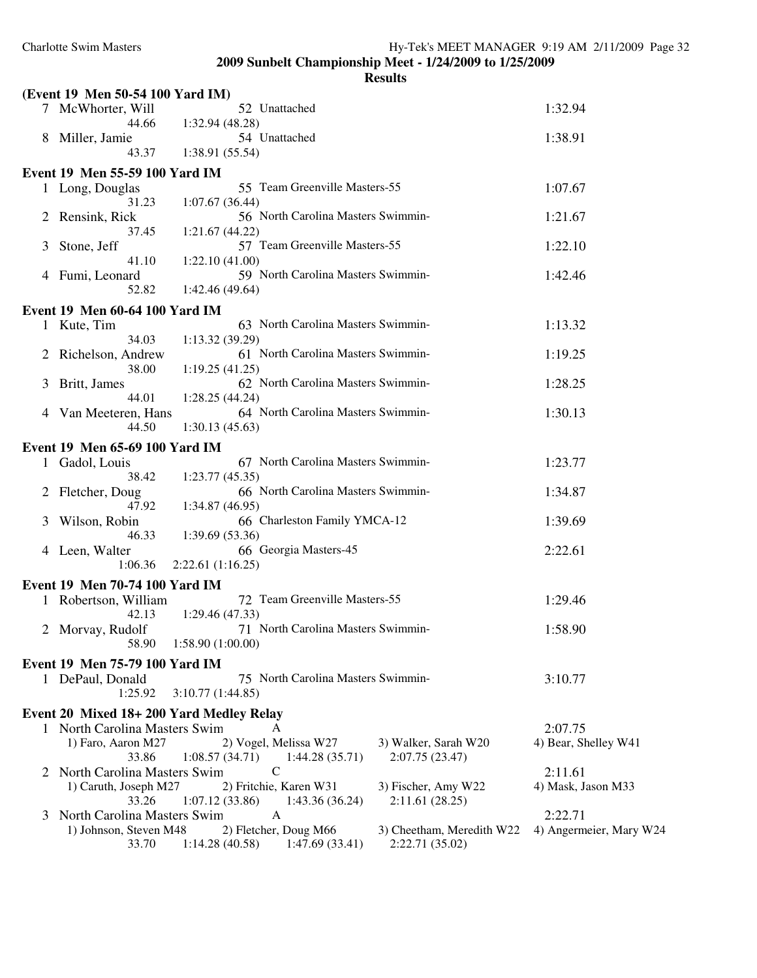|   | (Event 19 Men 50-54 100 Yard IM)        |                                                           |                                              |                         |
|---|-----------------------------------------|-----------------------------------------------------------|----------------------------------------------|-------------------------|
|   | 7 McWhorter, Will                       | 52 Unattached                                             |                                              | 1:32.94                 |
|   | 44.66<br>8 Miller, Jamie                | 1:32.94 (48.28)<br>54 Unattached                          |                                              | 1:38.91                 |
|   | 43.37                                   | 1:38.91 (55.54)                                           |                                              |                         |
|   | Event 19 Men 55-59 100 Yard IM          |                                                           |                                              |                         |
|   | 1 Long, Douglas                         | 55 Team Greenville Masters-55                             |                                              | 1:07.67                 |
|   | 31.23<br>2 Rensink, Rick                | 1:07.67(36.44)<br>56 North Carolina Masters Swimmin-      |                                              | 1:21.67                 |
|   | 37.45                                   | 1:21.67(44.22)                                            |                                              |                         |
| 3 | Stone, Jeff<br>41.10                    | 57 Team Greenville Masters-55<br>1:22.10(41.00)           |                                              | 1:22.10                 |
|   | 4 Fumi, Leonard                         | 59 North Carolina Masters Swimmin-                        |                                              | 1:42.46                 |
|   | 52.82                                   | 1:42.46(49.64)                                            |                                              |                         |
|   | Event 19 Men 60-64 100 Yard IM          |                                                           |                                              |                         |
|   | 1 Kute, Tim                             | 63 North Carolina Masters Swimmin-                        |                                              | 1:13.32                 |
|   | 34.03                                   | 1:13.32(39.29)                                            |                                              |                         |
|   | 2 Richelson, Andrew<br>38.00            | 61 North Carolina Masters Swimmin-<br>1:19.25(41.25)      |                                              | 1:19.25                 |
| 3 | Britt, James                            | 62 North Carolina Masters Swimmin-                        |                                              | 1:28.25                 |
|   | 44.01<br>4 Van Meeteren, Hans           | 1:28.25(44.24)<br>64 North Carolina Masters Swimmin-      |                                              | 1:30.13                 |
|   | 44.50                                   | 1:30.13(45.63)                                            |                                              |                         |
|   | Event 19 Men 65-69 100 Yard IM          |                                                           |                                              |                         |
|   | 1 Gadol, Louis                          | 67 North Carolina Masters Swimmin-                        |                                              | 1:23.77                 |
|   | 38.42                                   | 1:23.77(45.35)                                            |                                              |                         |
|   | 2 Fletcher, Doug<br>47.92               | 66 North Carolina Masters Swimmin-<br>1:34.87(46.95)      |                                              | 1:34.87                 |
| 3 | Wilson, Robin                           | 66 Charleston Family YMCA-12                              |                                              | 1:39.69                 |
|   | 46.33<br>4 Leen, Walter                 | 1:39.69(53.36)<br>66 Georgia Masters-45                   |                                              | 2:22.61                 |
|   | 1:06.36                                 | 2:22.61(1:16.25)                                          |                                              |                         |
|   | Event 19 Men 70-74 100 Yard IM          |                                                           |                                              |                         |
|   | 1 Robertson, William                    | 72 Team Greenville Masters-55                             |                                              | 1:29.46                 |
|   | 42.13<br>2 Morvay, Rudolf               | 1:29.46(47.33)<br>71 North Carolina Masters Swimmin-      |                                              | 1:58.90                 |
|   |                                         | 58.90 1:58.90 (1:00.00)                                   |                                              |                         |
|   | Event 19 Men 75-79 100 Yard IM          |                                                           |                                              |                         |
|   | 1 DePaul, Donald<br>1:25.92             | 75 North Carolina Masters Swimmin-<br>3:10.77(1:44.85)    |                                              | 3:10.77                 |
|   |                                         |                                                           |                                              |                         |
|   | Event 20 Mixed 18+200 Yard Medley Relay |                                                           |                                              |                         |
|   | 1 North Carolina Masters Swim           | A                                                         |                                              | 2:07.75                 |
|   | 1) Faro, Aaron M27<br>33.86             | 2) Vogel, Melissa W27<br>1:08.57(34.71)<br>1:44.28(35.71) | 3) Walker, Sarah W20<br>2:07.75(23.47)       | 4) Bear, Shelley W41    |
|   | 2 North Carolina Masters Swim           | C                                                         |                                              | 2:11.61                 |
|   | 1) Caruth, Joseph M27                   | 2) Fritchie, Karen W31                                    | 3) Fischer, Amy W22                          | 4) Mask, Jason M33      |
|   | 33.26                                   | 1:07.12(33.86)<br>1:43.36 (36.24)                         | 2:11.61(28.25)                               |                         |
|   | North Carolina Masters Swim             | A                                                         |                                              | 2:22.71                 |
|   | 1) Johnson, Steven M48<br>33.70         | 2) Fletcher, Doug M66<br>1:14.28(40.58)<br>1:47.69(33.41) | 3) Cheetham, Meredith W22<br>2:22.71 (35.02) | 4) Angermeier, Mary W24 |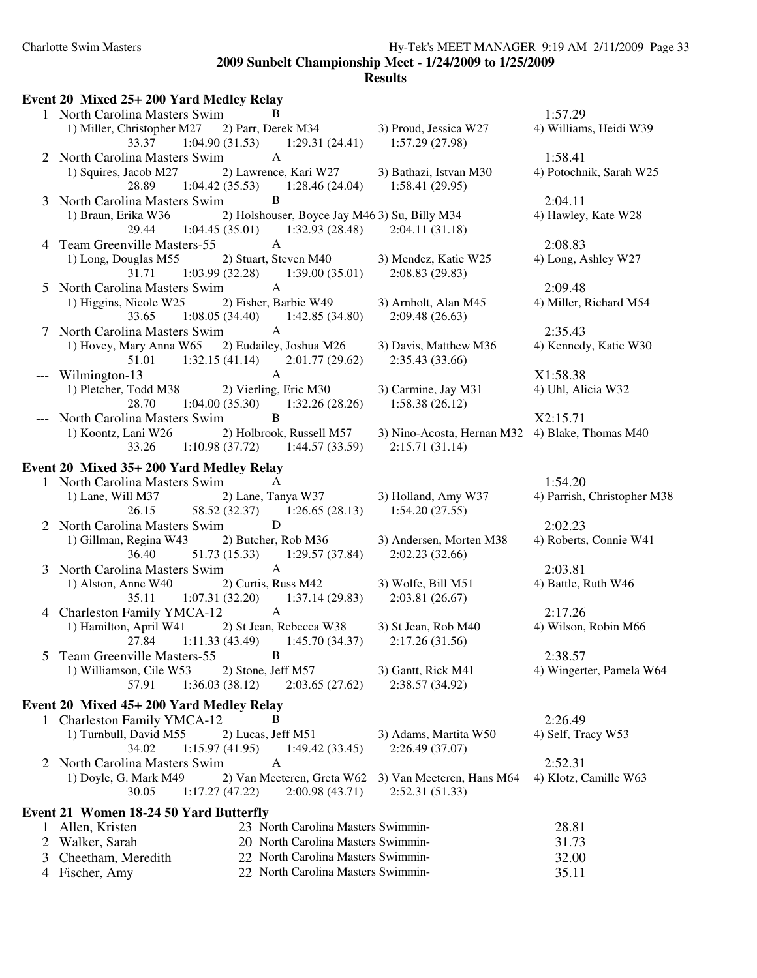|   | Event 20 Mixed 25+ 200 Yard Medley Relay                                                    |                                                                   |                             |
|---|---------------------------------------------------------------------------------------------|-------------------------------------------------------------------|-----------------------------|
|   | 1 North Carolina Masters Swim<br>B                                                          |                                                                   | 1:57.29                     |
|   | 1) Miller, Christopher M27 2) Parr, Derek M34<br>33.37<br>$1:04.90(31.53)$ $1:29.31(24.41)$ | 3) Proud, Jessica W27<br>1:57.29(27.98)                           | 4) Williams, Heidi W39      |
|   | 2 North Carolina Masters Swim<br>$\mathsf{A}$                                               |                                                                   | 1:58.41                     |
|   | 1) Squires, Jacob M27<br>2) Lawrence, Kari W27                                              | 3) Bathazi, Istvan M30                                            | 4) Potochnik, Sarah W25     |
|   | $1:04.42(35.53)$ $1:28.46(24.04)$<br>28.89                                                  | 1:58.41(29.95)                                                    |                             |
|   | 3 North Carolina Masters Swim<br>B                                                          |                                                                   | 2:04.11                     |
|   | 1) Braun, Erika W36<br>2) Holshouser, Boyce Jay M46 3) Su, Billy M34                        |                                                                   | 4) Hawley, Kate W28         |
|   | $1:04.45(35.01)$ $1:32.93(28.48)$<br>29.44                                                  | 2:04.11(31.18)                                                    |                             |
|   | 4 Team Greenville Masters-55<br>$\mathbf{A}$                                                |                                                                   | 2:08.83                     |
|   | 1) Long, Douglas M55<br>2) Stuart, Steven M40                                               | 3) Mendez, Katie W25                                              | 4) Long, Ashley W27         |
|   | $1:03.99(32.28)$ $1:39.00(35.01)$<br>31.71                                                  | 2:08.83(29.83)                                                    |                             |
|   | 5 North Carolina Masters Swim<br>$\mathbf{A}$                                               |                                                                   | 2:09.48                     |
|   | 1) Higgins, Nicole W25<br>2) Fisher, Barbie W49                                             | 3) Arnholt, Alan M45                                              | 4) Miller, Richard M54      |
|   | $1:08.05(34.40)$ $1:42.85(34.80)$<br>33.65                                                  | 2:09.48(26.63)                                                    |                             |
|   | $\mathbf{A}$<br>7 North Carolina Masters Swim                                               |                                                                   | 2:35.43                     |
|   | 1) Hovey, Mary Anna W65 2) Eudailey, Joshua M26                                             | 3) Davis, Matthew M36                                             | 4) Kennedy, Katie W30       |
|   | $1:32.15(41.14)$ $2:01.77(29.62)$<br>51.01                                                  | 2:35.43(33.66)                                                    |                             |
|   | $\mathbf{A}$<br>Wilmington-13                                                               |                                                                   | X1:58.38                    |
|   | 1) Pletcher, Todd M38 2) Vierling, Eric M30                                                 | 3) Carmine, Jay M31                                               | 4) Uhl, Alicia W32          |
|   | $1:04.00(35.30)$ $1:32.26(28.26)$<br>28.70<br>B                                             | 1:58.38(26.12)                                                    |                             |
|   | North Carolina Masters Swim<br>2) Holbrook, Russell M57                                     |                                                                   | X2:15.71                    |
|   | 1) Koontz, Lani W26<br>$1:10.98(37.72)$ $1:44.57(33.59)$<br>33.26                           | 3) Nino-Acosta, Hernan M32 4) Blake, Thomas M40<br>2:15.71(31.14) |                             |
|   |                                                                                             |                                                                   |                             |
|   | Event 20 Mixed 35+ 200 Yard Medley Relay                                                    |                                                                   |                             |
|   | 1 North Carolina Masters Swim<br>A                                                          |                                                                   | 1:54.20                     |
|   | 1) Lane, Will M37<br>2) Lane, Tanya W37 3) Holland, Amy W37                                 |                                                                   | 4) Parrish, Christopher M38 |
|   | 26.15<br>58.52 (32.37) 1:26.65 (28.13) 1:54.20 (27.55)                                      |                                                                   |                             |
|   | 2 North Carolina Masters Swim<br>D                                                          |                                                                   | 2:02.23                     |
|   | 1) Gillman, Regina W43<br>2) Butcher, Rob M36<br>36.40<br>$51.73(15.33)$ $1:29.57(37.84)$   | 3) Andersen, Morten M38<br>2:02.23(32.66)                         | 4) Roberts, Connie W41      |
|   | $\mathbf{A}$<br>3 North Carolina Masters Swim                                               |                                                                   | 2:03.81                     |
|   | 1) Alston, Anne W40<br>2) Curtis, Russ M42                                                  | 3) Wolfe, Bill M51                                                | 4) Battle, Ruth W46         |
|   | $1:07.31(32.20)$ $1:37.14(29.83)$<br>35.11                                                  | 2:03.81(26.67)                                                    |                             |
|   | $\mathbf{A}$<br>4 Charleston Family YMCA-12                                                 |                                                                   | 2:17.26                     |
|   | 1) Hamilton, April W41<br>2) St Jean, Rebecca W38                                           | 3) St Jean, Rob M40                                               | 4) Wilson, Robin M66        |
|   | 27.84 1:11.33 (43.49) 1:45.70 (34.37) 2:17.26 (31.56)                                       |                                                                   |                             |
|   | B<br><b>Team Greenville Masters-55</b>                                                      |                                                                   | 2:38.57                     |
|   | 2) Stone, Jeff M57<br>1) Williamson, Cile W53                                               | 3) Gantt, Rick M41                                                | 4) Wingerter, Pamela W64    |
|   | 1:36.03(38.12)<br>57.91<br>2:03.65(27.62)                                                   | 2:38.57 (34.92)                                                   |                             |
|   | Event 20 Mixed 45+ 200 Yard Medley Relay                                                    |                                                                   |                             |
|   | 1 Charleston Family YMCA-12<br>В                                                            |                                                                   | 2:26.49                     |
|   | 1) Turnbull, David M55<br>2) Lucas, Jeff M51                                                | 3) Adams, Martita W50                                             | 4) Self, Tracy W53          |
|   | 34.02<br>1:15.97(41.95)<br>1:49.42(33.45)                                                   | 2:26.49 (37.07)                                                   |                             |
|   | A<br>2 North Carolina Masters Swim                                                          |                                                                   | 2:52.31                     |
|   | 2) Van Meeteren, Greta W62<br>1) Doyle, G. Mark M49                                         | 3) Van Meeteren, Hans M64                                         | 4) Klotz, Camille W63       |
|   | 2:00.98(43.71)<br>30.05<br>1:17.27(47.22)                                                   | 2:52.31(51.33)                                                    |                             |
|   | Event 21 Women 18-24 50 Yard Butterfly                                                      |                                                                   |                             |
|   | 23 North Carolina Masters Swimmin-<br>1 Allen, Kristen                                      |                                                                   | 28.81                       |
| 2 | 20 North Carolina Masters Swimmin-<br>Walker, Sarah                                         |                                                                   | 31.73                       |
| 3 | Cheetham, Meredith<br>22 North Carolina Masters Swimmin-                                    |                                                                   | 32.00                       |
| 4 | Fischer, Amy<br>22 North Carolina Masters Swimmin-                                          |                                                                   | 35.11                       |
|   |                                                                                             |                                                                   |                             |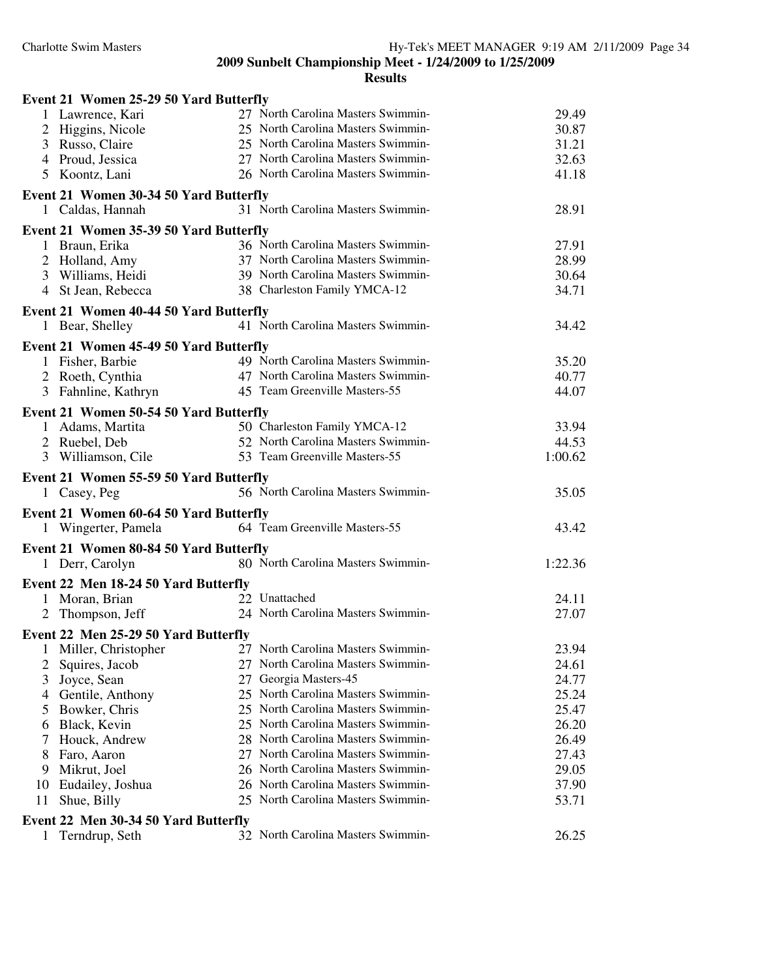| Event 21 Women 25-29 50 Yard Butterfly    |                                    |         |
|-------------------------------------------|------------------------------------|---------|
| 1 Lawrence, Kari                          | 27 North Carolina Masters Swimmin- | 29.49   |
| 2 Higgins, Nicole                         | 25 North Carolina Masters Swimmin- | 30.87   |
| 3 Russo, Claire                           | 25 North Carolina Masters Swimmin- | 31.21   |
| 4 Proud, Jessica                          | 27 North Carolina Masters Swimmin- | 32.63   |
| 5 Koontz, Lani                            | 26 North Carolina Masters Swimmin- | 41.18   |
| Event 21 Women 30-34 50 Yard Butterfly    |                                    |         |
| 1 Caldas, Hannah                          | 31 North Carolina Masters Swimmin- | 28.91   |
| Event 21 Women 35-39 50 Yard Butterfly    |                                    |         |
| 1 Braun, Erika                            | 36 North Carolina Masters Swimmin- | 27.91   |
| 2 Holland, Amy                            | 37 North Carolina Masters Swimmin- | 28.99   |
| 3 Williams, Heidi                         | 39 North Carolina Masters Swimmin- | 30.64   |
| 4 St Jean, Rebecca                        | 38 Charleston Family YMCA-12       | 34.71   |
| Event 21 Women 40-44 50 Yard Butterfly    |                                    |         |
| 1 Bear, Shelley                           | 41 North Carolina Masters Swimmin- | 34.42   |
| Event 21 Women 45-49 50 Yard Butterfly    |                                    |         |
| 1 Fisher, Barbie                          | 49 North Carolina Masters Swimmin- | 35.20   |
| 2 Roeth, Cynthia                          | 47 North Carolina Masters Swimmin- | 40.77   |
| 3 Fahnline, Kathryn                       | 45 Team Greenville Masters-55      | 44.07   |
| Event 21 Women 50-54 50 Yard Butterfly    |                                    |         |
| 1 Adams, Martita                          | 50 Charleston Family YMCA-12       | 33.94   |
| 2 Ruebel, Deb                             | 52 North Carolina Masters Swimmin- | 44.53   |
| 3 Williamson, Cile                        | 53 Team Greenville Masters-55      | 1:00.62 |
|                                           |                                    |         |
|                                           |                                    |         |
| Event 21 Women 55-59 50 Yard Butterfly    |                                    |         |
| 1 Casey, Peg                              | 56 North Carolina Masters Swimmin- | 35.05   |
| Event 21 Women 60-64 50 Yard Butterfly    |                                    |         |
| 1 Wingerter, Pamela                       | 64 Team Greenville Masters-55      | 43.42   |
| Event 21 Women 80-84 50 Yard Butterfly    |                                    |         |
| 1 Derr, Carolyn                           | 80 North Carolina Masters Swimmin- | 1:22.36 |
| Event 22 Men 18-24 50 Yard Butterfly      |                                    |         |
| 1 Moran, Brian                            | 22 Unattached                      | 24.11   |
| Thompson, Jeff<br>2                       | 24 North Carolina Masters Swimmin- | 27.07   |
|                                           |                                    |         |
| Event 22 Men 25-29 50 Yard Butterfly<br>1 | 27 North Carolina Masters Swimmin- | 23.94   |
| Miller, Christopher<br>2                  | 27 North Carolina Masters Swimmin- | 24.61   |
| Squires, Jacob<br>3                       | 27 Georgia Masters-45              | 24.77   |
| Joyce, Sean<br>4                          | 25 North Carolina Masters Swimmin- | 25.24   |
| Gentile, Anthony<br>5<br>Bowker, Chris    | 25 North Carolina Masters Swimmin- | 25.47   |
| Black, Kevin<br>6                         | 25 North Carolina Masters Swimmin- | 26.20   |
| Houck, Andrew<br>7                        | 28 North Carolina Masters Swimmin- | 26.49   |
| Faro, Aaron<br>8                          | 27 North Carolina Masters Swimmin- | 27.43   |
| Mikrut, Joel<br>9                         | 26 North Carolina Masters Swimmin- | 29.05   |
| Eudailey, Joshua<br>10                    | 26 North Carolina Masters Swimmin- | 37.90   |
| Shue, Billy<br>11                         | 25 North Carolina Masters Swimmin- | 53.71   |
| Event 22 Men 30-34 50 Yard Butterfly      |                                    |         |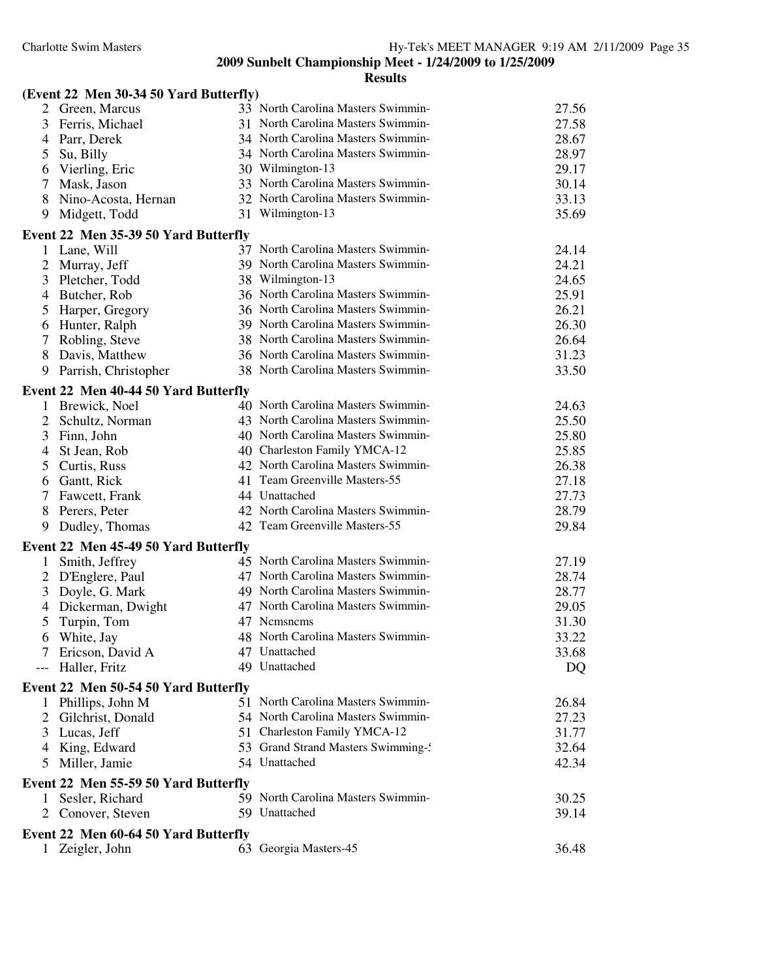|                   | (Event 22 Men 30-34 50 Yard Butterfly) |                                    |                |
|-------------------|----------------------------------------|------------------------------------|----------------|
|                   | 2 Green, Marcus                        | 33 North Carolina Masters Swimmin- | 27.56          |
| 3                 | Ferris, Michael                        | 31 North Carolina Masters Swimmin- | 27.58          |
| 4                 | Parr, Derek                            | 34 North Carolina Masters Swimmin- | 28.67          |
| 5<br>Su, Billy    |                                        | 34 North Carolina Masters Swimmin- | 28.97          |
| 6                 | Vierling, Eric                         | 30 Wilmington-13                   | 29.17          |
| $\tau$            | Mask, Jason                            | 33 North Carolina Masters Swimmin- | 30.14          |
| 8                 | Nino-Acosta, Hernan                    | 32 North Carolina Masters Swimmin- | 33.13          |
| 9                 | Midgett, Todd                          | 31 Wilmington-13                   | 35.69          |
|                   | Event 22 Men 35-39 50 Yard Butterfly   |                                    |                |
| 1                 | Lane, Will                             | 37 North Carolina Masters Swimmin- | 24.14          |
| $\overline{2}$    | Murray, Jeff                           | 39 North Carolina Masters Swimmin- | 24.21          |
| 3                 | Pletcher, Todd                         | 38 Wilmington-13                   | 24.65          |
| 4                 | Butcher, Rob                           | 36 North Carolina Masters Swimmin- | 25.91          |
| 5                 | Harper, Gregory                        | 36 North Carolina Masters Swimmin- | 26.21          |
| 6                 | Hunter, Ralph                          | 39 North Carolina Masters Swimmin- | 26.30          |
| 7                 | Robling, Steve                         | 38 North Carolina Masters Swimmin- | 26.64          |
| 8                 | Davis, Matthew                         | 36 North Carolina Masters Swimmin- | 31.23          |
| 9                 | Parrish, Christopher                   | 38 North Carolina Masters Swimmin- | 33.50          |
|                   | Event 22 Men 40-44 50 Yard Butterfly   |                                    |                |
|                   | 1 Brewick, Noel                        | 40 North Carolina Masters Swimmin- | 24.63          |
| $\overline{2}$    | Schultz, Norman                        | 43 North Carolina Masters Swimmin- | 25.50          |
| 3                 | Finn, John                             | 40 North Carolina Masters Swimmin- | 25.80          |
| 4                 | St Jean, Rob                           | 40 Charleston Family YMCA-12       | 25.85          |
| 5                 | Curtis, Russ                           | 42 North Carolina Masters Swimmin- | 26.38          |
| 6                 | Gantt, Rick                            | 41 Team Greenville Masters-55      | 27.18          |
| $\tau$            | Fawcett, Frank                         | 44 Unattached                      | 27.73          |
|                   | 8 Perers, Peter                        | 42 North Carolina Masters Swimmin- | 28.79          |
| 9                 | Dudley, Thomas                         | 42 Team Greenville Masters-55      | 29.84          |
|                   | Event 22 Men 45-49 50 Yard Butterfly   |                                    |                |
| 1                 | Smith, Jeffrey                         | 45 North Carolina Masters Swimmin- | 27.19          |
| $\overline{2}$    | D'Englere, Paul                        | 47 North Carolina Masters Swimmin- | 28.74          |
| 3                 | Doyle, G. Mark                         | 49 North Carolina Masters Swimmin- | 28.77          |
| 4                 | Dickerman, Dwight                      | 47 North Carolina Masters Swimmin- | 29.05          |
| 5                 | Turpin, Tom                            | 47 Nemsnems                        | 31.30          |
| 6                 | White, Jay                             | 48 North Carolina Masters Swimmin- | 33.22          |
|                   | 7 Ericson, David A                     | 47 Unattached                      | 33.68          |
| --- Haller, Fritz |                                        | 49 Unattached                      | DQ             |
|                   | Event 22 Men 50-54 50 Yard Butterfly   |                                    |                |
|                   | 1 Phillips, John M                     | 51 North Carolina Masters Swimmin- | 26.84          |
|                   | 2 Gilchrist, Donald                    | 54 North Carolina Masters Swimmin- | 27.23          |
| 3                 | Lucas, Jeff                            | 51 Charleston Family YMCA-12       | 31.77          |
|                   | 4 King, Edward                         | 53 Grand Strand Masters Swimming-  | 32.64          |
| 5                 | Miller, Jamie                          | 54 Unattached                      | 42.34          |
|                   |                                        |                                    |                |
|                   | Event 22 Men 55-59 50 Yard Butterfly   | 59 North Carolina Masters Swimmin- |                |
| L                 | Sesler, Richard                        | 59 Unattached                      | 30.25<br>39.14 |
|                   | 2 Conover, Steven                      |                                    |                |
|                   | Event 22 Men 60-64 50 Yard Butterfly   |                                    |                |
| $\mathbf{1}$      | Zeigler, John                          | 63 Georgia Masters-45              | 36.48          |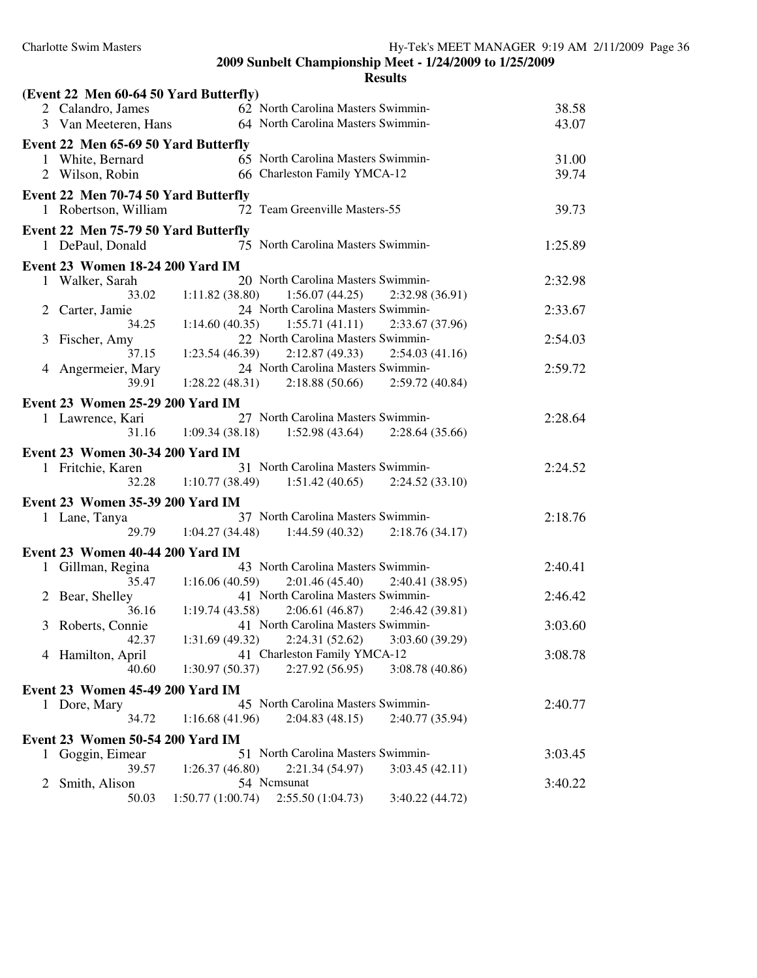| (Event 22 Men 60-64 50 Yard Butterfly)                                 |         |
|------------------------------------------------------------------------|---------|
| 62 North Carolina Masters Swimmin-<br>2 Calandro, James                | 38.58   |
| 64 North Carolina Masters Swimmin-<br>3 Van Meeteren, Hans             | 43.07   |
| Event 22 Men 65-69 50 Yard Butterfly                                   |         |
| 65 North Carolina Masters Swimmin-<br>1 White, Bernard                 | 31.00   |
| 66 Charleston Family YMCA-12<br>2 Wilson, Robin                        | 39.74   |
| Event 22 Men 70-74 50 Yard Butterfly                                   |         |
| 72 Team Greenville Masters-55<br>1 Robertson, William                  | 39.73   |
|                                                                        |         |
| Event 22 Men 75-79 50 Yard Butterfly                                   |         |
| 75 North Carolina Masters Swimmin-<br>1 DePaul, Donald                 | 1:25.89 |
| <b>Event 23 Women 18-24 200 Yard IM</b>                                |         |
| 20 North Carolina Masters Swimmin-<br>1 Walker, Sarah                  | 2:32.98 |
| $1:11.82(38.80)$ $1:56.07(44.25)$<br>33.02<br>2:32.98 (36.91)          |         |
| 24 North Carolina Masters Swimmin-<br>Carter, Jamie<br>$\overline{2}$  | 2:33.67 |
| 34.25<br>$1:14.60(40.35)$ $1:55.71(41.11)$<br>2:33.67 (37.96)          |         |
| 22 North Carolina Masters Swimmin-<br>Fischer, Amy<br>3                | 2:54.03 |
| 37.15<br>$1:23.54(46.39)$ $2:12.87(49.33)$<br>2:54.03(41.16)           |         |
| 24 North Carolina Masters Swimmin-<br>Angermeier, Mary<br>4            | 2:59.72 |
| 2:18.88(50.66)<br>39.91<br>1:28.22(48.31)<br>2:59.72(40.84)            |         |
| Event 23 Women 25-29 200 Yard IM                                       |         |
| 27 North Carolina Masters Swimmin-<br>1 Lawrence, Kari                 | 2:28.64 |
| 1:09.34(38.18)<br>2:28.64(35.66)<br>31.16<br>1:52.98(43.64)            |         |
| Event 23 Women 30-34 200 Yard IM                                       |         |
| 31 North Carolina Masters Swimmin-<br>1 Fritchie, Karen                | 2:24.52 |
| 1:10.77(38.49)<br>1:51.42(40.65)<br>32.28<br>2:24.52(33.10)            |         |
|                                                                        |         |
| Event 23 Women 35-39 200 Yard IM<br>37 North Carolina Masters Swimmin- |         |
| 1 Lane, Tanya                                                          | 2:18.76 |
| 29.79<br>1:04.27(34.48)<br>1:44.59(40.32)<br>2:18.76(34.17)            |         |
| Event 23 Women 40-44 200 Yard IM                                       |         |
| 43 North Carolina Masters Swimmin-<br>1 Gillman, Regina                | 2:40.41 |
| 35.47<br>1:16.06(40.59)<br>2:01.46(45.40)<br>2:40.41 (38.95)           |         |
| 41 North Carolina Masters Swimmin-<br>Bear, Shelley<br>2               | 2:46.42 |
| 36.16<br>2:06.61(46.87)<br>1:19.74(43.58)<br>2:46.42(39.81)            |         |
| 41 North Carolina Masters Swimmin-<br>3 Roberts, Connie                | 3:03.60 |
| $1:31.69(49.32)$ $2:24.31(52.62)$ $3:03.60(39.29)$<br>42.37            |         |
| 41 Charleston Family YMCA-12<br>4 Hamilton, April                      | 3:08.78 |
| 2:27.92(56.95)<br>40.60<br>1:30.97(50.37)<br>3:08.78(40.86)            |         |
| <b>Event 23 Women 45-49 200 Yard IM</b>                                |         |
| 45 North Carolina Masters Swimmin-<br>1 Dore, Mary                     | 2:40.77 |
| 34.72<br>1:16.68(41.96)<br>2:04.83(48.15)<br>2:40.77 (35.94)           |         |
| Event 23 Women 50-54 200 Yard IM                                       |         |
| 51 North Carolina Masters Swimmin-<br>Goggin, Eimear<br>1              | 3:03.45 |
| 39.57<br>2:21.34 (54.97)<br>1:26.37(46.80)<br>3:03.45(42.11)           |         |
| 54 Ncmsunat<br>Smith, Alison<br>2                                      | 3:40.22 |
|                                                                        |         |
| 2:55.50(1:04.73)<br>3:40.22(44.72)<br>50.03<br>1:50.77(1:00.74)        |         |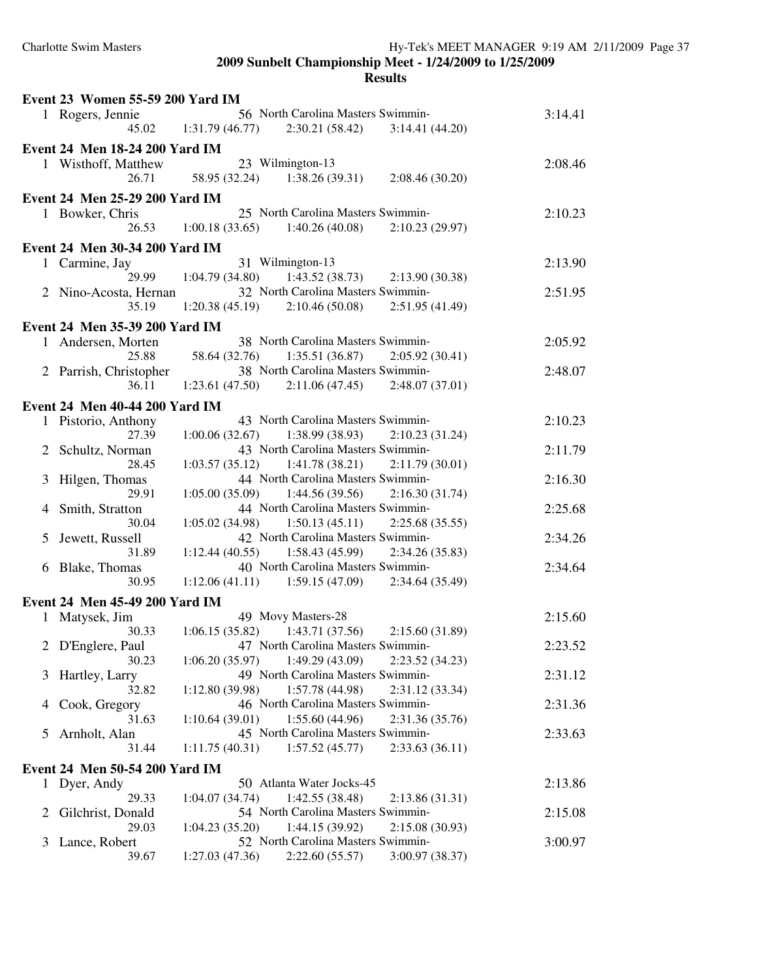|   | Event 23 Women 55-59 200 Yard IM      |                |                                                     |                 |         |
|---|---------------------------------------|----------------|-----------------------------------------------------|-----------------|---------|
|   | 1 Rogers, Jennie                      |                | 56 North Carolina Masters Swimmin-                  |                 | 3:14.41 |
|   |                                       |                | $45.02 \qquad 1:31.79(46.77) \qquad 2:30.21(58.42)$ | 3:14.41(44.20)  |         |
|   | <b>Event 24 Men 18-24 200 Yard IM</b> |                |                                                     |                 |         |
|   | 1 Wisthoff, Matthew                   |                | 23 Wilmington-13                                    |                 | 2:08.46 |
|   |                                       |                | 26.71 58.95 (32.24) 1:38.26 (39.31) 2:08.46 (30.20) |                 |         |
|   |                                       |                |                                                     |                 |         |
|   | Event 24 Men 25-29 200 Yard IM        |                |                                                     |                 |         |
|   | 1 Bowker, Chris                       |                | 25 North Carolina Masters Swimmin-                  |                 | 2:10.23 |
|   | 26.53                                 |                | $1:00.18(33.65)$ $1:40.26(40.08)$ $2:10.23(29.97)$  |                 |         |
|   | Event 24 Men 30-34 200 Yard IM        |                |                                                     |                 |         |
|   | 1 Carmine, Jay                        |                | 31 Wilmington-13                                    |                 | 2:13.90 |
|   | 29.99                                 | 1:04.79(34.80) | 1:43.52(38.73)                                      | 2:13.90(30.38)  |         |
|   | 2 Nino-Acosta, Hernan                 |                | 32 North Carolina Masters Swimmin-                  |                 | 2:51.95 |
|   | 35.19                                 |                | $1:20.38(45.19)$ $2:10.46(50.08)$                   | 2:51.95(41.49)  |         |
|   | Event 24 Men 35-39 200 Yard IM        |                |                                                     |                 |         |
|   | 1 Andersen, Morten                    |                | 38 North Carolina Masters Swimmin-                  |                 | 2:05.92 |
|   | 25.88                                 |                | 58.64 (32.76) 1:35.51 (36.87) 2:05.92 (30.41)       |                 |         |
|   |                                       |                | 38 North Carolina Masters Swimmin-                  |                 | 2:48.07 |
|   | 2 Parrish, Christopher<br>36.11       |                | $1:23.61(47.50)$ $2:11.06(47.45)$ $2:48.07(37.01)$  |                 |         |
|   |                                       |                |                                                     |                 |         |
|   | Event 24 Men 40-44 200 Yard IM        |                |                                                     |                 |         |
|   | 1 Pistorio, Anthony                   |                | 43 North Carolina Masters Swimmin-                  |                 | 2:10.23 |
|   | 27.39                                 |                | $1:00.06(32.67)$ $1:38.99(38.93)$ $2:10.23(31.24)$  |                 |         |
|   | 2 Schultz, Norman                     |                | 43 North Carolina Masters Swimmin-                  |                 | 2:11.79 |
|   | 28.45                                 |                | $1:03.57(35.12)$ $1:41.78(38.21)$ $2:11.79(30.01)$  |                 |         |
| 3 | Hilgen, Thomas                        |                | 44 North Carolina Masters Swimmin-                  |                 | 2:16.30 |
|   | 29.91                                 |                | $1:05.00(35.09)$ $1:44.56(39.56)$ $2:16.30(31.74)$  |                 |         |
|   | 4 Smith, Stratton                     |                | 44 North Carolina Masters Swimmin-                  |                 | 2:25.68 |
|   | 30.04                                 |                | $1:05.02(34.98)$ $1:50.13(45.11)$ $2:25.68(35.55)$  |                 |         |
|   | 5 Jewett, Russell                     |                | 42 North Carolina Masters Swimmin-                  |                 | 2:34.26 |
|   | 31.89                                 |                | $1:12.44(40.55)$ $1:58.43(45.99)$ $2:34.26(35.83)$  |                 |         |
|   | 6 Blake, Thomas                       |                | 40 North Carolina Masters Swimmin-                  |                 | 2:34.64 |
|   | 30.95                                 |                | 1:12.06 (41.11) 1:59.15 (47.09) 2:34.64 (35.49)     |                 |         |
|   | Event 24 Men 45-49 200 Yard IM        |                |                                                     |                 |         |
|   | 1 Matysek, Jim                        |                | 49 Movy Masters-28                                  |                 | 2:15.60 |
|   | 30.33                                 |                | $1:06.15(35.82)$ $1:43.71(37.56)$ $2:15.60(31.89)$  |                 |         |
|   | 2 D'Englere, Paul                     |                | 47 North Carolina Masters Swimmin-                  |                 | 2:23.52 |
|   | 30.23                                 | 1:06.20(35.97) | 1:49.29(43.09)                                      | 2:23.52 (34.23) |         |
| 3 | Hartley, Larry                        |                | 49 North Carolina Masters Swimmin-                  |                 | 2:31.12 |
|   | 32.82                                 | 1:12.80(39.98) | 1:57.78(44.98)                                      | 2:31.12 (33.34) |         |
| 4 | Cook, Gregory                         |                | 46 North Carolina Masters Swimmin-                  |                 | 2:31.36 |
|   | 31.63                                 | 1:10.64(39.01) | 1:55.60(44.96)                                      | 2:31.36 (35.76) |         |
| 5 | Arnholt, Alan                         |                | 45 North Carolina Masters Swimmin-                  |                 | 2:33.63 |
|   | 31.44                                 | 1:11.75(40.31) | 1:57.52(45.77)                                      | 2:33.63(36.11)  |         |
|   |                                       |                |                                                     |                 |         |
|   | Event 24 Men 50-54 200 Yard IM        |                | 50 Atlanta Water Jocks-45                           |                 |         |
|   | 1 Dyer, Andy                          |                |                                                     |                 | 2:13.86 |
|   | 29.33                                 | 1:04.07(34.74) | 1:42.55(38.48)                                      | 2:13.86 (31.31) |         |
| 2 | Gilchrist, Donald                     |                | 54 North Carolina Masters Swimmin-                  |                 | 2:15.08 |
|   | 29.03                                 | 1:04.23(35.20) | 1:44.15(39.92)                                      | 2:15.08(30.93)  |         |
| 3 | Lance, Robert                         |                | 52 North Carolina Masters Swimmin-                  |                 | 3:00.97 |
|   | 39.67                                 | 1:27.03(47.36) | 2:22.60(55.57)                                      | 3:00.97 (38.37) |         |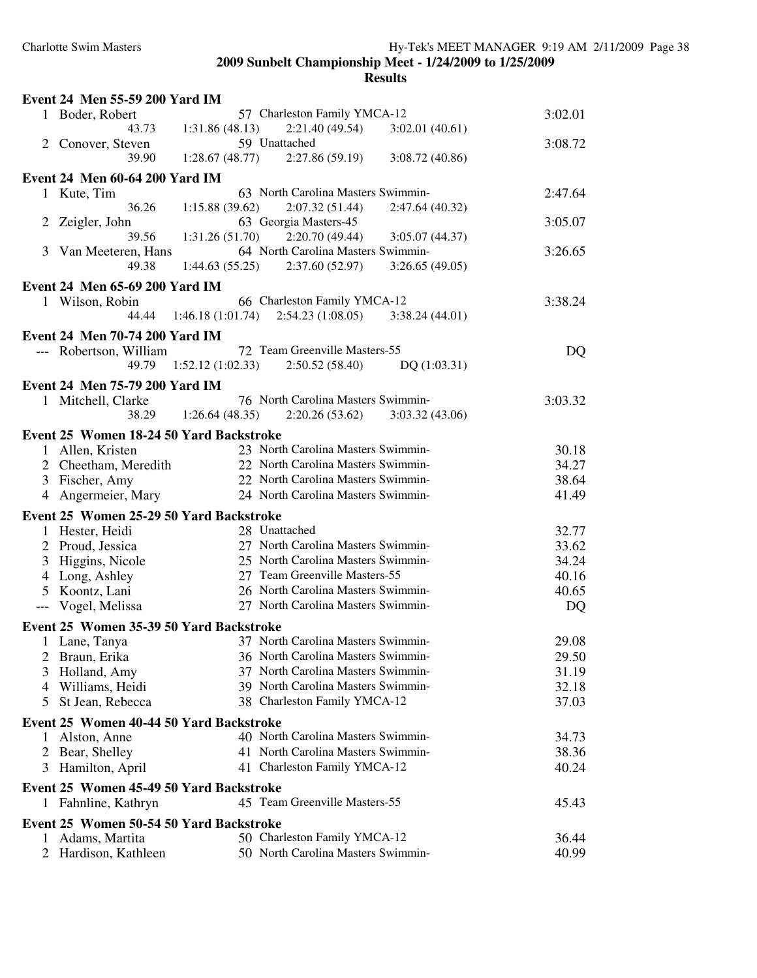| Event 24 Men 55-59 200 Yard IM          |                                                         |         |
|-----------------------------------------|---------------------------------------------------------|---------|
| 1 Boder, Robert                         | 57 Charleston Family YMCA-12                            | 3:02.01 |
| 43.73                                   | 1:31.86(48.13)<br>2:21.40 (49.54)<br>3:02.01(40.61)     |         |
| 2 Conover, Steven                       | 59 Unattached                                           | 3:08.72 |
| 39.90                                   | 1:28.67(48.77)<br>2:27.86(59.19)<br>3:08.72(40.86)      |         |
| Event 24 Men 60-64 200 Yard IM          |                                                         |         |
| 1 Kute, Tim                             | 63 North Carolina Masters Swimmin-                      | 2:47.64 |
| 36.26                                   | 2:07.32(51.44)<br>1:15.88(39.62)<br>2:47.64 (40.32)     |         |
| 2<br>Zeigler, John                      | 63 Georgia Masters-45                                   | 3:05.07 |
| 39.56                                   | 2:20.70(49.44)<br>1:31.26(51.70)<br>3:05.07(44.37)      |         |
| 3<br>Van Meeteren, Hans                 | 64 North Carolina Masters Swimmin-                      | 3:26.65 |
| 49.38                                   | 1:44.63(55.25)<br>2:37.60(52.97)<br>3:26.65(49.05)      |         |
| Event 24 Men 65-69 200 Yard IM          |                                                         |         |
| 1 Wilson, Robin                         | 66 Charleston Family YMCA-12                            | 3:38.24 |
| 44.44                                   | 1:46.18 (1:01.74)<br>2:54.23(1:08.05)<br>3:38.24(44.01) |         |
| Event 24 Men 70-74 200 Yard IM          |                                                         |         |
| --- Robertson, William                  | 72 Team Greenville Masters-55                           | DQ      |
| 49.79                                   | 1:52.12(1:02.33)<br>2:50.52(58.40)<br>DQ(1:03.31)       |         |
|                                         |                                                         |         |
| Event 24 Men 75-79 200 Yard IM          |                                                         |         |
| 1 Mitchell, Clarke                      | 76 North Carolina Masters Swimmin-                      | 3:03.32 |
| 38.29                                   | 1:26.64(48.35)<br>2:20.26(53.62)<br>3:03.32(43.06)      |         |
| Event 25 Women 18-24 50 Yard Backstroke |                                                         |         |
| 1 Allen, Kristen                        | 23 North Carolina Masters Swimmin-                      | 30.18   |
| 2 Cheetham, Meredith                    | 22 North Carolina Masters Swimmin-                      | 34.27   |
| 3 Fischer, Amy                          | 22 North Carolina Masters Swimmin-                      | 38.64   |
| Angermeier, Mary<br>4                   | 24 North Carolina Masters Swimmin-                      | 41.49   |
| Event 25 Women 25-29 50 Yard Backstroke |                                                         |         |
| 1 Hester, Heidi                         | 28 Unattached                                           | 32.77   |
| 2 Proud, Jessica                        | 27 North Carolina Masters Swimmin-                      | 33.62   |
| 3 Higgins, Nicole                       | 25 North Carolina Masters Swimmin-                      | 34.24   |
| 4 Long, Ashley                          | 27 Team Greenville Masters-55                           | 40.16   |
| 5 Koontz, Lani                          | 26 North Carolina Masters Swimmin-                      | 40.65   |
| Vogel, Melissa                          | 27 North Carolina Masters Swimmin-                      | DQ      |
|                                         |                                                         |         |
| Event 25 Women 35-39 50 Yard Backstroke |                                                         |         |
| 1 Lane, Tanya                           | 37 North Carolina Masters Swimmin-                      | 29.08   |
| Braun, Erika                            | 36 North Carolina Masters Swimmin-                      | 29.50   |
| 3<br>Holland, Amy                       | 37 North Carolina Masters Swimmin-                      | 31.19   |
| 4 Williams, Heidi                       | 39 North Carolina Masters Swimmin-                      | 32.18   |
| St Jean, Rebecca<br>5.                  | 38 Charleston Family YMCA-12                            | 37.03   |
| Event 25 Women 40-44 50 Yard Backstroke |                                                         |         |
| Alston, Anne<br>1                       | 40 North Carolina Masters Swimmin-                      | 34.73   |
| 2 Bear, Shelley                         | 41 North Carolina Masters Swimmin-                      | 38.36   |
| Hamilton, April<br>3                    | 41 Charleston Family YMCA-12                            | 40.24   |
| Event 25 Women 45-49 50 Yard Backstroke |                                                         |         |
|                                         | 45 Team Greenville Masters-55                           |         |
| 1 Fahnline, Kathryn                     |                                                         | 45.43   |
| Event 25 Women 50-54 50 Yard Backstroke |                                                         |         |
| Adams, Martita<br>1                     | 50 Charleston Family YMCA-12                            | 36.44   |
| 2 Hardison, Kathleen                    | 50 North Carolina Masters Swimmin-                      | 40.99   |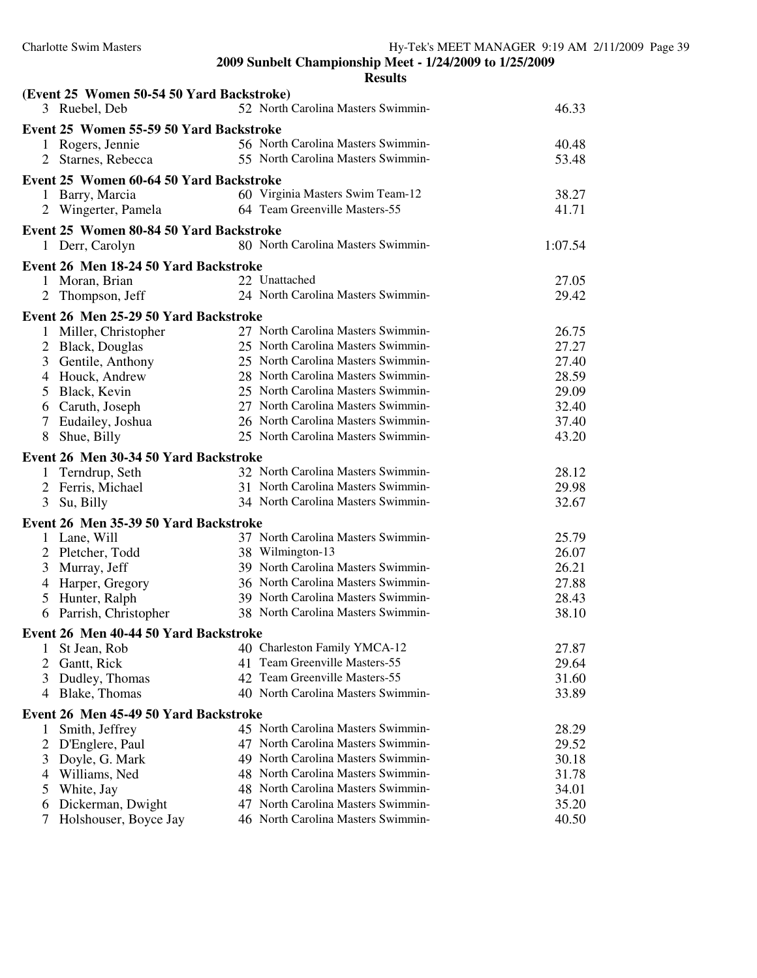|                | (Event 25 Women 50-54 50 Yard Backstroke)<br>3 Ruebel, Deb | 52 North Carolina Masters Swimmin-                                       | 46.33          |
|----------------|------------------------------------------------------------|--------------------------------------------------------------------------|----------------|
|                | Event 25 Women 55-59 50 Yard Backstroke                    |                                                                          |                |
| 1              | Rogers, Jennie                                             | 56 North Carolina Masters Swimmin-                                       | 40.48          |
|                | Starnes, Rebecca                                           | 55 North Carolina Masters Swimmin-                                       | 53.48          |
|                | Event 25 Women 60-64 50 Yard Backstroke                    |                                                                          |                |
|                | 1 Barry, Marcia                                            | 60 Virginia Masters Swim Team-12                                         | 38.27          |
|                | 2 Wingerter, Pamela                                        | 64 Team Greenville Masters-55                                            | 41.71          |
|                | Event 25 Women 80-84 50 Yard Backstroke                    |                                                                          |                |
|                | 1 Derr, Carolyn                                            | 80 North Carolina Masters Swimmin-                                       | 1:07.54        |
|                |                                                            |                                                                          |                |
|                | Event 26 Men 18-24 50 Yard Backstroke                      | 22 Unattached                                                            |                |
|                | 1 Moran, Brian                                             | 24 North Carolina Masters Swimmin-                                       | 27.05<br>29.42 |
|                | 2 Thompson, Jeff                                           |                                                                          |                |
|                | Event 26 Men 25-29 50 Yard Backstroke                      |                                                                          |                |
| 1              | Miller, Christopher                                        | 27 North Carolina Masters Swimmin-                                       | 26.75          |
| 2              | <b>Black, Douglas</b>                                      | 25 North Carolina Masters Swimmin-                                       | 27.27          |
| 3              | Gentile, Anthony                                           | 25 North Carolina Masters Swimmin-                                       | 27.40          |
| 4              | Houck, Andrew                                              | 28 North Carolina Masters Swimmin-<br>25 North Carolina Masters Swimmin- | 28.59          |
| 5              | Black, Kevin                                               | 27 North Carolina Masters Swimmin-                                       | 29.09          |
| $\tau$         | 6 Caruth, Joseph                                           | 26 North Carolina Masters Swimmin-                                       | 32.40<br>37.40 |
| 8              | Eudailey, Joshua<br>Shue, Billy                            | 25 North Carolina Masters Swimmin-                                       | 43.20          |
|                |                                                            |                                                                          |                |
|                | Event 26 Men 30-34 50 Yard Backstroke                      |                                                                          |                |
| 1              | Terndrup, Seth                                             | 32 North Carolina Masters Swimmin-                                       | 28.12          |
| 2              | Ferris, Michael                                            | 31 North Carolina Masters Swimmin-<br>34 North Carolina Masters Swimmin- | 29.98<br>32.67 |
| 3              | Su, Billy                                                  |                                                                          |                |
|                | Event 26 Men 35-39 50 Yard Backstroke                      |                                                                          |                |
|                | Lane, Will                                                 | 37 North Carolina Masters Swimmin-                                       | 25.79          |
| $\overline{c}$ | Pletcher, Todd                                             | 38 Wilmington-13                                                         | 26.07          |
| 3              | Murray, Jeff                                               | 39 North Carolina Masters Swimmin-                                       | 26.21          |
| 4              | Harper, Gregory                                            | 36 North Carolina Masters Swimmin-                                       | 27.88          |
| 5              | Hunter, Ralph                                              | 39 North Carolina Masters Swimmin-<br>38 North Carolina Masters Swimmin- | 28.43          |
| 6              | Parrish, Christopher                                       |                                                                          | 38.10          |
|                | Event 26 Men 40-44 50 Yard Backstroke                      |                                                                          |                |
| 1              | St Jean, Rob                                               | 40 Charleston Family YMCA-12                                             | 27.87          |
| 2              | Gantt, Rick                                                | 41 Team Greenville Masters-55                                            | 29.64          |
| 3              | Dudley, Thomas                                             | 42 Team Greenville Masters-55                                            | 31.60          |
| 4              | Blake, Thomas                                              | 40 North Carolina Masters Swimmin-                                       | 33.89          |
|                | Event 26 Men 45-49 50 Yard Backstroke                      |                                                                          |                |
| 1              | Smith, Jeffrey                                             | 45 North Carolina Masters Swimmin-                                       | 28.29          |
| 2              | D'Englere, Paul                                            | 47 North Carolina Masters Swimmin-                                       | 29.52          |
| 3              | Doyle, G. Mark                                             | 49 North Carolina Masters Swimmin-                                       | 30.18          |
| 4              | Williams, Ned                                              | 48 North Carolina Masters Swimmin-                                       | 31.78          |
| 5              | White, Jay                                                 | 48 North Carolina Masters Swimmin-                                       | 34.01          |
| 6              | Dickerman, Dwight                                          | 47 North Carolina Masters Swimmin-                                       | 35.20          |
|                | Holshouser, Boyce Jay                                      | 46 North Carolina Masters Swimmin-                                       | 40.50          |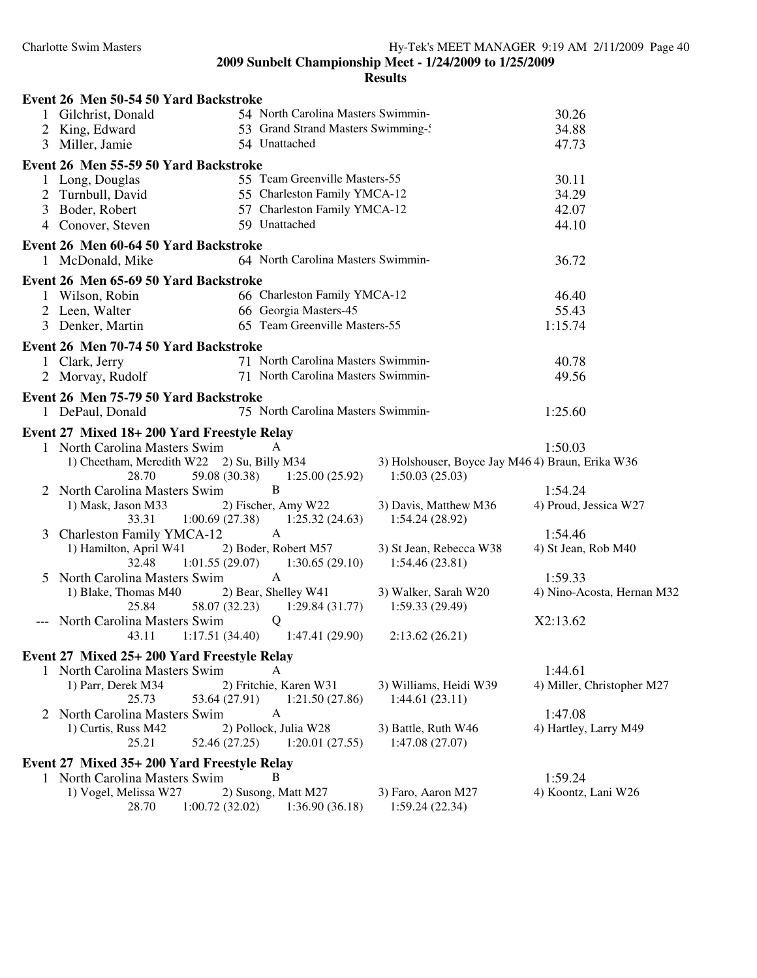|   | Event 26 Men 50-54 50 Yard Backstroke           |                                    |                                                  |                            |
|---|-------------------------------------------------|------------------------------------|--------------------------------------------------|----------------------------|
|   | 1 Gilchrist, Donald                             | 54 North Carolina Masters Swimmin- |                                                  | 30.26                      |
| 2 | King, Edward                                    | 53 Grand Strand Masters Swimming-  |                                                  | 34.88                      |
|   | 3 Miller, Jamie                                 | 54 Unattached                      |                                                  | 47.73                      |
|   | Event 26 Men 55-59 50 Yard Backstroke           |                                    |                                                  |                            |
|   | 1 Long, Douglas                                 | 55 Team Greenville Masters-55      |                                                  | 30.11                      |
|   | 2 Turnbull, David                               | 55 Charleston Family YMCA-12       |                                                  | 34.29                      |
| 3 | Boder, Robert                                   | 57 Charleston Family YMCA-12       |                                                  | 42.07                      |
|   | 4 Conover, Steven                               | 59 Unattached                      |                                                  | 44.10                      |
|   | Event 26 Men 60-64 50 Yard Backstroke           |                                    |                                                  |                            |
|   | 1 McDonald, Mike                                | 64 North Carolina Masters Swimmin- |                                                  | 36.72                      |
|   |                                                 |                                    |                                                  |                            |
|   | Event 26 Men 65-69 50 Yard Backstroke           | 66 Charleston Family YMCA-12       |                                                  |                            |
|   | 1 Wilson, Robin<br>2 Leen, Walter               | 66 Georgia Masters-45              |                                                  | 46.40<br>55.43             |
|   | 3 Denker, Martin                                | 65 Team Greenville Masters-55      |                                                  | 1:15.74                    |
|   |                                                 |                                    |                                                  |                            |
|   | Event 26 Men 70-74 50 Yard Backstroke           |                                    |                                                  |                            |
|   | 1 Clark, Jerry                                  | 71 North Carolina Masters Swimmin- |                                                  | 40.78                      |
|   | 2 Morvay, Rudolf                                | 71 North Carolina Masters Swimmin- |                                                  | 49.56                      |
|   | Event 26 Men 75-79 50 Yard Backstroke           |                                    |                                                  |                            |
|   | 1 DePaul, Donald                                | 75 North Carolina Masters Swimmin- |                                                  | 1:25.60                    |
|   | Event 27 Mixed 18+200 Yard Freestyle Relay      |                                    |                                                  |                            |
|   | 1 North Carolina Masters Swim                   | A                                  |                                                  | 1:50.03                    |
|   | 1) Cheetham, Meredith W22 2) Su, Billy M34      |                                    | 3) Holshouser, Boyce Jay M46 4) Braun, Erika W36 |                            |
|   | 28.70<br>59.08 (30.38)                          | 1:25.00(25.92)                     | 1:50.03(25.03)                                   |                            |
|   | 2 North Carolina Masters Swim                   | $\bf{B}$                           |                                                  | 1:54.24                    |
|   | 1) Mask, Jason M33                              | 2) Fischer, Amy W22                | 3) Davis, Matthew M36                            | 4) Proud, Jessica W27      |
|   | 33.31<br>1:00.69(27.38)                         | 1:25.32(24.63)                     | 1:54.24(28.92)                                   |                            |
|   | 3 Charleston Family YMCA-12                     | $\mathbf{A}$                       |                                                  | 1:54.46                    |
|   | 1) Hamilton, April W41<br>32.48                 | 2) Boder, Robert M57               | 3) St Jean, Rebecca W38                          | 4) St Jean, Rob M40        |
|   | 1:01.55(29.07)<br>5 North Carolina Masters Swim | 1:30.65(29.10)<br>$\mathbf{A}$     | 1:54.46(23.81)                                   | 1:59.33                    |
|   | 1) Blake, Thomas M40                            | 2) Bear, Shelley W41               | 3) Walker, Sarah W20                             | 4) Nino-Acosta, Hernan M32 |
|   | 25.84<br>58.07 (32.23)                          | 1:29.84(31.77)                     | 1:59.33(29.49)                                   |                            |
|   | North Carolina Masters Swim                     | Q                                  |                                                  | X2:13.62                   |
|   | 1:17.51(34.40)<br>43.11                         | 1:47.41(29.90)                     | 2:13.62(26.21)                                   |                            |
|   | Event 27 Mixed 25+ 200 Yard Freestyle Relay     |                                    |                                                  |                            |
|   | 1 North Carolina Masters Swim                   | A                                  |                                                  | 1:44.61                    |
|   | 1) Parr, Derek M34                              | 2) Fritchie, Karen W31             | 3) Williams, Heidi W39                           | 4) Miller, Christopher M27 |
|   | 25.73<br>53.64 (27.91)                          | 1:21.50(27.86)                     | 1:44.61(23.11)                                   |                            |
| 2 | North Carolina Masters Swim                     | A                                  |                                                  | 1:47.08                    |
|   | 1) Curtis, Russ M42                             | 2) Pollock, Julia W28              | 3) Battle, Ruth W46                              | 4) Hartley, Larry M49      |
|   | 25.21<br>52.46 (27.25)                          | 1:20.01(27.55)                     | 1:47.08(27.07)                                   |                            |
|   | Event 27 Mixed 35+ 200 Yard Freestyle Relay     |                                    |                                                  |                            |
|   | 1 North Carolina Masters Swim                   | B                                  |                                                  | 1:59.24                    |
|   | 1) Vogel, Melissa W27                           | 2) Susong, Matt M27                | 3) Faro, Aaron M27                               | 4) Koontz, Lani W26        |
|   | 28.70<br>1:00.72(32.02)                         | 1:36.90(36.18)                     | 1:59.24(22.34)                                   |                            |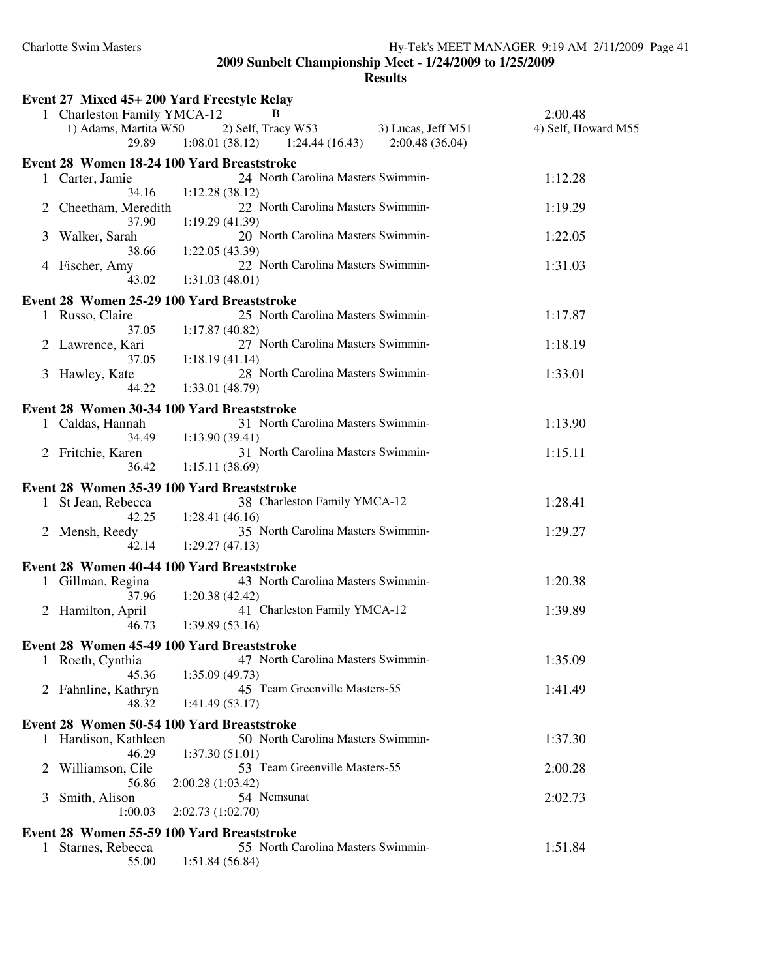|                | Event 27 Mixed 45+ 200 Yard Freestyle Relay          |                                                                                  |                                |
|----------------|------------------------------------------------------|----------------------------------------------------------------------------------|--------------------------------|
|                | 1 Charleston Family YMCA-12<br>1) Adams, Martita W50 | B<br>2) Self, Tracy W53<br>3) Lucas, Jeff $M51$                                  | 2:00.48<br>4) Self, Howard M55 |
|                | 29.89                                                | $1:08.01(38.12)$ $1:24.44(16.43)$ $2:00.48(36.04)$                               |                                |
|                | 1 Carter, Jamie                                      | Event 28 Women 18-24 100 Yard Breaststroke<br>24 North Carolina Masters Swimmin- | 1:12.28                        |
| $\overline{2}$ | 34.16<br>Cheetham, Meredith                          | 1:12.28(38.12)<br>22 North Carolina Masters Swimmin-                             | 1:19.29                        |
| 3              | 37.90<br>Walker, Sarah                               | 1:19.29(41.39)<br>20 North Carolina Masters Swimmin-                             | 1:22.05                        |
| 4              | 38.66<br>Fischer, Amy                                | 1:22.05(43.39)<br>22 North Carolina Masters Swimmin-                             | 1:31.03                        |
|                | 43.02                                                | 1:31.03(48.01)                                                                   |                                |
|                | 1 Russo, Claire                                      | Event 28 Women 25-29 100 Yard Breaststroke<br>25 North Carolina Masters Swimmin- | 1:17.87                        |
| 2              | 37.05<br>Lawrence, Kari                              | 1:17.87(40.82)<br>27 North Carolina Masters Swimmin-                             | 1:18.19                        |
| 3              | 37.05<br>Hawley, Kate<br>44.22                       | 1:18.19(41.14)<br>28 North Carolina Masters Swimmin-<br>1:33.01 (48.79)          | 1:33.01                        |
|                |                                                      | Event 28 Women 30-34 100 Yard Breaststroke                                       |                                |
|                | 1 Caldas, Hannah<br>34.49                            | 31 North Carolina Masters Swimmin-<br>1:13.90(39.41)                             | 1:13.90                        |
|                | 2 Fritchie, Karen<br>36.42                           | 31 North Carolina Masters Swimmin-<br>1:15.11(38.69)                             | 1:15.11                        |
|                |                                                      | Event 28 Women 35-39 100 Yard Breaststroke                                       |                                |
|                | 1 St Jean, Rebecca<br>42.25                          | 38 Charleston Family YMCA-12<br>1:28.41(46.16)                                   | 1:28.41                        |
|                | 2 Mensh, Reedy<br>42.14                              | 35 North Carolina Masters Swimmin-<br>1:29.27(47.13)                             | 1:29.27                        |
|                |                                                      | Event 28 Women 40-44 100 Yard Breaststroke                                       |                                |
|                | 1 Gillman, Regina<br>37.96                           | 43 North Carolina Masters Swimmin-<br>1:20.38(42.42)                             | 1:20.38                        |
|                | 2 Hamilton, April<br>46.73                           | 41 Charleston Family YMCA-12<br>1:39.89(53.16)                                   | 1:39.89                        |
|                | Event 28 Women 45-49 100 Yard Breaststroke           |                                                                                  |                                |
|                | 1 Roeth, Cynthia<br>45.36                            | 47 North Carolina Masters Swimmin-<br>1:35.09(49.73)                             | 1:35.09                        |
|                | 2 Fahnline, Kathryn<br>48.32                         | 45 Team Greenville Masters-55<br>1:41.49(53.17)                                  | 1:41.49                        |
|                | Event 28 Women 50-54 100 Yard Breaststroke           |                                                                                  |                                |
|                | 1 Hardison, Kathleen<br>46.29                        | 50 North Carolina Masters Swimmin-<br>1:37.30(51.01)                             | 1:37.30                        |
| 2              | Williamson, Cile<br>56.86                            | 53 Team Greenville Masters-55<br>2:00.28 (1:03.42)                               | 2:00.28                        |
| 3              | Smith, Alison<br>1:00.03                             | 54 Ncmsunat<br>2:02.73(1:02.70)                                                  | 2:02.73                        |
|                |                                                      | Event 28 Women 55-59 100 Yard Breaststroke                                       |                                |
| $\mathbf{1}$   | Starnes, Rebecca<br>55.00                            | 55 North Carolina Masters Swimmin-<br>1:51.84(56.84)                             | 1:51.84                        |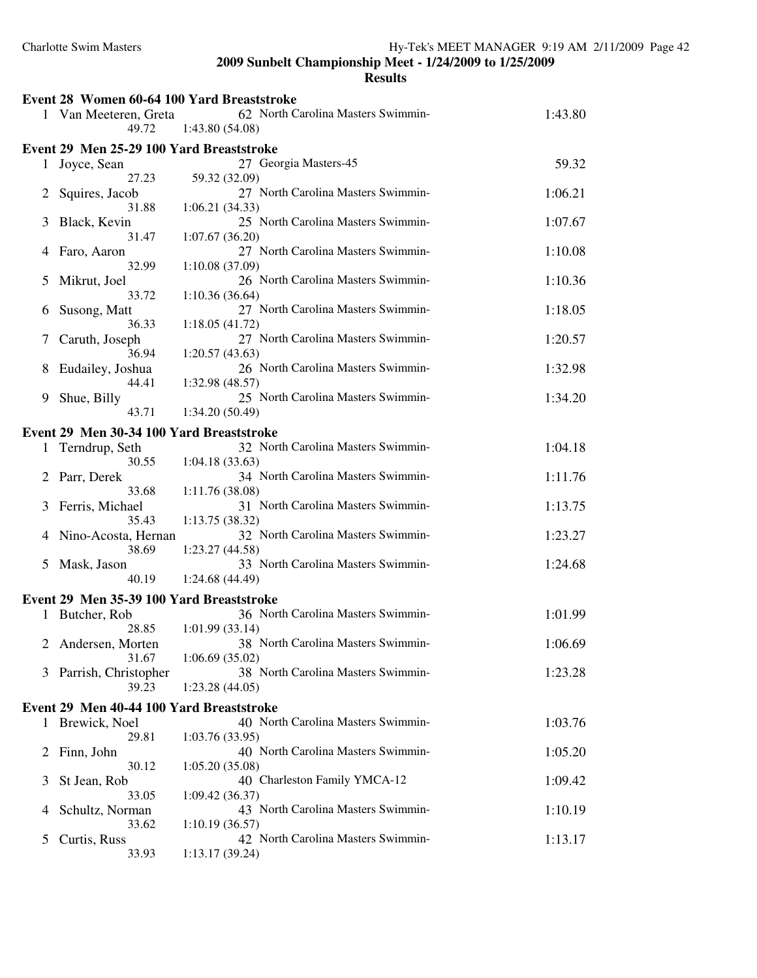|   | Event 28 Women 60-64 100 Yard Breaststroke |                                    |         |
|---|--------------------------------------------|------------------------------------|---------|
|   | 1 Van Meeteren, Greta                      | 62 North Carolina Masters Swimmin- | 1:43.80 |
|   | 49.72                                      | 1:43.80(54.08)                     |         |
|   | Event 29 Men 25-29 100 Yard Breaststroke   |                                    |         |
|   | 1 Joyce, Sean                              | 27 Georgia Masters-45              | 59.32   |
|   | 27.23                                      | 59.32 (32.09)                      |         |
| 2 | Squires, Jacob                             | 27 North Carolina Masters Swimmin- | 1:06.21 |
|   | 31.88                                      | 1:06.21(34.33)                     |         |
| 3 | Black, Kevin                               | 25 North Carolina Masters Swimmin- | 1:07.67 |
|   | 31.47                                      | 1:07.67(36.20)                     |         |
| 4 | Faro, Aaron                                | 27 North Carolina Masters Swimmin- | 1:10.08 |
|   | 32.99                                      | 1:10.08(37.09)                     |         |
| 5 | Mikrut, Joel                               | 26 North Carolina Masters Swimmin- | 1:10.36 |
|   | 33.72                                      | 1:10.36(36.64)                     |         |
| 6 | Susong, Matt                               | 27 North Carolina Masters Swimmin- | 1:18.05 |
|   | 36.33                                      | 1:18.05(41.72)                     |         |
| 7 | Caruth, Joseph                             | 27 North Carolina Masters Swimmin- | 1:20.57 |
|   | 36.94                                      | 1:20.57(43.63)                     |         |
| 8 | Eudailey, Joshua                           | 26 North Carolina Masters Swimmin- | 1:32.98 |
|   | 44.41                                      | 1:32.98 (48.57)                    |         |
| 9 | Shue, Billy                                | 25 North Carolina Masters Swimmin- | 1:34.20 |
|   | 43.71                                      | 1:34.20 (50.49)                    |         |
|   | Event 29 Men 30-34 100 Yard Breaststroke   |                                    |         |
|   | 1 Terndrup, Seth                           | 32 North Carolina Masters Swimmin- | 1:04.18 |
|   | 30.55                                      | 1:04.18(33.63)                     |         |
| 2 | Parr, Derek                                | 34 North Carolina Masters Swimmin- | 1:11.76 |
|   | 33.68                                      | 1:11.76(38.08)                     |         |
| 3 | Ferris, Michael                            | 31 North Carolina Masters Swimmin- | 1:13.75 |
|   | 35.43                                      | 1:13.75(38.32)                     |         |
| 4 | Nino-Acosta, Hernan                        | 32 North Carolina Masters Swimmin- | 1:23.27 |
|   | 38.69                                      | 1:23.27 (44.58)                    |         |
| 5 | Mask, Jason                                | 33 North Carolina Masters Swimmin- | 1:24.68 |
|   | 40.19                                      | 1:24.68 (44.49)                    |         |
|   | Event 29 Men 35-39 100 Yard Breaststroke   |                                    |         |
|   | 1 Butcher, Rob                             | 36 North Carolina Masters Swimmin- | 1:01.99 |
|   | 28.85                                      | 1:01.99(33.14)                     |         |
|   | Andersen, Morten                           | 38 North Carolina Masters Swimmin- | 1:06.69 |
|   | 31.67                                      | 1:06.69(35.02)                     |         |
| 3 | Parrish, Christopher                       | 38 North Carolina Masters Swimmin- | 1:23.28 |
|   | 39.23                                      | 1:23.28(44.05)                     |         |
|   | Event 29 Men 40-44 100 Yard Breaststroke   |                                    |         |
| 1 | Brewick, Noel                              | 40 North Carolina Masters Swimmin- | 1:03.76 |
|   | 29.81                                      | 1:03.76(33.95)                     |         |
| 2 | Finn, John                                 | 40 North Carolina Masters Swimmin- | 1:05.20 |
|   | 30.12                                      | 1:05.20(35.08)                     |         |
| 3 | St Jean, Rob                               | 40 Charleston Family YMCA-12       | 1:09.42 |
|   | 33.05                                      | 1:09.42(36.37)                     |         |
| 4 | Schultz, Norman                            | 43 North Carolina Masters Swimmin- | 1:10.19 |
|   | 33.62                                      | 1:10.19(36.57)                     |         |
| 5 | Curtis, Russ                               | 42 North Carolina Masters Swimmin- | 1:13.17 |
|   | 33.93                                      | 1:13.17(39.24)                     |         |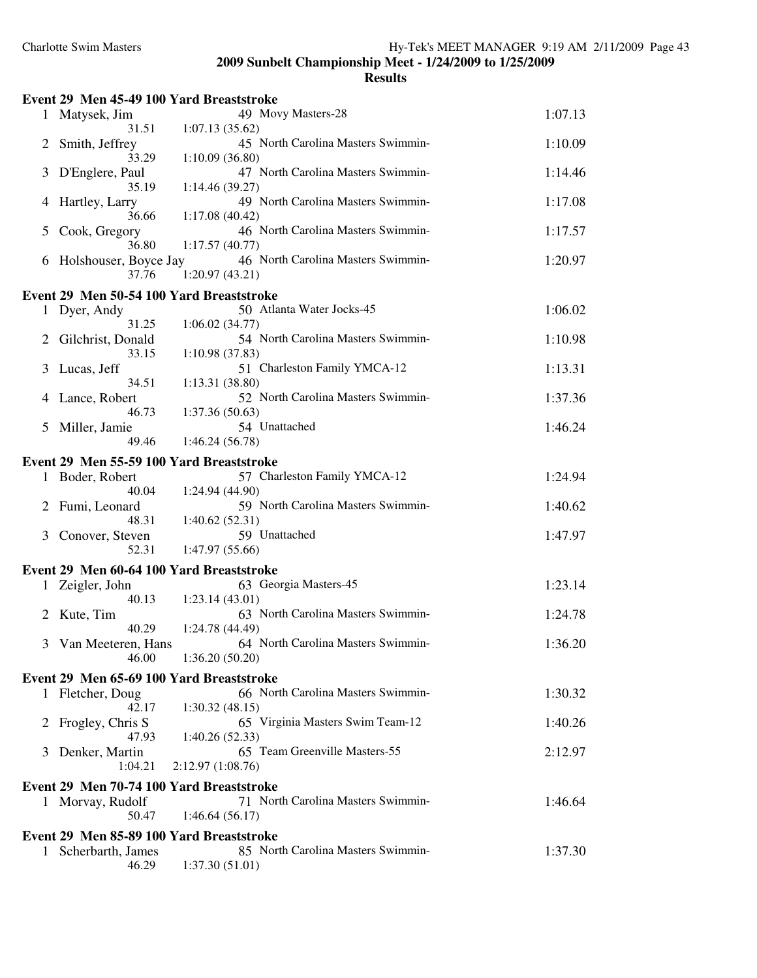|              | Event 29 Men 45-49 100 Yard Breaststroke |                                                      |         |
|--------------|------------------------------------------|------------------------------------------------------|---------|
| 1            | Matysek, Jim                             | 49 Movy Masters-28                                   | 1:07.13 |
|              | 31.51                                    | 1:07.13(35.62)                                       |         |
| 2            | Smith, Jeffrey<br>33.29                  | 45 North Carolina Masters Swimmin-<br>1:10.09(36.80) | 1:10.09 |
| 3            | D'Englere, Paul<br>35.19                 | 47 North Carolina Masters Swimmin-<br>1:14.46(39.27) | 1:14.46 |
| 4            | Hartley, Larry<br>36.66                  | 49 North Carolina Masters Swimmin-<br>1:17.08(40.42) | 1:17.08 |
| 5            | Cook, Gregory<br>36.80                   | 46 North Carolina Masters Swimmin-<br>1:17.57(40.77) | 1:17.57 |
| 6            | Holshouser, Boyce Jay<br>37.76           | 46 North Carolina Masters Swimmin-<br>1:20.97(43.21) | 1:20.97 |
|              | Event 29 Men 50-54 100 Yard Breaststroke |                                                      |         |
| 1            | Dyer, Andy                               | 50 Atlanta Water Jocks-45                            | 1:06.02 |
|              | 31.25                                    | 1:06.02(34.77)                                       |         |
|              | Gilchrist, Donald<br>33.15               | 54 North Carolina Masters Swimmin-<br>1:10.98(37.83) | 1:10.98 |
| 3            | Lucas, Jeff                              | 51 Charleston Family YMCA-12                         | 1:13.31 |
|              | 34.51                                    | 1:13.31(38.80)                                       |         |
| 4            | Lance, Robert<br>46.73                   | 52 North Carolina Masters Swimmin-<br>1:37.36(50.63) | 1:37.36 |
| 5            | Miller, Jamie                            | 54 Unattached                                        | 1:46.24 |
|              | 49.46                                    | 1:46.24(56.78)                                       |         |
|              | Event 29 Men 55-59 100 Yard Breaststroke |                                                      |         |
|              | 1 Boder, Robert                          | 57 Charleston Family YMCA-12                         | 1:24.94 |
|              | 40.04                                    | 1:24.94 (44.90)                                      |         |
| 2            | Fumi, Leonard                            | 59 North Carolina Masters Swimmin-                   | 1:40.62 |
|              | 48.31                                    | 1:40.62(52.31)                                       |         |
| 3            | Conover, Steven                          | 59 Unattached                                        | 1:47.97 |
|              | 52.31                                    | 1:47.97(55.66)                                       |         |
|              | Event 29 Men 60-64 100 Yard Breaststroke |                                                      |         |
|              | 1 Zeigler, John                          | 63 Georgia Masters-45                                | 1:23.14 |
|              | 40.13                                    | 1:23.14(43.01)                                       |         |
|              | 2 Kute, Tim                              | 63 North Carolina Masters Swimmin-                   | 1:24.78 |
|              | 40.29                                    | 1:24.78 (44.49)                                      |         |
|              | 3 Van Meeteren, Hans                     | 64 North Carolina Masters Swimmin-                   | 1:36.20 |
|              | 46.00                                    | 1:36.20(50.20)                                       |         |
|              | Event 29 Men 65-69 100 Yard Breaststroke |                                                      |         |
|              | 1 Fletcher, Doug                         | 66 North Carolina Masters Swimmin-                   | 1:30.32 |
|              | 42.17                                    | 1:30.32(48.15)                                       |         |
| $\mathbb{Z}$ | Frogley, Chris S                         | 65 Virginia Masters Swim Team-12                     | 1:40.26 |
|              | 47.93                                    | 1:40.26(52.33)                                       |         |
| 3            | Denker, Martin<br>1:04.21                | 65 Team Greenville Masters-55<br>2:12.97(1:08.76)    | 2:12.97 |
|              | Event 29 Men 70-74 100 Yard Breaststroke |                                                      |         |
|              | 1 Morvay, Rudolf                         | 71 North Carolina Masters Swimmin-                   | 1:46.64 |
|              | 50.47                                    | 1:46.64(56.17)                                       |         |
|              | Event 29 Men 85-89 100 Yard Breaststroke |                                                      |         |
| 1            | Scherbarth, James                        | 85 North Carolina Masters Swimmin-                   | 1:37.30 |
|              | 46.29                                    | 1:37.30(51.01)                                       |         |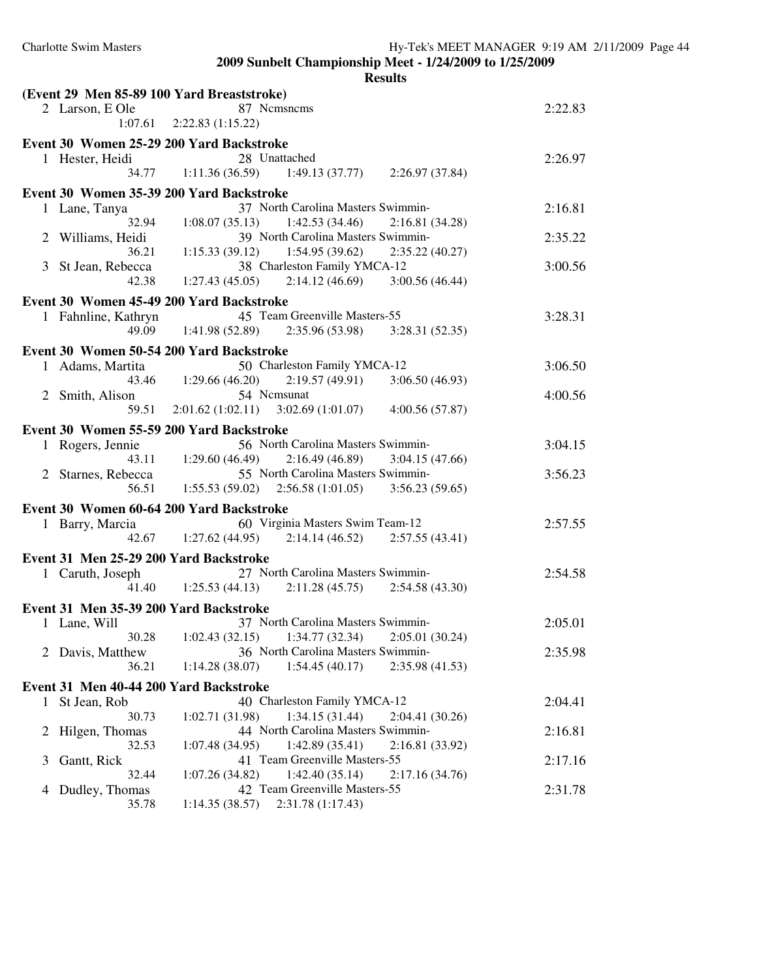|              |                                        | <b>Results</b>                                                     |         |
|--------------|----------------------------------------|--------------------------------------------------------------------|---------|
|              |                                        | (Event 29 Men 85-89 100 Yard Breaststroke)                         |         |
|              | 2 Larson, E Ole                        | 87 Nemsnems                                                        | 2:22.83 |
|              |                                        | $1:07.61$ $2:22.83$ $(1:15.22)$                                    |         |
|              |                                        | Event 30 Women 25-29 200 Yard Backstroke                           |         |
|              | 1 Hester, Heidi                        | 28 Unattached                                                      | 2:26.97 |
|              | 34.77                                  | $1:11.36(36.59)$ $1:49.13(37.77)$ $2:26.97(37.84)$                 |         |
|              |                                        |                                                                    |         |
|              |                                        | Event 30 Women 35-39 200 Yard Backstroke                           |         |
|              | 1 Lane, Tanya                          | 37 North Carolina Masters Swimmin-                                 | 2:16.81 |
|              | 32.94                                  | $1:08.07(35.13)$ $1:42.53(34.46)$<br>2:16.81(34.28)                |         |
|              | 2 Williams, Heidi                      | 39 North Carolina Masters Swimmin-                                 | 2:35.22 |
|              | 36.21                                  | 1:15.33 (39.12) 1:54.95 (39.62) 2:35.22 (40.27)                    |         |
|              | 3 St Jean, Rebecca                     | 38 Charleston Family YMCA-12                                       | 3:00.56 |
|              | 42.38                                  | $1:27.43(45.05)$ $2:14.12(46.69)$ $3:00.56(46.44)$                 |         |
|              |                                        | Event 30 Women 45-49 200 Yard Backstroke                           |         |
|              | 1 Fahnline, Kathryn                    | 45 Team Greenville Masters-55                                      | 3:28.31 |
|              |                                        | 49.09 1:41.98 (52.89) 2:35.96 (53.98) 3:28.31 (52.35)              |         |
|              |                                        |                                                                    |         |
|              |                                        | Event 30 Women 50-54 200 Yard Backstroke                           |         |
|              | 1 Adams, Martita                       | 50 Charleston Family YMCA-12                                       | 3:06.50 |
|              |                                        | 43.46 1:29.66 (46.20)<br>$2:19.57(49.91)$ $3:06.50(46.93)$         |         |
|              | 2 Smith, Alison                        | 54 Nemsunat                                                        | 4:00.56 |
|              | 59.51                                  | $2:01.62(1:02.11)$ $3:02.69(1:01.07)$ $4:00.56(57.87)$             |         |
|              |                                        | Event 30 Women 55-59 200 Yard Backstroke                           |         |
|              | 1 Rogers, Jennie                       | 56 North Carolina Masters Swimmin-                                 | 3:04.15 |
|              |                                        | 43.11 1:29.60 (46.49) 2:16.49 (46.89) 3:04.15 (47.66)              |         |
|              | 2 Starnes, Rebecca                     | 55 North Carolina Masters Swimmin-                                 | 3:56.23 |
|              | 56.51                                  | $1:55.53(59.02)$ $2:56.58(1:01.05)$ $3:56.23(59.65)$               |         |
|              |                                        |                                                                    |         |
|              |                                        | Event 30 Women 60-64 200 Yard Backstroke                           |         |
|              | 1 Barry, Marcia                        | 60 Virginia Masters Swim Team-12                                   | 2:57.55 |
|              |                                        | 42.67 1:27.62 (44.95) 2:14.14 (46.52) 2:57.55 (43.41)              |         |
|              |                                        | Event 31 Men 25-29 200 Yard Backstroke                             |         |
|              | 1 Caruth, Joseph                       | 27 North Carolina Masters Swimmin-                                 | 2:54.58 |
|              |                                        | $41.40 \qquad 1:25.53(44.13)$<br>$2:11.28(45.75)$ $2:54.58(43.30)$ |         |
|              |                                        |                                                                    |         |
|              | Event 31 Men 35-39 200 Yard Backstroke |                                                                    |         |
|              | 1 Lane, Will                           | 37 North Carolina Masters Swimmin-                                 | 2:05.01 |
|              | 30.28                                  | 1:34.77 (32.34)<br>1:02.43(32.15)<br>2:05.01(30.24)                |         |
|              | 2 Davis, Matthew                       | 36 North Carolina Masters Swimmin-                                 | 2:35.98 |
|              | 36.21                                  | 1:14.28(38.07)<br>1:54.45(40.17)<br>2:35.98 (41.53)                |         |
|              | Event 31 Men 40-44 200 Yard Backstroke |                                                                    |         |
| $\mathbf{1}$ | St Jean, Rob                           | 40 Charleston Family YMCA-12                                       | 2:04.41 |
|              | 30.73                                  | 1:02.71 (31.98)<br>1:34.15(31.44)<br>2:04.41 (30.26)               |         |
| $\mathbb{Z}$ | Hilgen, Thomas                         | 44 North Carolina Masters Swimmin-                                 | 2:16.81 |
|              | 32.53                                  | 1:42.89(35.41)<br>1:07.48(34.95)<br>2:16.81 (33.92)                |         |
| 3            | Gantt, Rick                            | 41 Team Greenville Masters-55                                      | 2:17.16 |
|              | 32.44                                  | 1:42.40(35.14)<br>1:07.26(34.82)<br>2:17.16 (34.76)                |         |
| 4            | Dudley, Thomas                         | 42 Team Greenville Masters-55                                      | 2:31.78 |
|              | 35.78                                  | 2:31.78 (1:17.43)<br>1:14.35(38.57)                                |         |
|              |                                        |                                                                    |         |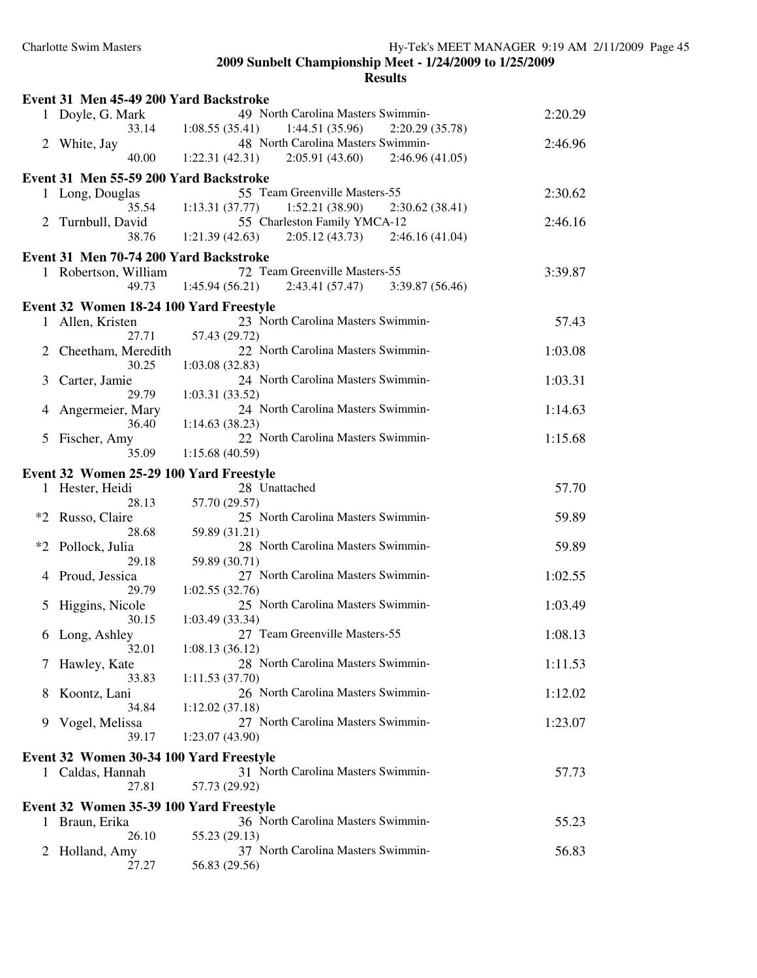|              | Event 31 Men 45-49 200 Yard Backstroke                  |                                                                                            |         |
|--------------|---------------------------------------------------------|--------------------------------------------------------------------------------------------|---------|
|              | 1 Doyle, G. Mark<br>33.14                               | 49 North Carolina Masters Swimmin-<br>$1:08.55(35.41)$ $1:44.51(35.96)$<br>2:20.29 (35.78) | 2:20.29 |
| 2            | White, Jay                                              | 48 North Carolina Masters Swimmin-                                                         | 2:46.96 |
|              | 40.00                                                   | $1:22.31(42.31)$ $2:05.91(43.60)$<br>2:46.96(41.05)                                        |         |
|              | Event 31 Men 55-59 200 Yard Backstroke                  |                                                                                            |         |
|              | 1 Long, Douglas                                         | 55 Team Greenville Masters-55                                                              | 2:30.62 |
|              | Turnbull, David                                         | 35.54 1:13.31 (37.77)<br>1:52.21(38.90)<br>2:30.62(38.41)<br>55 Charleston Family YMCA-12  | 2:46.16 |
|              | 38.76                                                   | 1:21.39(42.63)<br>$2:05.12(43.73)$ $2:46.16(41.04)$                                        |         |
|              | Event 31 Men 70-74 200 Yard Backstroke                  |                                                                                            |         |
| $\mathbf{1}$ | Robertson, William                                      | 72 Team Greenville Masters-55                                                              | 3:39.87 |
|              | 49.73                                                   | $1:45.94(56.21)$ $2:43.41(57.47)$ $3:39.87(56.46)$                                         |         |
|              | Event 32 Women 18-24 100 Yard Freestyle                 |                                                                                            |         |
|              | 1 Allen, Kristen<br>27.71                               | 23 North Carolina Masters Swimmin-<br>57.43 (29.72)                                        | 57.43   |
| 2            | Cheetham, Meredith                                      | 22 North Carolina Masters Swimmin-                                                         | 1:03.08 |
|              | 30.25                                                   | 1:03.08(32.83)                                                                             |         |
| 3            | Carter, Jamie<br>29.79                                  | 24 North Carolina Masters Swimmin-<br>1:03.31(33.52)                                       | 1:03.31 |
| 4            | Angermeier, Mary                                        | 24 North Carolina Masters Swimmin-                                                         | 1:14.63 |
|              | 36.40                                                   | 1:14.63(38.23)                                                                             |         |
| 5            | Fischer, Amy<br>35.09                                   | 22 North Carolina Masters Swimmin-<br>1:15.68(40.59)                                       | 1:15.68 |
|              | Event 32 Women 25-29 100 Yard Freestyle                 |                                                                                            |         |
|              | 1 Hester, Heidi                                         | 28 Unattached                                                                              | 57.70   |
|              | 28.13                                                   | 57.70 (29.57)                                                                              |         |
| $*2$         | Russo, Claire<br>28.68                                  | 25 North Carolina Masters Swimmin-<br>59.89 (31.21)                                        | 59.89   |
| $*2$         | Pollock, Julia                                          | 28 North Carolina Masters Swimmin-                                                         | 59.89   |
|              | 29.18                                                   | 59.89 (30.71)                                                                              |         |
| 4            | Proud, Jessica<br>29.79                                 | 27 North Carolina Masters Swimmin-<br>1:02.55(32.76)                                       | 1:02.55 |
| 5            | Higgins, Nicole                                         | 25 North Carolina Masters Swimmin-                                                         | 1:03.49 |
|              | 30.15                                                   | 1:03.49(33.34)                                                                             |         |
| 6            | Long, Ashley<br>32.01                                   | 27 Team Greenville Masters-55<br>1:08.13(36.12)                                            | 1:08.13 |
| 7            | Hawley, Kate                                            | 28 North Carolina Masters Swimmin-                                                         | 1:11.53 |
|              | 33.83                                                   | 1:11.53(37.70)                                                                             |         |
| 8            | Koontz, Lani<br>34.84                                   | 26 North Carolina Masters Swimmin-<br>1:12.02(37.18)                                       | 1:12.02 |
| 9            | Vogel, Melissa                                          | 27 North Carolina Masters Swimmin-                                                         | 1:23.07 |
|              | 39.17                                                   | 1:23.07(43.90)                                                                             |         |
|              | Event 32 Women 30-34 100 Yard Freestyle                 |                                                                                            |         |
|              | 1 Caldas, Hannah                                        | 31 North Carolina Masters Swimmin-                                                         | 57.73   |
|              | 27.81                                                   | 57.73 (29.92)                                                                              |         |
| 1            | Event 32 Women 35-39 100 Yard Freestyle<br>Braun, Erika | 36 North Carolina Masters Swimmin-                                                         | 55.23   |
|              | 26.10                                                   | 55.23 (29.13)                                                                              |         |
| 2            | Holland, Amy                                            | 37 North Carolina Masters Swimmin-                                                         | 56.83   |
|              | 27.27                                                   | 56.83 (29.56)                                                                              |         |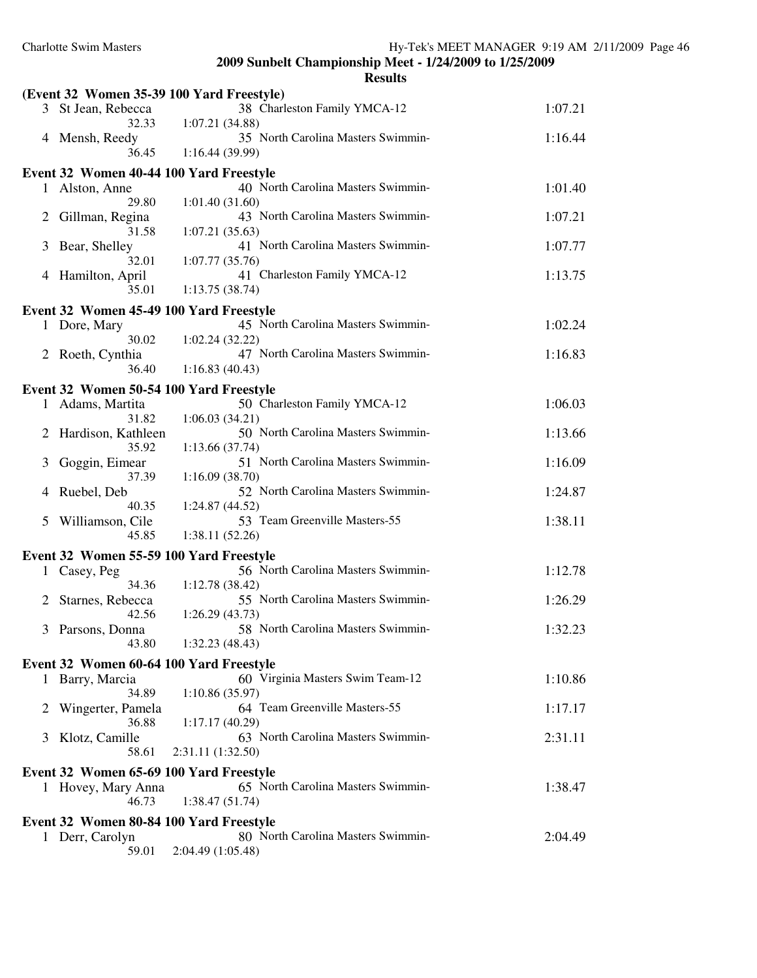|   |                                           | <b>Results</b>                                       |         |
|---|-------------------------------------------|------------------------------------------------------|---------|
|   | (Event 32 Women 35-39 100 Yard Freestyle) |                                                      |         |
|   | 3 St Jean, Rebecca<br>32.33               | 38 Charleston Family YMCA-12<br>1:07.21(34.88)       | 1:07.21 |
|   | 4 Mensh, Reedy                            | 35 North Carolina Masters Swimmin-                   | 1:16.44 |
|   | 36.45                                     | 1:16.44(39.99)                                       |         |
|   | Event 32 Women 40-44 100 Yard Freestyle   |                                                      |         |
|   | 1 Alston, Anne                            | 40 North Carolina Masters Swimmin-                   | 1:01.40 |
| 2 | 29.80<br>Gillman, Regina                  | 1:01.40(31.60)<br>43 North Carolina Masters Swimmin- | 1:07.21 |
|   | 31.58                                     | 1:07.21(35.63)                                       |         |
| 3 | Bear, Shelley                             | 41 North Carolina Masters Swimmin-                   | 1:07.77 |
|   | 32.01<br>4 Hamilton, April                | 1:07.77(35.76)<br>41 Charleston Family YMCA-12       | 1:13.75 |
|   | 35.01                                     | 1:13.75(38.74)                                       |         |
|   | Event 32 Women 45-49 100 Yard Freestyle   |                                                      |         |
| 1 | Dore, Mary                                | 45 North Carolina Masters Swimmin-                   | 1:02.24 |
|   | 30.02<br>2 Roeth, Cynthia                 | 1:02.24(32.22)<br>47 North Carolina Masters Swimmin- | 1:16.83 |
|   | 36.40                                     | 1:16.83(40.43)                                       |         |
|   | Event 32 Women 50-54 100 Yard Freestyle   |                                                      |         |
|   | 1 Adams, Martita                          | 50 Charleston Family YMCA-12                         | 1:06.03 |
| 2 | 31.82<br>Hardison, Kathleen               | 1:06.03(34.21)<br>50 North Carolina Masters Swimmin- | 1:13.66 |
|   | 35.92                                     | 1:13.66(37.74)                                       |         |
| 3 | Goggin, Eimear                            | 51 North Carolina Masters Swimmin-                   | 1:16.09 |
| 4 | 37.39<br>Ruebel, Deb                      | 1:16.09(38.70)<br>52 North Carolina Masters Swimmin- | 1:24.87 |
|   | 40.35                                     | 1:24.87 (44.52)                                      |         |
| 5 | Williamson, Cile                          | 53 Team Greenville Masters-55                        | 1:38.11 |
|   | 45.85                                     | 1:38.11(52.26)                                       |         |
|   | Event 32 Women 55-59 100 Yard Freestyle   | 56 North Carolina Masters Swimmin-                   |         |
|   | 1 Casey, Peg<br>34.36                     | 1:12.78(38.42)                                       | 1:12.78 |
|   | 2 Starnes, Rebecca                        | 55 North Carolina Masters Swimmin-                   | 1:26.29 |
|   | 42.56                                     | 1:26.29(43.73)                                       |         |
|   | 3 Parsons, Donna<br>43.80                 | 58 North Carolina Masters Swimmin-<br>1:32.23(48.43) | 1:32.23 |
|   | Event 32 Women 60-64 100 Yard Freestyle   |                                                      |         |
|   | 1 Barry, Marcia                           | 60 Virginia Masters Swim Team-12                     | 1:10.86 |
|   | 34.89                                     | 1:10.86(35.97)                                       |         |
| 2 | Wingerter, Pamela<br>36.88                | 64 Team Greenville Masters-55<br>1:17.17 (40.29)     | 1:17.17 |
| 3 | Klotz, Camille                            | 63 North Carolina Masters Swimmin-                   | 2:31.11 |
|   | 58.61                                     | 2:31.11 (1:32.50)                                    |         |
|   | Event 32 Women 65-69 100 Yard Freestyle   |                                                      |         |
|   | 1 Hovey, Mary Anna<br>46.73               | 65 North Carolina Masters Swimmin-<br>1:38.47(51.74) | 1:38.47 |
|   | Event 32 Women 80-84 100 Yard Freestyle   |                                                      |         |
| 1 | Derr, Carolyn                             | 80 North Carolina Masters Swimmin-                   | 2:04.49 |
|   | 59.01                                     | 2:04.49 (1:05.48)                                    |         |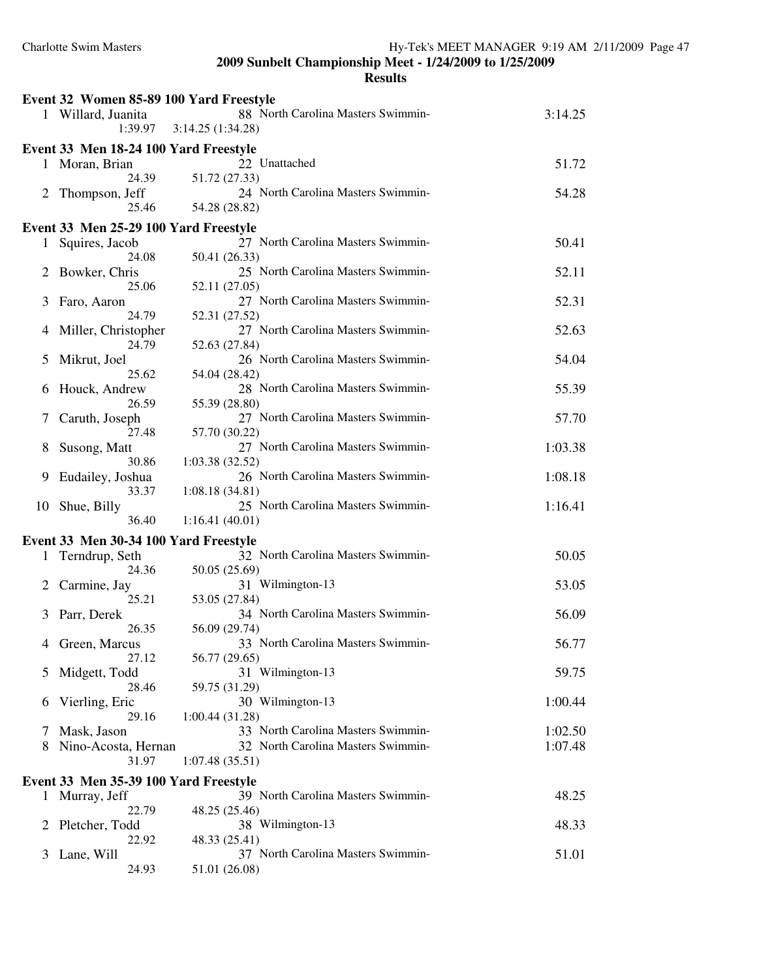| Event 32 Women 85-89 100 Yard Freestyle |                                       |                                                        |         |
|-----------------------------------------|---------------------------------------|--------------------------------------------------------|---------|
|                                         | 1 Willard, Juanita<br>1:39.97         | 88 North Carolina Masters Swimmin-<br>3:14.25(1:34.28) | 3:14.25 |
|                                         | Event 33 Men 18-24 100 Yard Freestyle |                                                        |         |
|                                         | 1 Moran, Brian<br>24.39               | 22 Unattached<br>51.72 (27.33)                         | 51.72   |
| 2                                       | Thompson, Jeff<br>25.46               | 24 North Carolina Masters Swimmin-<br>54.28 (28.82)    | 54.28   |
|                                         | Event 33 Men 25-29 100 Yard Freestyle |                                                        |         |
|                                         |                                       | 27 North Carolina Masters Swimmin-                     | 50.41   |
|                                         | 1 Squires, Jacob<br>24.08             | 50.41 (26.33)                                          |         |
| 2                                       | Bowker, Chris                         | 25 North Carolina Masters Swimmin-                     | 52.11   |
|                                         | 25.06                                 | 52.11 (27.05)                                          |         |
| 3                                       | Faro, Aaron                           | 27 North Carolina Masters Swimmin-                     | 52.31   |
|                                         | 24.79                                 | 52.31 (27.52)                                          |         |
| 4                                       | Miller, Christopher                   | 27 North Carolina Masters Swimmin-                     | 52.63   |
|                                         | 24.79                                 | 52.63 (27.84)                                          |         |
| 5                                       | Mikrut, Joel                          | 26 North Carolina Masters Swimmin-                     | 54.04   |
|                                         | 25.62                                 | 54.04 (28.42)                                          |         |
|                                         |                                       | 28 North Carolina Masters Swimmin-                     | 55.39   |
| 6                                       | Houck, Andrew<br>26.59                |                                                        |         |
|                                         |                                       | 55.39 (28.80)<br>27 North Carolina Masters Swimmin-    |         |
| 7                                       | Caruth, Joseph                        |                                                        | 57.70   |
|                                         | 27.48                                 | 57.70 (30.22)                                          |         |
| 8                                       | Susong, Matt                          | 27 North Carolina Masters Swimmin-                     | 1:03.38 |
|                                         | 30.86                                 | 1:03.38(32.52)                                         |         |
| 9                                       | Eudailey, Joshua                      | 26 North Carolina Masters Swimmin-                     | 1:08.18 |
|                                         | 33.37                                 | 1:08.18(34.81)                                         |         |
| 10                                      | Shue, Billy                           | 25 North Carolina Masters Swimmin-                     | 1:16.41 |
|                                         | 36.40                                 | 1:16.41(40.01)                                         |         |
|                                         | Event 33 Men 30-34 100 Yard Freestyle |                                                        |         |
| 1                                       | Terndrup, Seth                        | 32 North Carolina Masters Swimmin-                     | 50.05   |
|                                         | 24.36                                 | 50.05 (25.69)                                          |         |
| 2                                       | Carmine, Jay                          | 31 Wilmington-13                                       | 53.05   |
|                                         | 25.21                                 | 53.05 (27.84)                                          |         |
| 3                                       | Parr, Derek                           | 34 North Carolina Masters Swimmin-                     | 56.09   |
|                                         | 26.35                                 | 56.09 (29.74)                                          |         |
|                                         | Green, Marcus                         | 33 North Carolina Masters Swimmin-                     | 56.77   |
|                                         | 27.12                                 | 56.77 (29.65)                                          |         |
| 5                                       | Midgett, Todd                         | 31 Wilmington-13                                       | 59.75   |
|                                         | 28.46                                 | 59.75 (31.29)                                          |         |
| 6                                       | Vierling, Eric                        | 30 Wilmington-13                                       | 1:00.44 |
|                                         | 29.16                                 | 1:00.44(31.28)                                         |         |
| 7                                       | Mask, Jason                           | 33 North Carolina Masters Swimmin-                     | 1:02.50 |
| 8                                       | Nino-Acosta, Hernan                   | 32 North Carolina Masters Swimmin-                     | 1:07.48 |
|                                         | 31.97                                 | 1:07.48(35.51)                                         |         |
|                                         |                                       |                                                        |         |
|                                         | Event 33 Men 35-39 100 Yard Freestyle |                                                        |         |
|                                         | 1 Murray, Jeff                        | 39 North Carolina Masters Swimmin-                     | 48.25   |
|                                         | 22.79                                 | 48.25 (25.46)                                          |         |
| 2                                       | Pletcher, Todd                        | 38 Wilmington-13                                       | 48.33   |
|                                         | 22.92                                 | 48.33 (25.41)                                          |         |
| 3                                       | Lane, Will                            | 37 North Carolina Masters Swimmin-                     | 51.01   |
|                                         | 24.93                                 | 51.01 (26.08)                                          |         |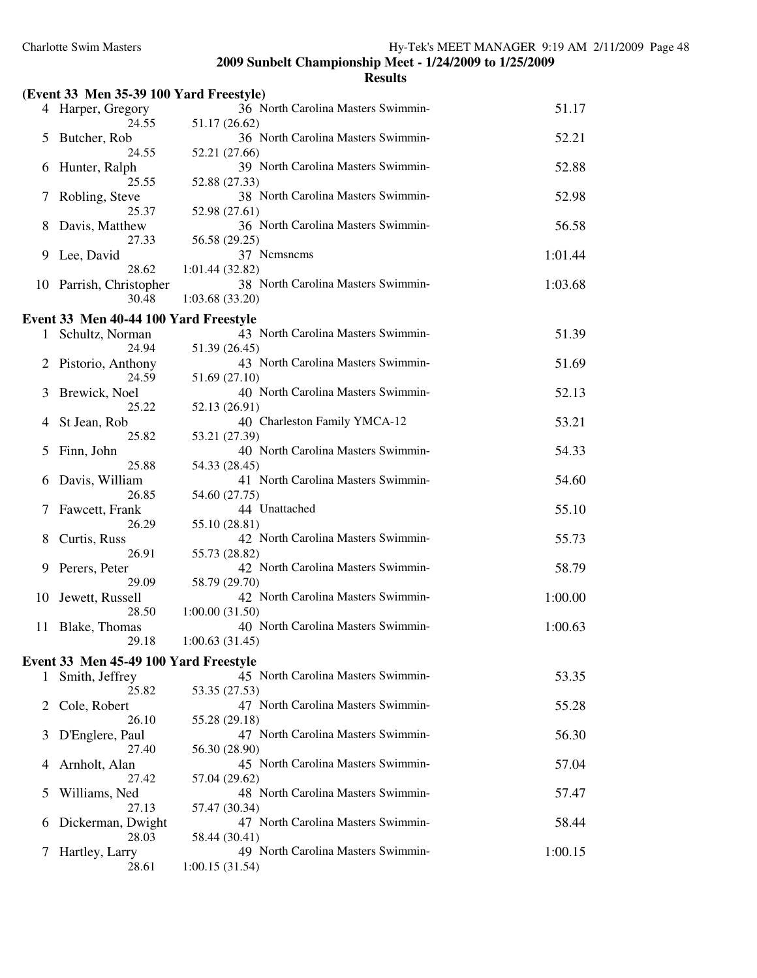|               | (Event 33 Men 35-39 100 Yard Freestyle) |                                                      |         |
|---------------|-----------------------------------------|------------------------------------------------------|---------|
|               | 4 Harper, Gregory                       | 36 North Carolina Masters Swimmin-                   | 51.17   |
| 5             | 24.55<br>Butcher, Rob                   | 51.17 (26.62)<br>36 North Carolina Masters Swimmin-  | 52.21   |
|               | 24.55                                   | 52.21 (27.66)                                        |         |
| O             | Hunter, Ralph<br>25.55                  | 39 North Carolina Masters Swimmin-<br>52.88 (27.33)  | 52.88   |
|               | Robling, Steve<br>25.37                 | 38 North Carolina Masters Swimmin-<br>52.98 (27.61)  | 52.98   |
| 8             | Davis, Matthew                          | 36 North Carolina Masters Swimmin-                   | 56.58   |
|               | 27.33                                   | 56.58 (29.25)<br>37 Nemsnems                         |         |
| 9             | Lee, David<br>28.62                     | 1:01.44(32.82)                                       | 1:01.44 |
|               | 10 Parrish, Christopher<br>30.48        | 38 North Carolina Masters Swimmin-<br>1:03.68(33.20) | 1:03.68 |
|               | Event 33 Men 40-44 100 Yard Freestyle   |                                                      |         |
| 1             | Schultz, Norman                         | 43 North Carolina Masters Swimmin-                   | 51.39   |
|               | 24.94                                   | 51.39 (26.45)                                        |         |
|               | Pistorio, Anthony<br>24.59              | 43 North Carolina Masters Swimmin-<br>51.69 (27.10)  | 51.69   |
| 3             | Brewick, Noel<br>25.22                  | 40 North Carolina Masters Swimmin-                   | 52.13   |
|               | St Jean, Rob                            | 52.13 (26.91)<br>40 Charleston Family YMCA-12        | 53.21   |
| $\mathcal{L}$ | 25.82<br>Finn, John                     | 53.21 (27.39)<br>40 North Carolina Masters Swimmin-  | 54.33   |
|               | 25.88                                   | 54.33 (28.45)                                        |         |
| b             | Davis, William<br>26.85                 | 41 North Carolina Masters Swimmin-<br>54.60 (27.75)  | 54.60   |
|               | Fawcett, Frank                          | 44 Unattached                                        | 55.10   |
|               | 26.29                                   | 55.10 (28.81)                                        |         |
| 8             | Curtis, Russ<br>26.91                   | 42 North Carolina Masters Swimmin-<br>55.73 (28.82)  | 55.73   |
| 9             | Perers, Peter                           | 42 North Carolina Masters Swimmin-                   | 58.79   |
|               | 29.09                                   | 58.79 (29.70)                                        |         |
| 10            | Jewett, Russell                         | 42 North Carolina Masters Swimmin-                   | 1:00.00 |
| 11            | 28.50<br>Blake, Thomas                  | 1:00.00(31.50)<br>40 North Carolina Masters Swimmin- | 1:00.63 |
|               | 29.18                                   | 1:00.63(31.45)                                       |         |
|               | Event 33 Men 45-49 100 Yard Freestyle   |                                                      |         |
| 1             | Smith, Jeffrey<br>25.82                 | 45 North Carolina Masters Swimmin-<br>53.35 (27.53)  | 53.35   |
| 2             | Cole, Robert                            | 47 North Carolina Masters Swimmin-                   | 55.28   |
| 3             | 26.10<br>D'Englere, Paul                | 55.28 (29.18)<br>47 North Carolina Masters Swimmin-  | 56.30   |
|               | 27.40                                   | 56.30 (28.90)                                        |         |
| 4             | Arnholt, Alan<br>27.42                  | 45 North Carolina Masters Swimmin-<br>57.04 (29.62)  | 57.04   |
| 5             | Williams, Ned<br>27.13                  | 48 North Carolina Masters Swimmin-<br>57.47 (30.34)  | 57.47   |
| 6             | Dickerman, Dwight                       | 47 North Carolina Masters Swimmin-                   | 58.44   |
|               | 28.03                                   | 58.44 (30.41)<br>49 North Carolina Masters Swimmin-  | 1:00.15 |
| 7             | Hartley, Larry<br>28.61                 | 1:00.15(31.54)                                       |         |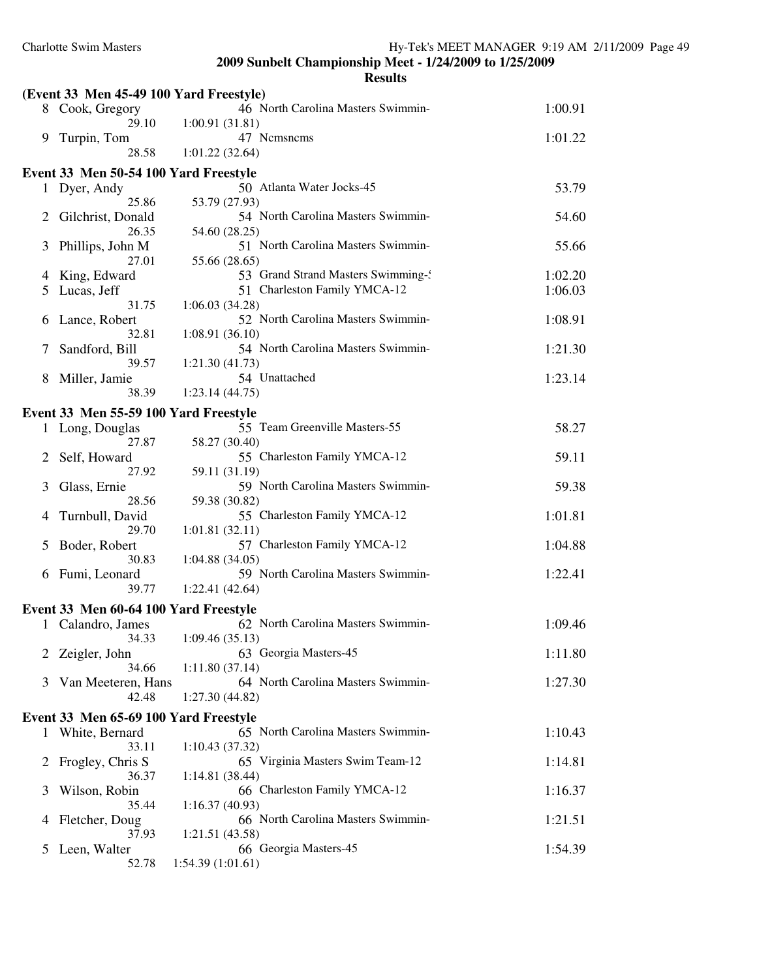|               |                                         | <b>Results</b>                                       |         |
|---------------|-----------------------------------------|------------------------------------------------------|---------|
|               | (Event 33 Men 45-49 100 Yard Freestyle) |                                                      |         |
|               | 8 Cook, Gregory                         | 46 North Carolina Masters Swimmin-                   | 1:00.91 |
|               | 29.10                                   | 1:00.91(31.81)                                       |         |
| 9.            | Turpin, Tom<br>28.58                    | 47 Nemsnems                                          | 1:01.22 |
|               |                                         | 1:01.22(32.64)                                       |         |
|               | Event 33 Men 50-54 100 Yard Freestyle   |                                                      |         |
|               | 1 Dyer, Andy<br>25.86                   | 50 Atlanta Water Jocks-45                            | 53.79   |
|               | Gilchrist, Donald                       | 53.79 (27.93)<br>54 North Carolina Masters Swimmin-  | 54.60   |
|               | 26.35                                   | 54.60 (28.25)                                        |         |
| 3             | Phillips, John M                        | 51 North Carolina Masters Swimmin-                   | 55.66   |
|               | 27.01                                   | 55.66 (28.65)                                        |         |
| 4             | King, Edward                            | 53 Grand Strand Masters Swimming-                    | 1:02.20 |
| 5             | Lucas, Jeff                             | 51 Charleston Family YMCA-12                         | 1:06.03 |
|               | 31.75                                   | 1:06.03(34.28)                                       |         |
| b             | Lance, Robert                           | 52 North Carolina Masters Swimmin-                   | 1:08.91 |
|               | 32.81                                   | 1:08.91(36.10)<br>54 North Carolina Masters Swimmin- |         |
| 7             | Sandford, Bill<br>39.57                 | 1:21.30(41.73)                                       | 1:21.30 |
| 8             | Miller, Jamie                           | 54 Unattached                                        | 1:23.14 |
|               | 38.39                                   | 1:23.14(44.75)                                       |         |
|               | Event 33 Men 55-59 100 Yard Freestyle   |                                                      |         |
|               | 1 Long, Douglas                         | 55 Team Greenville Masters-55                        | 58.27   |
|               | 27.87                                   | 58.27 (30.40)                                        |         |
| 2             | Self, Howard                            | 55 Charleston Family YMCA-12                         | 59.11   |
|               | 27.92                                   | 59.11 (31.19)                                        |         |
| 3             | Glass, Ernie                            | 59 North Carolina Masters Swimmin-                   | 59.38   |
|               | 28.56                                   | 59.38 (30.82)                                        |         |
| 4             | Turnbull, David<br>29.70                | 55 Charleston Family YMCA-12<br>1:01.81(32.11)       | 1:01.81 |
| 5             | Boder, Robert                           | 57 Charleston Family YMCA-12                         | 1:04.88 |
|               | 30.83                                   | 1:04.88 (34.05)                                      |         |
| 6             | Fumi, Leonard                           | 59 North Carolina Masters Swimmin-                   | 1:22.41 |
|               | 39.77                                   | 1:22.41 (42.64)                                      |         |
|               | Event 33 Men 60-64 100 Yard Freestyle   |                                                      |         |
|               | 1 Calandro, James                       | 62 North Carolina Masters Swimmin-                   | 1:09.46 |
|               | 34.33                                   | 1:09.46(35.13)                                       |         |
| 2             | Zeigler, John                           | 63 Georgia Masters-45                                | 1:11.80 |
|               | 34.66                                   | 1:11.80(37.14)                                       |         |
| 3             | Van Meeteren, Hans                      | 64 North Carolina Masters Swimmin-                   | 1:27.30 |
|               | 42.48                                   | 1:27.30(44.82)                                       |         |
|               | Event 33 Men 65-69 100 Yard Freestyle   |                                                      |         |
| 1             | White, Bernard                          | 65 North Carolina Masters Swimmin-                   | 1:10.43 |
|               | 33.11<br>Frogley, Chris S               | 1:10.43(37.32)<br>65 Virginia Masters Swim Team-12   | 1:14.81 |
| $\mathbb{Z}$  | 36.37                                   | 1:14.81(38.44)                                       |         |
| 3             | Wilson, Robin                           | 66 Charleston Family YMCA-12                         | 1:16.37 |
|               | 35.44                                   | 1:16.37(40.93)                                       |         |
| 4             | Fletcher, Doug                          | 66 North Carolina Masters Swimmin-                   | 1:21.51 |
|               | 37.93                                   | 1:21.51(43.58)                                       |         |
| $\mathcal{L}$ | Leen, Walter                            | 66 Georgia Masters-45                                | 1:54.39 |
|               | 52.78                                   | 1:54.39(1:01.61)                                     |         |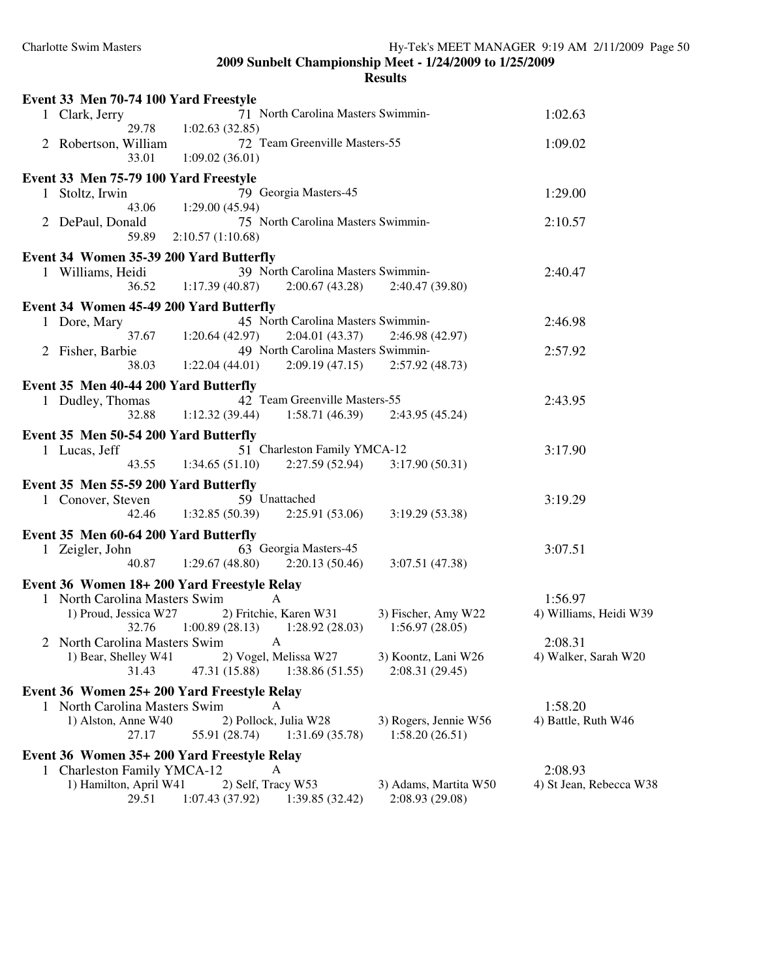| Event 33 Men 70-74 100 Yard Freestyle                                      |                                                                                                   |                                |
|----------------------------------------------------------------------------|---------------------------------------------------------------------------------------------------|--------------------------------|
| 1 Clark, Jerry                                                             | 71 North Carolina Masters Swimmin-                                                                | 1:02.63                        |
| 29.78                                                                      | 1:02.63(32.85)                                                                                    |                                |
| 2 Robertson, William                                                       | 72 Team Greenville Masters-55                                                                     | 1:09.02                        |
| 33.01                                                                      | 1:09.02(36.01)                                                                                    |                                |
| Event 33 Men 75-79 100 Yard Freestyle                                      |                                                                                                   |                                |
| 1 Stoltz, Irwin<br>43.06                                                   | 79 Georgia Masters-45<br>1:29.00(45.94)                                                           | 1:29.00                        |
| 2 DePaul, Donald                                                           | 75 North Carolina Masters Swimmin-                                                                | 2:10.57                        |
| 59.89                                                                      | 2:10.57(1:10.68)                                                                                  |                                |
| Event 34 Women 35-39 200 Yard Butterfly                                    |                                                                                                   |                                |
| 1 Williams, Heidi                                                          | 39 North Carolina Masters Swimmin-                                                                | 2:40.47                        |
| 36.52                                                                      | 1:17.39(40.87)<br>2:00.67(43.28)<br>2:40.47 (39.80)                                               |                                |
| Event 34 Women 45-49 200 Yard Butterfly                                    |                                                                                                   |                                |
| 1 Dore, Mary                                                               | 45 North Carolina Masters Swimmin-                                                                | 2:46.98                        |
| 37.67                                                                      | 2:04.01(43.37)<br>1:20.64(42.97)<br>2:46.98 (42.97)                                               |                                |
| 2 Fisher, Barbie                                                           | 49 North Carolina Masters Swimmin-                                                                | 2:57.92                        |
| 38.03                                                                      | 1:22.04(44.01)<br>2:09.19(47.15)<br>2:57.92(48.73)                                                |                                |
| Event 35 Men 40-44 200 Yard Butterfly                                      |                                                                                                   |                                |
| 1 Dudley, Thomas                                                           | 42 Team Greenville Masters-55                                                                     | 2:43.95                        |
| 32.88                                                                      | $1:12.32(39.44)$ $1:58.71(46.39)$<br>2:43.95(45.24)                                               |                                |
| Event 35 Men 50-54 200 Yard Butterfly                                      |                                                                                                   |                                |
| 1 Lucas, Jeff                                                              | 51 Charleston Family YMCA-12                                                                      | 3:17.90                        |
| 43.55                                                                      | 2:27.59(52.94)<br>1:34.65(51.10)<br>3:17.90(50.31)                                                |                                |
| Event 35 Men 55-59 200 Yard Butterfly                                      |                                                                                                   |                                |
| 1 Conover, Steven                                                          | 59 Unattached                                                                                     | 3:19.29                        |
| 42.46                                                                      | 1:32.85(50.39)<br>2:25.91 (53.06)<br>3:19.29(53.38)                                               |                                |
| Event 35 Men 60-64 200 Yard Butterfly                                      |                                                                                                   |                                |
| 1 Zeigler, John                                                            | 63 Georgia Masters-45                                                                             | 3:07.51                        |
| 40.87                                                                      | 1:29.67(48.80)<br>2:20.13(50.46)<br>3:07.51 (47.38)                                               |                                |
| Event 36 Women 18+200 Yard Freestyle Relay                                 |                                                                                                   |                                |
| 1 North Carolina Masters Swim                                              | $\mathsf{A}$                                                                                      | 1:56.97                        |
| 1) Proud, Jessica W27                                                      | 2) Fritchie, Karen W31<br>3) Fischer, Amy W22                                                     | 4) Williams, Heidi W39         |
| 32.76                                                                      | $1:00.89(28.13)$ $1:28.92(28.03)$<br>1:56.97(28.05)                                               |                                |
| 2 North Carolina Masters Swim A                                            |                                                                                                   | 2:08.31                        |
| 1) Bear, Shelley W41<br>31.43                                              | 2) Vogel, Melissa W27<br>3) Koontz, Lani W26<br>47.31 (15.88)<br>2:08.31(29.45)<br>1:38.86(51.55) | 4) Walker, Sarah W20           |
|                                                                            |                                                                                                   |                                |
| Event 36 Women 25+ 200 Yard Freestyle Relay                                |                                                                                                   |                                |
| North Carolina Masters Swim<br>1) Alston, Anne W40                         | A<br>2) Pollock, Julia W28<br>3) Rogers, Jennie W56                                               | 1:58.20<br>4) Battle, Ruth W46 |
| 27.17                                                                      | 1:58.20(26.51)<br>55.91 (28.74)<br>1:31.69(35.78)                                                 |                                |
|                                                                            |                                                                                                   |                                |
| Event 36 Women 35+ 200 Yard Freestyle Relay<br>1 Charleston Family YMCA-12 | A                                                                                                 | 2:08.93                        |
| 1) Hamilton, April W41                                                     | 2) Self, Tracy W53<br>3) Adams, Martita W50                                                       | 4) St Jean, Rebecca W38        |
| 29.51                                                                      | 2:08.93 (29.08)<br>1:07.43(37.92)<br>1:39.85(32.42)                                               |                                |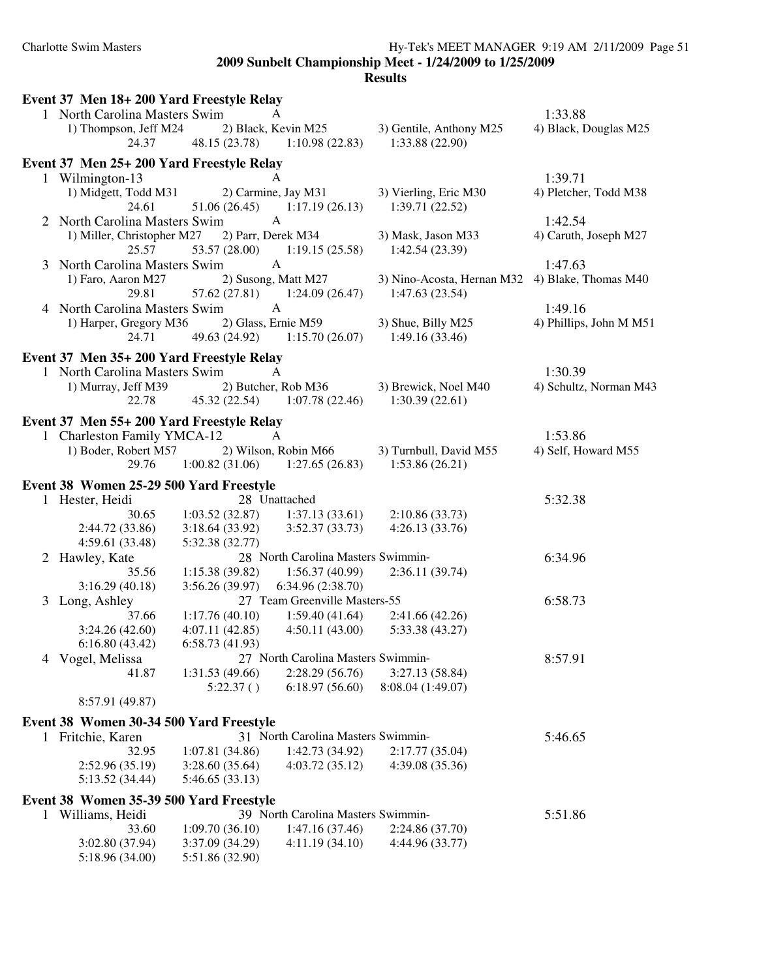|   | Event 37 Men 18+200 Yard Freestyle Relay  |                 |                                    |                                                 |                         |
|---|-------------------------------------------|-----------------|------------------------------------|-------------------------------------------------|-------------------------|
|   | 1 North Carolina Masters Swim             |                 | A                                  |                                                 | 1:33.88                 |
|   | 1) Thompson, Jeff M24                     |                 | 2) Black, Kevin M25                | 3) Gentile, Anthony M25                         | 4) Black, Douglas M25   |
|   | 24.37                                     |                 | 48.15 (23.78) 1:10.98 (22.83)      | 1:33.88(22.90)                                  |                         |
|   | Event 37 Men 25+ 200 Yard Freestyle Relay |                 |                                    |                                                 |                         |
|   | 1 Wilmington-13                           |                 |                                    |                                                 | 1:39.71                 |
|   | 1) Midgett, Todd M31                      |                 | 2) Carmine, Jay M31                | 3) Vierling, Eric M30                           | 4) Pletcher, Todd M38   |
|   | 24.61                                     | 51.06(26.45)    | 1:17.19(26.13)                     | 1:39.71(22.52)                                  |                         |
|   | 2 North Carolina Masters Swim             |                 | A                                  |                                                 | 1:42.54                 |
|   | 1) Miller, Christopher M27                |                 | 2) Parr, Derek M34                 | 3) Mask, Jason M33                              | 4) Caruth, Joseph M27   |
|   | 25.57                                     | 53.57 (28.00)   | 1:19.15(25.58)                     | 1:42.54(23.39)                                  |                         |
|   | 3 North Carolina Masters Swim             |                 | $\mathbf{A}$                       |                                                 | 1:47.63                 |
|   | 1) Faro, Aaron M27                        |                 | 2) Susong, Matt M27                | 3) Nino-Acosta, Hernan M32 4) Blake, Thomas M40 |                         |
|   | 29.81                                     |                 | $57.62(27.81)$ $1:24.09(26.47)$    | 1:47.63(23.54)                                  |                         |
|   | 4 North Carolina Masters Swim             |                 | A                                  |                                                 | 1:49.16                 |
|   | 1) Harper, Gregory M36                    |                 | 2) Glass, Ernie M59                | 3) Shue, Billy M25                              | 4) Phillips, John M M51 |
|   | 24.71                                     |                 | 49.63 (24.92) 1:15.70 (26.07)      | 1:49.16(33.46)                                  |                         |
|   |                                           |                 |                                    |                                                 |                         |
|   | Event 37 Men 35+200 Yard Freestyle Relay  |                 |                                    |                                                 |                         |
|   | 1 North Carolina Masters Swim             |                 | A                                  |                                                 | 1:30.39                 |
|   | 1) Murray, Jeff M39                       |                 | 2) Butcher, Rob M36                | 3) Brewick, Noel M40                            | 4) Schultz, Norman M43  |
|   | 22.78                                     | 45.32 (22.54)   | 1:07.78(22.46)                     | 1:30.39(22.61)                                  |                         |
|   | Event 37 Men 55+ 200 Yard Freestyle Relay |                 |                                    |                                                 |                         |
|   | 1 Charleston Family YMCA-12               |                 | A                                  |                                                 | 1:53.86                 |
|   | 1) Boder, Robert M57                      |                 | 2) Wilson, Robin M66               | 3) Turnbull, David M55                          | 4) Self, Howard M55     |
|   | 29.76                                     |                 | $1:00.82(31.06)$ $1:27.65(26.83)$  | 1:53.86(26.21)                                  |                         |
|   |                                           |                 |                                    |                                                 |                         |
|   | Event 38 Women 25-29 500 Yard Freestyle   |                 | 28 Unattached                      |                                                 |                         |
|   | 1 Hester, Heidi<br>30.65                  | 1:03.52(32.87)  | 1:37.13(33.61)                     | 2:10.86(33.73)                                  | 5:32.38                 |
|   | 2:44.72 (33.86)                           | 3:18.64(33.92)  | 3:52.37(33.73)                     | 4:26.13(33.76)                                  |                         |
|   | 4:59.61 (33.48)                           | 5:32.38 (32.77) |                                    |                                                 |                         |
|   | 2 Hawley, Kate                            |                 | 28 North Carolina Masters Swimmin- |                                                 | 6:34.96                 |
|   | 35.56                                     | 1:15.38(39.82)  | 1:56.37(40.99)                     | 2:36.11(39.74)                                  |                         |
|   | 3:16.29(40.18)                            | 3:56.26(39.97)  | 6:34.96(2:38.70)                   |                                                 |                         |
|   | 3 Long, Ashley                            |                 | 27 Team Greenville Masters-55      |                                                 | 6:58.73                 |
|   | 37.66                                     | 1:17.76(40.10)  | 1:59.40(41.64)                     | 2:41.66(42.26)                                  |                         |
|   | 3:24.26(42.60)                            | 4:07.11(42.85)  | 4:50.11(43.00)                     | 5:33.38 (43.27)                                 |                         |
|   | 6:16.80(43.42)                            | 6:58.73(41.93)  |                                    |                                                 |                         |
|   | 4 Vogel, Melissa                          |                 | 27 North Carolina Masters Swimmin- |                                                 | 8:57.91                 |
|   | 41.87                                     | 1:31.53(49.66)  | 2:28.29(56.76)                     | 3:27.13(58.84)                                  |                         |
|   |                                           | 5:22.37()       | 6:18.97(56.60)                     | 8:08.04 (1:49.07)                               |                         |
|   | 8:57.91 (49.87)                           |                 |                                    |                                                 |                         |
|   |                                           |                 |                                    |                                                 |                         |
|   | Event 38 Women 30-34 500 Yard Freestyle   |                 |                                    |                                                 |                         |
|   | 1 Fritchie, Karen                         |                 | 31 North Carolina Masters Swimmin- |                                                 | 5:46.65                 |
|   | 32.95                                     | 1:07.81(34.86)  | 1:42.73 (34.92)                    | 2:17.77(35.04)                                  |                         |
|   | 2:52.96 (35.19)                           | 3:28.60(35.64)  | 4:03.72(35.12)                     | 4:39.08 (35.36)                                 |                         |
|   | 5:13.52 (34.44)                           | 5:46.65(33.13)  |                                    |                                                 |                         |
|   | Event 38 Women 35-39 500 Yard Freestyle   |                 |                                    |                                                 |                         |
| 1 | Williams, Heidi                           |                 | 39 North Carolina Masters Swimmin- |                                                 | 5:51.86                 |
|   | 33.60                                     | 1:09.70(36.10)  | 1:47.16 (37.46)                    | 2:24.86 (37.70)                                 |                         |
|   | 3:02.80 (37.94)                           | 3:37.09 (34.29) | 4:11.19(34.10)                     | 4:44.96 (33.77)                                 |                         |
|   | 5:18.96 (34.00)                           | 5:51.86 (32.90) |                                    |                                                 |                         |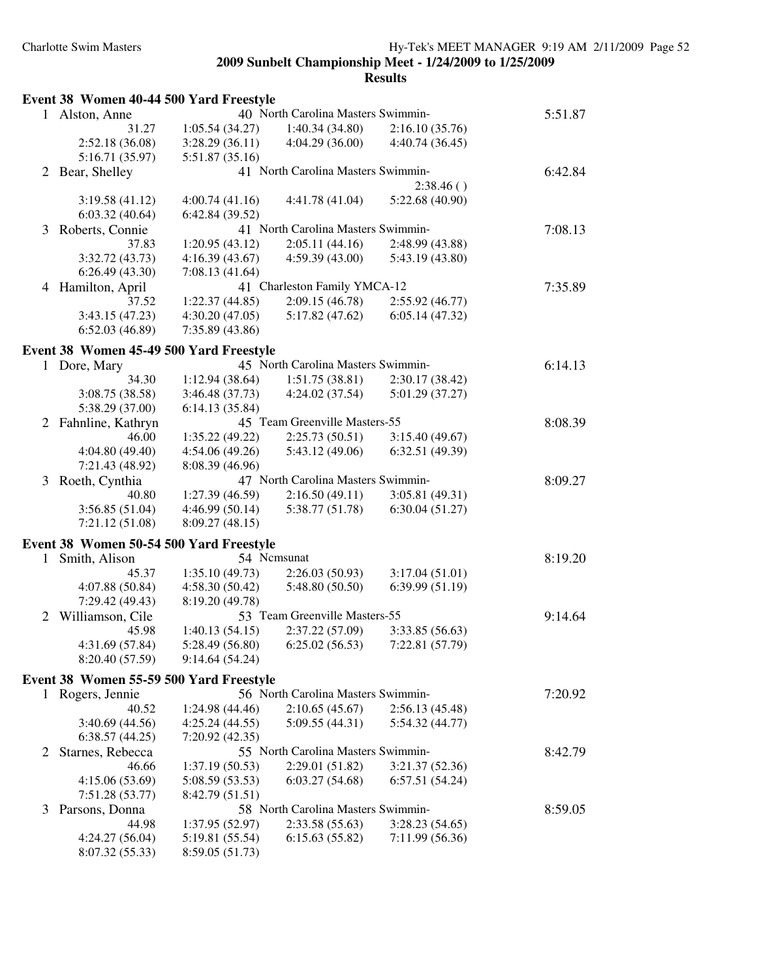|    | <b>Event 38 Women 40-44 500 Yard Freestyle</b> |                 |                                    |                 |         |
|----|------------------------------------------------|-----------------|------------------------------------|-----------------|---------|
| 1  | Alston, Anne                                   |                 | 40 North Carolina Masters Swimmin- |                 | 5:51.87 |
|    | 31.27                                          | 1:05.54(34.27)  | 1:40.34(34.80)                     | 2:16.10(35.76)  |         |
|    | 2:52.18 (36.08)                                | 3:28.29(36.11)  | 4:04.29(36.00)                     | 4:40.74(36.45)  |         |
|    | 5:16.71 (35.97)                                | 5:51.87(35.16)  |                                    |                 |         |
| 2  | Bear, Shelley                                  |                 | 41 North Carolina Masters Swimmin- |                 | 6:42.84 |
|    |                                                |                 |                                    | 2:38.46()       |         |
|    | 3:19.58(41.12)                                 | 4:00.74(41.16)  | 4:41.78 (41.04)                    | 5:22.68 (40.90) |         |
|    | 6:03.32(40.64)                                 | 6:42.84(39.52)  |                                    |                 |         |
| 3  | Roberts, Connie                                |                 | 41 North Carolina Masters Swimmin- |                 | 7:08.13 |
|    | 37.83                                          | 1:20.95(43.12)  | 2:05.11(44.16)                     | 2:48.99 (43.88) |         |
|    | 3:32.72 (43.73)                                | 4:16.39(43.67)  | 4:59.39(43.00)                     | 5:43.19 (43.80) |         |
|    | 6:26.49(43.30)                                 | 7:08.13(41.64)  |                                    |                 |         |
| 4  | Hamilton, April                                |                 | 41 Charleston Family YMCA-12       |                 | 7:35.89 |
|    | 37.52                                          | 1:22.37(44.85)  | 2:09.15(46.78)                     | 2:55.92(46.77)  |         |
|    | 3:43.15(47.23)                                 | 4:30.20(47.05)  | 5:17.82(47.62)                     | 6:05.14(47.32)  |         |
|    | 6:52.03(46.89)                                 | 7:35.89(43.86)  |                                    |                 |         |
|    | Event 38 Women 45-49 500 Yard Freestyle        |                 |                                    |                 |         |
| 1  | Dore, Mary                                     |                 | 45 North Carolina Masters Swimmin- |                 | 6:14.13 |
|    | 34.30                                          | 1:12.94(38.64)  | 1:51.75(38.81)                     | 2:30.17(38.42)  |         |
|    | 3:08.75 (38.58)                                | 3:46.48 (37.73) | 4:24.02 (37.54)                    | 5:01.29 (37.27) |         |
|    | 5:38.29 (37.00)                                | 6:14.13(35.84)  |                                    |                 |         |
|    | 2 Fahnline, Kathryn                            |                 | 45 Team Greenville Masters-55      |                 | 8:08.39 |
|    | 46.00                                          | 1:35.22(49.22)  | 2:25.73(50.51)                     | 3:15.40(49.67)  |         |
|    | 4:04.80 (49.40)                                | 4:54.06 (49.26) | 5:43.12 (49.06)                    | 6:32.51 (49.39) |         |
|    | 7:21.43 (48.92)                                | 8:08.39 (46.96) |                                    |                 |         |
| 3  | Roeth, Cynthia                                 |                 | 47 North Carolina Masters Swimmin- |                 | 8:09.27 |
|    | 40.80                                          | 1:27.39(46.59)  | 2:16.50(49.11)                     | 3:05.81(49.31)  |         |
|    | 3:56.85(51.04)                                 | 4:46.99(50.14)  | 5:38.77(51.78)                     | 6:30.04(51.27)  |         |
|    | 7:21.12(51.08)                                 | 8:09.27(48.15)  |                                    |                 |         |
|    |                                                |                 |                                    |                 |         |
|    | Event 38 Women 50-54 500 Yard Freestyle        |                 |                                    |                 |         |
| 1  | Smith, Alison                                  |                 | 54 Ncmsunat                        |                 | 8:19.20 |
|    | 45.37                                          | 1:35.10(49.73)  | 2:26.03(50.93)                     | 3:17.04(51.01)  |         |
|    | 4:07.88 (50.84)                                | 4:58.30 (50.42) | 5:48.80 (50.50)                    | 6:39.99(51.19)  |         |
|    | 7:29.42 (49.43)                                | 8:19.20 (49.78) |                                    |                 |         |
| 2  | Williamson, Cile                               |                 | 53 Team Greenville Masters-55      |                 | 9:14.64 |
|    | 45.98                                          | 1:40.13(54.15)  | 2:37.22 (57.09)                    | 3:33.85 (56.63) |         |
|    | 4:31.69 (57.84)                                |                 | $5:28.49(56.80)$ $6:25.02(56.53)$  | 7:22.81 (57.79) |         |
|    | 8:20.40 (57.59)                                | 9:14.64(54.24)  |                                    |                 |         |
|    | Event 38 Women 55-59 500 Yard Freestyle        |                 |                                    |                 |         |
| 1. | Rogers, Jennie                                 |                 | 56 North Carolina Masters Swimmin- |                 | 7:20.92 |
|    | 40.52                                          | 1:24.98(44.46)  | 2:10.65(45.67)                     | 2:56.13(45.48)  |         |
|    | 3:40.69 (44.56)                                | 4:25.24(44.55)  | 5:09.55(44.31)                     | 5:54.32(44.77)  |         |
|    | 6:38.57(44.25)                                 | 7:20.92(42.35)  |                                    |                 |         |
| 2  | Starnes, Rebecca                               |                 | 55 North Carolina Masters Swimmin- |                 | 8:42.79 |
|    | 46.66                                          | 1:37.19(50.53)  | 2:29.01(51.82)                     | 3:21.37(52.36)  |         |
|    | 4:15.06(53.69)                                 | 5:08.59 (53.53) | 6:03.27(54.68)                     | 6:57.51(54.24)  |         |
|    | 7:51.28 (53.77)                                | 8:42.79 (51.51) |                                    |                 |         |
| 3  | Parsons, Donna                                 |                 | 58 North Carolina Masters Swimmin- |                 | 8:59.05 |
|    | 44.98                                          | 1:37.95(52.97)  | 2:33.58(55.63)                     | 3:28.23(54.65)  |         |
|    | 4:24.27(56.04)                                 | 5:19.81 (55.54) | 6:15.63(55.82)                     | 7:11.99 (56.36) |         |
|    | 8:07.32 (55.33)                                | 8:59.05 (51.73) |                                    |                 |         |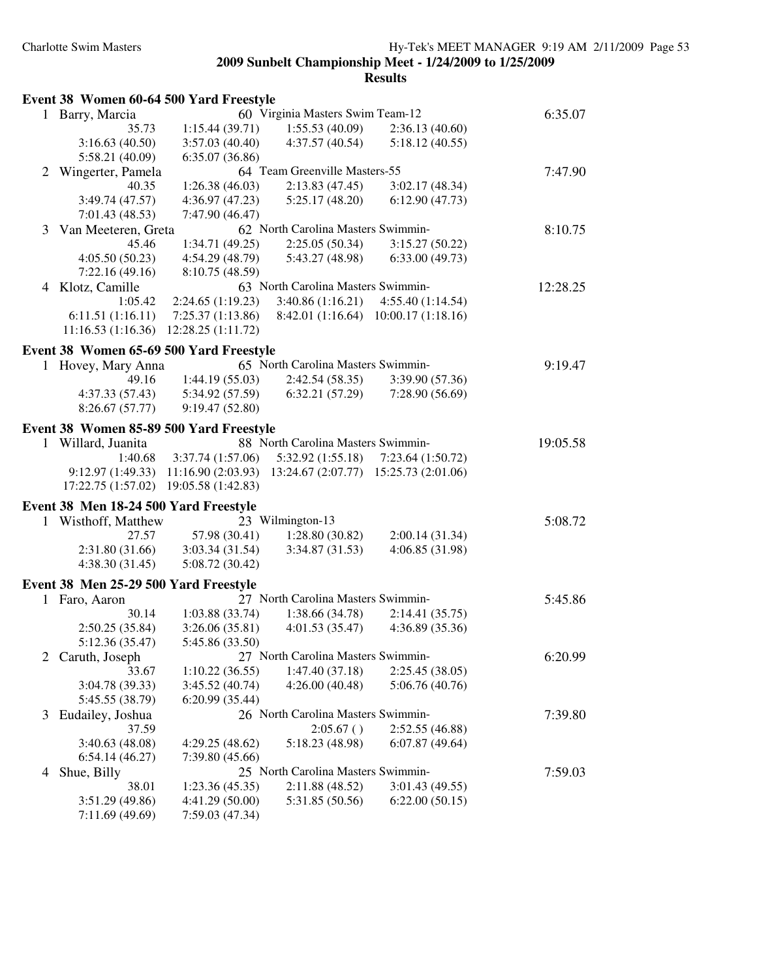|   | Event 38 Women 60-64 500 Yard Freestyle |                                    |                                                             |                                      |          |
|---|-----------------------------------------|------------------------------------|-------------------------------------------------------------|--------------------------------------|----------|
| 1 | Barry, Marcia                           |                                    | 60 Virginia Masters Swim Team-12                            |                                      | 6:35.07  |
|   | 35.73                                   | 1:15.44(39.71)                     | 1:55.53(40.09)                                              | 2:36.13(40.60)                       |          |
|   | 3:16.63(40.50)                          | 3:57.03(40.40)                     | 4:37.57(40.54)                                              | 5:18.12(40.55)                       |          |
|   | 5:58.21 (40.09)                         | 6:35.07(36.86)                     |                                                             |                                      |          |
| 2 | Wingerter, Pamela                       |                                    | 64 Team Greenville Masters-55                               |                                      | 7:47.90  |
|   | 40.35                                   | 1:26.38(46.03)                     | 2:13.83(47.45)                                              | 3:02.17(48.34)                       |          |
|   | 3:49.74(47.57)                          | 4:36.97(47.23)                     | 5:25.17(48.20)                                              | 6:12.90(47.73)                       |          |
|   | 7:01.43(48.53)                          | 7:47.90 (46.47)                    |                                                             |                                      |          |
| 3 | Van Meeteren, Greta                     |                                    | 62 North Carolina Masters Swimmin-                          |                                      | 8:10.75  |
|   | 45.46                                   | 1:34.71(49.25)                     | 2:25.05(50.34)                                              | 3:15.27(50.22)                       |          |
|   | 4:05.50(50.23)                          | 4:54.29 (48.79)                    | 5:43.27 (48.98)                                             | 6:33.00(49.73)                       |          |
|   | 7:22.16(49.16)                          | 8:10.75 (48.59)                    |                                                             |                                      |          |
| 4 | Klotz, Camille                          |                                    | 63 North Carolina Masters Swimmin-                          |                                      | 12:28.25 |
|   | 1:05.42                                 | 2:24.65(1:19.23)                   | 3:40.86 (1:16.21)                                           | 4:55.40(1:14.54)                     |          |
|   | 6:11.51(1:16.11)                        | 7:25.37(1:13.86)                   |                                                             | 8:42.01 (1:16.64) 10:00.17 (1:18.16) |          |
|   | 11:16.53(1:16.36)                       | 12:28.25(1:11.72)                  |                                                             |                                      |          |
|   | Event 38 Women 65-69 500 Yard Freestyle |                                    |                                                             |                                      |          |
|   | Hovey, Mary Anna                        |                                    | 65 North Carolina Masters Swimmin-                          |                                      | 9:19.47  |
|   | 49.16                                   | 1:44.19(55.03)                     | 2:42.54(58.35)                                              | 3:39.90 (57.36)                      |          |
|   | 4:37.33(57.43)                          | 5:34.92 (57.59)                    | 6:32.21(57.29)                                              | 7:28.90(56.69)                       |          |
|   | 8:26.67(57.77)                          | 9:19.47(52.80)                     |                                                             |                                      |          |
|   | Event 38 Women 85-89 500 Yard Freestyle |                                    |                                                             |                                      |          |
|   | 1 Willard, Juanita                      |                                    | 88 North Carolina Masters Swimmin-                          |                                      | 19:05.58 |
|   | 1:40.68                                 | 3:37.74(1:57.06)                   | 5:32.92(1:55.18)                                            | 7:23.64(1:50.72)                     |          |
|   | 9:12.97(1:49.33)                        |                                    | $11:16.90(2:03.93)$ $13:24.67(2:07.77)$ $15:25.73(2:01.06)$ |                                      |          |
|   | 17:22.75 (1:57.02)                      | 19:05.58 (1:42.83)                 |                                                             |                                      |          |
|   |                                         |                                    |                                                             |                                      |          |
|   | Event 38 Men 18-24 500 Yard Freestyle   |                                    | 23 Wilmington-13                                            |                                      |          |
| 1 | Wisthoff, Matthew<br>27.57              | 57.98 (30.41)                      | 1:28.80(30.82)                                              | 2:00.14(31.34)                       | 5:08.72  |
|   | 2:31.80(31.66)                          | 3:03.34(31.54)                     | 3:34.87(31.53)                                              | 4:06.85(31.98)                       |          |
|   | 4:38.30(31.45)                          | 5:08.72(30.42)                     |                                                             |                                      |          |
|   |                                         |                                    |                                                             |                                      |          |
|   | Event 38 Men 25-29 500 Yard Freestyle   |                                    |                                                             |                                      |          |
|   | 1 Faro, Aaron                           |                                    | 27 North Carolina Masters Swimmin-                          |                                      | 5:45.86  |
|   | 30.14                                   | 1:03.88(33.74)                     | 1:38.66(34.78)                                              | 2:14.41(35.75)                       |          |
|   | 2:50.25(35.84)                          | 3:26.06(35.81)                     | 4:01.53(35.47)                                              | 4:36.89(35.36)                       |          |
|   | 5:12.36 (35.47)                         | 5:45.86 (33.50)                    |                                                             |                                      |          |
|   | Caruth, Joseph                          |                                    | 27 North Carolina Masters Swimmin-                          |                                      | 6:20.99  |
|   | 33.67                                   | 1:10.22(36.55)                     | 1:47.40(37.18)                                              | 2:25.45(38.05)                       |          |
|   | 3:04.78 (39.33)                         | 3:45.52(40.74)                     | 4:26.00(40.48)                                              | 5:06.76 (40.76)                      |          |
|   | 5:45.55 (38.79)                         | 6:20.99(35.44)                     |                                                             |                                      |          |
| 3 | Eudailey, Joshua                        |                                    | 26 North Carolina Masters Swimmin-                          |                                      | 7:39.80  |
|   | 37.59                                   |                                    | 2:05.67()                                                   | 2:52.55(46.88)                       |          |
|   | 3:40.63(48.08)                          | 4:29.25(48.62)                     | 5:18.23 (48.98)                                             | 6:07.87(49.64)                       |          |
|   | 6:54.14(46.27)                          | 7:39.80(45.66)                     |                                                             |                                      |          |
| 4 | Shue, Billy                             |                                    | 25 North Carolina Masters Swimmin-                          |                                      | 7:59.03  |
|   | 38.01                                   | 1:23.36(45.35)                     | 2:11.88(48.52)                                              | 3:01.43 (49.55)                      |          |
|   | 3:51.29(49.86)<br>7:11.69 (49.69)       | 4:41.29 (50.00)<br>7:59.03 (47.34) | 5:31.85 (50.56)                                             | 6:22.00(50.15)                       |          |
|   |                                         |                                    |                                                             |                                      |          |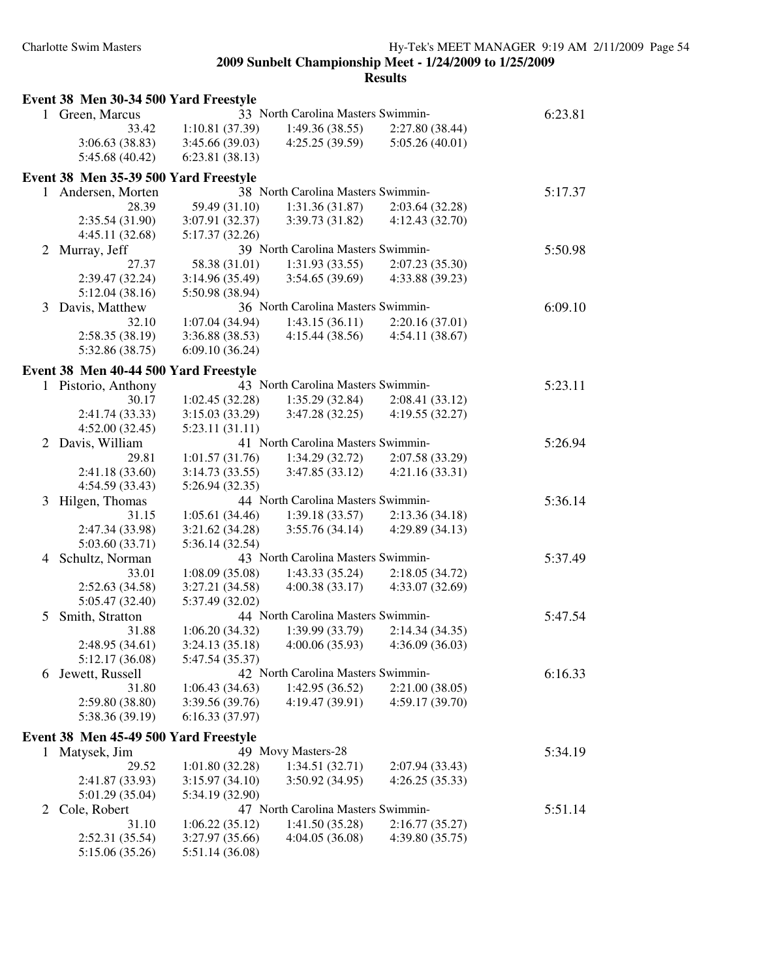|              | Event 38 Men 30-34 500 Yard Freestyle                     |                                   |                                    |                                  |         |
|--------------|-----------------------------------------------------------|-----------------------------------|------------------------------------|----------------------------------|---------|
|              | 1 Green, Marcus                                           |                                   | 33 North Carolina Masters Swimmin- |                                  | 6:23.81 |
|              | 33.42                                                     | 1:10.81(37.39)                    | 1:49.36(38.55)                     | 2:27.80(38.44)                   |         |
|              | 3:06.63(38.83)                                            | 3:45.66 (39.03)                   | 4:25.25(39.59)                     | 5:05.26(40.01)                   |         |
|              | 5:45.68 (40.42)                                           | 6:23.81(38.13)                    |                                    |                                  |         |
|              |                                                           |                                   |                                    |                                  |         |
| $\mathbf{1}$ | Event 38 Men 35-39 500 Yard Freestyle<br>Andersen, Morten |                                   | 38 North Carolina Masters Swimmin- |                                  | 5:17.37 |
|              | 28.39                                                     |                                   | 1:31.36(31.87)                     |                                  |         |
|              | 2:35.54 (31.90)                                           | 59.49 (31.10)                     | 3:39.73 (31.82)                    | 2:03.64(32.28)<br>4:12.43(32.70) |         |
|              |                                                           | 3:07.91 (32.37)                   |                                    |                                  |         |
|              | 4:45.11 (32.68)                                           | 5:17.37 (32.26)                   |                                    |                                  |         |
| 2            | Murray, Jeff                                              |                                   | 39 North Carolina Masters Swimmin- |                                  | 5:50.98 |
|              | 27.37                                                     | 58.38 (31.01)                     | 1:31.93(33.55)                     | 2:07.23(35.30)                   |         |
|              | 2:39.47 (32.24)                                           | 3:14.96 (35.49)                   | 3:54.65(39.69)                     | 4:33.88 (39.23)                  |         |
|              | 5:12.04(38.16)                                            | 5:50.98 (38.94)                   |                                    |                                  |         |
| 3            | Davis, Matthew                                            |                                   | 36 North Carolina Masters Swimmin- |                                  | 6:09.10 |
|              | 32.10                                                     | 1:07.04(34.94)                    | 1:43.15(36.11)                     | 2:20.16(37.01)                   |         |
|              | 2:58.35(38.19)                                            | 3:36.88 (38.53)                   | 4:15.44(38.56)                     | 4:54.11(38.67)                   |         |
|              | 5:32.86 (38.75)                                           | 6:09.10(36.24)                    |                                    |                                  |         |
|              | Event 38 Men 40-44 500 Yard Freestyle                     |                                   |                                    |                                  |         |
|              | 1 Pistorio, Anthony                                       |                                   | 43 North Carolina Masters Swimmin- |                                  | 5:23.11 |
|              | 30.17                                                     | 1:02.45(32.28)                    | 1:35.29(32.84)                     | 2:08.41(33.12)                   |         |
|              | 2:41.74 (33.33)                                           | 3:15.03 (33.29)                   | 3:47.28(32.25)                     | 4:19.55(32.27)                   |         |
|              | 4:52.00(32.45)                                            | 5:23.11(31.11)                    |                                    |                                  |         |
| 2            | Davis, William                                            |                                   | 41 North Carolina Masters Swimmin- |                                  | 5:26.94 |
|              | 29.81                                                     | 1:01.57(31.76)                    | 1:34.29(32.72)                     | 2:07.58 (33.29)                  |         |
|              | 2:41.18 (33.60)                                           | 3:14.73(33.55)                    | 3:47.85(33.12)                     | 4:21.16(33.31)                   |         |
|              | 4:54.59 (33.43)                                           | 5:26.94 (32.35)                   |                                    |                                  |         |
| 3            | Hilgen, Thomas                                            |                                   | 44 North Carolina Masters Swimmin- |                                  | 5:36.14 |
|              | 31.15                                                     | 1:05.61(34.46)                    | 1:39.18(33.57)                     | 2:13.36(34.18)                   |         |
|              | 2:47.34 (33.98)                                           | 3:21.62 (34.28)                   | 3:55.76(34.14)                     | 4:29.89 (34.13)                  |         |
|              | 5:03.60 (33.71)                                           | 5:36.14 (32.54)                   |                                    |                                  |         |
| 4            | Schultz, Norman                                           |                                   | 43 North Carolina Masters Swimmin- |                                  | 5:37.49 |
|              | 33.01                                                     | 1:08.09(35.08)                    | 1:43.33(35.24)                     | 2:18.05(34.72)                   |         |
|              | 2:52.63 (34.58)                                           | 3:27.21(34.58)                    | 4:00.38(33.17)                     | 4:33.07 (32.69)                  |         |
|              | 5:05.47 (32.40)                                           | 5:37.49 (32.02)                   |                                    |                                  |         |
| 5            | Smith, Stratton                                           |                                   | 44 North Carolina Masters Swimmin- |                                  | 5:47.54 |
|              | 31.88                                                     | 1:06.20(34.32)                    | 1:39.99 (33.79)                    | 2:14.34(34.35)                   |         |
|              | 2:48.95 (34.61)                                           | 3:24.13 (35.18)                   | 4:00.06(35.93)                     | 4:36.09(36.03)                   |         |
|              | 5:12.17 (36.08)                                           | 5:47.54 (35.37)                   |                                    |                                  |         |
| 6            | Jewett, Russell                                           |                                   | 42 North Carolina Masters Swimmin- |                                  | 6:16.33 |
|              | 31.80                                                     | 1:06.43(34.63)                    | 1:42.95 (36.52)                    | 2:21.00(38.05)                   |         |
|              | 2:59.80 (38.80)                                           | 3:39.56 (39.76)                   | 4:19.47 (39.91)                    | 4:59.17 (39.70)                  |         |
|              | 5:38.36 (39.19)                                           | 6:16.33(37.97)                    |                                    |                                  |         |
|              | Event 38 Men 45-49 500 Yard Freestyle                     |                                   |                                    |                                  |         |
|              | Matysek, Jim                                              |                                   | 49 Movy Masters-28                 |                                  | 5:34.19 |
| $\perp$      | 29.52                                                     | 1:01.80(32.28)                    | 1:34.51(32.71)                     | 2:07.94 (33.43)                  |         |
|              |                                                           |                                   |                                    | 4:26.25(35.33)                   |         |
|              | 2:41.87 (33.93)                                           | 3:15.97(34.10)<br>5:34.19 (32.90) | 3:50.92 (34.95)                    |                                  |         |
|              | 5:01.29 (35.04)                                           |                                   | 47 North Carolina Masters Swimmin- |                                  |         |
| 2            | Cole, Robert                                              |                                   |                                    |                                  | 5:51.14 |
|              | 31.10                                                     | 1:06.22(35.12)                    | 1:41.50(35.28)                     | 2:16.77(35.27)                   |         |
|              | 2:52.31 (35.54)                                           | 3:27.97 (35.66)                   | 4:04.05(36.08)                     | 4:39.80(35.75)                   |         |
|              | 5:15.06 (35.26)                                           | 5:51.14 (36.08)                   |                                    |                                  |         |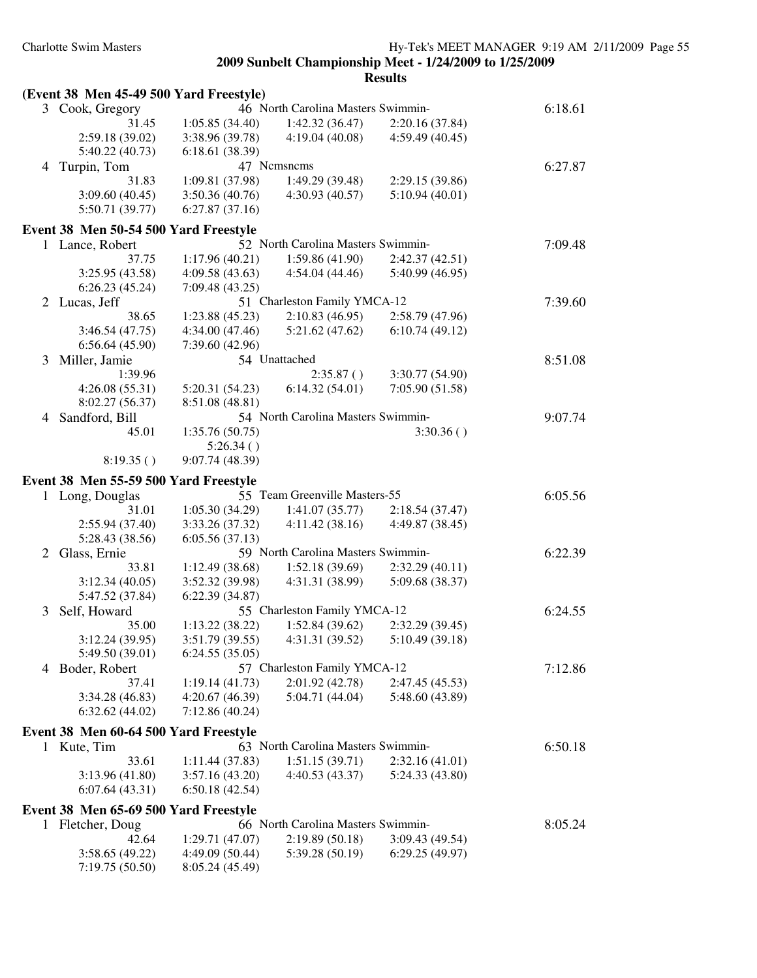|              | (Event 38 Men 45-49 500 Yard Freestyle) |                              |                                    |                 |         |
|--------------|-----------------------------------------|------------------------------|------------------------------------|-----------------|---------|
|              | 3 Cook, Gregory                         |                              | 46 North Carolina Masters Swimmin- |                 | 6:18.61 |
|              | 31.45                                   | 1:05.85(34.40)               | 1:42.32(36.47)                     | 2:20.16(37.84)  |         |
|              | 2:59.18 (39.02)                         | 3:38.96 (39.78)              | 4:19.04(40.08)                     | 4:59.49(40.45)  |         |
|              | 5:40.22 (40.73)                         | 6:18.61 (38.39)              |                                    |                 |         |
| 4            | Turpin, Tom                             |                              | 47 Nemsnems                        |                 | 6:27.87 |
|              | 31.83                                   | 1:09.81 (37.98)              | 1:49.29 (39.48)                    | 2:29.15 (39.86) |         |
|              | 3:09.60(40.45)                          | 3:50.36(40.76)               | 4:30.93(40.57)                     | 5:10.94(40.01)  |         |
|              | 5:50.71 (39.77)                         | 6:27.87(37.16)               |                                    |                 |         |
|              | Event 38 Men 50-54 500 Yard Freestyle   |                              |                                    |                 |         |
|              | 1 Lance, Robert                         |                              | 52 North Carolina Masters Swimmin- |                 | 7:09.48 |
|              | 37.75                                   | 1:17.96(40.21)               | 1:59.86(41.90)                     | 2:42.37(42.51)  |         |
|              | 3:25.95 (43.58)                         | 4:09.58 (43.63)              | 4:54.04(44.46)                     | 5:40.99 (46.95) |         |
|              | 6:26.23(45.24)                          | 7:09.48(43.25)               |                                    |                 |         |
|              | 2 Lucas, Jeff                           |                              | 51 Charleston Family YMCA-12       |                 | 7:39.60 |
|              | 38.65                                   | 1:23.88(45.23)               | 2:10.83(46.95)                     | 2:58.79 (47.96) |         |
|              | 3:46.54(47.75)                          | 4:34.00(47.46)               | 5:21.62(47.62)                     | 6:10.74(49.12)  |         |
|              | 6:56.64(45.90)                          | 7:39.60 (42.96)              |                                    |                 |         |
| 3            | Miller, Jamie                           |                              | 54 Unattached                      |                 | 8:51.08 |
|              | 1:39.96                                 |                              |                                    | 3:30.77 (54.90) |         |
|              |                                         |                              | 2:35.87()<br>6:14.32(54.01)        |                 |         |
|              | 4:26.08(55.31)                          | 5:20.31(54.23)               |                                    | 7:05.90(51.58)  |         |
|              | 8:02.27 (56.37)                         | 8:51.08 (48.81)              |                                    |                 |         |
| 4            | Sandford, Bill                          |                              | 54 North Carolina Masters Swimmin- |                 | 9:07.74 |
|              | 45.01                                   | 1:35.76(50.75)               |                                    | 3:30.36()       |         |
|              | 8:19.35()                               | 5:26.34()<br>9:07.74 (48.39) |                                    |                 |         |
|              |                                         |                              |                                    |                 |         |
|              | Event 38 Men 55-59 500 Yard Freestyle   |                              |                                    |                 |         |
|              | 1 Long, Douglas                         |                              | 55 Team Greenville Masters-55      |                 | 6:05.56 |
|              | 31.01                                   | 1:05.30(34.29)               | 1:41.07(35.77)                     | 2:18.54(37.47)  |         |
|              | 2:55.94(37.40)                          | 3:33.26 (37.32)              | 4:11.42(38.16)                     | 4:49.87 (38.45) |         |
|              | 5:28.43 (38.56)                         | 6:05.56(37.13)               |                                    |                 |         |
| 2            | Glass, Ernie                            |                              | 59 North Carolina Masters Swimmin- |                 | 6:22.39 |
|              | 33.81                                   | 1:12.49(38.68)               | 1:52.18(39.69)                     | 2:32.29(40.11)  |         |
|              | 3:12.34(40.05)                          | 3:52.32 (39.98)              | 4:31.31 (38.99)                    | 5:09.68 (38.37) |         |
|              | 5:47.52 (37.84)                         | 6:22.39(34.87)               |                                    |                 |         |
| 3            | Self, Howard                            |                              | 55 Charleston Family YMCA-12       |                 | 6:24.55 |
|              | 35.00                                   | 1:13.22(38.22)               | 1:52.84(39.62)                     | 2:32.29 (39.45) |         |
|              | 3:12.24 (39.95)                         | 3:51.79(39.55)               | 4:31.31(39.52)                     | 5:10.49(39.18)  |         |
|              | 5:49.50 (39.01)                         | 6:24.55(35.05)               |                                    |                 |         |
|              | 4 Boder, Robert                         |                              | 57 Charleston Family YMCA-12       |                 | 7:12.86 |
|              | 37.41                                   | 1:19.14(41.73)               | 2:01.92(42.78)                     | 2:47.45 (45.53) |         |
|              | 3:34.28(46.83)                          | 4:20.67(46.39)               | 5:04.71 (44.04)                    | 5:48.60 (43.89) |         |
|              | 6:32.62(44.02)                          | 7:12.86(40.24)               |                                    |                 |         |
|              | Event 38 Men 60-64 500 Yard Freestyle   |                              |                                    |                 |         |
|              | 1 Kute, Tim                             |                              | 63 North Carolina Masters Swimmin- |                 | 6:50.18 |
|              | 33.61                                   | 1:11.44(37.83)               | 1:51.15(39.71)                     | 2:32.16(41.01)  |         |
|              | 3:13.96(41.80)                          | 3:57.16(43.20)               | 4:40.53(43.37)                     | 5:24.33 (43.80) |         |
|              | 6:07.64(43.31)                          | 6:50.18(42.54)               |                                    |                 |         |
|              |                                         |                              |                                    |                 |         |
|              | Event 38 Men 65-69 500 Yard Freestyle   |                              |                                    |                 |         |
| $\mathbf{I}$ | Fletcher, Doug                          |                              | 66 North Carolina Masters Swimmin- |                 | 8:05.24 |
|              | 42.64                                   | 1:29.71 (47.07)              | 2:19.89(50.18)                     | 3:09.43(49.54)  |         |
|              | 3:58.65(49.22)                          | 4:49.09 (50.44)              | 5:39.28(50.19)                     | 6:29.25(49.97)  |         |
|              | 7:19.75(50.50)                          | 8:05.24 (45.49)              |                                    |                 |         |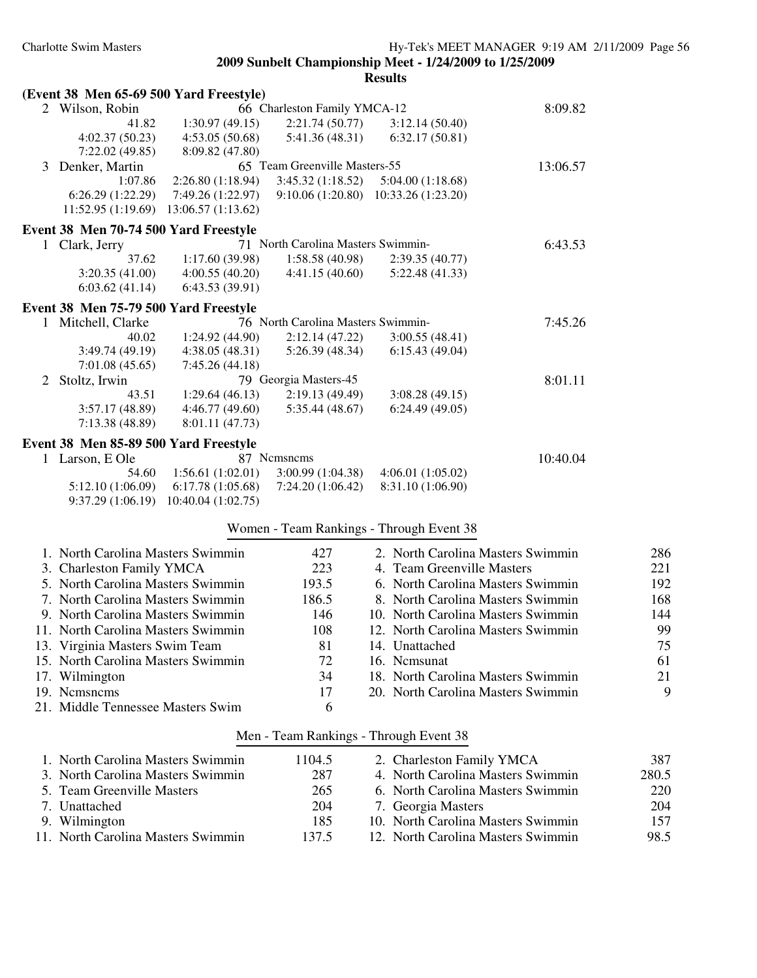|   | (Event 38 Men 65-69 500 Yard Freestyle) |                                        |                                          |                                    |          |       |
|---|-----------------------------------------|----------------------------------------|------------------------------------------|------------------------------------|----------|-------|
|   | 2 Wilson, Robin                         |                                        | 66 Charleston Family YMCA-12             |                                    | 8:09.82  |       |
|   | 41.82                                   | 1:30.97(49.15)                         | 2:21.74(50.77)                           | 3:12.14(50.40)                     |          |       |
|   | 4:02.37(50.23)                          | 4:53.05(50.68)                         | 5:41.36 (48.31)                          | 6:32.17(50.81)                     |          |       |
|   | 7:22.02(49.85)                          | 8:09.82 (47.80)                        |                                          |                                    |          |       |
| 3 | Denker, Martin                          |                                        | 65 Team Greenville Masters-55            |                                    | 13:06.57 |       |
|   | 1:07.86                                 | 2:26.80(1:18.94)                       | 3:45.32(1:18.52)                         | 5:04.00(1:18.68)                   |          |       |
|   | 6:26.29(1:22.29)<br>11:52.95(1:19.69)   | 7:49.26 (1:22.97)<br>13:06.57(1:13.62) | 9:10.06 (1:20.80) 10:33.26 (1:23.20)     |                                    |          |       |
|   |                                         |                                        |                                          |                                    |          |       |
|   | Event 38 Men 70-74 500 Yard Freestyle   |                                        | 71 North Carolina Masters Swimmin-       |                                    |          |       |
|   | 1 Clark, Jerry<br>37.62                 | 1:17.60 (39.98)                        | 1:58.58(40.98)                           | 2:39.35 (40.77)                    | 6:43.53  |       |
|   | 3:20.35(41.00)                          | 4:00.55(40.20)                         | 4:41.15(40.60)                           | 5:22.48(41.33)                     |          |       |
|   | 6:03.62(41.14)                          | 6:43.53(39.91)                         |                                          |                                    |          |       |
|   | Event 38 Men 75-79 500 Yard Freestyle   |                                        |                                          |                                    |          |       |
| 1 | Mitchell, Clarke                        |                                        | 76 North Carolina Masters Swimmin-       |                                    | 7:45.26  |       |
|   | 40.02                                   | 1:24.92(44.90)                         | 2:12.14(47.22)                           | 3:00.55(48.41)                     |          |       |
|   | 3:49.74(49.19)                          | 4:38.05(48.31)                         | 5:26.39(48.34)                           | 6:15.43(49.04)                     |          |       |
|   | 7:01.08(45.65)                          | 7:45.26(44.18)                         |                                          |                                    |          |       |
| 2 | Stoltz, Irwin                           |                                        | 79 Georgia Masters-45                    |                                    | 8:01.11  |       |
|   | 43.51                                   | 1:29.64(46.13)                         | 2:19.13(49.49)                           | 3:08.28(49.15)                     |          |       |
|   | 3:57.17 (48.89)                         | 4:46.77(49.60)                         | 5:35.44(48.67)                           | 6:24.49(49.05)                     |          |       |
|   | 7:13.38 (48.89)                         | 8:01.11 (47.73)                        |                                          |                                    |          |       |
|   | Event 38 Men 85-89 500 Yard Freestyle   |                                        |                                          |                                    |          |       |
|   | 1 Larson, E Ole                         |                                        | 87 Nemsnems                              |                                    | 10:40.04 |       |
|   | 54.60                                   | 1:56.61(1:02.01)                       | 3:00.99(1:04.38)                         | 4:06.01(1:05.02)                   |          |       |
|   | 5:12.10 (1:06.09)                       | 6:17.78(1:05.68)                       | 7:24.20(1:06.42)                         | 8:31.10 (1:06.90)                  |          |       |
|   | 9:37.29(1:06.19)                        | 10:40.04 (1:02.75)                     |                                          |                                    |          |       |
|   |                                         |                                        | Women - Team Rankings - Through Event 38 |                                    |          |       |
|   | 1. North Carolina Masters Swimmin       |                                        | 427                                      | 2. North Carolina Masters Swimmin  |          | 286   |
|   | 3. Charleston Family YMCA               |                                        | 223                                      | 4. Team Greenville Masters         |          | 221   |
|   | 5. North Carolina Masters Swimmin       |                                        | 193.5                                    | 6. North Carolina Masters Swimmin  |          | 192   |
|   | 7. North Carolina Masters Swimmin       |                                        | 186.5                                    | 8. North Carolina Masters Swimmin  |          | 168   |
|   | 9. North Carolina Masters Swimmin       |                                        | 146                                      | 10. North Carolina Masters Swimmin |          | 144   |
|   | 11. North Carolina Masters Swimmin      |                                        | 108                                      | 12. North Carolina Masters Swimmin |          | 99    |
|   | 13. Virginia Masters Swim Team          |                                        | 81                                       | 14. Unattached                     |          | 75    |
|   | 15. North Carolina Masters Swimmin      |                                        | 72                                       | 16. Ncmsunat                       |          | 61    |
|   | 17. Wilmington                          |                                        | 34                                       | 18. North Carolina Masters Swimmin |          | 21    |
|   | 19. Nemsnems                            |                                        | 17                                       | 20. North Carolina Masters Swimmin |          | 9     |
|   | 21. Middle Tennessee Masters Swim       |                                        | 6                                        |                                    |          |       |
|   |                                         |                                        | Men - Team Rankings - Through Event 38   |                                    |          |       |
|   | 1. North Carolina Masters Swimmin       |                                        | 1104.5                                   | 2. Charleston Family YMCA          |          | 387   |
|   | 3. North Carolina Masters Swimmin       |                                        | 287                                      | 4. North Carolina Masters Swimmin  |          | 280.5 |
|   | 5. Team Greenville Masters              |                                        | 265                                      | 6. North Carolina Masters Swimmin  |          | 220   |
|   | 7. Unattached                           |                                        | 204                                      | 7. Georgia Masters                 |          | 204   |
|   | 9. Wilmington                           |                                        | 185                                      | 10. North Carolina Masters Swimmin |          | 157   |
|   | 11. North Carolina Masters Swimmin      |                                        | 137.5                                    | 12. North Carolina Masters Swimmin |          | 98.5  |